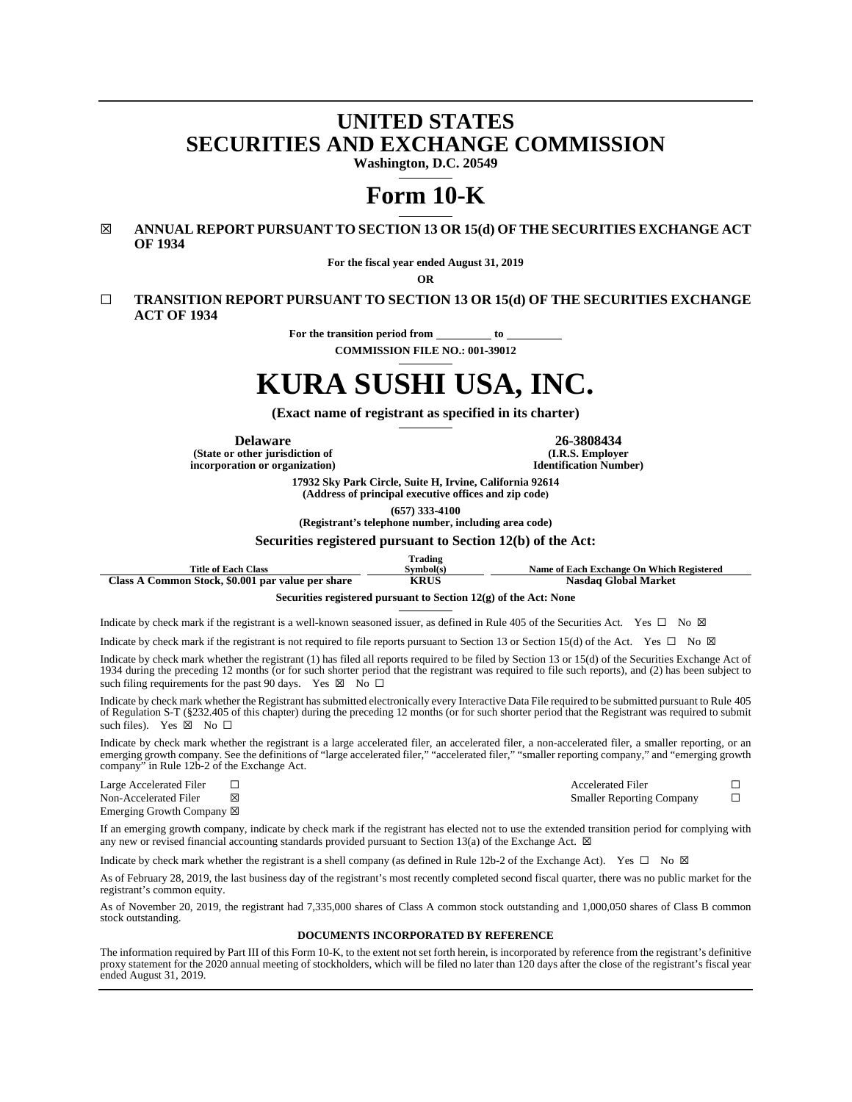## **UNITED STATES SECURITIES AND EXCHANGE COMMISSION**

**Washington, D.C. 20549** 

# **Form 10-K**

## ☒ **ANNUAL REPORT PURSUANT TO SECTION 13 OR 15(d) OF THE SECURITIES EXCHANGE ACT OF 1934**

**For the fiscal year ended August 31, 2019**

**OR** 

☐ **TRANSITION REPORT PURSUANT TO SECTION 13 OR 15(d) OF THE SECURITIES EXCHANGE ACT OF 1934** 

> For the transition period from \_\_\_\_\_\_\_\_\_ to **COMMISSION FILE NO.: 001-39012**

# **KURA SUSHI USA, INC.**

**(Exact name of registrant as specified in its charter)** 

**Delaware 26-3808434 (State or other jurisdiction of incorporation or organization)**

**(I.R.S. Employer Identification Number)**

**17932 Sky Park Circle, Suite H, Irvine, California 92614 (Address of principal executive offices and zip code)** 

**(657) 333-4100**

**(Registrant's telephone number, including area code)** 

**Securities registered pursuant to Section 12(b) of the Act:**

|                                                   | <b>Trading</b> |                                           |
|---------------------------------------------------|----------------|-------------------------------------------|
| <b>Title of Each Class</b>                        | Svmbol(s)      | Name of Each Exchange On Which Registered |
| Class A Common Stock, \$0.001 par value per share | <b>KRUS</b>    | Nasdaq Global Market                      |

#### **Securities registered pursuant to Section 12(g) of the Act: None**

Indicate by check mark if the registrant is a well-known seasoned issuer, as defined in Rule 405 of the Securities Act. Yes  $\Box$  No  $\boxtimes$ 

Indicate by check mark if the registrant is not required to file reports pursuant to Section 13 or Section 15(d) of the Act. Yes  $\Box$  No  $\boxtimes$ 

Indicate by check mark whether the registrant (1) has filed all reports required to be filed by Section 13 or 15(d) of the Securities Exchange Act of 1934 during the preceding 12 months (or for such shorter period that the registrant was required to file such reports), and (2) has been subject to such filing requirements for the past 90 days. Yes  $\boxtimes$  No  $\Box$ 

Indicate by check mark whether the Registrant has submitted electronically every Interactive Data File required to be submitted pursuant to Rule 405 of Regulation S-T (§232.405 of this chapter) during the preceding 12 months (or for such shorter period that the Registrant was required to submit such files). Yes  $\boxtimes$  No  $\square$ 

Indicate by check mark whether the registrant is a large accelerated filer, an accelerated filer, a non-accelerated filer, a smaller reporting, or an emerging growth company. See the definitions of "large accelerated filer," "accelerated filer," "smaller reporting company," and "emerging growth company" in Rule 12b-2 of the Exchange Act.

Non-Accelerated Filer ⊠ 2002 Smaller Reporting Company Emerging Growth Company  $\boxtimes$ 

Large Accelerated Filer ☐ Accelerated Filer ☐

If an emerging growth company, indicate by check mark if the registrant has elected not to use the extended transition period for complying with any new or revised financial accounting standards provided pursuant to Section 13(a) of the Exchange Act.  $\boxtimes$ 

Indicate by check mark whether the registrant is a shell company (as defined in Rule 12b-2 of the Exchange Act). Yes  $\Box$  No  $\boxtimes$ 

As of February 28, 2019, the last business day of the registrant's most recently completed second fiscal quarter, there was no public market for the registrant's common equity.

As of November 20, 2019, the registrant had 7,335,000 shares of Class A common stock outstanding and 1,000,050 shares of Class B common stock outstanding.

#### **DOCUMENTS INCORPORATED BY REFERENCE**

The information required by Part III of this Form 10-K, to the extent not set forth herein, is incorporated by reference from the registrant's definitive proxy statement for the 2020 annual meeting of stockholders, which will be filed no later than 120 days after the close of the registrant's fiscal year ended August 31, 2019.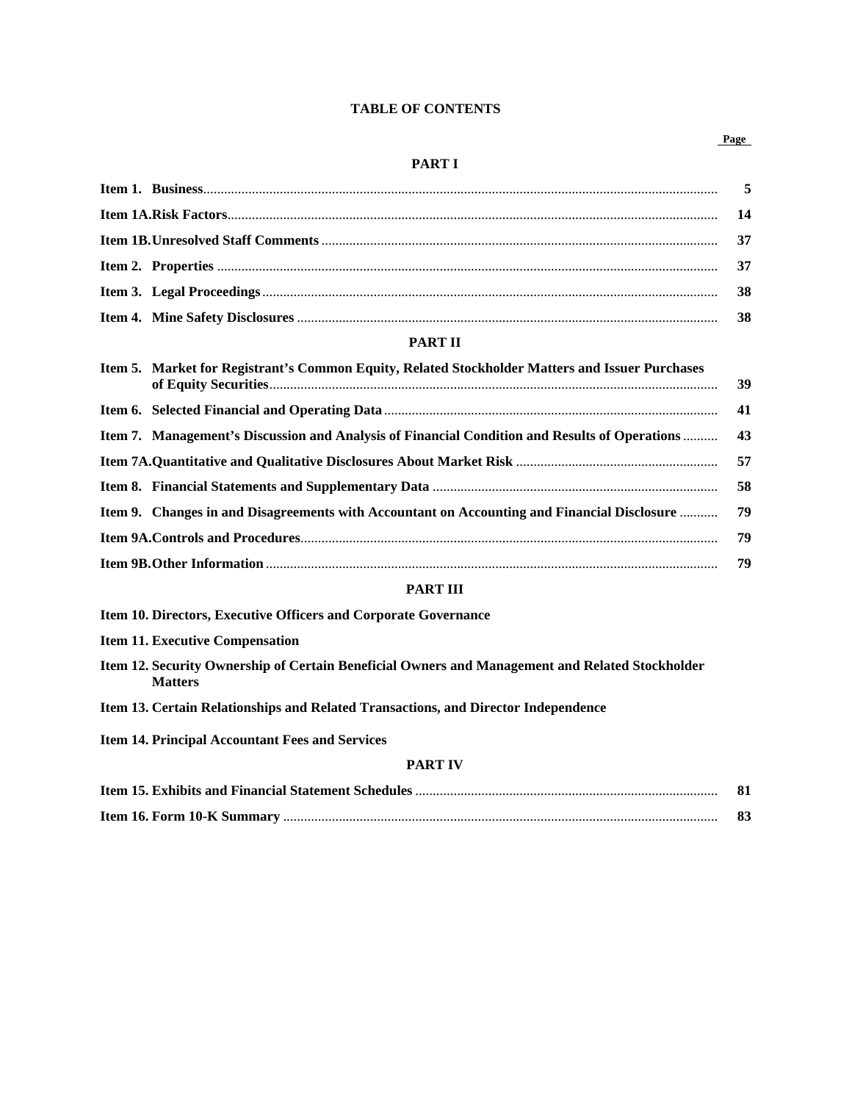## **TABLE OF CONTENTS**

#### **Page**

## **PART I**

## **PART II**

| Item 5. Market for Registrant's Common Equity, Related Stockholder Matters and Issuer Purchases   |  |
|---------------------------------------------------------------------------------------------------|--|
|                                                                                                   |  |
| Item 7. Management's Discussion and Analysis of Financial Condition and Results of Operations  43 |  |
|                                                                                                   |  |
|                                                                                                   |  |
| Item 9. Changes in and Disagreements with Accountant on Accounting and Financial Disclosure  79   |  |
|                                                                                                   |  |
|                                                                                                   |  |

## **PART III**

| Item 10. Directors, Executive Officers and Corporate Governance                                                   |    |
|-------------------------------------------------------------------------------------------------------------------|----|
| <b>Item 11. Executive Compensation</b>                                                                            |    |
| Item 12. Security Ownership of Certain Beneficial Owners and Management and Related Stockholder<br><b>Matters</b> |    |
| Item 13. Certain Relationships and Related Transactions, and Director Independence                                |    |
| Item 14. Principal Accountant Fees and Services                                                                   |    |
| <b>PART IV</b>                                                                                                    |    |
| Item 15. Exhibits and Financial Statement Schedules …………………………………………………………………………                                  | 81 |
|                                                                                                                   |    |

**Item 16. Form 10-K Summary** ............................................................................................................................. **83**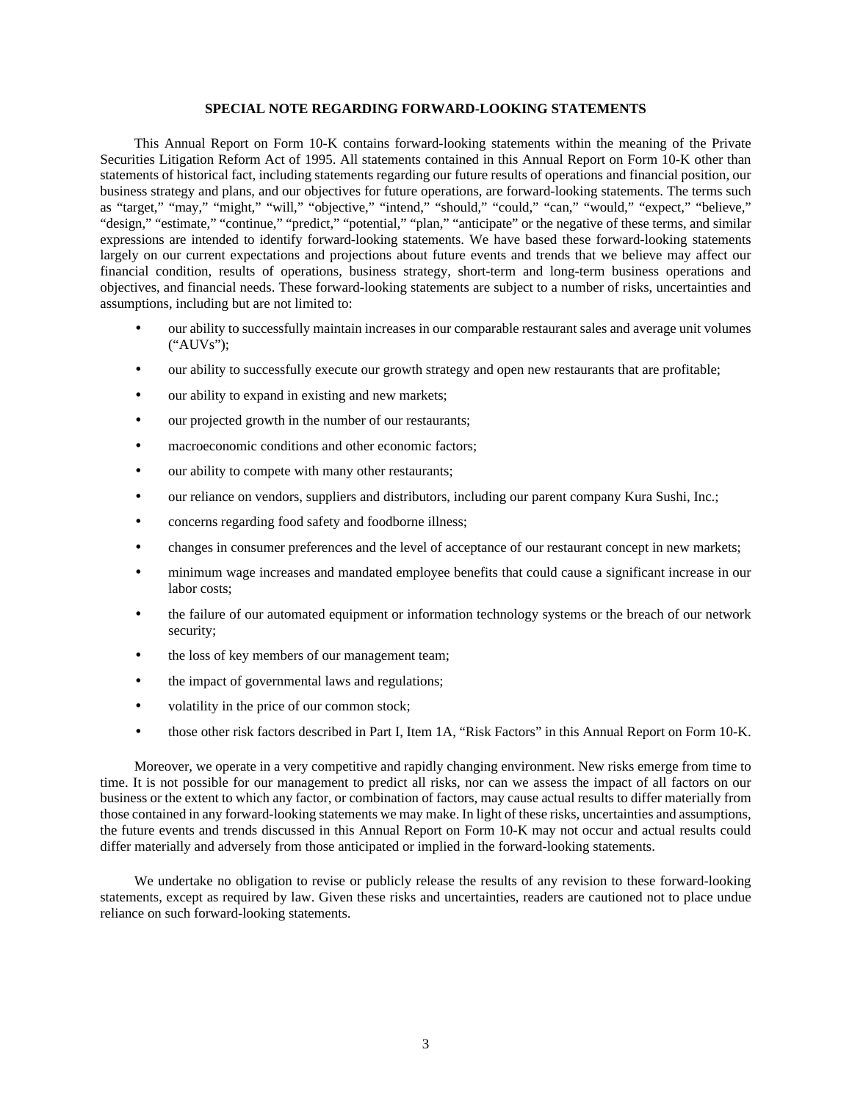## **SPECIAL NOTE REGARDING FORWARD-LOOKING STATEMENTS**

This Annual Report on Form 10-K contains forward-looking statements within the meaning of the Private Securities Litigation Reform Act of 1995. All statements contained in this Annual Report on Form 10-K other than statements of historical fact, including statements regarding our future results of operations and financial position, our business strategy and plans, and our objectives for future operations, are forward-looking statements. The terms such as "target," "may," "might," "will," "objective," "intend," "should," "could," "can," "would," "expect," "believe," "design," "estimate," "continue," "predict," "potential," "plan," "anticipate" or the negative of these terms, and similar expressions are intended to identify forward-looking statements. We have based these forward-looking statements largely on our current expectations and projections about future events and trends that we believe may affect our financial condition, results of operations, business strategy, short-term and long-term business operations and objectives, and financial needs. These forward-looking statements are subject to a number of risks, uncertainties and assumptions, including but are not limited to:

- our ability to successfully maintain increases in our comparable restaurant sales and average unit volumes ("AUVs");
- our ability to successfully execute our growth strategy and open new restaurants that are profitable;
- our ability to expand in existing and new markets;
- our projected growth in the number of our restaurants;
- macroeconomic conditions and other economic factors;
- our ability to compete with many other restaurants;
- our reliance on vendors, suppliers and distributors, including our parent company Kura Sushi, Inc.;
- concerns regarding food safety and foodborne illness;
- changes in consumer preferences and the level of acceptance of our restaurant concept in new markets;
- minimum wage increases and mandated employee benefits that could cause a significant increase in our labor costs;
- the failure of our automated equipment or information technology systems or the breach of our network security;
- the loss of key members of our management team;
- the impact of governmental laws and regulations;
- volatility in the price of our common stock;
- those other risk factors described in Part I, Item 1A, "Risk Factors" in this Annual Report on Form 10-K.

Moreover, we operate in a very competitive and rapidly changing environment. New risks emerge from time to time. It is not possible for our management to predict all risks, nor can we assess the impact of all factors on our business or the extent to which any factor, or combination of factors, may cause actual results to differ materially from those contained in any forward-looking statements we may make. In light of these risks, uncertainties and assumptions, the future events and trends discussed in this Annual Report on Form 10-K may not occur and actual results could differ materially and adversely from those anticipated or implied in the forward-looking statements.

We undertake no obligation to revise or publicly release the results of any revision to these forward-looking statements, except as required by law. Given these risks and uncertainties, readers are cautioned not to place undue reliance on such forward-looking statements.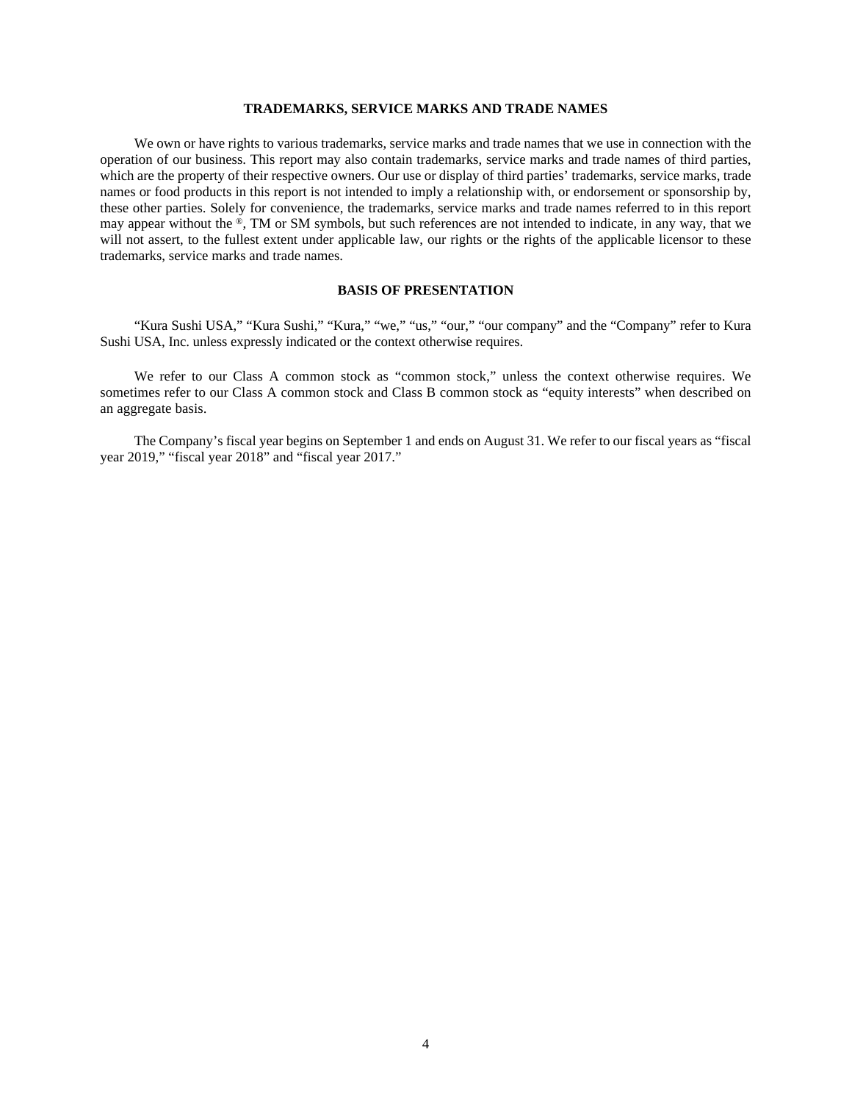## **TRADEMARKS, SERVICE MARKS AND TRADE NAMES**

We own or have rights to various trademarks, service marks and trade names that we use in connection with the operation of our business. This report may also contain trademarks, service marks and trade names of third parties, which are the property of their respective owners. Our use or display of third parties' trademarks, service marks, trade names or food products in this report is not intended to imply a relationship with, or endorsement or sponsorship by, these other parties. Solely for convenience, the trademarks, service marks and trade names referred to in this report may appear without the ®, TM or SM symbols, but such references are not intended to indicate, in any way, that we will not assert, to the fullest extent under applicable law, our rights or the rights of the applicable licensor to these trademarks, service marks and trade names.

#### **BASIS OF PRESENTATION**

"Kura Sushi USA," "Kura Sushi," "Kura," "we," "us," "our," "our company" and the "Company" refer to Kura Sushi USA, Inc. unless expressly indicated or the context otherwise requires.

We refer to our Class A common stock as "common stock," unless the context otherwise requires. We sometimes refer to our Class A common stock and Class B common stock as "equity interests" when described on an aggregate basis.

The Company's fiscal year begins on September 1 and ends on August 31. We refer to our fiscal years as "fiscal year 2019," "fiscal year 2018" and "fiscal year 2017."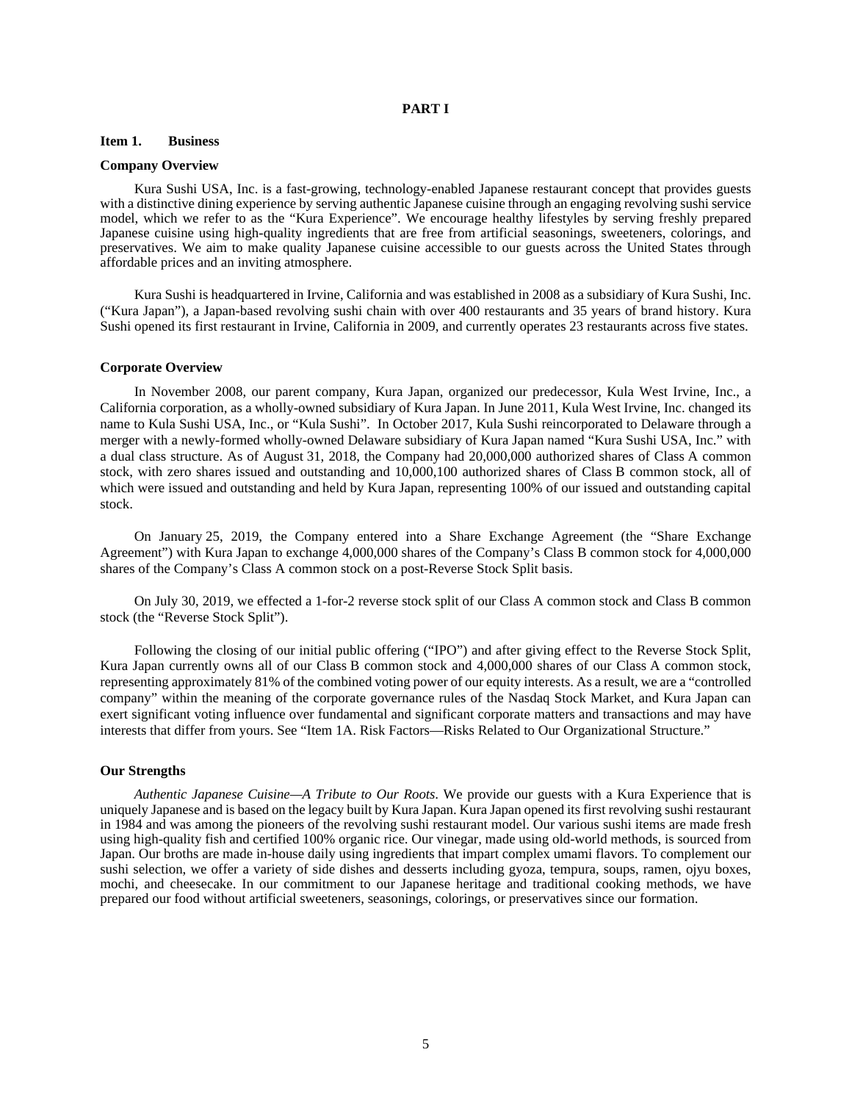## **PART I**

#### **Item 1. Business**

#### **Company Overview**

Kura Sushi USA, Inc. is a fast-growing, technology-enabled Japanese restaurant concept that provides guests with a distinctive dining experience by serving authentic Japanese cuisine through an engaging revolving sushi service model, which we refer to as the "Kura Experience". We encourage healthy lifestyles by serving freshly prepared Japanese cuisine using high-quality ingredients that are free from artificial seasonings, sweeteners, colorings, and preservatives. We aim to make quality Japanese cuisine accessible to our guests across the United States through affordable prices and an inviting atmosphere.

Kura Sushi is headquartered in Irvine, California and was established in 2008 as a subsidiary of Kura Sushi, Inc. ("Kura Japan"), a Japan-based revolving sushi chain with over 400 restaurants and 35 years of brand history. Kura Sushi opened its first restaurant in Irvine, California in 2009, and currently operates 23 restaurants across five states.

#### **Corporate Overview**

In November 2008, our parent company, Kura Japan, organized our predecessor, Kula West Irvine, Inc., a California corporation, as a wholly-owned subsidiary of Kura Japan. In June 2011, Kula West Irvine, Inc. changed its name to Kula Sushi USA, Inc., or "Kula Sushi". In October 2017, Kula Sushi reincorporated to Delaware through a merger with a newly-formed wholly-owned Delaware subsidiary of Kura Japan named "Kura Sushi USA, Inc." with a dual class structure. As of August 31, 2018, the Company had 20,000,000 authorized shares of Class A common stock, with zero shares issued and outstanding and 10,000,100 authorized shares of Class B common stock, all of which were issued and outstanding and held by Kura Japan, representing 100% of our issued and outstanding capital stock.

On January 25, 2019, the Company entered into a Share Exchange Agreement (the "Share Exchange Agreement") with Kura Japan to exchange 4,000,000 shares of the Company's Class B common stock for 4,000,000 shares of the Company's Class A common stock on a post-Reverse Stock Split basis.

On July 30, 2019, we effected a 1-for-2 reverse stock split of our Class A common stock and Class B common stock (the "Reverse Stock Split").

Following the closing of our initial public offering ("IPO") and after giving effect to the Reverse Stock Split, Kura Japan currently owns all of our Class B common stock and 4,000,000 shares of our Class A common stock, representing approximately 81% of the combined voting power of our equity interests. As a result, we are a "controlled company" within the meaning of the corporate governance rules of the Nasdaq Stock Market, and Kura Japan can exert significant voting influence over fundamental and significant corporate matters and transactions and may have interests that differ from yours. See "Item 1A. Risk Factors—Risks Related to Our Organizational Structure."

#### **Our Strengths**

*Authentic Japanese Cuisine—A Tribute to Our Roots*. We provide our guests with a Kura Experience that is uniquely Japanese and is based on the legacy built by Kura Japan. Kura Japan opened its first revolving sushi restaurant in 1984 and was among the pioneers of the revolving sushi restaurant model. Our various sushi items are made fresh using high-quality fish and certified 100% organic rice. Our vinegar, made using old-world methods, is sourced from Japan. Our broths are made in-house daily using ingredients that impart complex umami flavors. To complement our sushi selection, we offer a variety of side dishes and desserts including gyoza, tempura, soups, ramen, ojyu boxes, mochi, and cheesecake. In our commitment to our Japanese heritage and traditional cooking methods, we have prepared our food without artificial sweeteners, seasonings, colorings, or preservatives since our formation.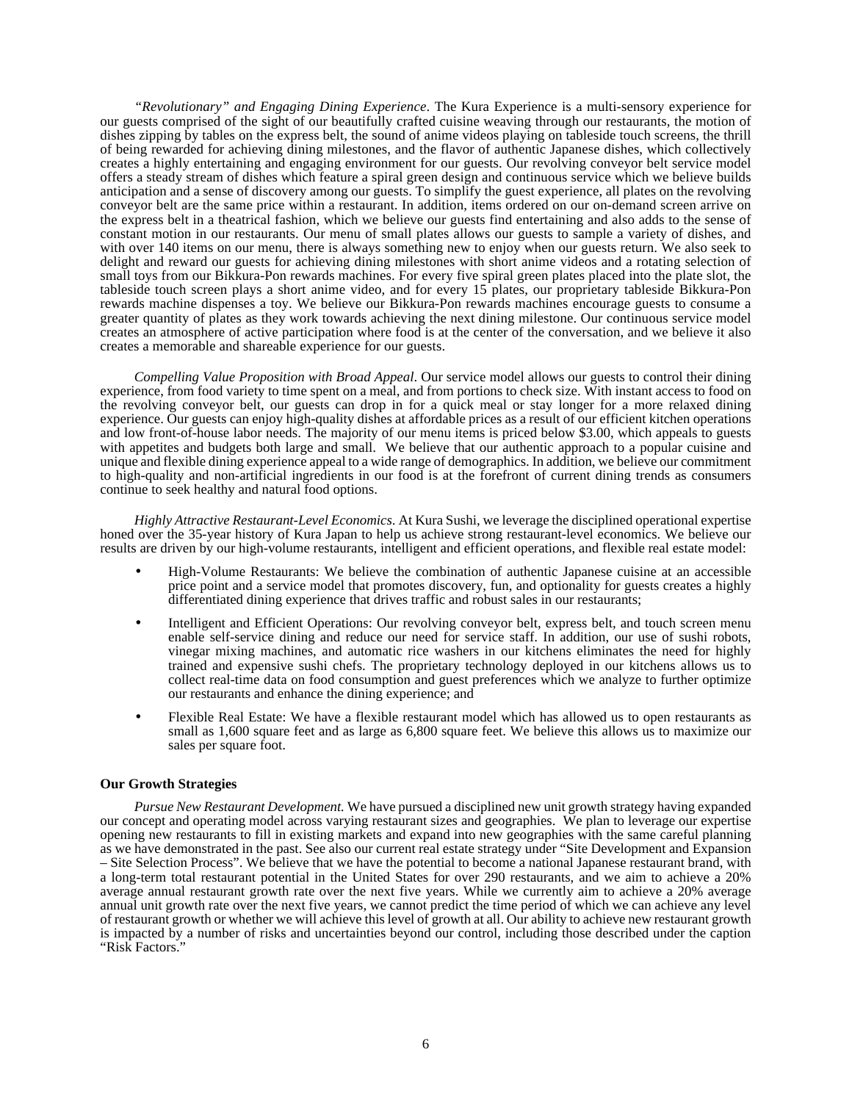*"Revolutionary" and Engaging Dining Experience*. The Kura Experience is a multi-sensory experience for our guests comprised of the sight of our beautifully crafted cuisine weaving through our restaurants, the motion of dishes zipping by tables on the express belt, the sound of anime videos playing on tableside touch screens, the thrill of being rewarded for achieving dining milestones, and the flavor of authentic Japanese dishes, which collectively creates a highly entertaining and engaging environment for our guests. Our revolving conveyor belt service model offers a steady stream of dishes which feature a spiral green design and continuous service which we believe builds anticipation and a sense of discovery among our guests. To simplify the guest experience, all plates on the revolving conveyor belt are the same price within a restaurant. In addition, items ordered on our on-demand screen arrive on the express belt in a theatrical fashion, which we believe our guests find entertaining and also adds to the sense of constant motion in our restaurants. Our menu of small plates allows our guests to sample a variety of dishes, and with over 140 items on our menu, there is always something new to enjoy when our guests return. We also seek to delight and reward our guests for achieving dining milestones with short anime videos and a rotating selection of small toys from our Bikkura-Pon rewards machines. For every five spiral green plates placed into the plate slot, the tableside touch screen plays a short anime video, and for every 15 plates, our proprietary tableside Bikkura-Pon rewards machine dispenses a toy. We believe our Bikkura-Pon rewards machines encourage guests to consume a greater quantity of plates as they work towards achieving the next dining milestone. Our continuous service model creates an atmosphere of active participation where food is at the center of the conversation, and we believe it also creates a memorable and shareable experience for our guests.

*Compelling Value Proposition with Broad Appeal*. Our service model allows our guests to control their dining experience, from food variety to time spent on a meal, and from portions to check size. With instant access to food on the revolving conveyor belt, our guests can drop in for a quick meal or stay longer for a more relaxed dining experience. Our guests can enjoy high-quality dishes at affordable prices as a result of our efficient kitchen operations and low front-of-house labor needs. The majority of our menu items is priced below \$3.00, which appeals to guests with appetites and budgets both large and small. We believe that our authentic approach to a popular cuisine and unique and flexible dining experience appeal to a wide range of demographics. In addition, we believe our commitment to high-quality and non-artificial ingredients in our food is at the forefront of current dining trends as consumers continue to seek healthy and natural food options.

*Highly Attractive Restaurant-Level Economics*. At Kura Sushi, we leverage the disciplined operational expertise honed over the 35-year history of Kura Japan to help us achieve strong restaurant-level economics. We believe our results are driven by our high-volume restaurants, intelligent and efficient operations, and flexible real estate model:

- High-Volume Restaurants: We believe the combination of authentic Japanese cuisine at an accessible price point and a service model that promotes discovery, fun, and optionality for guests creates a highly differentiated dining experience that drives traffic and robust sales in our restaurants;
- Intelligent and Efficient Operations: Our revolving conveyor belt, express belt, and touch screen menu enable self-service dining and reduce our need for service staff. In addition, our use of sushi robots, vinegar mixing machines, and automatic rice washers in our kitchens eliminates the need for highly trained and expensive sushi chefs. The proprietary technology deployed in our kitchens allows us to collect real-time data on food consumption and guest preferences which we analyze to further optimize our restaurants and enhance the dining experience; and
- Flexible Real Estate: We have a flexible restaurant model which has allowed us to open restaurants as small as 1,600 square feet and as large as 6,800 square feet. We believe this allows us to maximize our sales per square foot.

#### **Our Growth Strategies**

*Pursue New Restaurant Development.* We have pursued a disciplined new unit growth strategy having expanded our concept and operating model across varying restaurant sizes and geographies. We plan to leverage our expertise opening new restaurants to fill in existing markets and expand into new geographies with the same careful planning as we have demonstrated in the past. See also our current real estate strategy under "Site Development and Expansion – Site Selection Process". We believe that we have the potential to become a national Japanese restaurant brand, with a long-term total restaurant potential in the United States for over 290 restaurants, and we aim to achieve a 20% average annual restaurant growth rate over the next five years. While we currently aim to achieve a 20% average annual unit growth rate over the next five years, we cannot predict the time period of which we can achieve any level of restaurant growth or whether we will achieve this level of growth at all. Our ability to achieve new restaurant growth is impacted by a number of risks and uncertainties beyond our control, including those described under the caption "Risk Factors."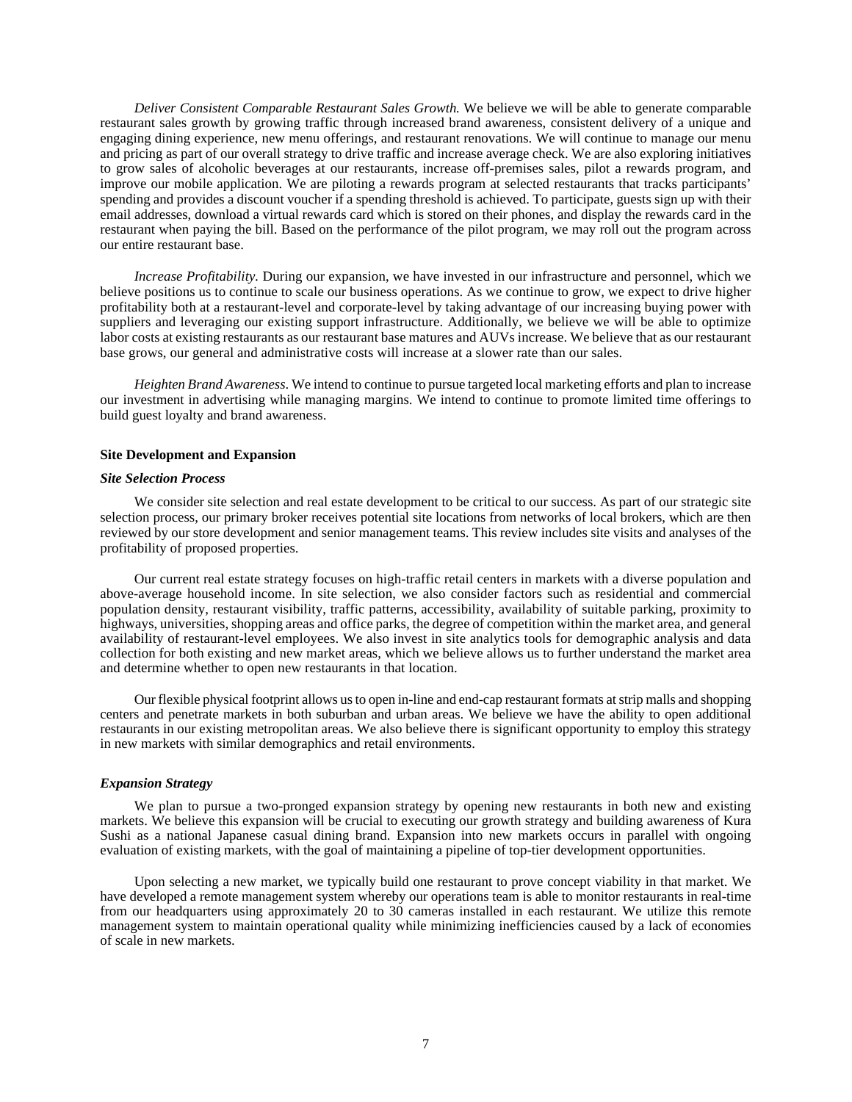*Deliver Consistent Comparable Restaurant Sales Growth.* We believe we will be able to generate comparable restaurant sales growth by growing traffic through increased brand awareness, consistent delivery of a unique and engaging dining experience, new menu offerings, and restaurant renovations. We will continue to manage our menu and pricing as part of our overall strategy to drive traffic and increase average check. We are also exploring initiatives to grow sales of alcoholic beverages at our restaurants, increase off-premises sales, pilot a rewards program, and improve our mobile application. We are piloting a rewards program at selected restaurants that tracks participants' spending and provides a discount voucher if a spending threshold is achieved. To participate, guests sign up with their email addresses, download a virtual rewards card which is stored on their phones, and display the rewards card in the restaurant when paying the bill. Based on the performance of the pilot program, we may roll out the program across our entire restaurant base.

*Increase Profitability.* During our expansion, we have invested in our infrastructure and personnel, which we believe positions us to continue to scale our business operations. As we continue to grow, we expect to drive higher profitability both at a restaurant-level and corporate-level by taking advantage of our increasing buying power with suppliers and leveraging our existing support infrastructure. Additionally, we believe we will be able to optimize labor costs at existing restaurants as our restaurant base matures and AUVs increase. We believe that as our restaurant base grows, our general and administrative costs will increase at a slower rate than our sales.

*Heighten Brand Awareness*. We intend to continue to pursue targeted local marketing efforts and plan to increase our investment in advertising while managing margins. We intend to continue to promote limited time offerings to build guest loyalty and brand awareness.

#### **Site Development and Expansion**

#### *Site Selection Process*

We consider site selection and real estate development to be critical to our success. As part of our strategic site selection process, our primary broker receives potential site locations from networks of local brokers, which are then reviewed by our store development and senior management teams. This review includes site visits and analyses of the profitability of proposed properties.

Our current real estate strategy focuses on high-traffic retail centers in markets with a diverse population and above-average household income. In site selection, we also consider factors such as residential and commercial population density, restaurant visibility, traffic patterns, accessibility, availability of suitable parking, proximity to highways, universities, shopping areas and office parks, the degree of competition within the market area, and general availability of restaurant-level employees. We also invest in site analytics tools for demographic analysis and data collection for both existing and new market areas, which we believe allows us to further understand the market area and determine whether to open new restaurants in that location.

Our flexible physical footprint allows us to open in-line and end-cap restaurant formats at strip malls and shopping centers and penetrate markets in both suburban and urban areas. We believe we have the ability to open additional restaurants in our existing metropolitan areas. We also believe there is significant opportunity to employ this strategy in new markets with similar demographics and retail environments.

#### *Expansion Strategy*

We plan to pursue a two-pronged expansion strategy by opening new restaurants in both new and existing markets. We believe this expansion will be crucial to executing our growth strategy and building awareness of Kura Sushi as a national Japanese casual dining brand. Expansion into new markets occurs in parallel with ongoing evaluation of existing markets, with the goal of maintaining a pipeline of top-tier development opportunities.

Upon selecting a new market, we typically build one restaurant to prove concept viability in that market. We have developed a remote management system whereby our operations team is able to monitor restaurants in real-time from our headquarters using approximately 20 to 30 cameras installed in each restaurant. We utilize this remote management system to maintain operational quality while minimizing inefficiencies caused by a lack of economies of scale in new markets.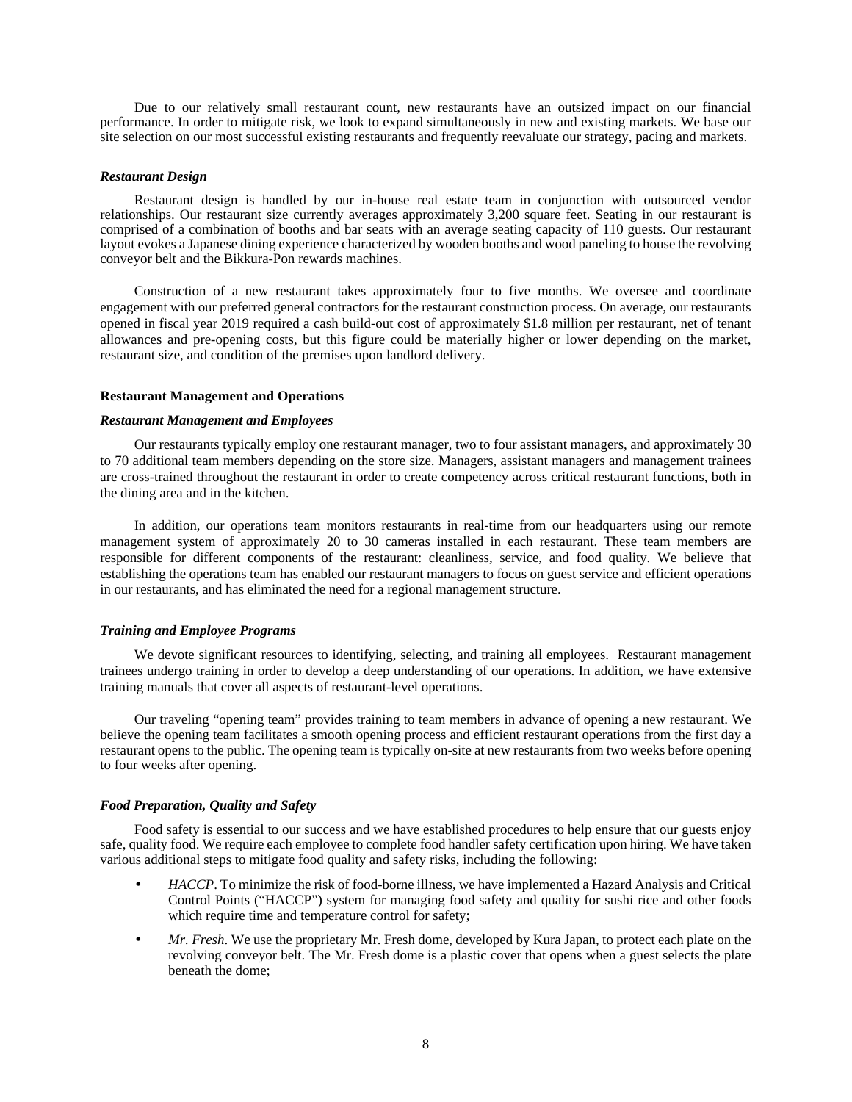Due to our relatively small restaurant count, new restaurants have an outsized impact on our financial performance. In order to mitigate risk, we look to expand simultaneously in new and existing markets. We base our site selection on our most successful existing restaurants and frequently reevaluate our strategy, pacing and markets.

#### *Restaurant Design*

Restaurant design is handled by our in-house real estate team in conjunction with outsourced vendor relationships. Our restaurant size currently averages approximately 3,200 square feet. Seating in our restaurant is comprised of a combination of booths and bar seats with an average seating capacity of 110 guests. Our restaurant layout evokes a Japanese dining experience characterized by wooden booths and wood paneling to house the revolving conveyor belt and the Bikkura-Pon rewards machines.

Construction of a new restaurant takes approximately four to five months. We oversee and coordinate engagement with our preferred general contractors for the restaurant construction process. On average, our restaurants opened in fiscal year 2019 required a cash build-out cost of approximately \$1.8 million per restaurant, net of tenant allowances and pre-opening costs, but this figure could be materially higher or lower depending on the market, restaurant size, and condition of the premises upon landlord delivery.

#### **Restaurant Management and Operations**

#### *Restaurant Management and Employees*

Our restaurants typically employ one restaurant manager, two to four assistant managers, and approximately 30 to 70 additional team members depending on the store size. Managers, assistant managers and management trainees are cross-trained throughout the restaurant in order to create competency across critical restaurant functions, both in the dining area and in the kitchen.

In addition, our operations team monitors restaurants in real-time from our headquarters using our remote management system of approximately 20 to 30 cameras installed in each restaurant. These team members are responsible for different components of the restaurant: cleanliness, service, and food quality. We believe that establishing the operations team has enabled our restaurant managers to focus on guest service and efficient operations in our restaurants, and has eliminated the need for a regional management structure.

#### *Training and Employee Programs*

We devote significant resources to identifying, selecting, and training all employees. Restaurant management trainees undergo training in order to develop a deep understanding of our operations. In addition, we have extensive training manuals that cover all aspects of restaurant-level operations.

Our traveling "opening team" provides training to team members in advance of opening a new restaurant. We believe the opening team facilitates a smooth opening process and efficient restaurant operations from the first day a restaurant opens to the public. The opening team is typically on-site at new restaurants from two weeks before opening to four weeks after opening.

#### *Food Preparation, Quality and Safety*

Food safety is essential to our success and we have established procedures to help ensure that our guests enjoy safe, quality food. We require each employee to complete food handler safety certification upon hiring. We have taken various additional steps to mitigate food quality and safety risks, including the following:

- *HACCP*. To minimize the risk of food-borne illness, we have implemented a Hazard Analysis and Critical Control Points ("HACCP") system for managing food safety and quality for sushi rice and other foods which require time and temperature control for safety;
- *Mr. Fresh*. We use the proprietary Mr. Fresh dome, developed by Kura Japan, to protect each plate on the revolving conveyor belt. The Mr. Fresh dome is a plastic cover that opens when a guest selects the plate beneath the dome;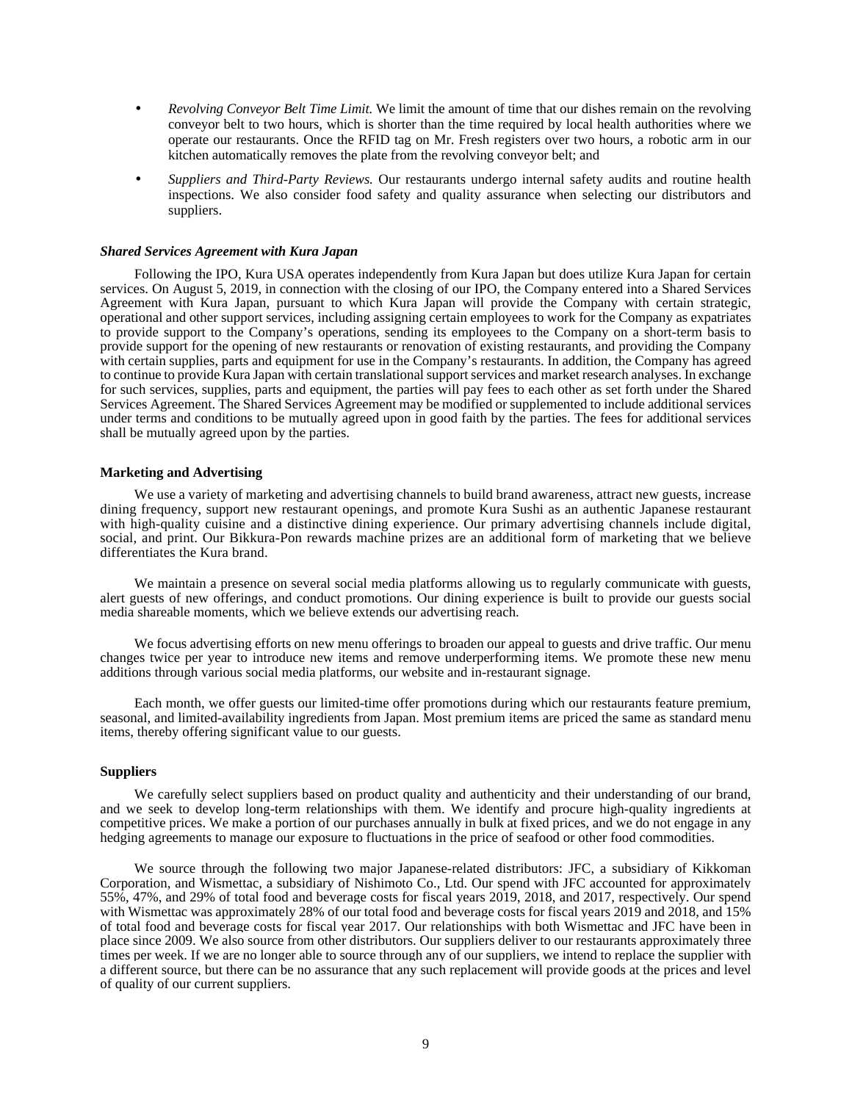- *Revolving Conveyor Belt Time Limit.* We limit the amount of time that our dishes remain on the revolving conveyor belt to two hours, which is shorter than the time required by local health authorities where we operate our restaurants. Once the RFID tag on Mr. Fresh registers over two hours, a robotic arm in our kitchen automatically removes the plate from the revolving conveyor belt; and
- *Suppliers and Third-Party Reviews.* Our restaurants undergo internal safety audits and routine health inspections. We also consider food safety and quality assurance when selecting our distributors and suppliers.

#### *Shared Services Agreement with Kura Japan*

Following the IPO, Kura USA operates independently from Kura Japan but does utilize Kura Japan for certain services. On August 5, 2019, in connection with the closing of our IPO, the Company entered into a Shared Services Agreement with Kura Japan, pursuant to which Kura Japan will provide the Company with certain strategic, operational and other support services, including assigning certain employees to work for the Company as expatriates to provide support to the Company's operations, sending its employees to the Company on a short-term basis to provide support for the opening of new restaurants or renovation of existing restaurants, and providing the Company with certain supplies, parts and equipment for use in the Company's restaurants. In addition, the Company has agreed to continue to provide Kura Japan with certain translational support services and market research analyses. In exchange for such services, supplies, parts and equipment, the parties will pay fees to each other as set forth under the Shared Services Agreement. The Shared Services Agreement may be modified or supplemented to include additional services under terms and conditions to be mutually agreed upon in good faith by the parties. The fees for additional services shall be mutually agreed upon by the parties.

#### **Marketing and Advertising**

We use a variety of marketing and advertising channels to build brand awareness, attract new guests, increase dining frequency, support new restaurant openings, and promote Kura Sushi as an authentic Japanese restaurant with high-quality cuisine and a distinctive dining experience. Our primary advertising channels include digital, social, and print. Our Bikkura-Pon rewards machine prizes are an additional form of marketing that we believe differentiates the Kura brand.

We maintain a presence on several social media platforms allowing us to regularly communicate with guests, alert guests of new offerings, and conduct promotions. Our dining experience is built to provide our guests social media shareable moments, which we believe extends our advertising reach.

We focus advertising efforts on new menu offerings to broaden our appeal to guests and drive traffic. Our menu changes twice per year to introduce new items and remove underperforming items. We promote these new menu additions through various social media platforms, our website and in-restaurant signage.

Each month, we offer guests our limited-time offer promotions during which our restaurants feature premium, seasonal, and limited-availability ingredients from Japan. Most premium items are priced the same as standard menu items, thereby offering significant value to our guests.

#### **Suppliers**

We carefully select suppliers based on product quality and authenticity and their understanding of our brand, and we seek to develop long-term relationships with them. We identify and procure high-quality ingredients at competitive prices. We make a portion of our purchases annually in bulk at fixed prices, and we do not engage in any hedging agreements to manage our exposure to fluctuations in the price of seafood or other food commodities.

We source through the following two major Japanese-related distributors: JFC, a subsidiary of Kikkoman Corporation, and Wismettac, a subsidiary of Nishimoto Co., Ltd. Our spend with JFC accounted for approximately 55%, 47%, and 29% of total food and beverage costs for fiscal years 2019, 2018, and 2017, respectively. Our spend with Wismettac was approximately 28% of our total food and beverage costs for fiscal years 2019 and 2018, and 15% of total food and beverage costs for fiscal year 2017. Our relationships with both Wismettac and JFC have been in place since 2009. We also source from other distributors. Our suppliers deliver to our restaurants approximately three times per week. If we are no longer able to source through any of our suppliers, we intend to replace the supplier with a different source, but there can be no assurance that any such replacement will provide goods at the prices and level of quality of our current suppliers.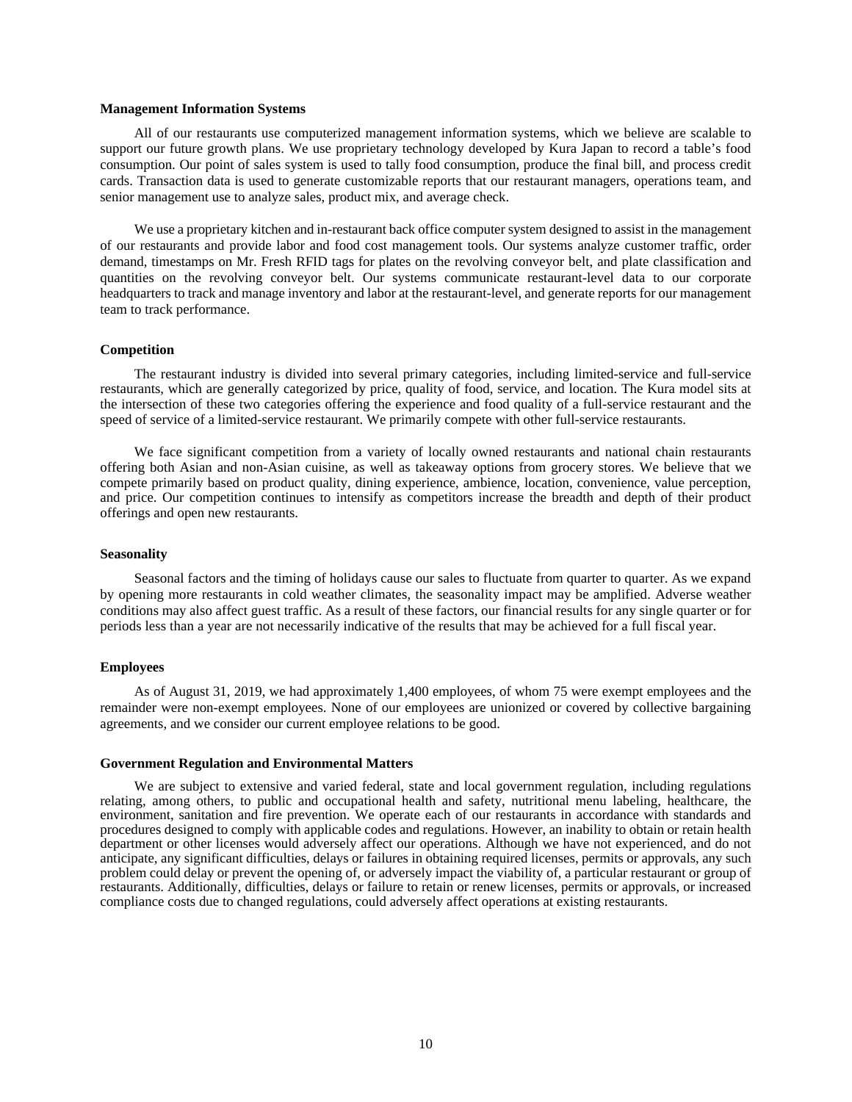#### **Management Information Systems**

All of our restaurants use computerized management information systems, which we believe are scalable to support our future growth plans. We use proprietary technology developed by Kura Japan to record a table's food consumption. Our point of sales system is used to tally food consumption, produce the final bill, and process credit cards. Transaction data is used to generate customizable reports that our restaurant managers, operations team, and senior management use to analyze sales, product mix, and average check.

We use a proprietary kitchen and in-restaurant back office computer system designed to assist in the management of our restaurants and provide labor and food cost management tools. Our systems analyze customer traffic, order demand, timestamps on Mr. Fresh RFID tags for plates on the revolving conveyor belt, and plate classification and quantities on the revolving conveyor belt. Our systems communicate restaurant-level data to our corporate headquarters to track and manage inventory and labor at the restaurant-level, and generate reports for our management team to track performance.

#### **Competition**

The restaurant industry is divided into several primary categories, including limited-service and full-service restaurants, which are generally categorized by price, quality of food, service, and location. The Kura model sits at the intersection of these two categories offering the experience and food quality of a full-service restaurant and the speed of service of a limited-service restaurant. We primarily compete with other full-service restaurants.

We face significant competition from a variety of locally owned restaurants and national chain restaurants offering both Asian and non-Asian cuisine, as well as takeaway options from grocery stores. We believe that we compete primarily based on product quality, dining experience, ambience, location, convenience, value perception, and price. Our competition continues to intensify as competitors increase the breadth and depth of their product offerings and open new restaurants.

#### **Seasonality**

Seasonal factors and the timing of holidays cause our sales to fluctuate from quarter to quarter. As we expand by opening more restaurants in cold weather climates, the seasonality impact may be amplified. Adverse weather conditions may also affect guest traffic. As a result of these factors, our financial results for any single quarter or for periods less than a year are not necessarily indicative of the results that may be achieved for a full fiscal year.

#### **Employees**

As of August 31, 2019, we had approximately 1,400 employees, of whom 75 were exempt employees and the remainder were non-exempt employees. None of our employees are unionized or covered by collective bargaining agreements, and we consider our current employee relations to be good.

#### **Government Regulation and Environmental Matters**

We are subject to extensive and varied federal, state and local government regulation, including regulations relating, among others, to public and occupational health and safety, nutritional menu labeling, healthcare, the environment, sanitation and fire prevention. We operate each of our restaurants in accordance with standards and procedures designed to comply with applicable codes and regulations. However, an inability to obtain or retain health department or other licenses would adversely affect our operations. Although we have not experienced, and do not anticipate, any significant difficulties, delays or failures in obtaining required licenses, permits or approvals, any such problem could delay or prevent the opening of, or adversely impact the viability of, a particular restaurant or group of restaurants. Additionally, difficulties, delays or failure to retain or renew licenses, permits or approvals, or increased compliance costs due to changed regulations, could adversely affect operations at existing restaurants.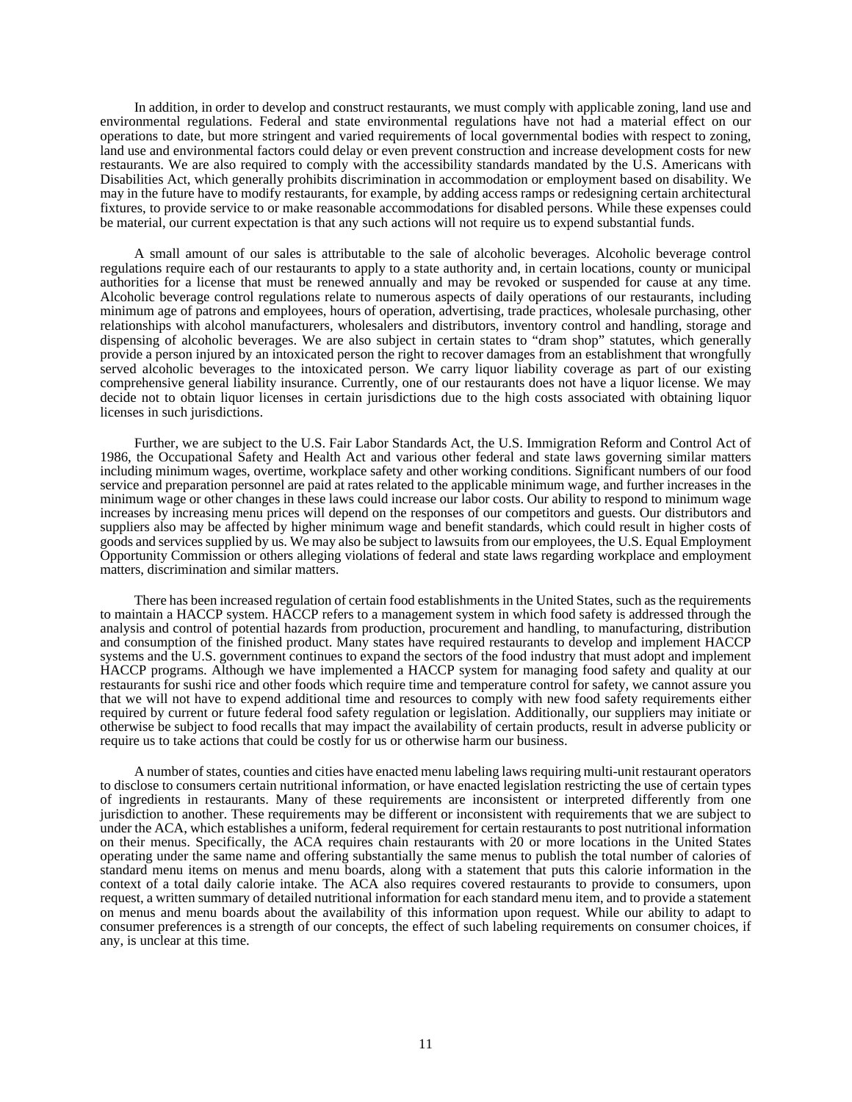In addition, in order to develop and construct restaurants, we must comply with applicable zoning, land use and environmental regulations. Federal and state environmental regulations have not had a material effect on our operations to date, but more stringent and varied requirements of local governmental bodies with respect to zoning, land use and environmental factors could delay or even prevent construction and increase development costs for new restaurants. We are also required to comply with the accessibility standards mandated by the U.S. Americans with Disabilities Act, which generally prohibits discrimination in accommodation or employment based on disability. We may in the future have to modify restaurants, for example, by adding access ramps or redesigning certain architectural fixtures, to provide service to or make reasonable accommodations for disabled persons. While these expenses could be material, our current expectation is that any such actions will not require us to expend substantial funds.

A small amount of our sales is attributable to the sale of alcoholic beverages. Alcoholic beverage control regulations require each of our restaurants to apply to a state authority and, in certain locations, county or municipal authorities for a license that must be renewed annually and may be revoked or suspended for cause at any time. Alcoholic beverage control regulations relate to numerous aspects of daily operations of our restaurants, including minimum age of patrons and employees, hours of operation, advertising, trade practices, wholesale purchasing, other relationships with alcohol manufacturers, wholesalers and distributors, inventory control and handling, storage and dispensing of alcoholic beverages. We are also subject in certain states to "dram shop" statutes, which generally provide a person injured by an intoxicated person the right to recover damages from an establishment that wrongfully served alcoholic beverages to the intoxicated person. We carry liquor liability coverage as part of our existing comprehensive general liability insurance. Currently, one of our restaurants does not have a liquor license. We may decide not to obtain liquor licenses in certain jurisdictions due to the high costs associated with obtaining liquor licenses in such jurisdictions.

Further, we are subject to the U.S. Fair Labor Standards Act, the U.S. Immigration Reform and Control Act of 1986, the Occupational Safety and Health Act and various other federal and state laws governing similar matters including minimum wages, overtime, workplace safety and other working conditions. Significant numbers of our food service and preparation personnel are paid at rates related to the applicable minimum wage, and further increases in the minimum wage or other changes in these laws could increase our labor costs. Our ability to respond to minimum wage increases by increasing menu prices will depend on the responses of our competitors and guests. Our distributors and suppliers also may be affected by higher minimum wage and benefit standards, which could result in higher costs of goods and services supplied by us. We may also be subject to lawsuits from our employees, the U.S. Equal Employment Opportunity Commission or others alleging violations of federal and state laws regarding workplace and employment matters, discrimination and similar matters.

There has been increased regulation of certain food establishments in the United States, such as the requirements to maintain a HACCP system. HACCP refers to a management system in which food safety is addressed through the analysis and control of potential hazards from production, procurement and handling, to manufacturing, distribution and consumption of the finished product. Many states have required restaurants to develop and implement HACCP systems and the U.S. government continues to expand the sectors of the food industry that must adopt and implement HACCP programs. Although we have implemented a HACCP system for managing food safety and quality at our restaurants for sushi rice and other foods which require time and temperature control for safety, we cannot assure you that we will not have to expend additional time and resources to comply with new food safety requirements either required by current or future federal food safety regulation or legislation. Additionally, our suppliers may initiate or otherwise be subject to food recalls that may impact the availability of certain products, result in adverse publicity or require us to take actions that could be costly for us or otherwise harm our business.

A number of states, counties and cities have enacted menu labeling laws requiring multi-unit restaurant operators to disclose to consumers certain nutritional information, or have enacted legislation restricting the use of certain types of ingredients in restaurants. Many of these requirements are inconsistent or interpreted differently from one jurisdiction to another. These requirements may be different or inconsistent with requirements that we are subject to under the ACA, which establishes a uniform, federal requirement for certain restaurants to post nutritional information on their menus. Specifically, the ACA requires chain restaurants with 20 or more locations in the United States operating under the same name and offering substantially the same menus to publish the total number of calories of standard menu items on menus and menu boards, along with a statement that puts this calorie information in the context of a total daily calorie intake. The ACA also requires covered restaurants to provide to consumers, upon request, a written summary of detailed nutritional information for each standard menu item, and to provide a statement on menus and menu boards about the availability of this information upon request. While our ability to adapt to consumer preferences is a strength of our concepts, the effect of such labeling requirements on consumer choices, if any, is unclear at this time.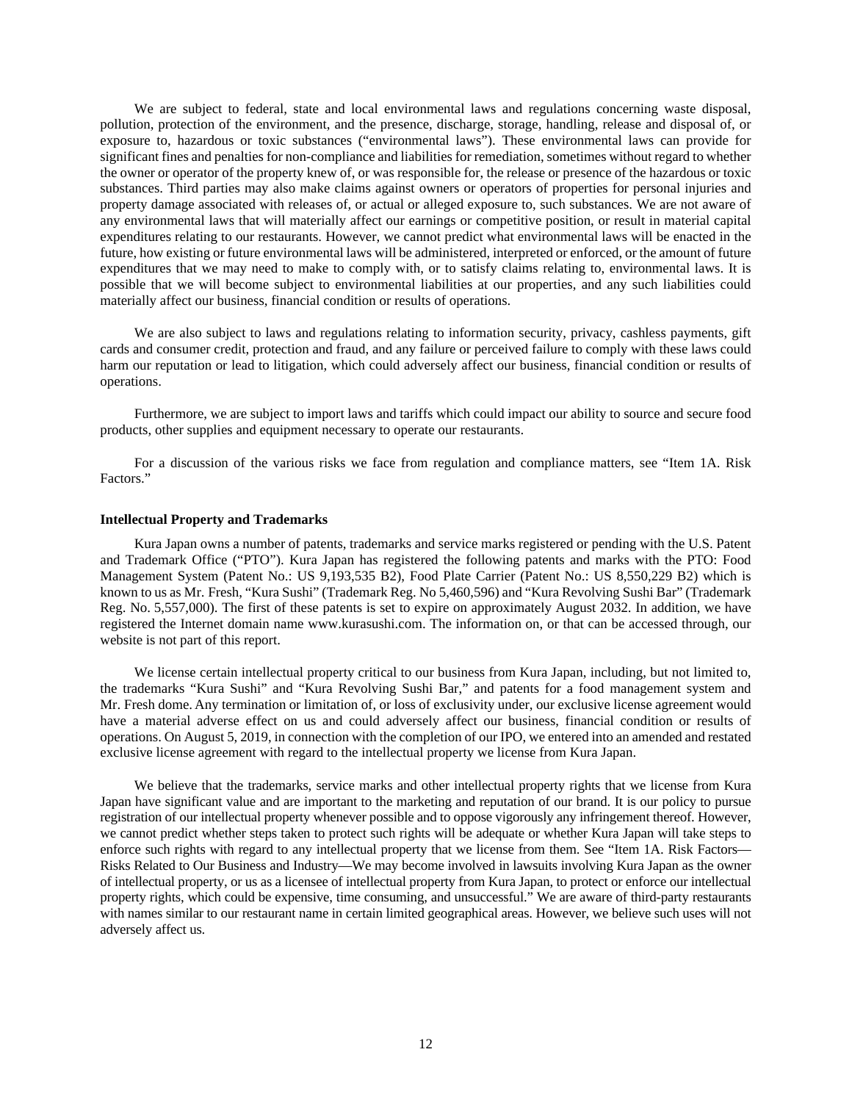We are subject to federal, state and local environmental laws and regulations concerning waste disposal, pollution, protection of the environment, and the presence, discharge, storage, handling, release and disposal of, or exposure to, hazardous or toxic substances ("environmental laws"). These environmental laws can provide for significant fines and penalties for non-compliance and liabilities for remediation, sometimes without regard to whether the owner or operator of the property knew of, or was responsible for, the release or presence of the hazardous or toxic substances. Third parties may also make claims against owners or operators of properties for personal injuries and property damage associated with releases of, or actual or alleged exposure to, such substances. We are not aware of any environmental laws that will materially affect our earnings or competitive position, or result in material capital expenditures relating to our restaurants. However, we cannot predict what environmental laws will be enacted in the future, how existing or future environmental laws will be administered, interpreted or enforced, or the amount of future expenditures that we may need to make to comply with, or to satisfy claims relating to, environmental laws. It is possible that we will become subject to environmental liabilities at our properties, and any such liabilities could materially affect our business, financial condition or results of operations.

We are also subject to laws and regulations relating to information security, privacy, cashless payments, gift cards and consumer credit, protection and fraud, and any failure or perceived failure to comply with these laws could harm our reputation or lead to litigation, which could adversely affect our business, financial condition or results of operations.

Furthermore, we are subject to import laws and tariffs which could impact our ability to source and secure food products, other supplies and equipment necessary to operate our restaurants.

For a discussion of the various risks we face from regulation and compliance matters, see "Item 1A. Risk Factors."

#### **Intellectual Property and Trademarks**

Kura Japan owns a number of patents, trademarks and service marks registered or pending with the U.S. Patent and Trademark Office ("PTO"). Kura Japan has registered the following patents and marks with the PTO: Food Management System (Patent No.: US 9,193,535 B2), Food Plate Carrier (Patent No.: US 8,550,229 B2) which is known to us as Mr. Fresh, "Kura Sushi" (Trademark Reg. No 5,460,596) and "Kura Revolving Sushi Bar" (Trademark Reg. No. 5,557,000). The first of these patents is set to expire on approximately August 2032. In addition, we have registered the Internet domain name www.kurasushi.com. The information on, or that can be accessed through, our website is not part of this report.

We license certain intellectual property critical to our business from Kura Japan, including, but not limited to, the trademarks "Kura Sushi" and "Kura Revolving Sushi Bar," and patents for a food management system and Mr. Fresh dome. Any termination or limitation of, or loss of exclusivity under, our exclusive license agreement would have a material adverse effect on us and could adversely affect our business, financial condition or results of operations. On August 5, 2019, in connection with the completion of our IPO, we entered into an amended and restated exclusive license agreement with regard to the intellectual property we license from Kura Japan.

We believe that the trademarks, service marks and other intellectual property rights that we license from Kura Japan have significant value and are important to the marketing and reputation of our brand. It is our policy to pursue registration of our intellectual property whenever possible and to oppose vigorously any infringement thereof. However, we cannot predict whether steps taken to protect such rights will be adequate or whether Kura Japan will take steps to enforce such rights with regard to any intellectual property that we license from them. See "Item 1A. Risk Factors— Risks Related to Our Business and Industry—We may become involved in lawsuits involving Kura Japan as the owner of intellectual property, or us as a licensee of intellectual property from Kura Japan, to protect or enforce our intellectual property rights, which could be expensive, time consuming, and unsuccessful." We are aware of third-party restaurants with names similar to our restaurant name in certain limited geographical areas. However, we believe such uses will not adversely affect us.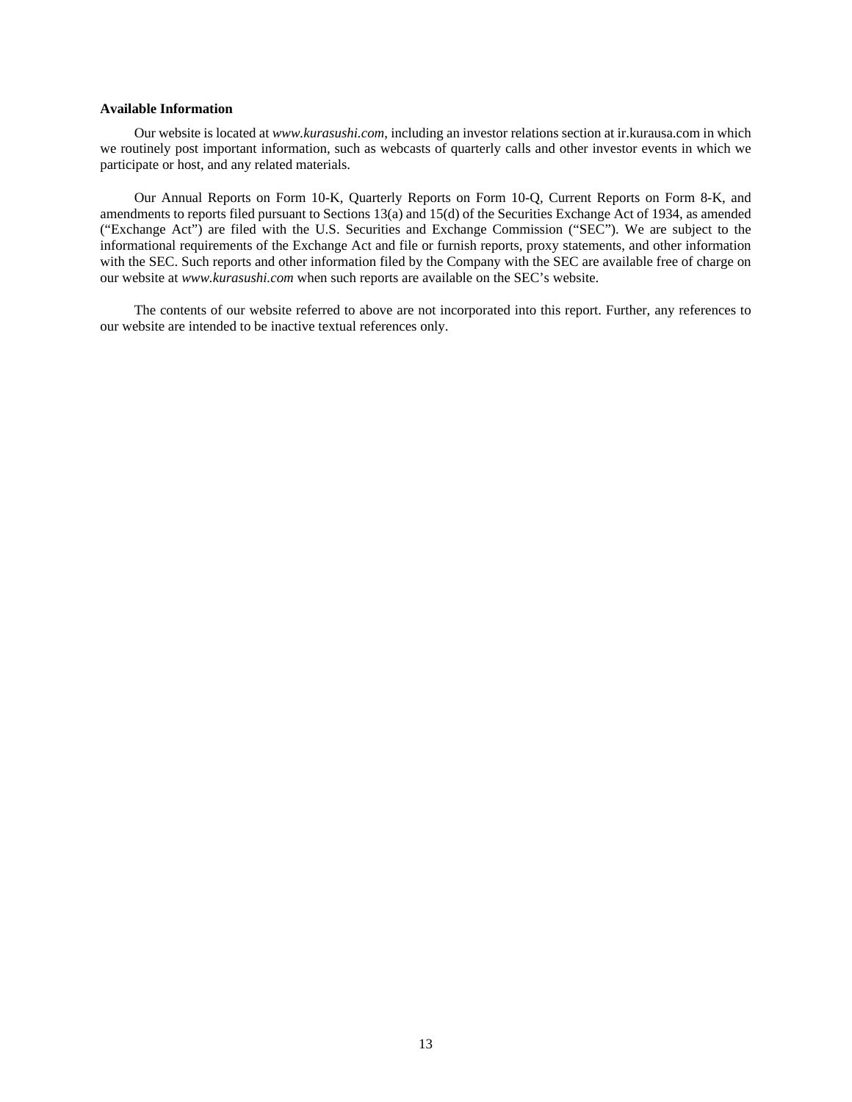#### **Available Information**

Our website is located at *[www.kurasushi.com](http://www.kurasushi.com/)*, including an investor relations section at ir.kurausa.com in which we routinely post important information, such as webcasts of quarterly calls and other investor events in which we participate or host, and any related materials.

Our Annual Reports on Form 10-K, Quarterly Reports on Form 10-Q, Current Reports on Form 8-K, and amendments to reports filed pursuant to Sections 13(a) and 15(d) of the Securities Exchange Act of 1934, as amended ("Exchange Act") are filed with the U.S. Securities and Exchange Commission ("SEC"). We are subject to the informational requirements of the Exchange Act and file or furnish reports, proxy statements, and other information with the SEC. Such reports and other information filed by the Company with the SEC are available free of charge on our website at *[www.kurasushi.com](http://www.kurasushi.com/)* when such reports are available on the SEC's website.

The contents of our website referred to above are not incorporated into this report. Further, any references to our website are intended to be inactive textual references only.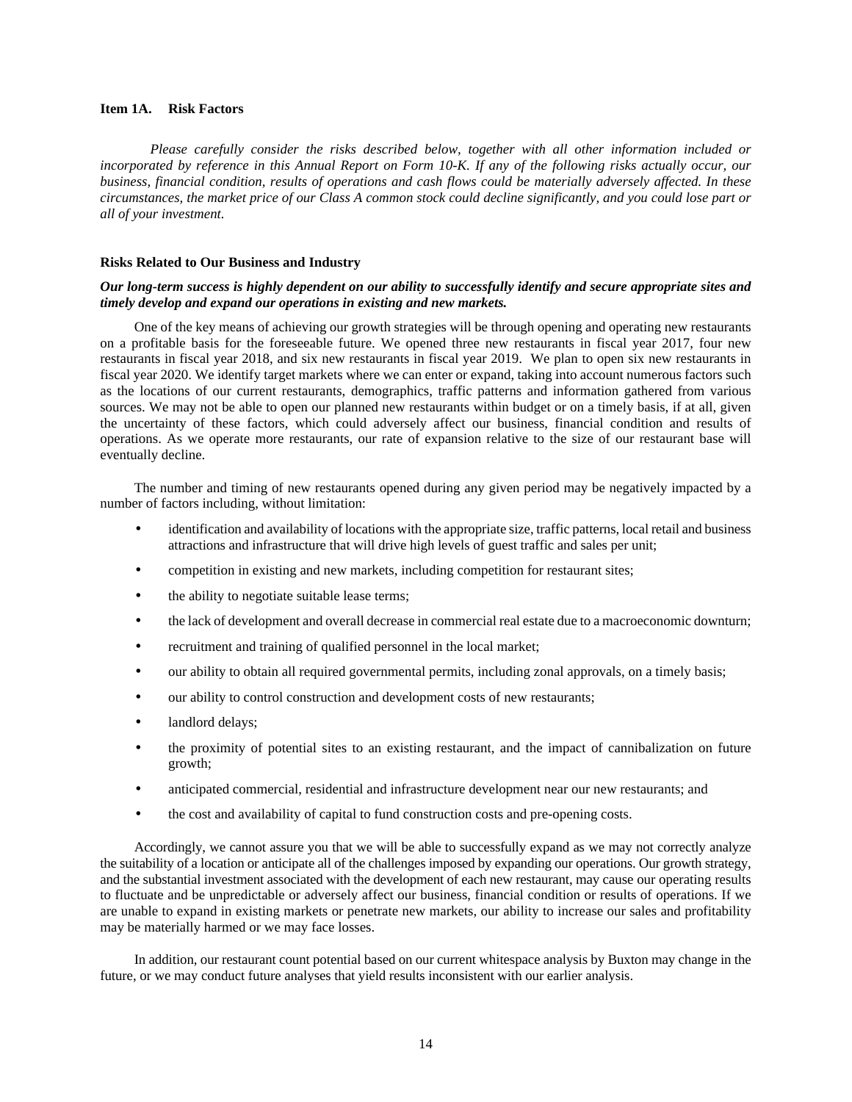## **Item 1A. Risk Factors**

*Please carefully consider the risks described below, together with all other information included or*  incorporated by reference in this Annual Report on Form 10-K. If any of the following risks actually occur, our *business, financial condition, results of operations and cash flows could be materially adversely affected. In these circumstances, the market price of our Class A common stock could decline significantly, and you could lose part or all of your investment.*

#### **Risks Related to Our Business and Industry**

#### *Our long-term success is highly dependent on our ability to successfully identify and secure appropriate sites and timely develop and expand our operations in existing and new markets.*

One of the key means of achieving our growth strategies will be through opening and operating new restaurants on a profitable basis for the foreseeable future. We opened three new restaurants in fiscal year 2017, four new restaurants in fiscal year 2018, and six new restaurants in fiscal year 2019. We plan to open six new restaurants in fiscal year 2020. We identify target markets where we can enter or expand, taking into account numerous factors such as the locations of our current restaurants, demographics, traffic patterns and information gathered from various sources. We may not be able to open our planned new restaurants within budget or on a timely basis, if at all, given the uncertainty of these factors, which could adversely affect our business, financial condition and results of operations. As we operate more restaurants, our rate of expansion relative to the size of our restaurant base will eventually decline.

The number and timing of new restaurants opened during any given period may be negatively impacted by a number of factors including, without limitation:

- identification and availability of locations with the appropriate size, traffic patterns, local retail and business attractions and infrastructure that will drive high levels of guest traffic and sales per unit;
- competition in existing and new markets, including competition for restaurant sites;
- the ability to negotiate suitable lease terms;
- the lack of development and overall decrease in commercial real estate due to a macroeconomic downturn;
- recruitment and training of qualified personnel in the local market;
- our ability to obtain all required governmental permits, including zonal approvals, on a timely basis;
- our ability to control construction and development costs of new restaurants;
- landlord delays;
- the proximity of potential sites to an existing restaurant, and the impact of cannibalization on future growth;
- anticipated commercial, residential and infrastructure development near our new restaurants; and
- the cost and availability of capital to fund construction costs and pre-opening costs.

Accordingly, we cannot assure you that we will be able to successfully expand as we may not correctly analyze the suitability of a location or anticipate all of the challenges imposed by expanding our operations. Our growth strategy, and the substantial investment associated with the development of each new restaurant, may cause our operating results to fluctuate and be unpredictable or adversely affect our business, financial condition or results of operations. If we are unable to expand in existing markets or penetrate new markets, our ability to increase our sales and profitability may be materially harmed or we may face losses.

In addition, our restaurant count potential based on our current whitespace analysis by Buxton may change in the future, or we may conduct future analyses that yield results inconsistent with our earlier analysis.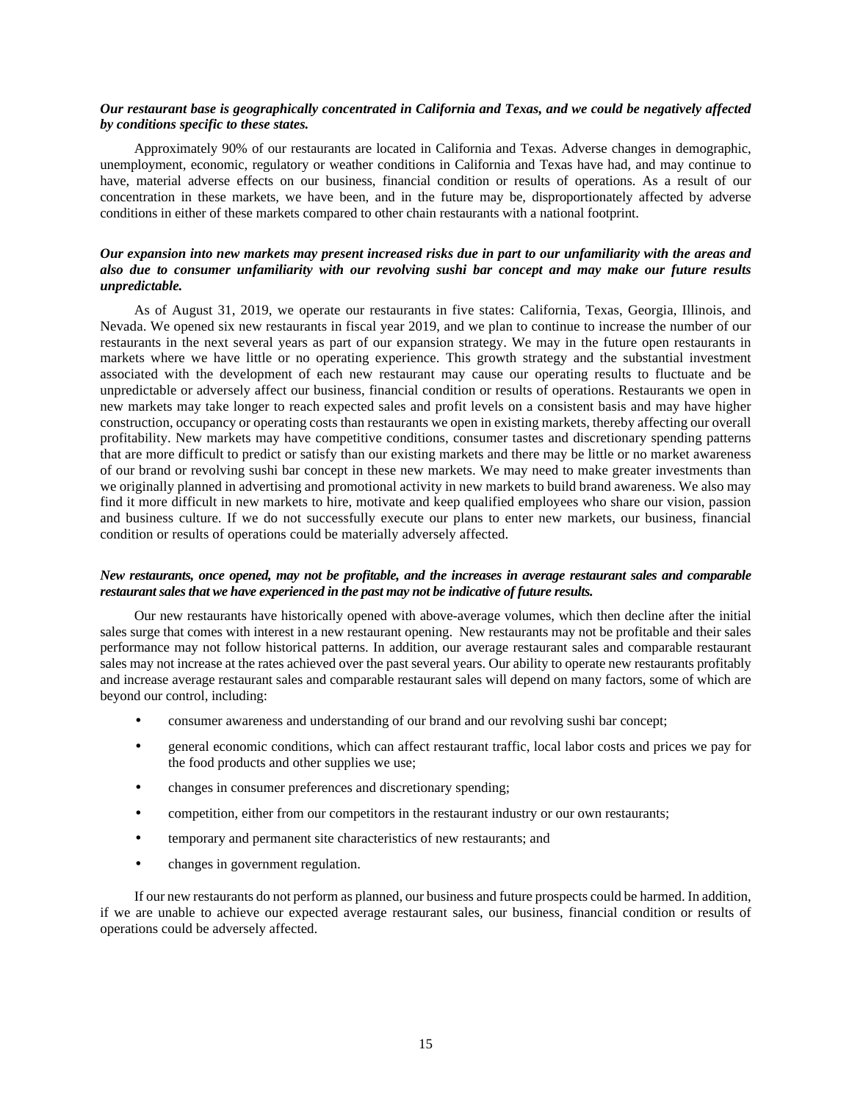## *Our restaurant base is geographically concentrated in California and Texas, and we could be negatively affected by conditions specific to these states.*

Approximately 90% of our restaurants are located in California and Texas. Adverse changes in demographic, unemployment, economic, regulatory or weather conditions in California and Texas have had, and may continue to have, material adverse effects on our business, financial condition or results of operations. As a result of our concentration in these markets, we have been, and in the future may be, disproportionately affected by adverse conditions in either of these markets compared to other chain restaurants with a national footprint.

#### *Our expansion into new markets may present increased risks due in part to our unfamiliarity with the areas and also due to consumer unfamiliarity with our revolving sushi bar concept and may make our future results unpredictable.*

As of August 31, 2019, we operate our restaurants in five states: California, Texas, Georgia, Illinois, and Nevada. We opened six new restaurants in fiscal year 2019, and we plan to continue to increase the number of our restaurants in the next several years as part of our expansion strategy. We may in the future open restaurants in markets where we have little or no operating experience. This growth strategy and the substantial investment associated with the development of each new restaurant may cause our operating results to fluctuate and be unpredictable or adversely affect our business, financial condition or results of operations. Restaurants we open in new markets may take longer to reach expected sales and profit levels on a consistent basis and may have higher construction, occupancy or operating costs than restaurants we open in existing markets, thereby affecting our overall profitability. New markets may have competitive conditions, consumer tastes and discretionary spending patterns that are more difficult to predict or satisfy than our existing markets and there may be little or no market awareness of our brand or revolving sushi bar concept in these new markets. We may need to make greater investments than we originally planned in advertising and promotional activity in new markets to build brand awareness. We also may find it more difficult in new markets to hire, motivate and keep qualified employees who share our vision, passion and business culture. If we do not successfully execute our plans to enter new markets, our business, financial condition or results of operations could be materially adversely affected.

#### *New restaurants, once opened, may not be profitable, and the increases in average restaurant sales and comparable restaurant sales that we have experienced in the past may not be indicative of future results.*

Our new restaurants have historically opened with above-average volumes, which then decline after the initial sales surge that comes with interest in a new restaurant opening. New restaurants may not be profitable and their sales performance may not follow historical patterns. In addition, our average restaurant sales and comparable restaurant sales may not increase at the rates achieved over the past several years. Our ability to operate new restaurants profitably and increase average restaurant sales and comparable restaurant sales will depend on many factors, some of which are beyond our control, including:

- consumer awareness and understanding of our brand and our revolving sushi bar concept;
- general economic conditions, which can affect restaurant traffic, local labor costs and prices we pay for the food products and other supplies we use;
- changes in consumer preferences and discretionary spending;
- competition, either from our competitors in the restaurant industry or our own restaurants;
- temporary and permanent site characteristics of new restaurants; and
- changes in government regulation.

If our new restaurants do not perform as planned, our business and future prospects could be harmed. In addition, if we are unable to achieve our expected average restaurant sales, our business, financial condition or results of operations could be adversely affected.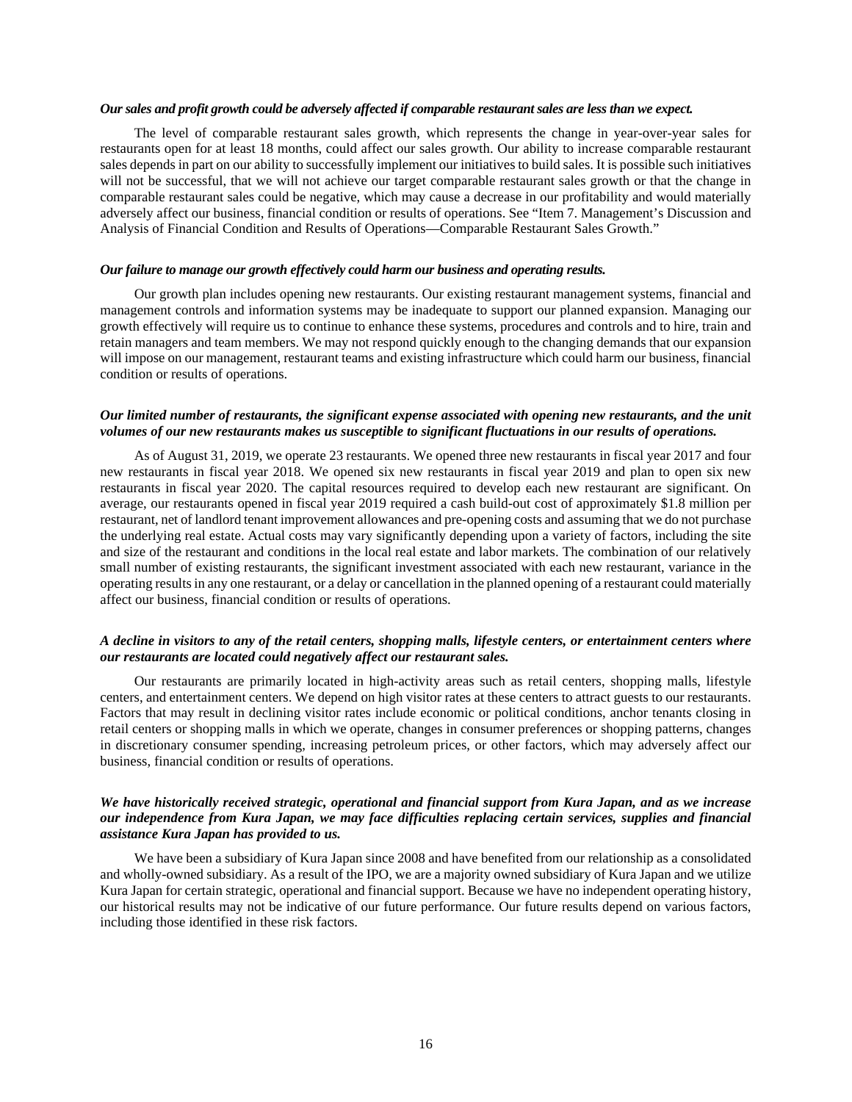#### *Our sales and profit growth could be adversely affected if comparable restaurant sales are less than we expect.*

The level of comparable restaurant sales growth, which represents the change in year-over-year sales for restaurants open for at least 18 months, could affect our sales growth. Our ability to increase comparable restaurant sales depends in part on our ability to successfully implement our initiatives to build sales. It is possible such initiatives will not be successful, that we will not achieve our target comparable restaurant sales growth or that the change in comparable restaurant sales could be negative, which may cause a decrease in our profitability and would materially adversely affect our business, financial condition or results of operations. See "Item 7. Management's Discussion and Analysis of Financial Condition and Results of Operations—Comparable Restaurant Sales Growth."

#### *Our failure to manage our growth effectively could harm our business and operating results.*

Our growth plan includes opening new restaurants. Our existing restaurant management systems, financial and management controls and information systems may be inadequate to support our planned expansion. Managing our growth effectively will require us to continue to enhance these systems, procedures and controls and to hire, train and retain managers and team members. We may not respond quickly enough to the changing demands that our expansion will impose on our management, restaurant teams and existing infrastructure which could harm our business, financial condition or results of operations.

#### *Our limited number of restaurants, the significant expense associated with opening new restaurants, and the unit volumes of our new restaurants makes us susceptible to significant fluctuations in our results of operations.*

As of August 31, 2019, we operate 23 restaurants. We opened three new restaurants in fiscal year 2017 and four new restaurants in fiscal year 2018. We opened six new restaurants in fiscal year 2019 and plan to open six new restaurants in fiscal year 2020. The capital resources required to develop each new restaurant are significant. On average, our restaurants opened in fiscal year 2019 required a cash build-out cost of approximately \$1.8 million per restaurant, net of landlord tenant improvement allowances and pre-opening costs and assuming that we do not purchase the underlying real estate. Actual costs may vary significantly depending upon a variety of factors, including the site and size of the restaurant and conditions in the local real estate and labor markets. The combination of our relatively small number of existing restaurants, the significant investment associated with each new restaurant, variance in the operating results in any one restaurant, or a delay or cancellation in the planned opening of a restaurant could materially affect our business, financial condition or results of operations.

## *A decline in visitors to any of the retail centers, shopping malls, lifestyle centers, or entertainment centers where our restaurants are located could negatively affect our restaurant sales.*

Our restaurants are primarily located in high-activity areas such as retail centers, shopping malls, lifestyle centers, and entertainment centers. We depend on high visitor rates at these centers to attract guests to our restaurants. Factors that may result in declining visitor rates include economic or political conditions, anchor tenants closing in retail centers or shopping malls in which we operate, changes in consumer preferences or shopping patterns, changes in discretionary consumer spending, increasing petroleum prices, or other factors, which may adversely affect our business, financial condition or results of operations.

## *We have historically received strategic, operational and financial support from Kura Japan, and as we increase our independence from Kura Japan, we may face difficulties replacing certain services, supplies and financial assistance Kura Japan has provided to us.*

We have been a subsidiary of Kura Japan since 2008 and have benefited from our relationship as a consolidated and wholly-owned subsidiary. As a result of the IPO, we are a majority owned subsidiary of Kura Japan and we utilize Kura Japan for certain strategic, operational and financial support. Because we have no independent operating history, our historical results may not be indicative of our future performance. Our future results depend on various factors, including those identified in these risk factors.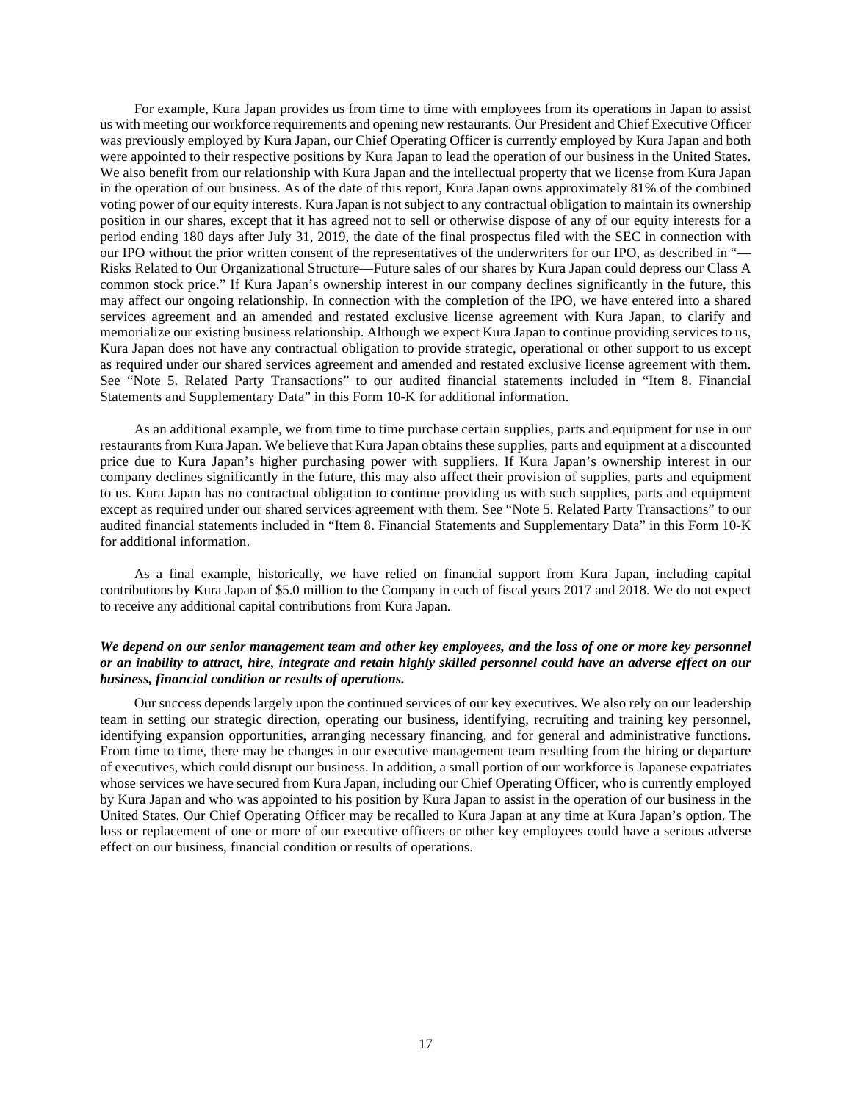For example, Kura Japan provides us from time to time with employees from its operations in Japan to assist us with meeting our workforce requirements and opening new restaurants. Our President and Chief Executive Officer was previously employed by Kura Japan, our Chief Operating Officer is currently employed by Kura Japan and both were appointed to their respective positions by Kura Japan to lead the operation of our business in the United States. We also benefit from our relationship with Kura Japan and the intellectual property that we license from Kura Japan in the operation of our business. As of the date of this report, Kura Japan owns approximately 81% of the combined voting power of our equity interests. Kura Japan is not subject to any contractual obligation to maintain its ownership position in our shares, except that it has agreed not to sell or otherwise dispose of any of our equity interests for a period ending 180 days after July 31, 2019, the date of the final prospectus filed with the SEC in connection with our IPO without the prior written consent of the representatives of the underwriters for our IPO, as described in "— Risks Related to Our Organizational Structure—Future sales of our shares by Kura Japan could depress our Class A common stock price." If Kura Japan's ownership interest in our company declines significantly in the future, this may affect our ongoing relationship. In connection with the completion of the IPO, we have entered into a shared services agreement and an amended and restated exclusive license agreement with Kura Japan, to clarify and memorialize our existing business relationship. Although we expect Kura Japan to continue providing services to us, Kura Japan does not have any contractual obligation to provide strategic, operational or other support to us except as required under our shared services agreement and amended and restated exclusive license agreement with them. See "Note 5. Related Party Transactions" to our audited financial statements included in "Item 8. Financial Statements and Supplementary Data" in this Form 10-K for additional information.

As an additional example, we from time to time purchase certain supplies, parts and equipment for use in our restaurants from Kura Japan. We believe that Kura Japan obtains these supplies, parts and equipment at a discounted price due to Kura Japan's higher purchasing power with suppliers. If Kura Japan's ownership interest in our company declines significantly in the future, this may also affect their provision of supplies, parts and equipment to us. Kura Japan has no contractual obligation to continue providing us with such supplies, parts and equipment except as required under our shared services agreement with them. See "Note 5. Related Party Transactions" to our audited financial statements included in "Item 8. Financial Statements and Supplementary Data" in this Form 10-K for additional information.

As a final example, historically, we have relied on financial support from Kura Japan, including capital contributions by Kura Japan of \$5.0 million to the Company in each of fiscal years 2017 and 2018. We do not expect to receive any additional capital contributions from Kura Japan.

## *We depend on our senior management team and other key employees, and the loss of one or more key personnel or an inability to attract, hire, integrate and retain highly skilled personnel could have an adverse effect on our business, financial condition or results of operations.*

Our success depends largely upon the continued services of our key executives. We also rely on our leadership team in setting our strategic direction, operating our business, identifying, recruiting and training key personnel, identifying expansion opportunities, arranging necessary financing, and for general and administrative functions. From time to time, there may be changes in our executive management team resulting from the hiring or departure of executives, which could disrupt our business. In addition, a small portion of our workforce is Japanese expatriates whose services we have secured from Kura Japan, including our Chief Operating Officer, who is currently employed by Kura Japan and who was appointed to his position by Kura Japan to assist in the operation of our business in the United States. Our Chief Operating Officer may be recalled to Kura Japan at any time at Kura Japan's option. The loss or replacement of one or more of our executive officers or other key employees could have a serious adverse effect on our business, financial condition or results of operations.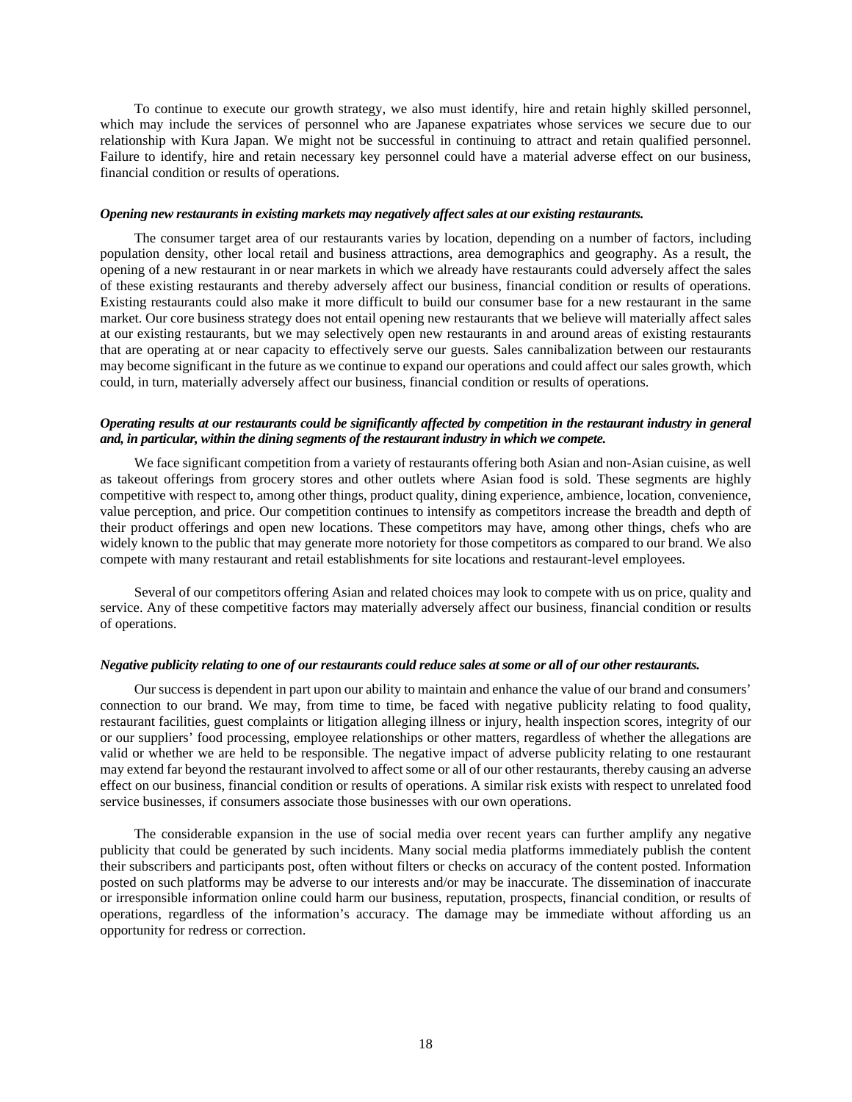To continue to execute our growth strategy, we also must identify, hire and retain highly skilled personnel, which may include the services of personnel who are Japanese expatriates whose services we secure due to our relationship with Kura Japan. We might not be successful in continuing to attract and retain qualified personnel. Failure to identify, hire and retain necessary key personnel could have a material adverse effect on our business, financial condition or results of operations.

#### *Opening new restaurants in existing markets may negatively affect sales at our existing restaurants.*

The consumer target area of our restaurants varies by location, depending on a number of factors, including population density, other local retail and business attractions, area demographics and geography. As a result, the opening of a new restaurant in or near markets in which we already have restaurants could adversely affect the sales of these existing restaurants and thereby adversely affect our business, financial condition or results of operations. Existing restaurants could also make it more difficult to build our consumer base for a new restaurant in the same market. Our core business strategy does not entail opening new restaurants that we believe will materially affect sales at our existing restaurants, but we may selectively open new restaurants in and around areas of existing restaurants that are operating at or near capacity to effectively serve our guests. Sales cannibalization between our restaurants may become significant in the future as we continue to expand our operations and could affect our sales growth, which could, in turn, materially adversely affect our business, financial condition or results of operations.

#### *Operating results at our restaurants could be significantly affected by competition in the restaurant industry in general and, in particular, within the dining segments of the restaurant industry in which we compete.*

We face significant competition from a variety of restaurants offering both Asian and non-Asian cuisine, as well as takeout offerings from grocery stores and other outlets where Asian food is sold. These segments are highly competitive with respect to, among other things, product quality, dining experience, ambience, location, convenience, value perception, and price. Our competition continues to intensify as competitors increase the breadth and depth of their product offerings and open new locations. These competitors may have, among other things, chefs who are widely known to the public that may generate more notoriety for those competitors as compared to our brand. We also compete with many restaurant and retail establishments for site locations and restaurant-level employees.

Several of our competitors offering Asian and related choices may look to compete with us on price, quality and service. Any of these competitive factors may materially adversely affect our business, financial condition or results of operations.

#### *Negative publicity relating to one of our restaurants could reduce sales at some or all of our other restaurants.*

Our success is dependent in part upon our ability to maintain and enhance the value of our brand and consumers' connection to our brand. We may, from time to time, be faced with negative publicity relating to food quality, restaurant facilities, guest complaints or litigation alleging illness or injury, health inspection scores, integrity of our or our suppliers' food processing, employee relationships or other matters, regardless of whether the allegations are valid or whether we are held to be responsible. The negative impact of adverse publicity relating to one restaurant may extend far beyond the restaurant involved to affect some or all of our other restaurants, thereby causing an adverse effect on our business, financial condition or results of operations. A similar risk exists with respect to unrelated food service businesses, if consumers associate those businesses with our own operations.

The considerable expansion in the use of social media over recent years can further amplify any negative publicity that could be generated by such incidents. Many social media platforms immediately publish the content their subscribers and participants post, often without filters or checks on accuracy of the content posted. Information posted on such platforms may be adverse to our interests and/or may be inaccurate. The dissemination of inaccurate or irresponsible information online could harm our business, reputation, prospects, financial condition, or results of operations, regardless of the information's accuracy. The damage may be immediate without affording us an opportunity for redress or correction.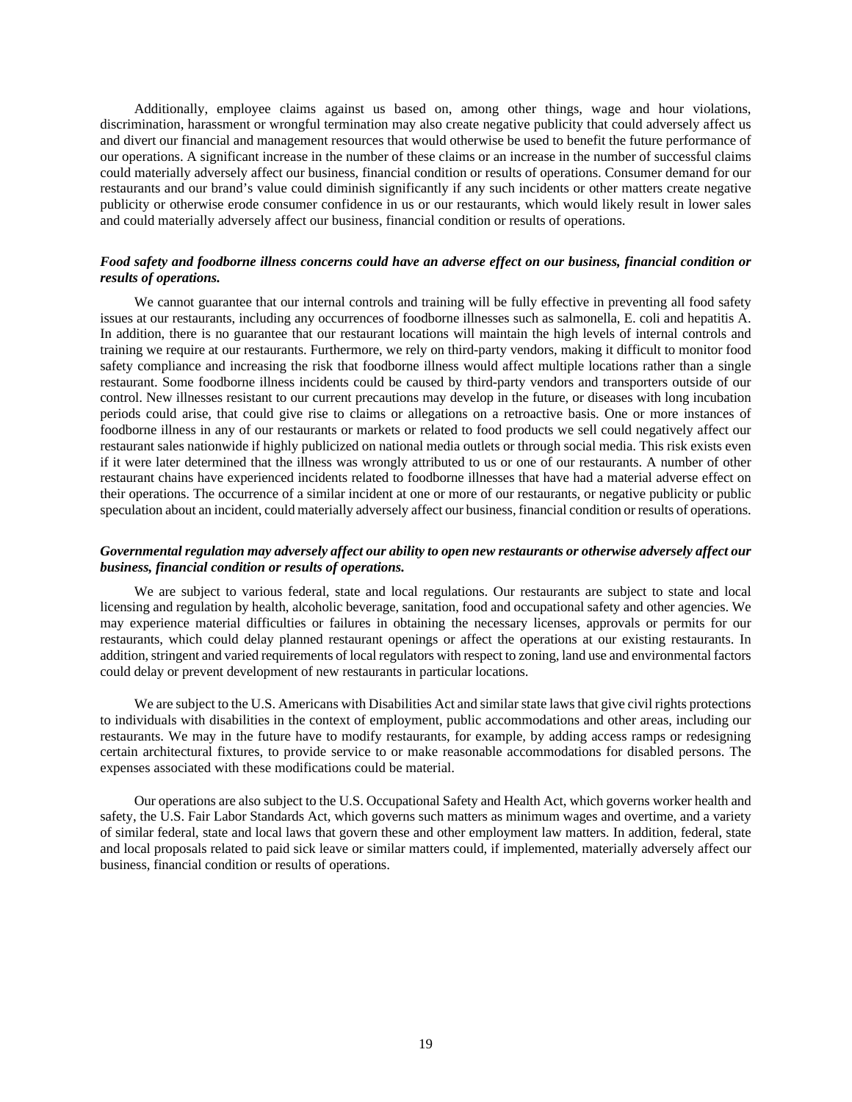Additionally, employee claims against us based on, among other things, wage and hour violations, discrimination, harassment or wrongful termination may also create negative publicity that could adversely affect us and divert our financial and management resources that would otherwise be used to benefit the future performance of our operations. A significant increase in the number of these claims or an increase in the number of successful claims could materially adversely affect our business, financial condition or results of operations. Consumer demand for our restaurants and our brand's value could diminish significantly if any such incidents or other matters create negative publicity or otherwise erode consumer confidence in us or our restaurants, which would likely result in lower sales and could materially adversely affect our business, financial condition or results of operations.

## *Food safety and foodborne illness concerns could have an adverse effect on our business, financial condition or results of operations.*

We cannot guarantee that our internal controls and training will be fully effective in preventing all food safety issues at our restaurants, including any occurrences of foodborne illnesses such as salmonella, E. coli and hepatitis A. In addition, there is no guarantee that our restaurant locations will maintain the high levels of internal controls and training we require at our restaurants. Furthermore, we rely on third-party vendors, making it difficult to monitor food safety compliance and increasing the risk that foodborne illness would affect multiple locations rather than a single restaurant. Some foodborne illness incidents could be caused by third-party vendors and transporters outside of our control. New illnesses resistant to our current precautions may develop in the future, or diseases with long incubation periods could arise, that could give rise to claims or allegations on a retroactive basis. One or more instances of foodborne illness in any of our restaurants or markets or related to food products we sell could negatively affect our restaurant sales nationwide if highly publicized on national media outlets or through social media. This risk exists even if it were later determined that the illness was wrongly attributed to us or one of our restaurants. A number of other restaurant chains have experienced incidents related to foodborne illnesses that have had a material adverse effect on their operations. The occurrence of a similar incident at one or more of our restaurants, or negative publicity or public speculation about an incident, could materially adversely affect our business, financial condition or results of operations.

## *Governmental regulation may adversely affect our ability to open new restaurants or otherwise adversely affect our business, financial condition or results of operations.*

We are subject to various federal, state and local regulations. Our restaurants are subject to state and local licensing and regulation by health, alcoholic beverage, sanitation, food and occupational safety and other agencies. We may experience material difficulties or failures in obtaining the necessary licenses, approvals or permits for our restaurants, which could delay planned restaurant openings or affect the operations at our existing restaurants. In addition, stringent and varied requirements of local regulators with respect to zoning, land use and environmental factors could delay or prevent development of new restaurants in particular locations.

We are subject to the U.S. Americans with Disabilities Act and similar state laws that give civil rights protections to individuals with disabilities in the context of employment, public accommodations and other areas, including our restaurants. We may in the future have to modify restaurants, for example, by adding access ramps or redesigning certain architectural fixtures, to provide service to or make reasonable accommodations for disabled persons. The expenses associated with these modifications could be material.

Our operations are also subject to the U.S. Occupational Safety and Health Act, which governs worker health and safety, the U.S. Fair Labor Standards Act, which governs such matters as minimum wages and overtime, and a variety of similar federal, state and local laws that govern these and other employment law matters. In addition, federal, state and local proposals related to paid sick leave or similar matters could, if implemented, materially adversely affect our business, financial condition or results of operations.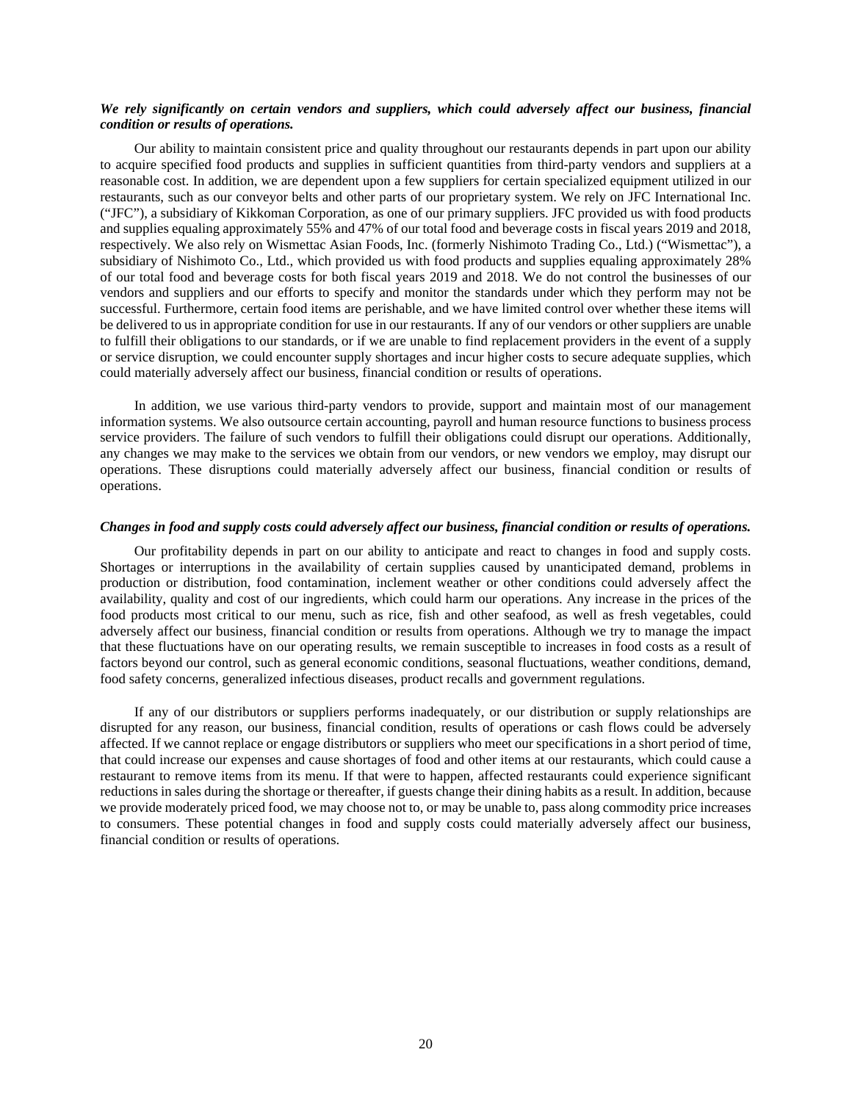## *We rely significantly on certain vendors and suppliers, which could adversely affect our business, financial condition or results of operations.*

Our ability to maintain consistent price and quality throughout our restaurants depends in part upon our ability to acquire specified food products and supplies in sufficient quantities from third-party vendors and suppliers at a reasonable cost. In addition, we are dependent upon a few suppliers for certain specialized equipment utilized in our restaurants, such as our conveyor belts and other parts of our proprietary system. We rely on JFC International Inc. ("JFC"), a subsidiary of Kikkoman Corporation, as one of our primary suppliers. JFC provided us with food products and supplies equaling approximately 55% and 47% of our total food and beverage costs in fiscal years 2019 and 2018, respectively. We also rely on Wismettac Asian Foods, Inc. (formerly Nishimoto Trading Co., Ltd.) ("Wismettac"), a subsidiary of Nishimoto Co., Ltd., which provided us with food products and supplies equaling approximately 28% of our total food and beverage costs for both fiscal years 2019 and 2018. We do not control the businesses of our vendors and suppliers and our efforts to specify and monitor the standards under which they perform may not be successful. Furthermore, certain food items are perishable, and we have limited control over whether these items will be delivered to us in appropriate condition for use in our restaurants. If any of our vendors or other suppliers are unable to fulfill their obligations to our standards, or if we are unable to find replacement providers in the event of a supply or service disruption, we could encounter supply shortages and incur higher costs to secure adequate supplies, which could materially adversely affect our business, financial condition or results of operations.

In addition, we use various third-party vendors to provide, support and maintain most of our management information systems. We also outsource certain accounting, payroll and human resource functions to business process service providers. The failure of such vendors to fulfill their obligations could disrupt our operations. Additionally, any changes we may make to the services we obtain from our vendors, or new vendors we employ, may disrupt our operations. These disruptions could materially adversely affect our business, financial condition or results of operations.

#### *Changes in food and supply costs could adversely affect our business, financial condition or results of operations.*

Our profitability depends in part on our ability to anticipate and react to changes in food and supply costs. Shortages or interruptions in the availability of certain supplies caused by unanticipated demand, problems in production or distribution, food contamination, inclement weather or other conditions could adversely affect the availability, quality and cost of our ingredients, which could harm our operations. Any increase in the prices of the food products most critical to our menu, such as rice, fish and other seafood, as well as fresh vegetables, could adversely affect our business, financial condition or results from operations. Although we try to manage the impact that these fluctuations have on our operating results, we remain susceptible to increases in food costs as a result of factors beyond our control, such as general economic conditions, seasonal fluctuations, weather conditions, demand, food safety concerns, generalized infectious diseases, product recalls and government regulations.

If any of our distributors or suppliers performs inadequately, or our distribution or supply relationships are disrupted for any reason, our business, financial condition, results of operations or cash flows could be adversely affected. If we cannot replace or engage distributors or suppliers who meet our specifications in a short period of time, that could increase our expenses and cause shortages of food and other items at our restaurants, which could cause a restaurant to remove items from its menu. If that were to happen, affected restaurants could experience significant reductions in sales during the shortage or thereafter, if guests change their dining habits as a result. In addition, because we provide moderately priced food, we may choose not to, or may be unable to, pass along commodity price increases to consumers. These potential changes in food and supply costs could materially adversely affect our business, financial condition or results of operations.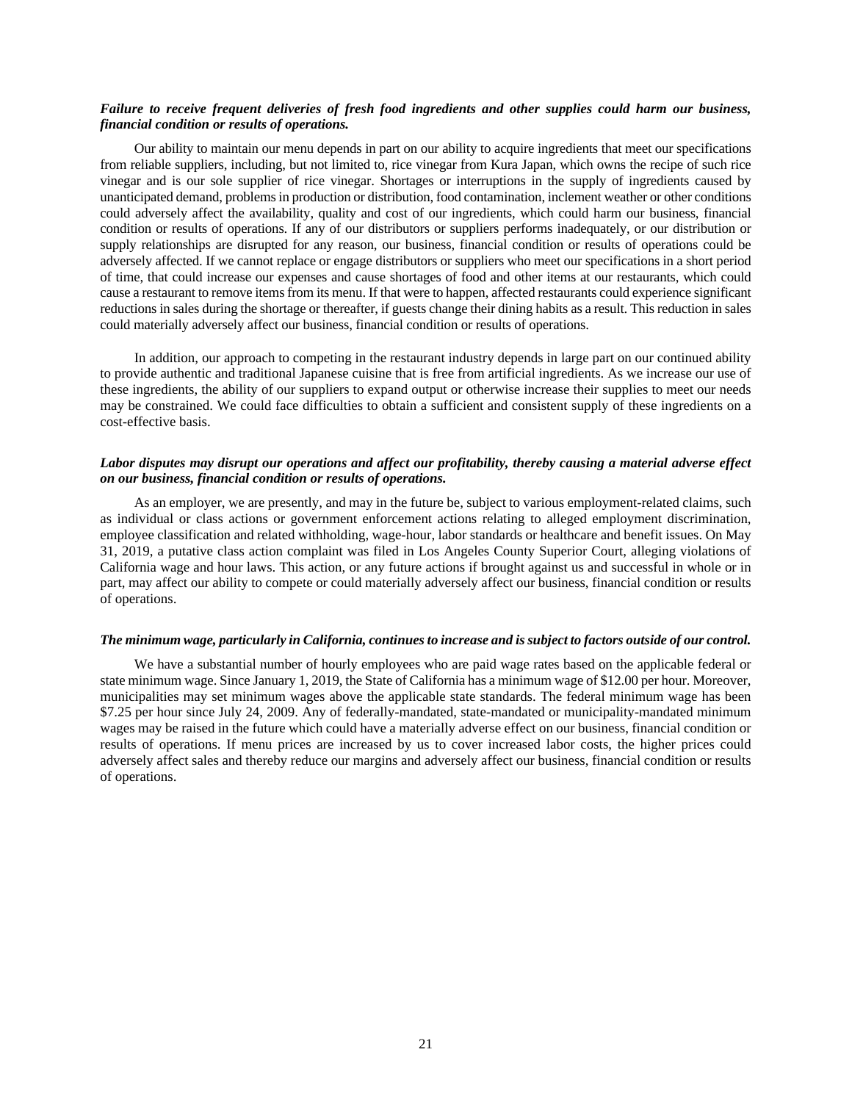## *Failure to receive frequent deliveries of fresh food ingredients and other supplies could harm our business, financial condition or results of operations.*

Our ability to maintain our menu depends in part on our ability to acquire ingredients that meet our specifications from reliable suppliers, including, but not limited to, rice vinegar from Kura Japan, which owns the recipe of such rice vinegar and is our sole supplier of rice vinegar. Shortages or interruptions in the supply of ingredients caused by unanticipated demand, problems in production or distribution, food contamination, inclement weather or other conditions could adversely affect the availability, quality and cost of our ingredients, which could harm our business, financial condition or results of operations. If any of our distributors or suppliers performs inadequately, or our distribution or supply relationships are disrupted for any reason, our business, financial condition or results of operations could be adversely affected. If we cannot replace or engage distributors or suppliers who meet our specifications in a short period of time, that could increase our expenses and cause shortages of food and other items at our restaurants, which could cause a restaurant to remove items from its menu. If that were to happen, affected restaurants could experience significant reductions in sales during the shortage or thereafter, if guests change their dining habits as a result. This reduction in sales could materially adversely affect our business, financial condition or results of operations.

In addition, our approach to competing in the restaurant industry depends in large part on our continued ability to provide authentic and traditional Japanese cuisine that is free from artificial ingredients. As we increase our use of these ingredients, the ability of our suppliers to expand output or otherwise increase their supplies to meet our needs may be constrained. We could face difficulties to obtain a sufficient and consistent supply of these ingredients on a cost-effective basis.

#### *Labor disputes may disrupt our operations and affect our profitability, thereby causing a material adverse effect on our business, financial condition or results of operations.*

As an employer, we are presently, and may in the future be, subject to various employment-related claims, such as individual or class actions or government enforcement actions relating to alleged employment discrimination, employee classification and related withholding, wage-hour, labor standards or healthcare and benefit issues. On May 31, 2019, a putative class action complaint was filed in Los Angeles County Superior Court, alleging violations of California wage and hour laws. This action, or any future actions if brought against us and successful in whole or in part, may affect our ability to compete or could materially adversely affect our business, financial condition or results of operations.

#### *The minimum wage, particularly in California, continues to increase and is subject to factors outside of our control.*

We have a substantial number of hourly employees who are paid wage rates based on the applicable federal or state minimum wage. Since January 1, 2019, the State of California has a minimum wage of \$12.00 per hour. Moreover, municipalities may set minimum wages above the applicable state standards. The federal minimum wage has been \$7.25 per hour since July 24, 2009. Any of federally-mandated, state-mandated or municipality-mandated minimum wages may be raised in the future which could have a materially adverse effect on our business, financial condition or results of operations. If menu prices are increased by us to cover increased labor costs, the higher prices could adversely affect sales and thereby reduce our margins and adversely affect our business, financial condition or results of operations.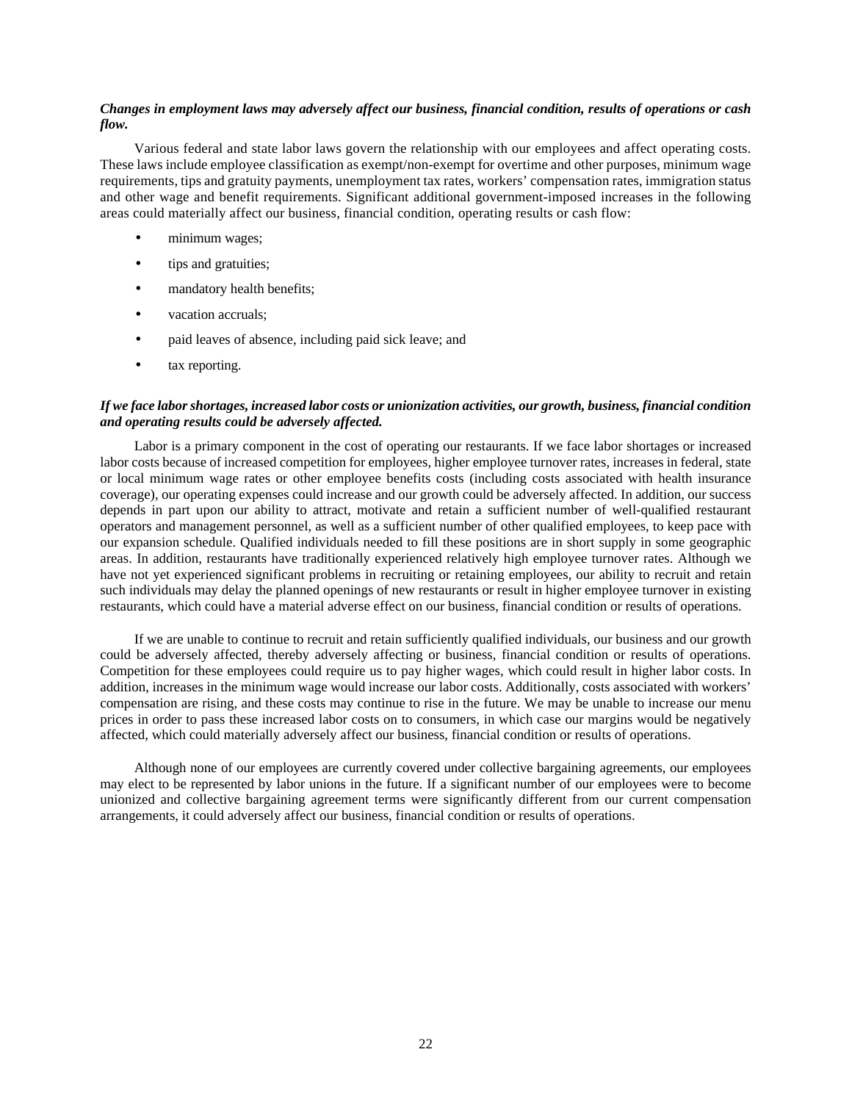## *Changes in employment laws may adversely affect our business, financial condition, results of operations or cash flow.*

Various federal and state labor laws govern the relationship with our employees and affect operating costs. These laws include employee classification as exempt/non-exempt for overtime and other purposes, minimum wage requirements, tips and gratuity payments, unemployment tax rates, workers' compensation rates, immigration status and other wage and benefit requirements. Significant additional government-imposed increases in the following areas could materially affect our business, financial condition, operating results or cash flow:

- minimum wages;
- tips and gratuities;
- mandatory health benefits;
- vacation accruals;
- paid leaves of absence, including paid sick leave; and
- tax reporting.

## *If we face labor shortages, increased labor costs or unionization activities, our growth, business, financial condition and operating results could be adversely affected.*

Labor is a primary component in the cost of operating our restaurants. If we face labor shortages or increased labor costs because of increased competition for employees, higher employee turnover rates, increases in federal, state or local minimum wage rates or other employee benefits costs (including costs associated with health insurance coverage), our operating expenses could increase and our growth could be adversely affected. In addition, our success depends in part upon our ability to attract, motivate and retain a sufficient number of well-qualified restaurant operators and management personnel, as well as a sufficient number of other qualified employees, to keep pace with our expansion schedule. Qualified individuals needed to fill these positions are in short supply in some geographic areas. In addition, restaurants have traditionally experienced relatively high employee turnover rates. Although we have not yet experienced significant problems in recruiting or retaining employees, our ability to recruit and retain such individuals may delay the planned openings of new restaurants or result in higher employee turnover in existing restaurants, which could have a material adverse effect on our business, financial condition or results of operations.

If we are unable to continue to recruit and retain sufficiently qualified individuals, our business and our growth could be adversely affected, thereby adversely affecting or business, financial condition or results of operations. Competition for these employees could require us to pay higher wages, which could result in higher labor costs. In addition, increases in the minimum wage would increase our labor costs. Additionally, costs associated with workers' compensation are rising, and these costs may continue to rise in the future. We may be unable to increase our menu prices in order to pass these increased labor costs on to consumers, in which case our margins would be negatively affected, which could materially adversely affect our business, financial condition or results of operations.

Although none of our employees are currently covered under collective bargaining agreements, our employees may elect to be represented by labor unions in the future. If a significant number of our employees were to become unionized and collective bargaining agreement terms were significantly different from our current compensation arrangements, it could adversely affect our business, financial condition or results of operations.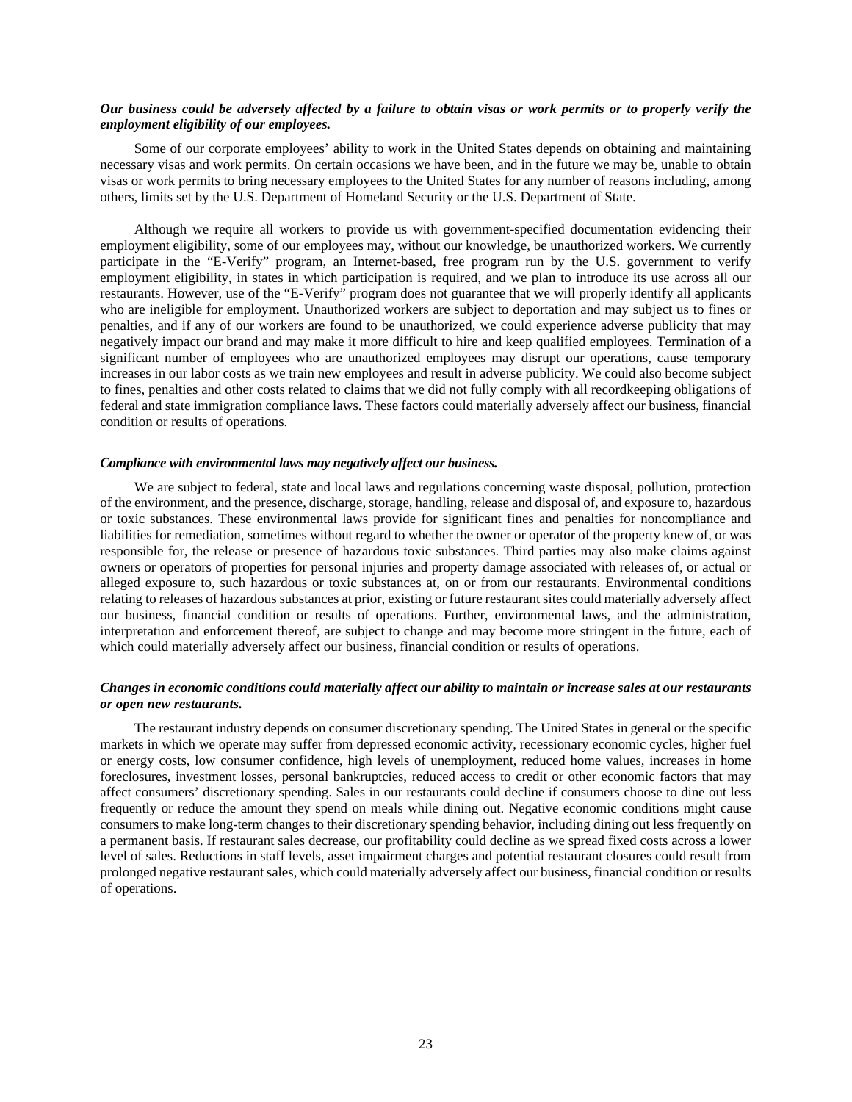## *Our business could be adversely affected by a failure to obtain visas or work permits or to properly verify the employment eligibility of our employees.*

Some of our corporate employees' ability to work in the United States depends on obtaining and maintaining necessary visas and work permits. On certain occasions we have been, and in the future we may be, unable to obtain visas or work permits to bring necessary employees to the United States for any number of reasons including, among others, limits set by the U.S. Department of Homeland Security or the U.S. Department of State.

Although we require all workers to provide us with government-specified documentation evidencing their employment eligibility, some of our employees may, without our knowledge, be unauthorized workers. We currently participate in the "E-Verify" program, an Internet-based, free program run by the U.S. government to verify employment eligibility, in states in which participation is required, and we plan to introduce its use across all our restaurants. However, use of the "E-Verify" program does not guarantee that we will properly identify all applicants who are ineligible for employment. Unauthorized workers are subject to deportation and may subject us to fines or penalties, and if any of our workers are found to be unauthorized, we could experience adverse publicity that may negatively impact our brand and may make it more difficult to hire and keep qualified employees. Termination of a significant number of employees who are unauthorized employees may disrupt our operations, cause temporary increases in our labor costs as we train new employees and result in adverse publicity. We could also become subject to fines, penalties and other costs related to claims that we did not fully comply with all recordkeeping obligations of federal and state immigration compliance laws. These factors could materially adversely affect our business, financial condition or results of operations.

#### *Compliance with environmental laws may negatively affect our business.*

We are subject to federal, state and local laws and regulations concerning waste disposal, pollution, protection of the environment, and the presence, discharge, storage, handling, release and disposal of, and exposure to, hazardous or toxic substances. These environmental laws provide for significant fines and penalties for noncompliance and liabilities for remediation, sometimes without regard to whether the owner or operator of the property knew of, or was responsible for, the release or presence of hazardous toxic substances. Third parties may also make claims against owners or operators of properties for personal injuries and property damage associated with releases of, or actual or alleged exposure to, such hazardous or toxic substances at, on or from our restaurants. Environmental conditions relating to releases of hazardous substances at prior, existing or future restaurant sites could materially adversely affect our business, financial condition or results of operations. Further, environmental laws, and the administration, interpretation and enforcement thereof, are subject to change and may become more stringent in the future, each of which could materially adversely affect our business, financial condition or results of operations.

## *Changes in economic conditions could materially affect our ability to maintain or increase sales at our restaurants or open new restaurants.*

The restaurant industry depends on consumer discretionary spending. The United States in general or the specific markets in which we operate may suffer from depressed economic activity, recessionary economic cycles, higher fuel or energy costs, low consumer confidence, high levels of unemployment, reduced home values, increases in home foreclosures, investment losses, personal bankruptcies, reduced access to credit or other economic factors that may affect consumers' discretionary spending. Sales in our restaurants could decline if consumers choose to dine out less frequently or reduce the amount they spend on meals while dining out. Negative economic conditions might cause consumers to make long-term changes to their discretionary spending behavior, including dining out less frequently on a permanent basis. If restaurant sales decrease, our profitability could decline as we spread fixed costs across a lower level of sales. Reductions in staff levels, asset impairment charges and potential restaurant closures could result from prolonged negative restaurant sales, which could materially adversely affect our business, financial condition or results of operations.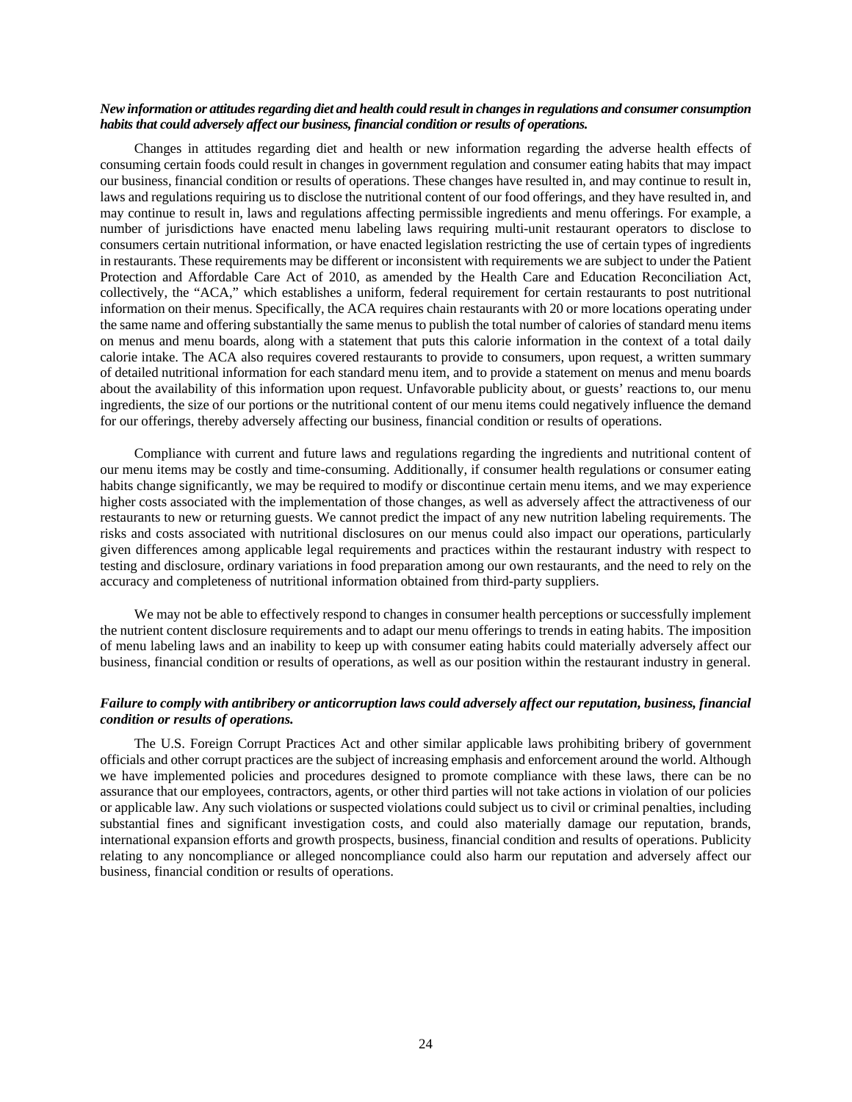## *New information or attitudes regarding diet and health could result in changes in regulations and consumer consumption habits that could adversely affect our business, financial condition or results of operations.*

Changes in attitudes regarding diet and health or new information regarding the adverse health effects of consuming certain foods could result in changes in government regulation and consumer eating habits that may impact our business, financial condition or results of operations. These changes have resulted in, and may continue to result in, laws and regulations requiring us to disclose the nutritional content of our food offerings, and they have resulted in, and may continue to result in, laws and regulations affecting permissible ingredients and menu offerings. For example, a number of jurisdictions have enacted menu labeling laws requiring multi-unit restaurant operators to disclose to consumers certain nutritional information, or have enacted legislation restricting the use of certain types of ingredients in restaurants. These requirements may be different or inconsistent with requirements we are subject to under the Patient Protection and Affordable Care Act of 2010, as amended by the Health Care and Education Reconciliation Act, collectively, the "ACA," which establishes a uniform, federal requirement for certain restaurants to post nutritional information on their menus. Specifically, the ACA requires chain restaurants with 20 or more locations operating under the same name and offering substantially the same menus to publish the total number of calories of standard menu items on menus and menu boards, along with a statement that puts this calorie information in the context of a total daily calorie intake. The ACA also requires covered restaurants to provide to consumers, upon request, a written summary of detailed nutritional information for each standard menu item, and to provide a statement on menus and menu boards about the availability of this information upon request. Unfavorable publicity about, or guests' reactions to, our menu ingredients, the size of our portions or the nutritional content of our menu items could negatively influence the demand for our offerings, thereby adversely affecting our business, financial condition or results of operations.

Compliance with current and future laws and regulations regarding the ingredients and nutritional content of our menu items may be costly and time-consuming. Additionally, if consumer health regulations or consumer eating habits change significantly, we may be required to modify or discontinue certain menu items, and we may experience higher costs associated with the implementation of those changes, as well as adversely affect the attractiveness of our restaurants to new or returning guests. We cannot predict the impact of any new nutrition labeling requirements. The risks and costs associated with nutritional disclosures on our menus could also impact our operations, particularly given differences among applicable legal requirements and practices within the restaurant industry with respect to testing and disclosure, ordinary variations in food preparation among our own restaurants, and the need to rely on the accuracy and completeness of nutritional information obtained from third-party suppliers.

We may not be able to effectively respond to changes in consumer health perceptions or successfully implement the nutrient content disclosure requirements and to adapt our menu offerings to trends in eating habits. The imposition of menu labeling laws and an inability to keep up with consumer eating habits could materially adversely affect our business, financial condition or results of operations, as well as our position within the restaurant industry in general.

## *Failure to comply with antibribery or anticorruption laws could adversely affect our reputation, business, financial condition or results of operations.*

The U.S. Foreign Corrupt Practices Act and other similar applicable laws prohibiting bribery of government officials and other corrupt practices are the subject of increasing emphasis and enforcement around the world. Although we have implemented policies and procedures designed to promote compliance with these laws, there can be no assurance that our employees, contractors, agents, or other third parties will not take actions in violation of our policies or applicable law. Any such violations or suspected violations could subject us to civil or criminal penalties, including substantial fines and significant investigation costs, and could also materially damage our reputation, brands, international expansion efforts and growth prospects, business, financial condition and results of operations. Publicity relating to any noncompliance or alleged noncompliance could also harm our reputation and adversely affect our business, financial condition or results of operations.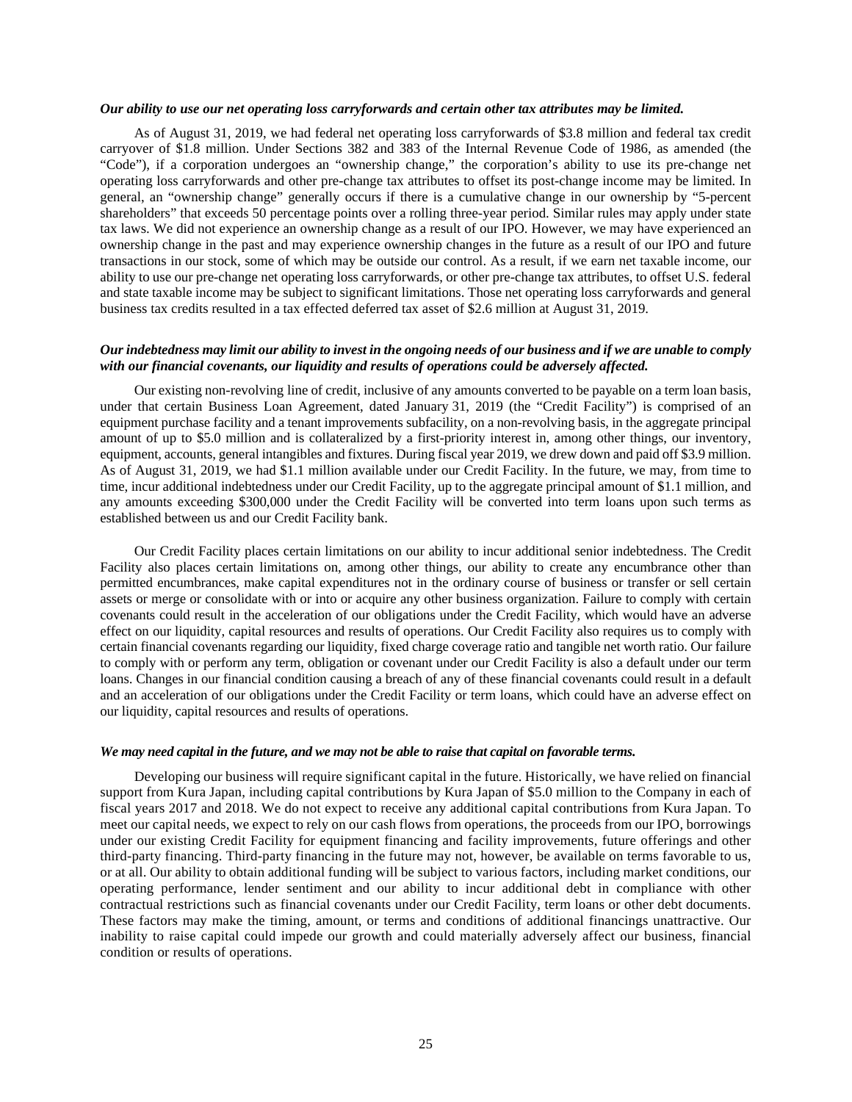#### *Our ability to use our net operating loss carryforwards and certain other tax attributes may be limited.*

As of August 31, 2019, we had federal net operating loss carryforwards of \$3.8 million and federal tax credit carryover of \$1.8 million. Under Sections 382 and 383 of the Internal Revenue Code of 1986, as amended (the "Code"), if a corporation undergoes an "ownership change," the corporation's ability to use its pre-change net operating loss carryforwards and other pre-change tax attributes to offset its post-change income may be limited. In general, an "ownership change" generally occurs if there is a cumulative change in our ownership by "5-percent shareholders" that exceeds 50 percentage points over a rolling three-year period. Similar rules may apply under state tax laws. We did not experience an ownership change as a result of our IPO. However, we may have experienced an ownership change in the past and may experience ownership changes in the future as a result of our IPO and future transactions in our stock, some of which may be outside our control. As a result, if we earn net taxable income, our ability to use our pre-change net operating loss carryforwards, or other pre-change tax attributes, to offset U.S. federal and state taxable income may be subject to significant limitations. Those net operating loss carryforwards and general business tax credits resulted in a tax effected deferred tax asset of \$2.6 million at August 31, 2019.

#### *Our indebtedness may limit our ability to invest in the ongoing needs of our business and if we are unable to comply with our financial covenants, our liquidity and results of operations could be adversely affected.*

Our existing non-revolving line of credit, inclusive of any amounts converted to be payable on a term loan basis, under that certain Business Loan Agreement, dated January 31, 2019 (the "Credit Facility") is comprised of an equipment purchase facility and a tenant improvements subfacility, on a non-revolving basis, in the aggregate principal amount of up to \$5.0 million and is collateralized by a first-priority interest in, among other things, our inventory, equipment, accounts, general intangibles and fixtures. During fiscal year 2019, we drew down and paid off \$3.9 million. As of August 31, 2019, we had \$1.1 million available under our Credit Facility. In the future, we may, from time to time, incur additional indebtedness under our Credit Facility, up to the aggregate principal amount of \$1.1 million, and any amounts exceeding \$300,000 under the Credit Facility will be converted into term loans upon such terms as established between us and our Credit Facility bank.

Our Credit Facility places certain limitations on our ability to incur additional senior indebtedness. The Credit Facility also places certain limitations on, among other things, our ability to create any encumbrance other than permitted encumbrances, make capital expenditures not in the ordinary course of business or transfer or sell certain assets or merge or consolidate with or into or acquire any other business organization. Failure to comply with certain covenants could result in the acceleration of our obligations under the Credit Facility, which would have an adverse effect on our liquidity, capital resources and results of operations. Our Credit Facility also requires us to comply with certain financial covenants regarding our liquidity, fixed charge coverage ratio and tangible net worth ratio. Our failure to comply with or perform any term, obligation or covenant under our Credit Facility is also a default under our term loans. Changes in our financial condition causing a breach of any of these financial covenants could result in a default and an acceleration of our obligations under the Credit Facility or term loans, which could have an adverse effect on our liquidity, capital resources and results of operations.

#### *We may need capital in the future, and we may not be able to raise that capital on favorable terms.*

Developing our business will require significant capital in the future. Historically, we have relied on financial support from Kura Japan, including capital contributions by Kura Japan of \$5.0 million to the Company in each of fiscal years 2017 and 2018. We do not expect to receive any additional capital contributions from Kura Japan. To meet our capital needs, we expect to rely on our cash flows from operations, the proceeds from our IPO, borrowings under our existing Credit Facility for equipment financing and facility improvements, future offerings and other third-party financing. Third-party financing in the future may not, however, be available on terms favorable to us, or at all. Our ability to obtain additional funding will be subject to various factors, including market conditions, our operating performance, lender sentiment and our ability to incur additional debt in compliance with other contractual restrictions such as financial covenants under our Credit Facility, term loans or other debt documents. These factors may make the timing, amount, or terms and conditions of additional financings unattractive. Our inability to raise capital could impede our growth and could materially adversely affect our business, financial condition or results of operations.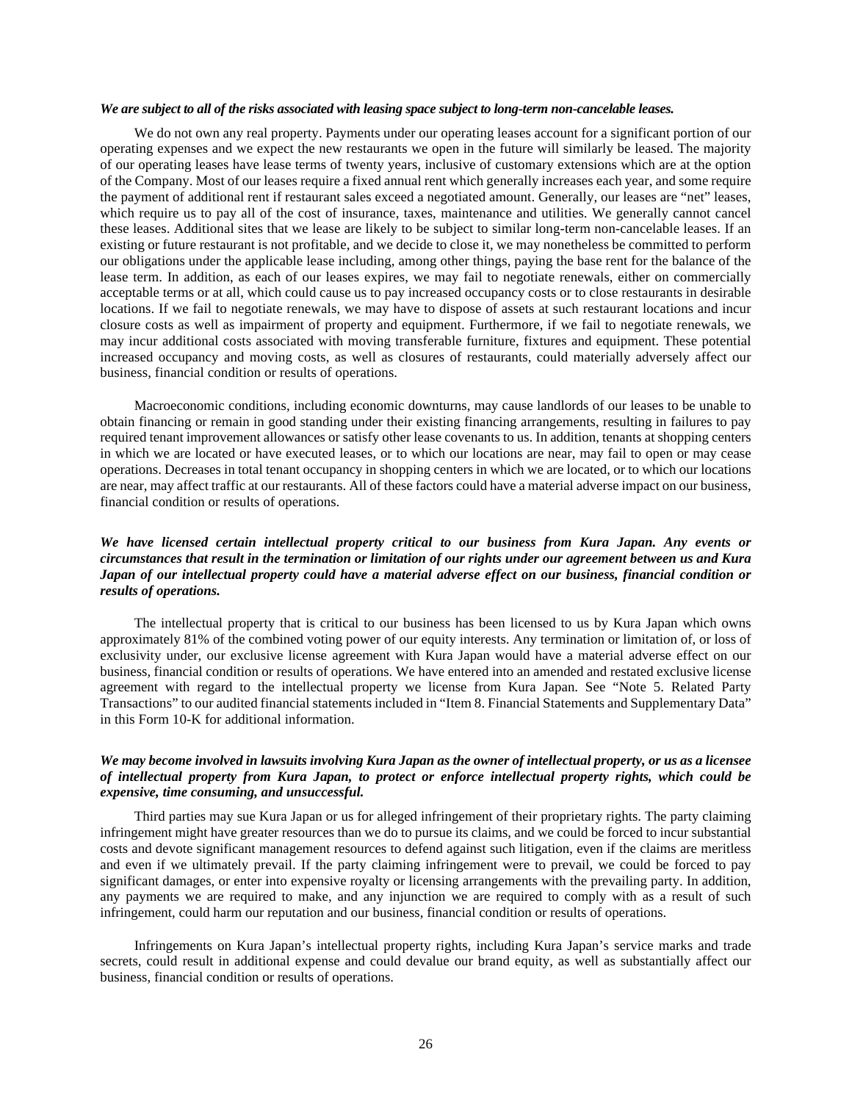#### *We are subject to all of the risks associated with leasing space subject to long-term non-cancelable leases.*

We do not own any real property. Payments under our operating leases account for a significant portion of our operating expenses and we expect the new restaurants we open in the future will similarly be leased. The majority of our operating leases have lease terms of twenty years, inclusive of customary extensions which are at the option of the Company. Most of our leases require a fixed annual rent which generally increases each year, and some require the payment of additional rent if restaurant sales exceed a negotiated amount. Generally, our leases are "net" leases, which require us to pay all of the cost of insurance, taxes, maintenance and utilities. We generally cannot cancel these leases. Additional sites that we lease are likely to be subject to similar long-term non-cancelable leases. If an existing or future restaurant is not profitable, and we decide to close it, we may nonetheless be committed to perform our obligations under the applicable lease including, among other things, paying the base rent for the balance of the lease term. In addition, as each of our leases expires, we may fail to negotiate renewals, either on commercially acceptable terms or at all, which could cause us to pay increased occupancy costs or to close restaurants in desirable locations. If we fail to negotiate renewals, we may have to dispose of assets at such restaurant locations and incur closure costs as well as impairment of property and equipment. Furthermore, if we fail to negotiate renewals, we may incur additional costs associated with moving transferable furniture, fixtures and equipment. These potential increased occupancy and moving costs, as well as closures of restaurants, could materially adversely affect our business, financial condition or results of operations.

Macroeconomic conditions, including economic downturns, may cause landlords of our leases to be unable to obtain financing or remain in good standing under their existing financing arrangements, resulting in failures to pay required tenant improvement allowances or satisfy other lease covenants to us. In addition, tenants at shopping centers in which we are located or have executed leases, or to which our locations are near, may fail to open or may cease operations. Decreases in total tenant occupancy in shopping centers in which we are located, or to which our locations are near, may affect traffic at our restaurants. All of these factors could have a material adverse impact on our business, financial condition or results of operations.

## *We have licensed certain intellectual property critical to our business from Kura Japan. Any events or circumstances that result in the termination or limitation of our rights under our agreement between us and Kura Japan of our intellectual property could have a material adverse effect on our business, financial condition or results of operations.*

The intellectual property that is critical to our business has been licensed to us by Kura Japan which owns approximately 81% of the combined voting power of our equity interests. Any termination or limitation of, or loss of exclusivity under, our exclusive license agreement with Kura Japan would have a material adverse effect on our business, financial condition or results of operations. We have entered into an amended and restated exclusive license agreement with regard to the intellectual property we license from Kura Japan. See "Note 5. Related Party Transactions" to our audited financial statements included in "Item 8. Financial Statements and Supplementary Data" in this Form 10-K for additional information.

## *We may become involved in lawsuits involving Kura Japan as the owner of intellectual property, or us as a licensee of intellectual property from Kura Japan, to protect or enforce intellectual property rights, which could be expensive, time consuming, and unsuccessful.*

Third parties may sue Kura Japan or us for alleged infringement of their proprietary rights. The party claiming infringement might have greater resources than we do to pursue its claims, and we could be forced to incur substantial costs and devote significant management resources to defend against such litigation, even if the claims are meritless and even if we ultimately prevail. If the party claiming infringement were to prevail, we could be forced to pay significant damages, or enter into expensive royalty or licensing arrangements with the prevailing party. In addition, any payments we are required to make, and any injunction we are required to comply with as a result of such infringement, could harm our reputation and our business, financial condition or results of operations.

Infringements on Kura Japan's intellectual property rights, including Kura Japan's service marks and trade secrets, could result in additional expense and could devalue our brand equity, as well as substantially affect our business, financial condition or results of operations.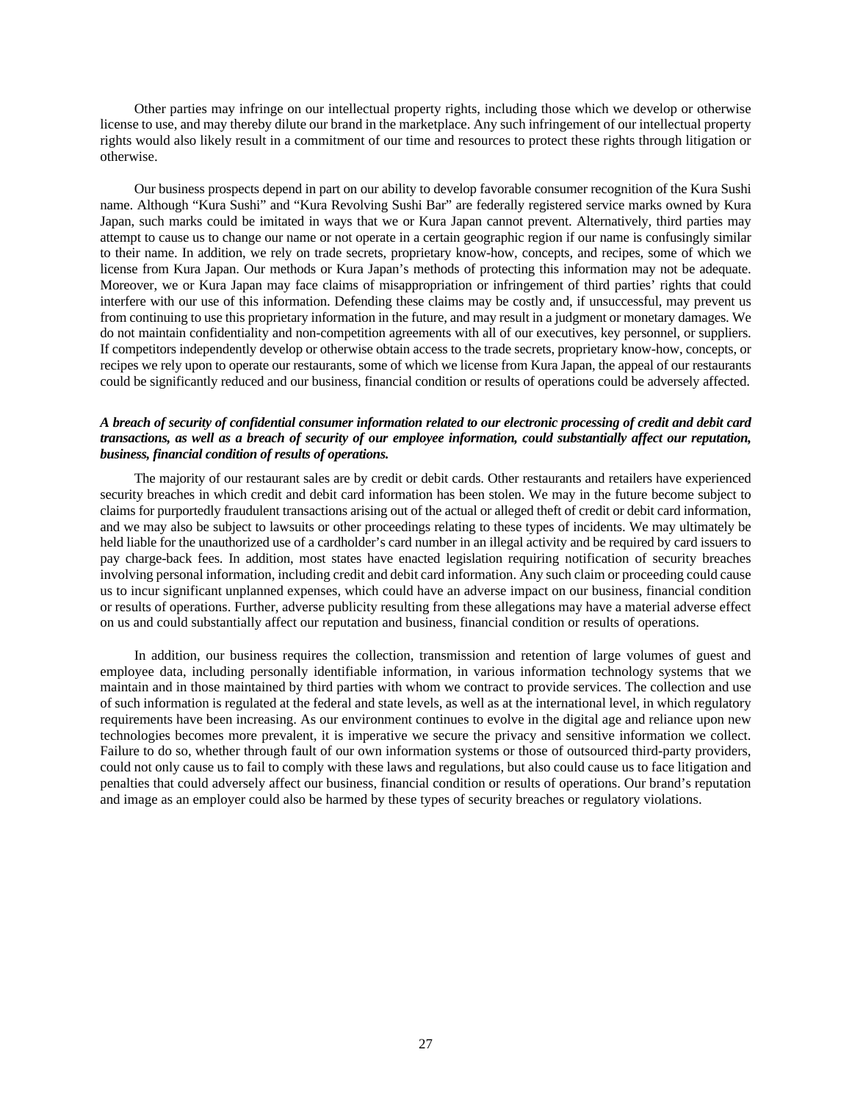Other parties may infringe on our intellectual property rights, including those which we develop or otherwise license to use, and may thereby dilute our brand in the marketplace. Any such infringement of our intellectual property rights would also likely result in a commitment of our time and resources to protect these rights through litigation or otherwise.

Our business prospects depend in part on our ability to develop favorable consumer recognition of the Kura Sushi name. Although "Kura Sushi" and "Kura Revolving Sushi Bar" are federally registered service marks owned by Kura Japan, such marks could be imitated in ways that we or Kura Japan cannot prevent. Alternatively, third parties may attempt to cause us to change our name or not operate in a certain geographic region if our name is confusingly similar to their name. In addition, we rely on trade secrets, proprietary know-how, concepts, and recipes, some of which we license from Kura Japan. Our methods or Kura Japan's methods of protecting this information may not be adequate. Moreover, we or Kura Japan may face claims of misappropriation or infringement of third parties' rights that could interfere with our use of this information. Defending these claims may be costly and, if unsuccessful, may prevent us from continuing to use this proprietary information in the future, and may result in a judgment or monetary damages. We do not maintain confidentiality and non-competition agreements with all of our executives, key personnel, or suppliers. If competitors independently develop or otherwise obtain access to the trade secrets, proprietary know-how, concepts, or recipes we rely upon to operate our restaurants, some of which we license from Kura Japan, the appeal of our restaurants could be significantly reduced and our business, financial condition or results of operations could be adversely affected.

## *A breach of security of confidential consumer information related to our electronic processing of credit and debit card transactions, as well as a breach of security of our employee information, could substantially affect our reputation, business, financial condition of results of operations.*

The majority of our restaurant sales are by credit or debit cards. Other restaurants and retailers have experienced security breaches in which credit and debit card information has been stolen. We may in the future become subject to claims for purportedly fraudulent transactions arising out of the actual or alleged theft of credit or debit card information, and we may also be subject to lawsuits or other proceedings relating to these types of incidents. We may ultimately be held liable for the unauthorized use of a cardholder's card number in an illegal activity and be required by card issuers to pay charge-back fees. In addition, most states have enacted legislation requiring notification of security breaches involving personal information, including credit and debit card information. Any such claim or proceeding could cause us to incur significant unplanned expenses, which could have an adverse impact on our business, financial condition or results of operations. Further, adverse publicity resulting from these allegations may have a material adverse effect on us and could substantially affect our reputation and business, financial condition or results of operations.

In addition, our business requires the collection, transmission and retention of large volumes of guest and employee data, including personally identifiable information, in various information technology systems that we maintain and in those maintained by third parties with whom we contract to provide services. The collection and use of such information is regulated at the federal and state levels, as well as at the international level, in which regulatory requirements have been increasing. As our environment continues to evolve in the digital age and reliance upon new technologies becomes more prevalent, it is imperative we secure the privacy and sensitive information we collect. Failure to do so, whether through fault of our own information systems or those of outsourced third-party providers, could not only cause us to fail to comply with these laws and regulations, but also could cause us to face litigation and penalties that could adversely affect our business, financial condition or results of operations. Our brand's reputation and image as an employer could also be harmed by these types of security breaches or regulatory violations.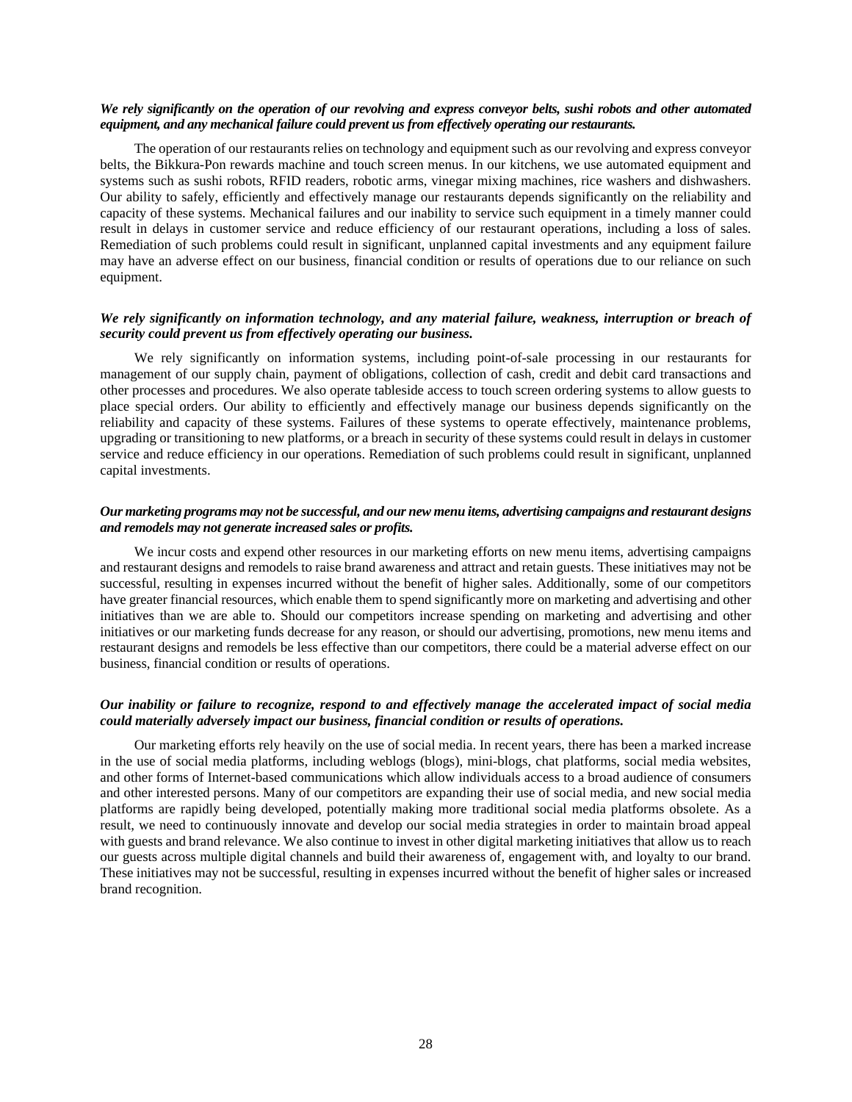## *We rely significantly on the operation of our revolving and express conveyor belts, sushi robots and other automated equipment, and any mechanical failure could prevent us from effectively operating our restaurants.*

The operation of our restaurants relies on technology and equipment such as our revolving and express conveyor belts, the Bikkura-Pon rewards machine and touch screen menus. In our kitchens, we use automated equipment and systems such as sushi robots, RFID readers, robotic arms, vinegar mixing machines, rice washers and dishwashers. Our ability to safely, efficiently and effectively manage our restaurants depends significantly on the reliability and capacity of these systems. Mechanical failures and our inability to service such equipment in a timely manner could result in delays in customer service and reduce efficiency of our restaurant operations, including a loss of sales. Remediation of such problems could result in significant, unplanned capital investments and any equipment failure may have an adverse effect on our business, financial condition or results of operations due to our reliance on such equipment.

## *We rely significantly on information technology, and any material failure, weakness, interruption or breach of security could prevent us from effectively operating our business.*

We rely significantly on information systems, including point-of-sale processing in our restaurants for management of our supply chain, payment of obligations, collection of cash, credit and debit card transactions and other processes and procedures. We also operate tableside access to touch screen ordering systems to allow guests to place special orders. Our ability to efficiently and effectively manage our business depends significantly on the reliability and capacity of these systems. Failures of these systems to operate effectively, maintenance problems, upgrading or transitioning to new platforms, or a breach in security of these systems could result in delays in customer service and reduce efficiency in our operations. Remediation of such problems could result in significant, unplanned capital investments.

## *Our marketing programs may not be successful, and our new menu items, advertising campaigns and restaurant designs and remodels may not generate increased sales or profits.*

We incur costs and expend other resources in our marketing efforts on new menu items, advertising campaigns and restaurant designs and remodels to raise brand awareness and attract and retain guests. These initiatives may not be successful, resulting in expenses incurred without the benefit of higher sales. Additionally, some of our competitors have greater financial resources, which enable them to spend significantly more on marketing and advertising and other initiatives than we are able to. Should our competitors increase spending on marketing and advertising and other initiatives or our marketing funds decrease for any reason, or should our advertising, promotions, new menu items and restaurant designs and remodels be less effective than our competitors, there could be a material adverse effect on our business, financial condition or results of operations.

## *Our inability or failure to recognize, respond to and effectively manage the accelerated impact of social media could materially adversely impact our business, financial condition or results of operations.*

Our marketing efforts rely heavily on the use of social media. In recent years, there has been a marked increase in the use of social media platforms, including weblogs (blogs), mini-blogs, chat platforms, social media websites, and other forms of Internet-based communications which allow individuals access to a broad audience of consumers and other interested persons. Many of our competitors are expanding their use of social media, and new social media platforms are rapidly being developed, potentially making more traditional social media platforms obsolete. As a result, we need to continuously innovate and develop our social media strategies in order to maintain broad appeal with guests and brand relevance. We also continue to invest in other digital marketing initiatives that allow us to reach our guests across multiple digital channels and build their awareness of, engagement with, and loyalty to our brand. These initiatives may not be successful, resulting in expenses incurred without the benefit of higher sales or increased brand recognition.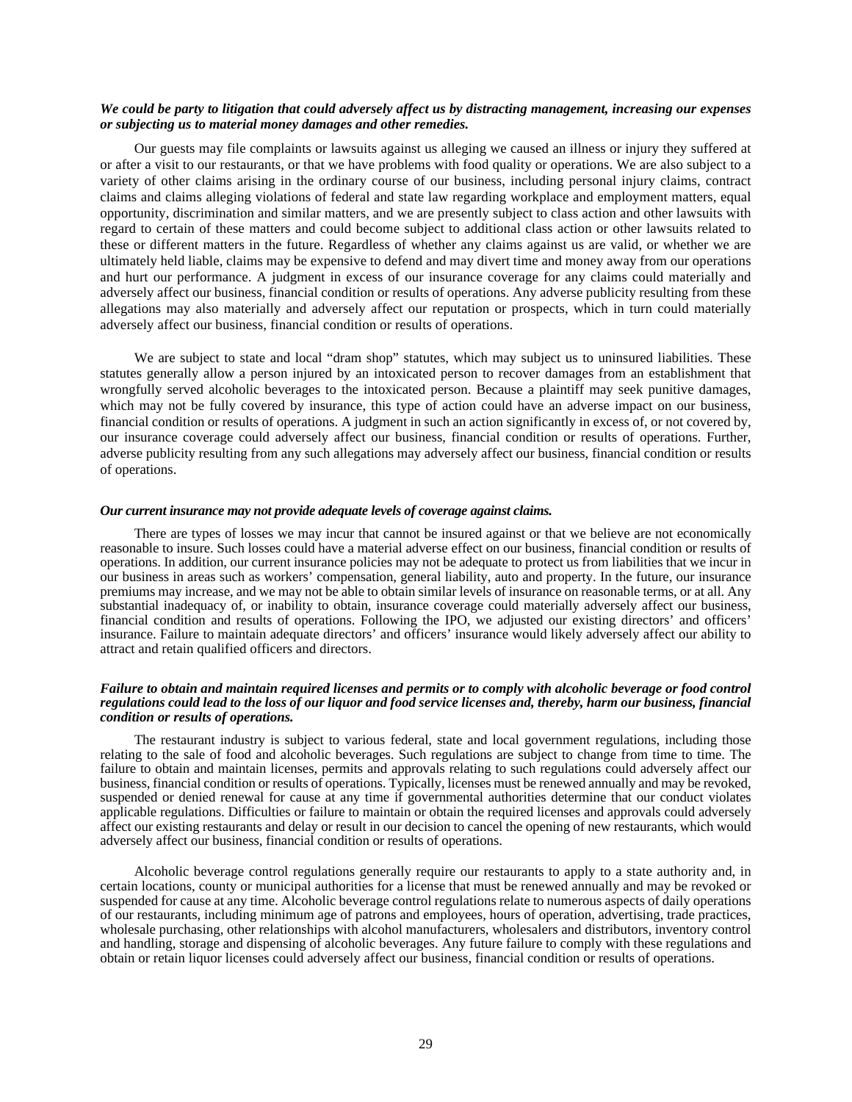## *We could be party to litigation that could adversely affect us by distracting management, increasing our expenses or subjecting us to material money damages and other remedies.*

Our guests may file complaints or lawsuits against us alleging we caused an illness or injury they suffered at or after a visit to our restaurants, or that we have problems with food quality or operations. We are also subject to a variety of other claims arising in the ordinary course of our business, including personal injury claims, contract claims and claims alleging violations of federal and state law regarding workplace and employment matters, equal opportunity, discrimination and similar matters, and we are presently subject to class action and other lawsuits with regard to certain of these matters and could become subject to additional class action or other lawsuits related to these or different matters in the future. Regardless of whether any claims against us are valid, or whether we are ultimately held liable, claims may be expensive to defend and may divert time and money away from our operations and hurt our performance. A judgment in excess of our insurance coverage for any claims could materially and adversely affect our business, financial condition or results of operations. Any adverse publicity resulting from these allegations may also materially and adversely affect our reputation or prospects, which in turn could materially adversely affect our business, financial condition or results of operations.

We are subject to state and local "dram shop" statutes, which may subject us to uninsured liabilities. These statutes generally allow a person injured by an intoxicated person to recover damages from an establishment that wrongfully served alcoholic beverages to the intoxicated person. Because a plaintiff may seek punitive damages, which may not be fully covered by insurance, this type of action could have an adverse impact on our business, financial condition or results of operations. A judgment in such an action significantly in excess of, or not covered by, our insurance coverage could adversely affect our business, financial condition or results of operations. Further, adverse publicity resulting from any such allegations may adversely affect our business, financial condition or results of operations.

#### *Our current insurance may not provide adequate levels of coverage against claims.*

There are types of losses we may incur that cannot be insured against or that we believe are not economically reasonable to insure. Such losses could have a material adverse effect on our business, financial condition or results of operations. In addition, our current insurance policies may not be adequate to protect us from liabilities that we incur in our business in areas such as workers' compensation, general liability, auto and property. In the future, our insurance premiums may increase, and we may not be able to obtain similar levels of insurance on reasonable terms, or at all. Any substantial inadequacy of, or inability to obtain, insurance coverage could materially adversely affect our business, financial condition and results of operations. Following the IPO, we adjusted our existing directors' and officers' insurance. Failure to maintain adequate directors' and officers' insurance would likely adversely affect our ability to attract and retain qualified officers and directors.

#### *Failure to obtain and maintain required licenses and permits or to comply with alcoholic beverage or food control regulations could lead to the loss of our liquor and food service licenses and, thereby, harm our business, financial condition or results of operations.*

The restaurant industry is subject to various federal, state and local government regulations, including those relating to the sale of food and alcoholic beverages. Such regulations are subject to change from time to time. The failure to obtain and maintain licenses, permits and approvals relating to such regulations could adversely affect our business, financial condition or results of operations. Typically, licenses must be renewed annually and may be revoked, suspended or denied renewal for cause at any time if governmental authorities determine that our conduct violates applicable regulations. Difficulties or failure to maintain or obtain the required licenses and approvals could adversely affect our existing restaurants and delay or result in our decision to cancel the opening of new restaurants, which would adversely affect our business, financial condition or results of operations.

Alcoholic beverage control regulations generally require our restaurants to apply to a state authority and, in certain locations, county or municipal authorities for a license that must be renewed annually and may be revoked or suspended for cause at any time. Alcoholic beverage control regulations relate to numerous aspects of daily operations of our restaurants, including minimum age of patrons and employees, hours of operation, advertising, trade practices, wholesale purchasing, other relationships with alcohol manufacturers, wholesalers and distributors, inventory control and handling, storage and dispensing of alcoholic beverages. Any future failure to comply with these regulations and obtain or retain liquor licenses could adversely affect our business, financial condition or results of operations.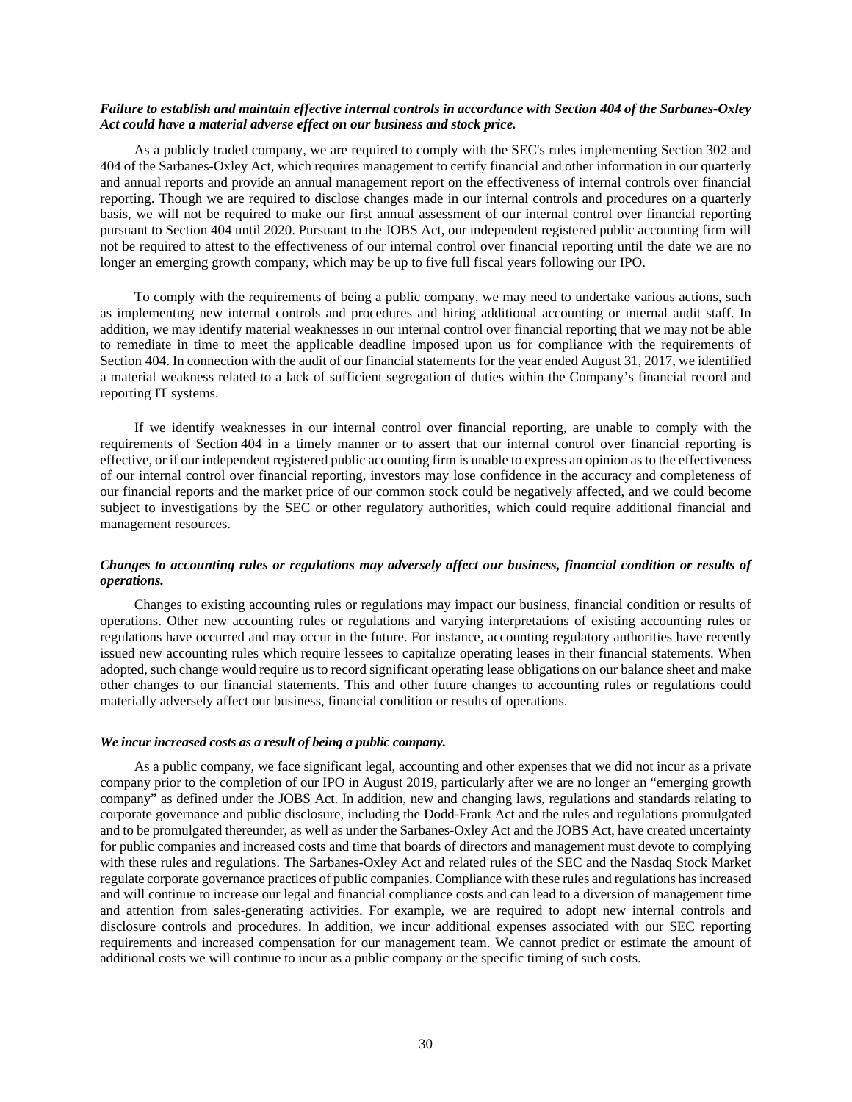## *Failure to establish and maintain effective internal controls in accordance with Section 404 of the Sarbanes-Oxley Act could have a material adverse effect on our business and stock price.*

As a publicly traded company, we are required to comply with the SEC's rules implementing Section 302 and 404 of the Sarbanes-Oxley Act, which requires management to certify financial and other information in our quarterly and annual reports and provide an annual management report on the effectiveness of internal controls over financial reporting. Though we are required to disclose changes made in our internal controls and procedures on a quarterly basis, we will not be required to make our first annual assessment of our internal control over financial reporting pursuant to Section 404 until 2020. Pursuant to the JOBS Act, our independent registered public accounting firm will not be required to attest to the effectiveness of our internal control over financial reporting until the date we are no longer an emerging growth company, which may be up to five full fiscal years following our IPO.

To comply with the requirements of being a public company, we may need to undertake various actions, such as implementing new internal controls and procedures and hiring additional accounting or internal audit staff. In addition, we may identify material weaknesses in our internal control over financial reporting that we may not be able to remediate in time to meet the applicable deadline imposed upon us for compliance with the requirements of Section 404. In connection with the audit of our financial statements for the year ended August 31, 2017, we identified a material weakness related to a lack of sufficient segregation of duties within the Company's financial record and reporting IT systems.

If we identify weaknesses in our internal control over financial reporting, are unable to comply with the requirements of Section 404 in a timely manner or to assert that our internal control over financial reporting is effective, or if our independent registered public accounting firm is unable to express an opinion as to the effectiveness of our internal control over financial reporting, investors may lose confidence in the accuracy and completeness of our financial reports and the market price of our common stock could be negatively affected, and we could become subject to investigations by the SEC or other regulatory authorities, which could require additional financial and management resources.

## *Changes to accounting rules or regulations may adversely affect our business, financial condition or results of operations.*

Changes to existing accounting rules or regulations may impact our business, financial condition or results of operations. Other new accounting rules or regulations and varying interpretations of existing accounting rules or regulations have occurred and may occur in the future. For instance, accounting regulatory authorities have recently issued new accounting rules which require lessees to capitalize operating leases in their financial statements. When adopted, such change would require us to record significant operating lease obligations on our balance sheet and make other changes to our financial statements. This and other future changes to accounting rules or regulations could materially adversely affect our business, financial condition or results of operations.

## *We incur increased costs as a result of being a public company.*

As a public company, we face significant legal, accounting and other expenses that we did not incur as a private company prior to the completion of our IPO in August 2019, particularly after we are no longer an "emerging growth company" as defined under the JOBS Act. In addition, new and changing laws, regulations and standards relating to corporate governance and public disclosure, including the Dodd-Frank Act and the rules and regulations promulgated and to be promulgated thereunder, as well as under the Sarbanes-Oxley Act and the JOBS Act, have created uncertainty for public companies and increased costs and time that boards of directors and management must devote to complying with these rules and regulations. The Sarbanes-Oxley Act and related rules of the SEC and the Nasdaq Stock Market regulate corporate governance practices of public companies. Compliance with these rules and regulations has increased and will continue to increase our legal and financial compliance costs and can lead to a diversion of management time and attention from sales-generating activities. For example, we are required to adopt new internal controls and disclosure controls and procedures. In addition, we incur additional expenses associated with our SEC reporting requirements and increased compensation for our management team. We cannot predict or estimate the amount of additional costs we will continue to incur as a public company or the specific timing of such costs.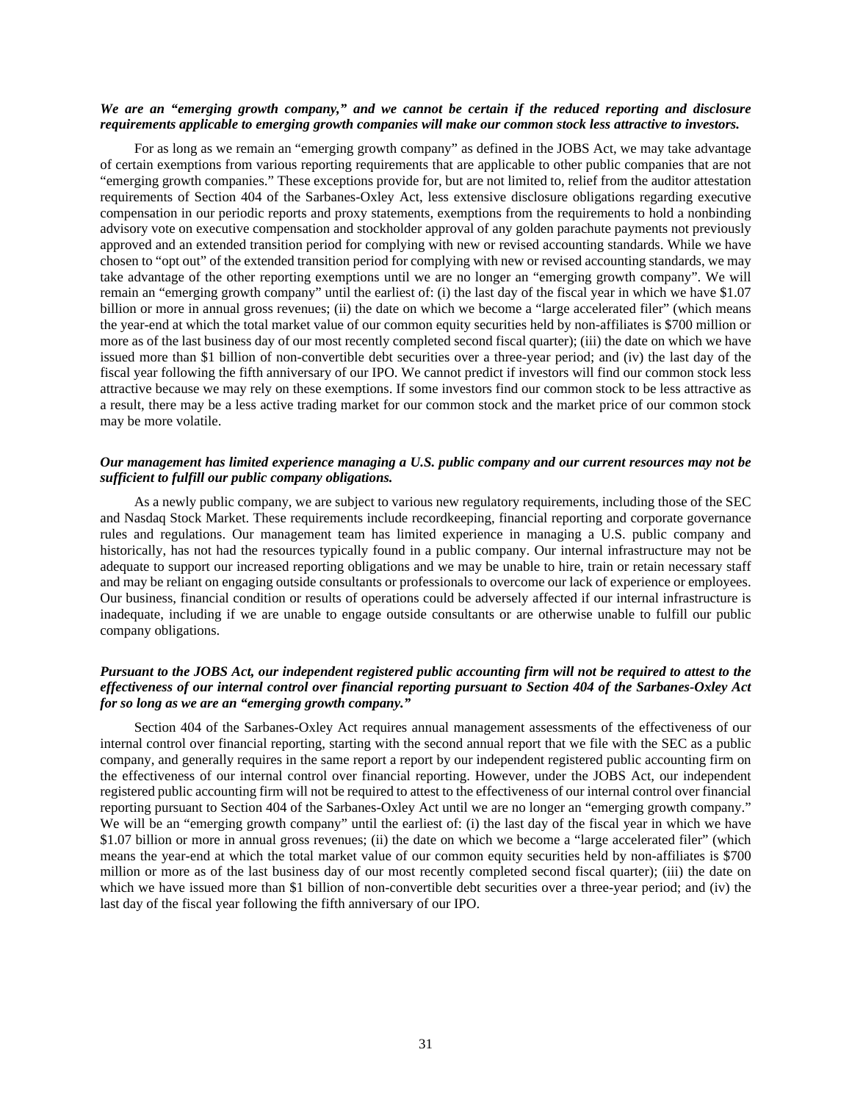## *We are an "emerging growth company," and we cannot be certain if the reduced reporting and disclosure requirements applicable to emerging growth companies will make our common stock less attractive to investors.*

For as long as we remain an "emerging growth company" as defined in the JOBS Act, we may take advantage of certain exemptions from various reporting requirements that are applicable to other public companies that are not "emerging growth companies." These exceptions provide for, but are not limited to, relief from the auditor attestation requirements of Section 404 of the Sarbanes-Oxley Act, less extensive disclosure obligations regarding executive compensation in our periodic reports and proxy statements, exemptions from the requirements to hold a nonbinding advisory vote on executive compensation and stockholder approval of any golden parachute payments not previously approved and an extended transition period for complying with new or revised accounting standards. While we have chosen to "opt out" of the extended transition period for complying with new or revised accounting standards, we may take advantage of the other reporting exemptions until we are no longer an "emerging growth company". We will remain an "emerging growth company" until the earliest of: (i) the last day of the fiscal year in which we have \$1.07 billion or more in annual gross revenues; (ii) the date on which we become a "large accelerated filer" (which means the year-end at which the total market value of our common equity securities held by non-affiliates is \$700 million or more as of the last business day of our most recently completed second fiscal quarter); (iii) the date on which we have issued more than \$1 billion of non-convertible debt securities over a three-year period; and (iv) the last day of the fiscal year following the fifth anniversary of our IPO. We cannot predict if investors will find our common stock less attractive because we may rely on these exemptions. If some investors find our common stock to be less attractive as a result, there may be a less active trading market for our common stock and the market price of our common stock may be more volatile.

## *Our management has limited experience managing a U.S. public company and our current resources may not be sufficient to fulfill our public company obligations.*

As a newly public company, we are subject to various new regulatory requirements, including those of the SEC and Nasdaq Stock Market. These requirements include recordkeeping, financial reporting and corporate governance rules and regulations. Our management team has limited experience in managing a U.S. public company and historically, has not had the resources typically found in a public company. Our internal infrastructure may not be adequate to support our increased reporting obligations and we may be unable to hire, train or retain necessary staff and may be reliant on engaging outside consultants or professionals to overcome our lack of experience or employees. Our business, financial condition or results of operations could be adversely affected if our internal infrastructure is inadequate, including if we are unable to engage outside consultants or are otherwise unable to fulfill our public company obligations.

## *Pursuant to the JOBS Act, our independent registered public accounting firm will not be required to attest to the effectiveness of our internal control over financial reporting pursuant to Section 404 of the Sarbanes-Oxley Act for so long as we are an "emerging growth company."*

Section 404 of the Sarbanes-Oxley Act requires annual management assessments of the effectiveness of our internal control over financial reporting, starting with the second annual report that we file with the SEC as a public company, and generally requires in the same report a report by our independent registered public accounting firm on the effectiveness of our internal control over financial reporting. However, under the JOBS Act, our independent registered public accounting firm will not be required to attest to the effectiveness of our internal control over financial reporting pursuant to Section 404 of the Sarbanes-Oxley Act until we are no longer an "emerging growth company." We will be an "emerging growth company" until the earliest of: (i) the last day of the fiscal year in which we have \$1.07 billion or more in annual gross revenues; (ii) the date on which we become a "large accelerated filer" (which means the year-end at which the total market value of our common equity securities held by non-affiliates is \$700 million or more as of the last business day of our most recently completed second fiscal quarter); (iii) the date on which we have issued more than \$1 billion of non-convertible debt securities over a three-year period; and (iv) the last day of the fiscal year following the fifth anniversary of our IPO.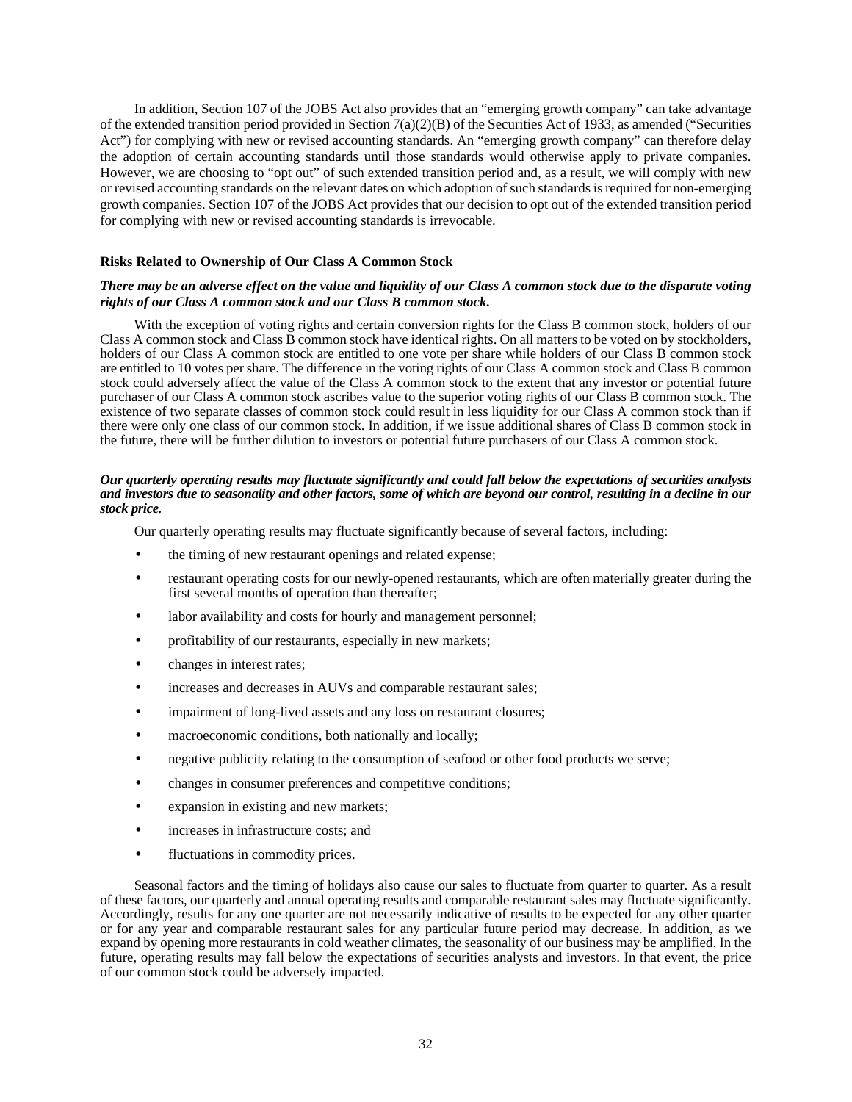In addition, Section 107 of the JOBS Act also provides that an "emerging growth company" can take advantage of the extended transition period provided in Section 7(a)(2)(B) of the Securities Act of 1933, as amended ("Securities Act") for complying with new or revised accounting standards. An "emerging growth company" can therefore delay the adoption of certain accounting standards until those standards would otherwise apply to private companies. However, we are choosing to "opt out" of such extended transition period and, as a result, we will comply with new or revised accounting standards on the relevant dates on which adoption of such standards is required for non-emerging growth companies. Section 107 of the JOBS Act provides that our decision to opt out of the extended transition period for complying with new or revised accounting standards is irrevocable.

## **Risks Related to Ownership of Our Class A Common Stock**

## *There may be an adverse effect on the value and liquidity of our Class A common stock due to the disparate voting rights of our Class A common stock and our Class B common stock.*

With the exception of voting rights and certain conversion rights for the Class B common stock, holders of our Class A common stock and Class B common stock have identical rights. On all matters to be voted on by stockholders, holders of our Class A common stock are entitled to one vote per share while holders of our Class B common stock are entitled to 10 votes per share. The difference in the voting rights of our Class A common stock and Class B common stock could adversely affect the value of the Class A common stock to the extent that any investor or potential future purchaser of our Class A common stock ascribes value to the superior voting rights of our Class B common stock. The existence of two separate classes of common stock could result in less liquidity for our Class A common stock than if there were only one class of our common stock. In addition, if we issue additional shares of Class B common stock in the future, there will be further dilution to investors or potential future purchasers of our Class A common stock.

#### *Our quarterly operating results may fluctuate significantly and could fall below the expectations of securities analysts and investors due to seasonality and other factors, some of which are beyond our control, resulting in a decline in our stock price.*

Our quarterly operating results may fluctuate significantly because of several factors, including:

- the timing of new restaurant openings and related expense;
- restaurant operating costs for our newly-opened restaurants, which are often materially greater during the first several months of operation than thereafter;
- labor availability and costs for hourly and management personnel;
- profitability of our restaurants, especially in new markets;
- changes in interest rates;
- increases and decreases in AUVs and comparable restaurant sales;
- impairment of long-lived assets and any loss on restaurant closures;
- macroeconomic conditions, both nationally and locally;
- negative publicity relating to the consumption of seafood or other food products we serve;
- changes in consumer preferences and competitive conditions;
- expansion in existing and new markets;
- increases in infrastructure costs; and
- fluctuations in commodity prices.

Seasonal factors and the timing of holidays also cause our sales to fluctuate from quarter to quarter. As a result of these factors, our quarterly and annual operating results and comparable restaurant sales may fluctuate significantly. Accordingly, results for any one quarter are not necessarily indicative of results to be expected for any other quarter or for any year and comparable restaurant sales for any particular future period may decrease. In addition, as we expand by opening more restaurants in cold weather climates, the seasonality of our business may be amplified. In the future, operating results may fall below the expectations of securities analysts and investors. In that event, the price of our common stock could be adversely impacted.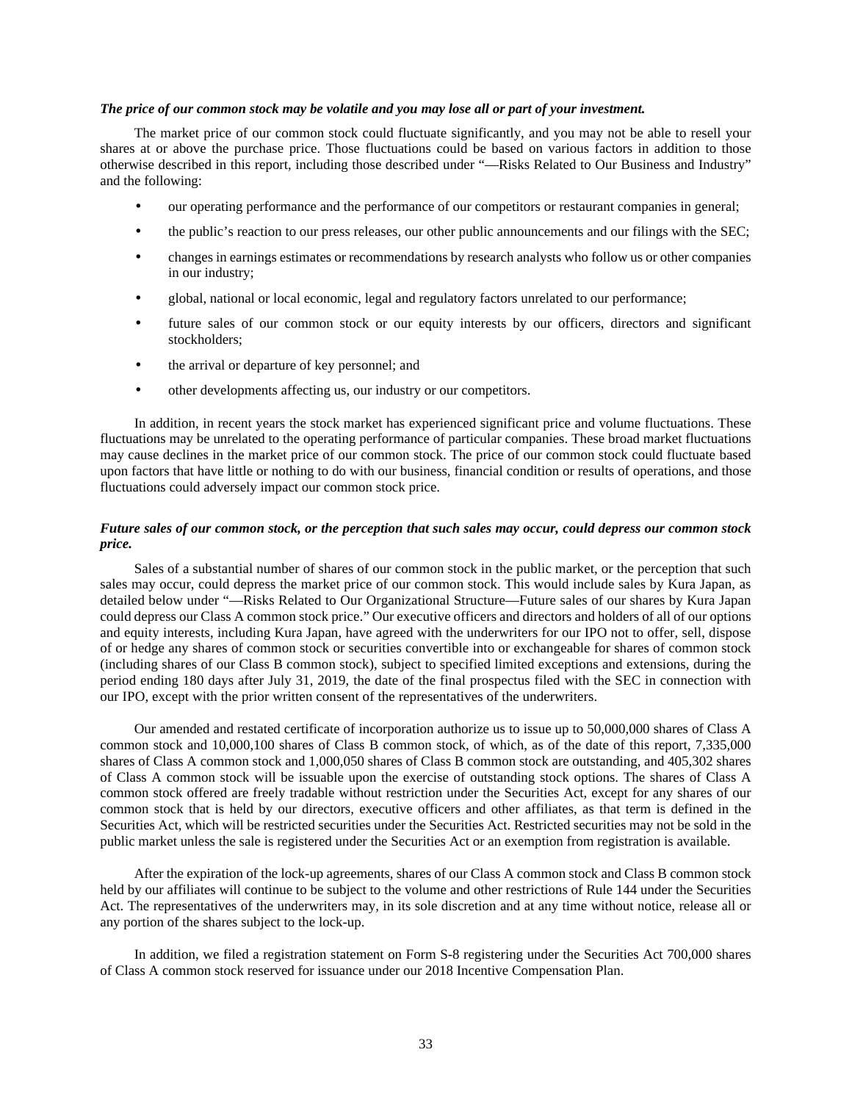#### *The price of our common stock may be volatile and you may lose all or part of your investment.*

The market price of our common stock could fluctuate significantly, and you may not be able to resell your shares at or above the purchase price. Those fluctuations could be based on various factors in addition to those otherwise described in this report, including those described under "—Risks Related to Our Business and Industry" and the following:

- our operating performance and the performance of our competitors or restaurant companies in general;
- the public's reaction to our press releases, our other public announcements and our filings with the SEC;
- changes in earnings estimates or recommendations by research analysts who follow us or other companies in our industry;
- global, national or local economic, legal and regulatory factors unrelated to our performance;
- future sales of our common stock or our equity interests by our officers, directors and significant stockholders;
- the arrival or departure of key personnel; and
- other developments affecting us, our industry or our competitors.

In addition, in recent years the stock market has experienced significant price and volume fluctuations. These fluctuations may be unrelated to the operating performance of particular companies. These broad market fluctuations may cause declines in the market price of our common stock. The price of our common stock could fluctuate based upon factors that have little or nothing to do with our business, financial condition or results of operations, and those fluctuations could adversely impact our common stock price.

## *Future sales of our common stock, or the perception that such sales may occur, could depress our common stock price.*

Sales of a substantial number of shares of our common stock in the public market, or the perception that such sales may occur, could depress the market price of our common stock. This would include sales by Kura Japan, as detailed below under "—Risks Related to Our Organizational Structure—Future sales of our shares by Kura Japan could depress our Class A common stock price." Our executive officers and directors and holders of all of our options and equity interests, including Kura Japan, have agreed with the underwriters for our IPO not to offer, sell, dispose of or hedge any shares of common stock or securities convertible into or exchangeable for shares of common stock (including shares of our Class B common stock), subject to specified limited exceptions and extensions, during the period ending 180 days after July 31, 2019, the date of the final prospectus filed with the SEC in connection with our IPO, except with the prior written consent of the representatives of the underwriters.

Our amended and restated certificate of incorporation authorize us to issue up to 50,000,000 shares of Class A common stock and 10,000,100 shares of Class B common stock, of which, as of the date of this report, 7,335,000 shares of Class A common stock and 1,000,050 shares of Class B common stock are outstanding, and 405,302 shares of Class A common stock will be issuable upon the exercise of outstanding stock options. The shares of Class A common stock offered are freely tradable without restriction under the Securities Act, except for any shares of our common stock that is held by our directors, executive officers and other affiliates, as that term is defined in the Securities Act, which will be restricted securities under the Securities Act. Restricted securities may not be sold in the public market unless the sale is registered under the Securities Act or an exemption from registration is available.

After the expiration of the lock-up agreements, shares of our Class A common stock and Class B common stock held by our affiliates will continue to be subject to the volume and other restrictions of Rule 144 under the Securities Act. The representatives of the underwriters may, in its sole discretion and at any time without notice, release all or any portion of the shares subject to the lock-up.

In addition, we filed a registration statement on Form S-8 registering under the Securities Act 700,000 shares of Class A common stock reserved for issuance under our 2018 Incentive Compensation Plan.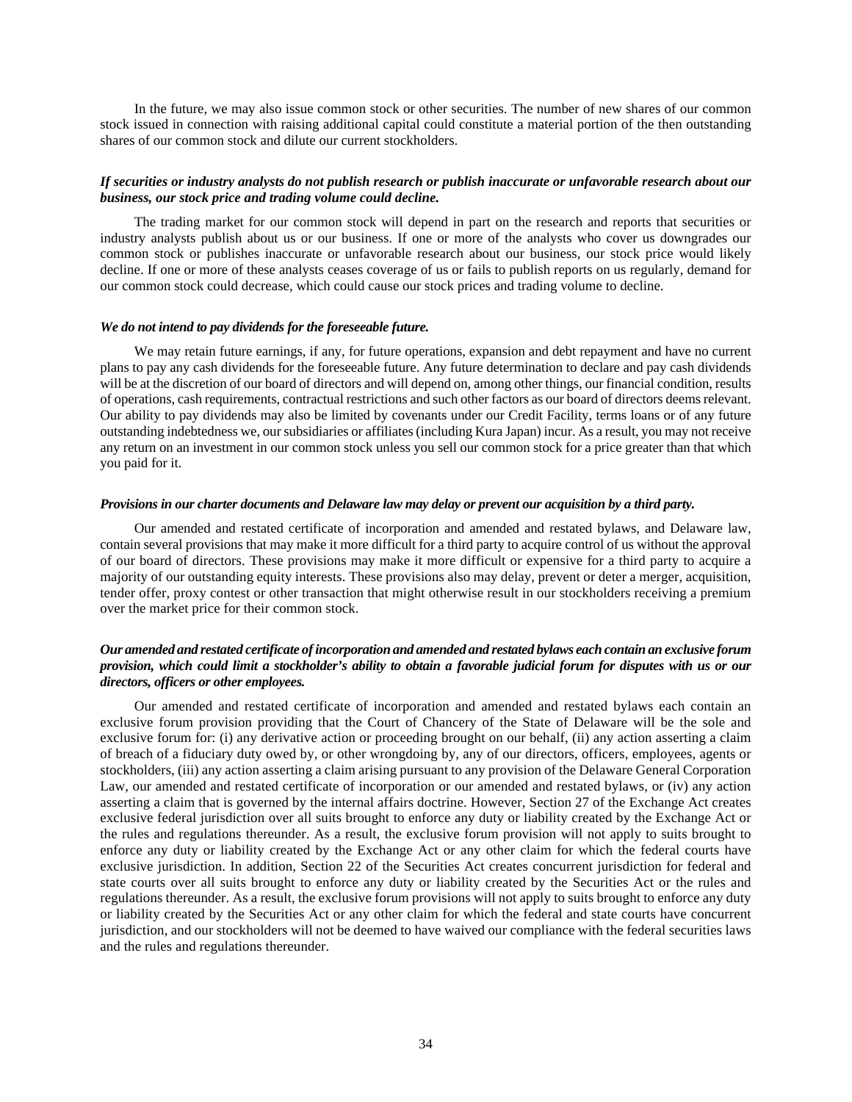In the future, we may also issue common stock or other securities. The number of new shares of our common stock issued in connection with raising additional capital could constitute a material portion of the then outstanding shares of our common stock and dilute our current stockholders.

## *If securities or industry analysts do not publish research or publish inaccurate or unfavorable research about our business, our stock price and trading volume could decline.*

The trading market for our common stock will depend in part on the research and reports that securities or industry analysts publish about us or our business. If one or more of the analysts who cover us downgrades our common stock or publishes inaccurate or unfavorable research about our business, our stock price would likely decline. If one or more of these analysts ceases coverage of us or fails to publish reports on us regularly, demand for our common stock could decrease, which could cause our stock prices and trading volume to decline.

#### *We do not intend to pay dividends for the foreseeable future.*

We may retain future earnings, if any, for future operations, expansion and debt repayment and have no current plans to pay any cash dividends for the foreseeable future. Any future determination to declare and pay cash dividends will be at the discretion of our board of directors and will depend on, among other things, our financial condition, results of operations, cash requirements, contractual restrictions and such other factors as our board of directors deems relevant. Our ability to pay dividends may also be limited by covenants under our Credit Facility, terms loans or of any future outstanding indebtedness we, our subsidiaries or affiliates (including Kura Japan) incur. As a result, you may not receive any return on an investment in our common stock unless you sell our common stock for a price greater than that which you paid for it.

#### *Provisions in our charter documents and Delaware law may delay or prevent our acquisition by a third party.*

Our amended and restated certificate of incorporation and amended and restated bylaws, and Delaware law, contain several provisions that may make it more difficult for a third party to acquire control of us without the approval of our board of directors. These provisions may make it more difficult or expensive for a third party to acquire a majority of our outstanding equity interests. These provisions also may delay, prevent or deter a merger, acquisition, tender offer, proxy contest or other transaction that might otherwise result in our stockholders receiving a premium over the market price for their common stock.

## *Our amended and restated certificate of incorporation and amended and restated bylaws each contain an exclusive forum provision, which could limit a stockholder's ability to obtain a favorable judicial forum for disputes with us or our directors, officers or other employees.*

Our amended and restated certificate of incorporation and amended and restated bylaws each contain an exclusive forum provision providing that the Court of Chancery of the State of Delaware will be the sole and exclusive forum for: (i) any derivative action or proceeding brought on our behalf, (ii) any action asserting a claim of breach of a fiduciary duty owed by, or other wrongdoing by, any of our directors, officers, employees, agents or stockholders, (iii) any action asserting a claim arising pursuant to any provision of the Delaware General Corporation Law, our amended and restated certificate of incorporation or our amended and restated bylaws, or (iv) any action asserting a claim that is governed by the internal affairs doctrine. However, Section 27 of the Exchange Act creates exclusive federal jurisdiction over all suits brought to enforce any duty or liability created by the Exchange Act or the rules and regulations thereunder. As a result, the exclusive forum provision will not apply to suits brought to enforce any duty or liability created by the Exchange Act or any other claim for which the federal courts have exclusive jurisdiction. In addition, Section 22 of the Securities Act creates concurrent jurisdiction for federal and state courts over all suits brought to enforce any duty or liability created by the Securities Act or the rules and regulations thereunder. As a result, the exclusive forum provisions will not apply to suits brought to enforce any duty or liability created by the Securities Act or any other claim for which the federal and state courts have concurrent jurisdiction, and our stockholders will not be deemed to have waived our compliance with the federal securities laws and the rules and regulations thereunder.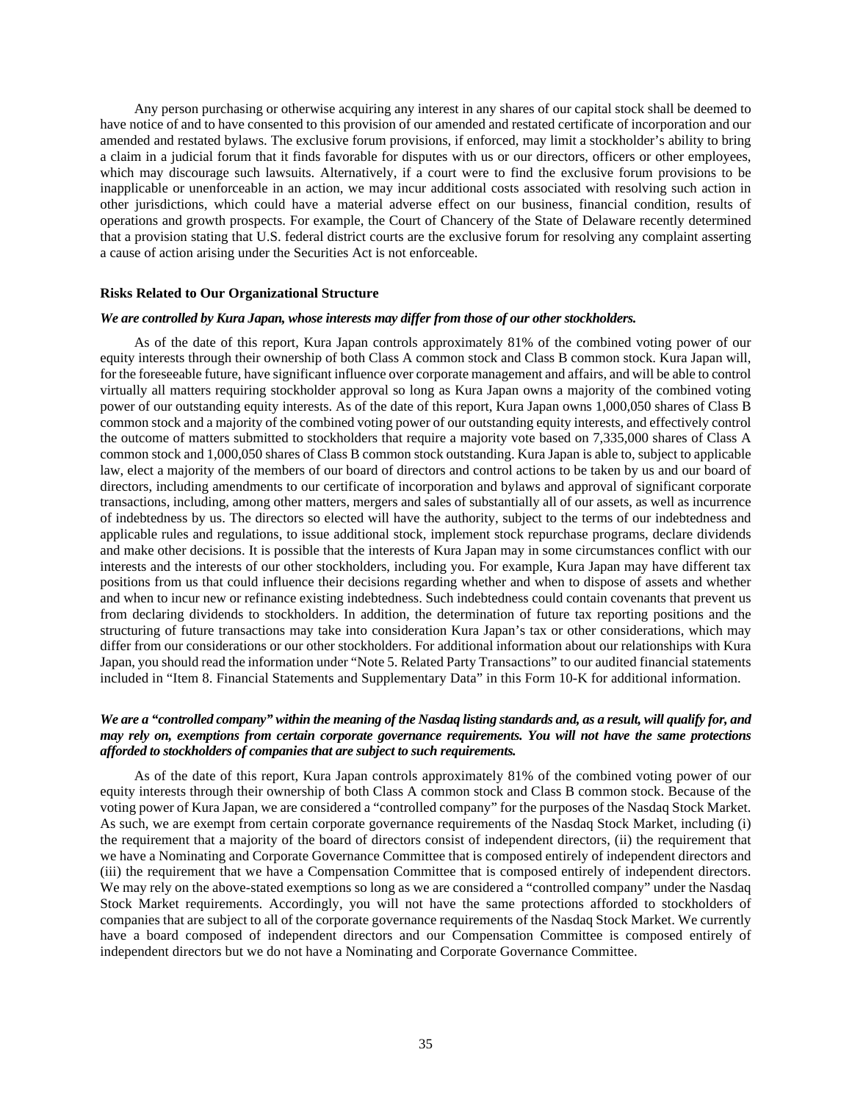Any person purchasing or otherwise acquiring any interest in any shares of our capital stock shall be deemed to have notice of and to have consented to this provision of our amended and restated certificate of incorporation and our amended and restated bylaws. The exclusive forum provisions, if enforced, may limit a stockholder's ability to bring a claim in a judicial forum that it finds favorable for disputes with us or our directors, officers or other employees, which may discourage such lawsuits. Alternatively, if a court were to find the exclusive forum provisions to be inapplicable or unenforceable in an action, we may incur additional costs associated with resolving such action in other jurisdictions, which could have a material adverse effect on our business, financial condition, results of operations and growth prospects. For example, the Court of Chancery of the State of Delaware recently determined that a provision stating that U.S. federal district courts are the exclusive forum for resolving any complaint asserting a cause of action arising under the Securities Act is not enforceable.

#### **Risks Related to Our Organizational Structure**

## *We are controlled by Kura Japan, whose interests may differ from those of our other stockholders.*

As of the date of this report, Kura Japan controls approximately 81% of the combined voting power of our equity interests through their ownership of both Class A common stock and Class B common stock. Kura Japan will, for the foreseeable future, have significant influence over corporate management and affairs, and will be able to control virtually all matters requiring stockholder approval so long as Kura Japan owns a majority of the combined voting power of our outstanding equity interests. As of the date of this report, Kura Japan owns 1,000,050 shares of Class B common stock and a majority of the combined voting power of our outstanding equity interests, and effectively control the outcome of matters submitted to stockholders that require a majority vote based on 7,335,000 shares of Class A common stock and 1,000,050 shares of Class B common stock outstanding. Kura Japan is able to, subject to applicable law, elect a majority of the members of our board of directors and control actions to be taken by us and our board of directors, including amendments to our certificate of incorporation and bylaws and approval of significant corporate transactions, including, among other matters, mergers and sales of substantially all of our assets, as well as incurrence of indebtedness by us. The directors so elected will have the authority, subject to the terms of our indebtedness and applicable rules and regulations, to issue additional stock, implement stock repurchase programs, declare dividends and make other decisions. It is possible that the interests of Kura Japan may in some circumstances conflict with our interests and the interests of our other stockholders, including you. For example, Kura Japan may have different tax positions from us that could influence their decisions regarding whether and when to dispose of assets and whether and when to incur new or refinance existing indebtedness. Such indebtedness could contain covenants that prevent us from declaring dividends to stockholders. In addition, the determination of future tax reporting positions and the structuring of future transactions may take into consideration Kura Japan's tax or other considerations, which may differ from our considerations or our other stockholders. For additional information about our relationships with Kura Japan, you should read the information under "Note 5. Related Party Transactions" to our audited financial statements included in "Item 8. Financial Statements and Supplementary Data" in this Form 10-K for additional information.

## *We are a "controlled company" within the meaning of the Nasdaq listing standards and, as a result, will qualify for, and may rely on, exemptions from certain corporate governance requirements. You will not have the same protections afforded to stockholders of companies that are subject to such requirements.*

As of the date of this report, Kura Japan controls approximately 81% of the combined voting power of our equity interests through their ownership of both Class A common stock and Class B common stock. Because of the voting power of Kura Japan, we are considered a "controlled company" for the purposes of the Nasdaq Stock Market. As such, we are exempt from certain corporate governance requirements of the Nasdaq Stock Market, including (i) the requirement that a majority of the board of directors consist of independent directors, (ii) the requirement that we have a Nominating and Corporate Governance Committee that is composed entirely of independent directors and (iii) the requirement that we have a Compensation Committee that is composed entirely of independent directors. We may rely on the above-stated exemptions so long as we are considered a "controlled company" under the Nasdaq Stock Market requirements. Accordingly, you will not have the same protections afforded to stockholders of companies that are subject to all of the corporate governance requirements of the Nasdaq Stock Market. We currently have a board composed of independent directors and our Compensation Committee is composed entirely of independent directors but we do not have a Nominating and Corporate Governance Committee.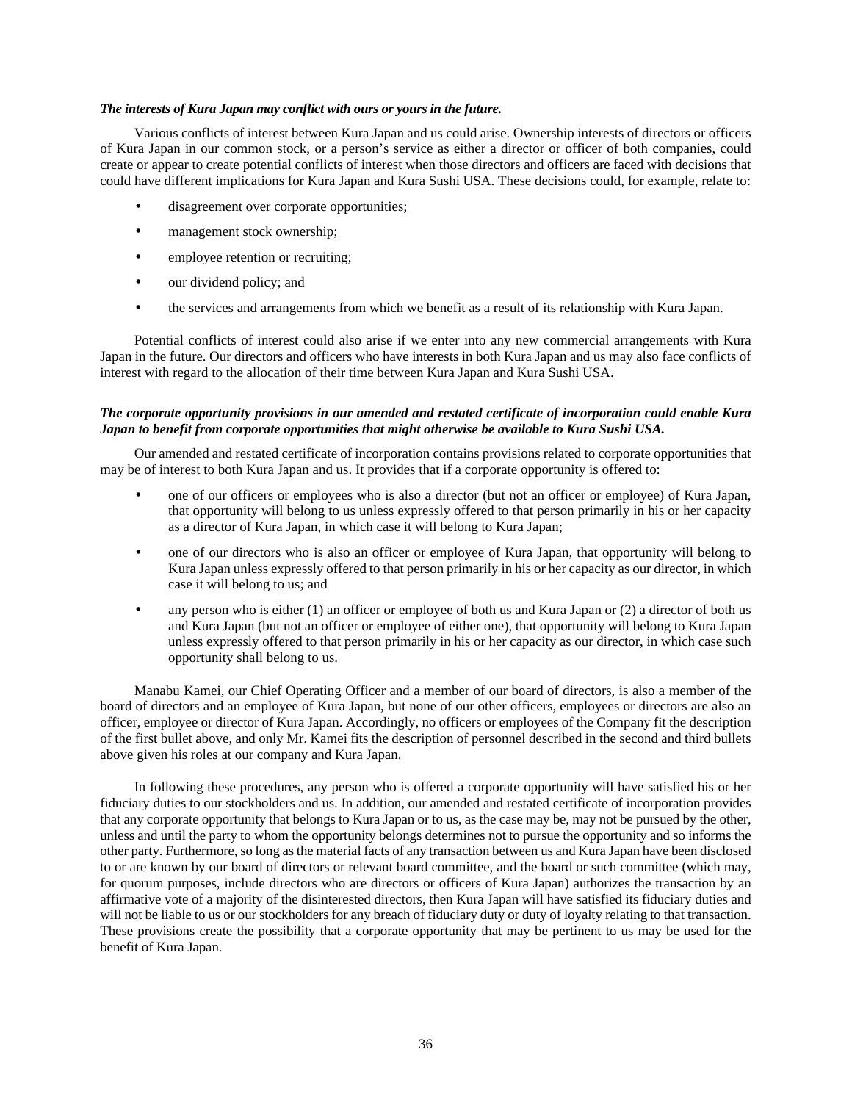#### *The interests of Kura Japan may conflict with ours or yours in the future.*

Various conflicts of interest between Kura Japan and us could arise. Ownership interests of directors or officers of Kura Japan in our common stock, or a person's service as either a director or officer of both companies, could create or appear to create potential conflicts of interest when those directors and officers are faced with decisions that could have different implications for Kura Japan and Kura Sushi USA. These decisions could, for example, relate to:

- disagreement over corporate opportunities;
- management stock ownership;
- employee retention or recruiting;
- our dividend policy; and
- the services and arrangements from which we benefit as a result of its relationship with Kura Japan.

Potential conflicts of interest could also arise if we enter into any new commercial arrangements with Kura Japan in the future. Our directors and officers who have interests in both Kura Japan and us may also face conflicts of interest with regard to the allocation of their time between Kura Japan and Kura Sushi USA.

#### *The corporate opportunity provisions in our amended and restated certificate of incorporation could enable Kura Japan to benefit from corporate opportunities that might otherwise be available to Kura Sushi USA.*

Our amended and restated certificate of incorporation contains provisions related to corporate opportunities that may be of interest to both Kura Japan and us. It provides that if a corporate opportunity is offered to:

- one of our officers or employees who is also a director (but not an officer or employee) of Kura Japan, that opportunity will belong to us unless expressly offered to that person primarily in his or her capacity as a director of Kura Japan, in which case it will belong to Kura Japan;
- one of our directors who is also an officer or employee of Kura Japan, that opportunity will belong to Kura Japan unless expressly offered to that person primarily in his or her capacity as our director, in which case it will belong to us; and
- any person who is either (1) an officer or employee of both us and Kura Japan or (2) a director of both us and Kura Japan (but not an officer or employee of either one), that opportunity will belong to Kura Japan unless expressly offered to that person primarily in his or her capacity as our director, in which case such opportunity shall belong to us.

Manabu Kamei, our Chief Operating Officer and a member of our board of directors, is also a member of the board of directors and an employee of Kura Japan, but none of our other officers, employees or directors are also an officer, employee or director of Kura Japan. Accordingly, no officers or employees of the Company fit the description of the first bullet above, and only Mr. Kamei fits the description of personnel described in the second and third bullets above given his roles at our company and Kura Japan.

In following these procedures, any person who is offered a corporate opportunity will have satisfied his or her fiduciary duties to our stockholders and us. In addition, our amended and restated certificate of incorporation provides that any corporate opportunity that belongs to Kura Japan or to us, as the case may be, may not be pursued by the other, unless and until the party to whom the opportunity belongs determines not to pursue the opportunity and so informs the other party. Furthermore, so long as the material facts of any transaction between us and Kura Japan have been disclosed to or are known by our board of directors or relevant board committee, and the board or such committee (which may, for quorum purposes, include directors who are directors or officers of Kura Japan) authorizes the transaction by an affirmative vote of a majority of the disinterested directors, then Kura Japan will have satisfied its fiduciary duties and will not be liable to us or our stockholders for any breach of fiduciary duty or duty of loyalty relating to that transaction. These provisions create the possibility that a corporate opportunity that may be pertinent to us may be used for the benefit of Kura Japan.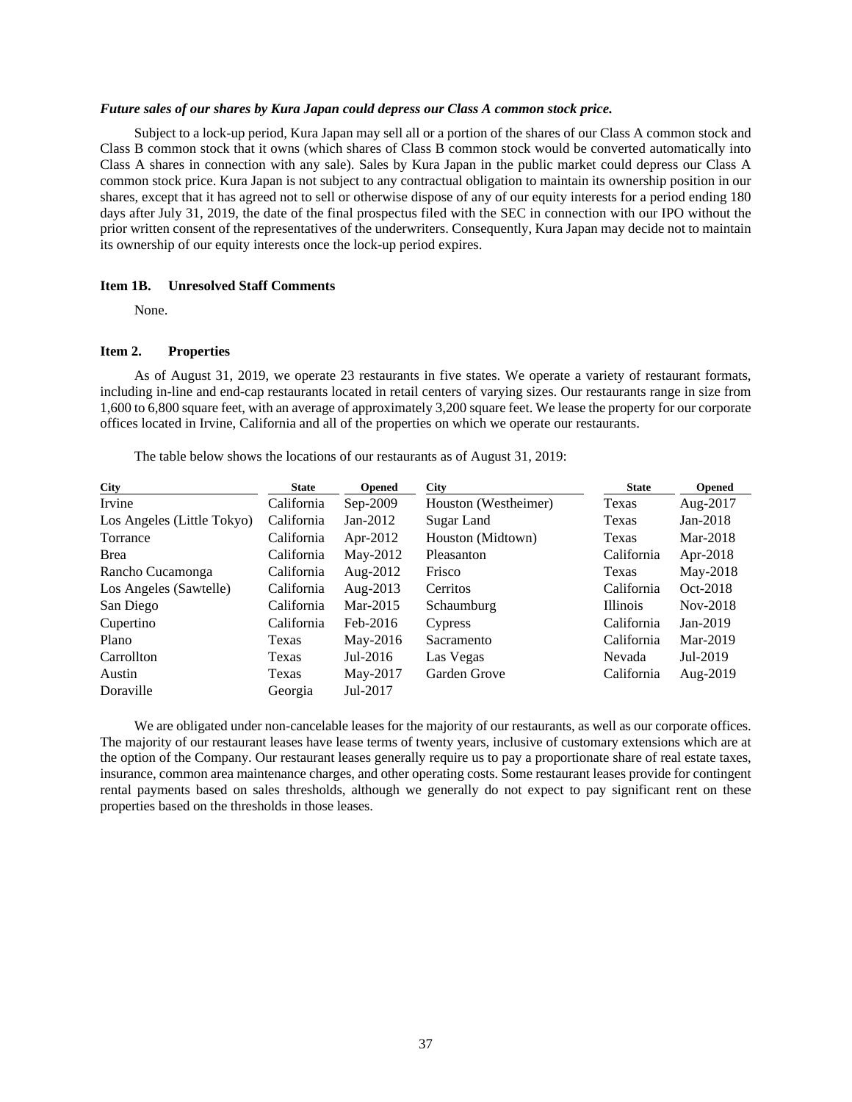# *Future sales of our shares by Kura Japan could depress our Class A common stock price.*

Subject to a lock-up period, Kura Japan may sell all or a portion of the shares of our Class A common stock and Class B common stock that it owns (which shares of Class B common stock would be converted automatically into Class A shares in connection with any sale). Sales by Kura Japan in the public market could depress our Class A common stock price. Kura Japan is not subject to any contractual obligation to maintain its ownership position in our shares, except that it has agreed not to sell or otherwise dispose of any of our equity interests for a period ending 180 days after July 31, 2019, the date of the final prospectus filed with the SEC in connection with our IPO without the prior written consent of the representatives of the underwriters. Consequently, Kura Japan may decide not to maintain its ownership of our equity interests once the lock-up period expires.

# **Item 1B. Unresolved Staff Comments**

None.

# **Item 2. Properties**

As of August 31, 2019, we operate 23 restaurants in five states. We operate a variety of restaurant formats, including in-line and end-cap restaurants located in retail centers of varying sizes. Our restaurants range in size from 1,600 to 6,800 square feet, with an average of approximately 3,200 square feet. We lease the property for our corporate offices located in Irvine, California and all of the properties on which we operate our restaurants.

The table below shows the locations of our restaurants as of August 31, 2019:

| <b>City</b>                | <b>State</b> | <b>Opened</b> | <b>City</b>          | <b>State</b>    | <b>Opened</b> |
|----------------------------|--------------|---------------|----------------------|-----------------|---------------|
| Irvine                     | California   | Sep-2009      | Houston (Westheimer) | Texas           | Aug-2017      |
| Los Angeles (Little Tokyo) | California   | $Jan-2012$    | Sugar Land           | Texas           | $Jan-2018$    |
| Torrance                   | California   | Apr-2012      | Houston (Midtown)    | Texas           | Mar-2018      |
| <b>Brea</b>                | California   | May-2012      | Pleasanton           | California      | Apr-2018      |
| Rancho Cucamonga           | California   | Aug-2012      | Frisco               | Texas           | May-2018      |
| Los Angeles (Sawtelle)     | California   | Aug-2013      | Cerritos             | California      | Oct-2018      |
| San Diego                  | California   | Mar-2015      | Schaumburg           | <b>Illinois</b> | Nov-2018      |
| Cupertino                  | California   | Feb-2016      | <b>Cypress</b>       | California      | $Jan-2019$    |
| Plano                      | Texas        | May-2016      | Sacramento           | California      | Mar-2019      |
| Carrollton                 | Texas        | Jul-2016      | Las Vegas            | Nevada          | Jul-2019      |
| Austin                     | Texas        | May-2017      | Garden Grove         | California      | Aug-2019      |
| Doraville                  | Georgia      | Jul-2017      |                      |                 |               |

We are obligated under non-cancelable leases for the majority of our restaurants, as well as our corporate offices. The majority of our restaurant leases have lease terms of twenty years, inclusive of customary extensions which are at the option of the Company. Our restaurant leases generally require us to pay a proportionate share of real estate taxes, insurance, common area maintenance charges, and other operating costs. Some restaurant leases provide for contingent rental payments based on sales thresholds, although we generally do not expect to pay significant rent on these properties based on the thresholds in those leases.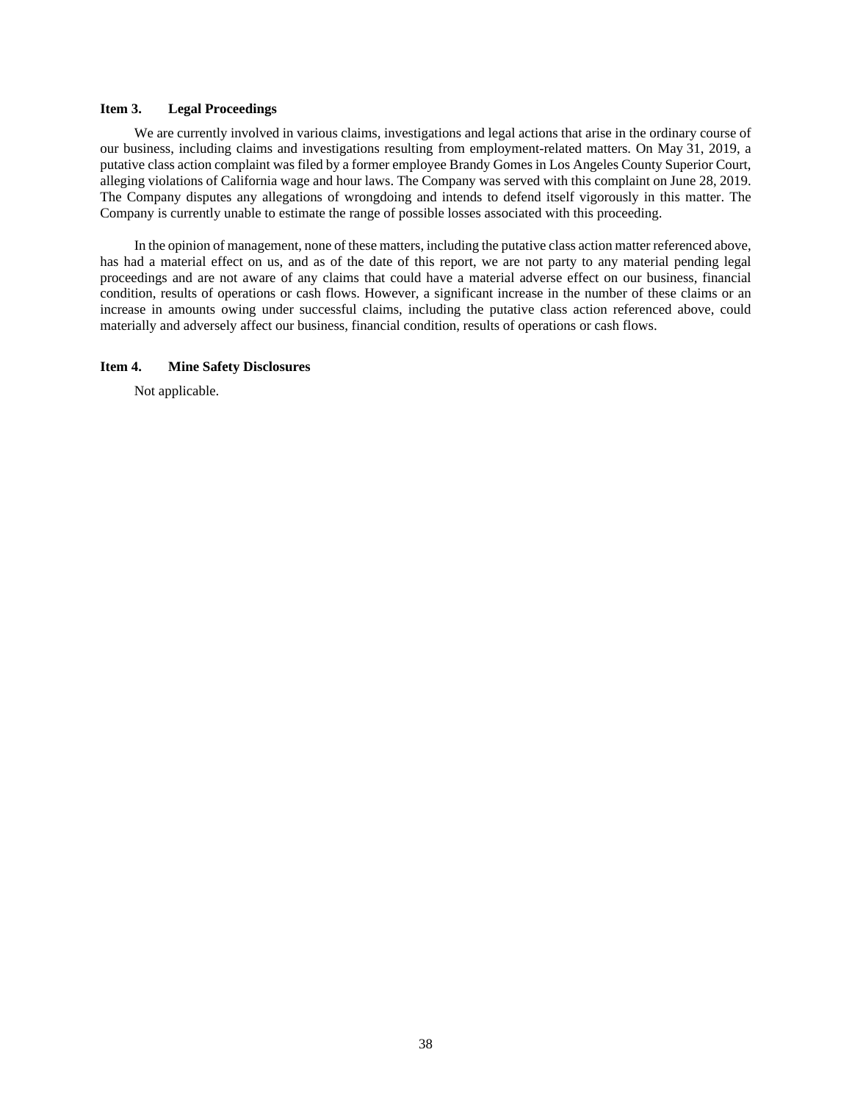# **Item 3. Legal Proceedings**

We are currently involved in various claims, investigations and legal actions that arise in the ordinary course of our business, including claims and investigations resulting from employment-related matters. On May 31, 2019, a putative class action complaint was filed by a former employee Brandy Gomes in Los Angeles County Superior Court, alleging violations of California wage and hour laws. The Company was served with this complaint on June 28, 2019. The Company disputes any allegations of wrongdoing and intends to defend itself vigorously in this matter. The Company is currently unable to estimate the range of possible losses associated with this proceeding.

In the opinion of management, none of these matters, including the putative class action matter referenced above, has had a material effect on us, and as of the date of this report, we are not party to any material pending legal proceedings and are not aware of any claims that could have a material adverse effect on our business, financial condition, results of operations or cash flows. However, a significant increase in the number of these claims or an increase in amounts owing under successful claims, including the putative class action referenced above, could materially and adversely affect our business, financial condition, results of operations or cash flows.

# **Item 4. Mine Safety Disclosures**

Not applicable.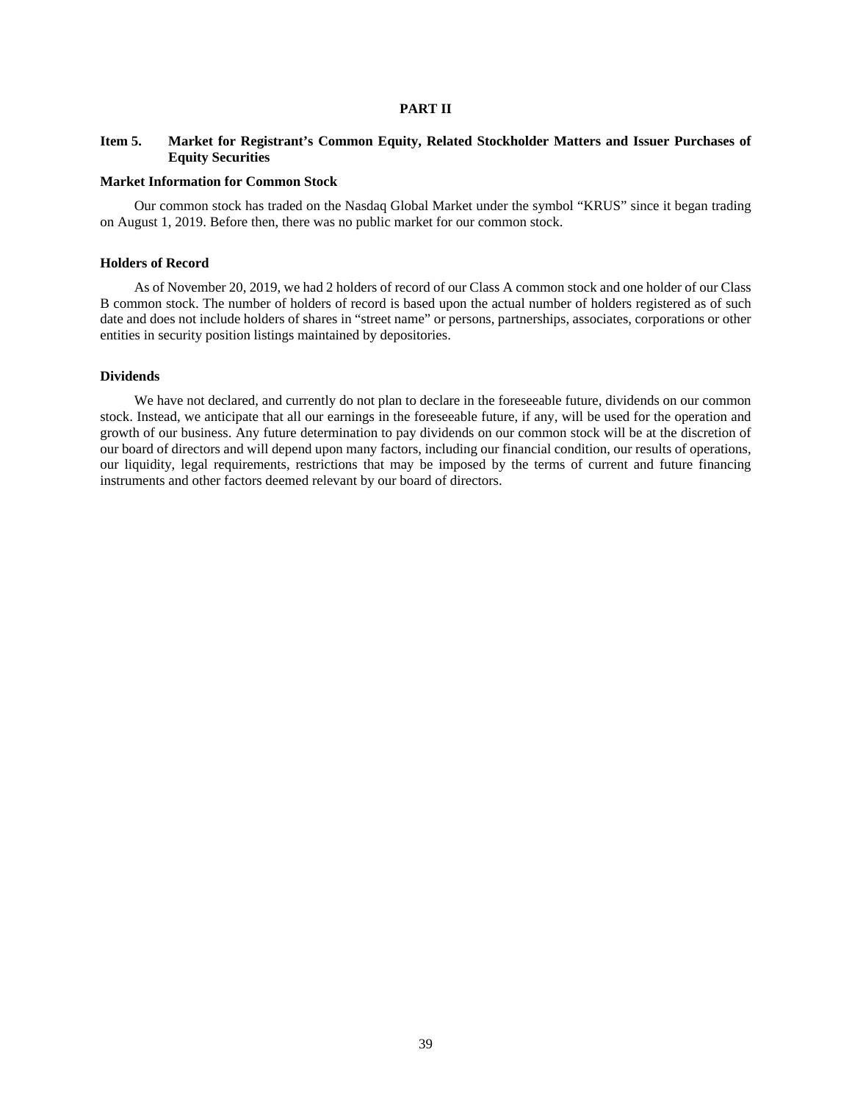# **PART II**

# **Item 5. Market for Registrant's Common Equity, Related Stockholder Matters and Issuer Purchases of Equity Securities**

## **Market Information for Common Stock**

Our common stock has traded on the Nasdaq Global Market under the symbol "KRUS" since it began trading on August 1, 2019. Before then, there was no public market for our common stock.

# **Holders of Record**

As of November 20, 2019, we had 2 holders of record of our Class A common stock and one holder of our Class B common stock. The number of holders of record is based upon the actual number of holders registered as of such date and does not include holders of shares in "street name" or persons, partnerships, associates, corporations or other entities in security position listings maintained by depositories.

# **Dividends**

We have not declared, and currently do not plan to declare in the foreseeable future, dividends on our common stock. Instead, we anticipate that all our earnings in the foreseeable future, if any, will be used for the operation and growth of our business. Any future determination to pay dividends on our common stock will be at the discretion of our board of directors and will depend upon many factors, including our financial condition, our results of operations, our liquidity, legal requirements, restrictions that may be imposed by the terms of current and future financing instruments and other factors deemed relevant by our board of directors.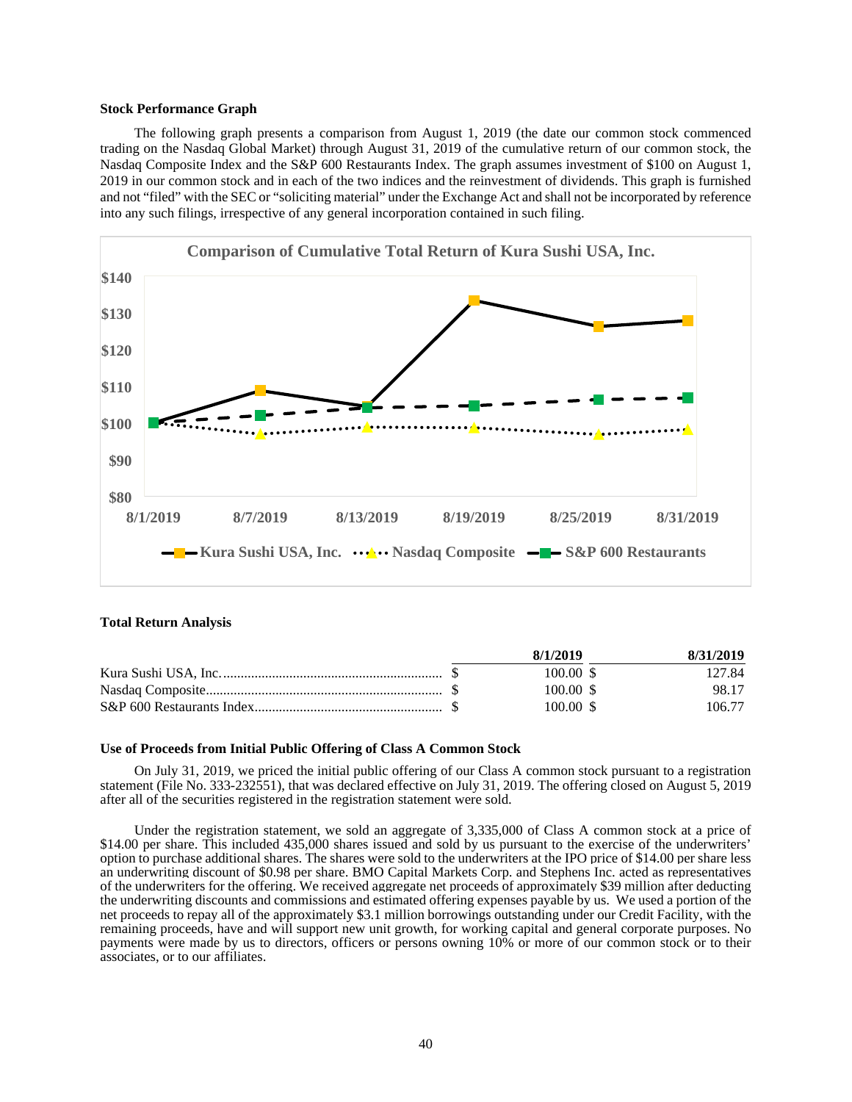## **Stock Performance Graph**

The following graph presents a comparison from August 1, 2019 (the date our common stock commenced trading on the Nasdaq Global Market) through August 31, 2019 of the cumulative return of our common stock, the Nasdaq Composite Index and the S&P 600 Restaurants Index. The graph assumes investment of \$100 on August 1, 2019 in our common stock and in each of the two indices and the reinvestment of dividends. This graph is furnished and not "filed" with the SEC or "soliciting material" under the Exchange Act and shall not be incorporated by reference into any such filings, irrespective of any general incorporation contained in such filing.



# **Total Return Analysis**

|  | 8/1/2019           | 8/31/2019 |
|--|--------------------|-----------|
|  | $100.00 \text{ S}$ | 127.84    |
|  | $100.00 \text{ S}$ | 98.17     |
|  | $100.00 \text{ S}$ | 106.77    |

## **Use of Proceeds from Initial Public Offering of Class A Common Stock**

On July 31, 2019, we priced the initial public offering of our Class A common stock pursuant to a registration statement (File No. 333-232551), that was declared effective on July 31, 2019. The offering closed on August 5, 2019 after all of the securities registered in the registration statement were sold.

Under the registration statement, we sold an aggregate of 3,335,000 of Class A common stock at a price of \$14.00 per share. This included 435,000 shares issued and sold by us pursuant to the exercise of the underwriters' option to purchase additional shares. The shares were sold to the underwriters at the IPO price of \$14.00 per share less an underwriting discount of \$0.98 per share. BMO Capital Markets Corp. and Stephens Inc. acted as representatives of the underwriters for the offering. We received aggregate net proceeds of approximately \$39 million after deducting the underwriting discounts and commissions and estimated offering expenses payable by us. We used a portion of the net proceeds to repay all of the approximately \$3.1 million borrowings outstanding under our Credit Facility, with the remaining proceeds, have and will support new unit growth, for working capital and general corporate purposes. No payments were made by us to directors, officers or persons owning 10% or more of our common stock or to their associates, or to our affiliates.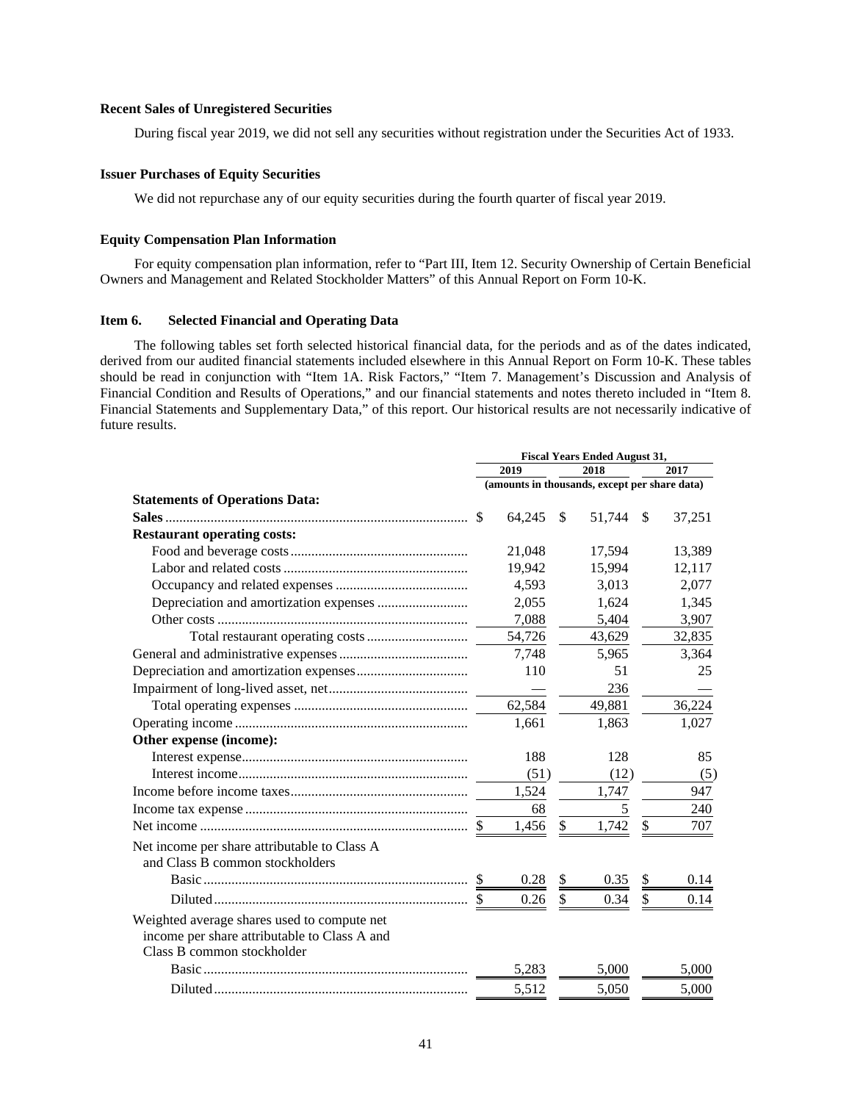# **Recent Sales of Unregistered Securities**

During fiscal year 2019, we did not sell any securities without registration under the Securities Act of 1933.

## **Issuer Purchases of Equity Securities**

We did not repurchase any of our equity securities during the fourth quarter of fiscal year 2019.

# **Equity Compensation Plan Information**

For equity compensation plan information, refer to "Part III, Item 12. Security Ownership of Certain Beneficial Owners and Management and Related Stockholder Matters" of this Annual Report on Form 10-K.

# **Item 6. Selected Financial and Operating Data**

The following tables set forth selected historical financial data, for the periods and as of the dates indicated, derived from our audited financial statements included elsewhere in this Annual Report on Form 10-K. These tables should be read in conjunction with "Item 1A. Risk Factors," "Item 7. Management's Discussion and Analysis of Financial Condition and Results of Operations," and our financial statements and notes thereto included in "Item 8. Financial Statements and Supplementary Data," of this report. Our historical results are not necessarily indicative of future results.

|                                              | <b>Fiscal Years Ended August 31,</b> |                                               |    |        |    |        |
|----------------------------------------------|--------------------------------------|-----------------------------------------------|----|--------|----|--------|
|                                              |                                      | 2019                                          |    | 2018   |    | 2017   |
|                                              |                                      | (amounts in thousands, except per share data) |    |        |    |        |
| <b>Statements of Operations Data:</b>        |                                      |                                               |    |        |    |        |
|                                              |                                      | 64,245                                        | S  | 51,744 | \$ | 37,251 |
| <b>Restaurant operating costs:</b>           |                                      |                                               |    |        |    |        |
|                                              |                                      | 21,048                                        |    | 17,594 |    | 13,389 |
|                                              |                                      | 19,942                                        |    | 15,994 |    | 12,117 |
|                                              |                                      | 4,593                                         |    | 3,013  |    | 2,077  |
|                                              |                                      | 2,055                                         |    | 1,624  |    | 1,345  |
|                                              |                                      | 7,088                                         |    | 5,404  |    | 3,907  |
|                                              |                                      | 54,726                                        |    | 43,629 |    | 32,835 |
|                                              |                                      | 7,748                                         |    | 5,965  |    | 3,364  |
|                                              |                                      | 110                                           |    | 51     |    | 25     |
|                                              |                                      |                                               |    | 236    |    |        |
|                                              |                                      | 62,584                                        |    | 49,881 |    | 36,224 |
|                                              |                                      | 1,661                                         |    | 1,863  |    | 1,027  |
| Other expense (income):                      |                                      |                                               |    |        |    |        |
|                                              |                                      | 188                                           |    | 128    |    | 85     |
|                                              |                                      | (51)                                          |    | (12)   |    | (5)    |
|                                              |                                      | 1,524                                         |    | 1,747  |    | 947    |
|                                              |                                      | 68                                            |    | 5      |    | 240    |
|                                              | \$                                   | 1,456                                         | \$ | 1,742  | \$ | 707    |
| Net income per share attributable to Class A |                                      |                                               |    |        |    |        |
| and Class B common stockholders              |                                      |                                               |    |        |    |        |
|                                              |                                      | 0.28                                          | \$ | 0.35   | \$ | 0.14   |
|                                              |                                      | 0.26                                          | \$ | 0.34   | \$ | 0.14   |
| Weighted average shares used to compute net  |                                      |                                               |    |        |    |        |
| income per share attributable to Class A and |                                      |                                               |    |        |    |        |
| Class B common stockholder                   |                                      |                                               |    |        |    |        |
|                                              |                                      | 5,283                                         |    | 5,000  |    | 5,000  |
|                                              |                                      | 5,512                                         |    | 5,050  |    | 5,000  |
|                                              |                                      |                                               |    |        |    |        |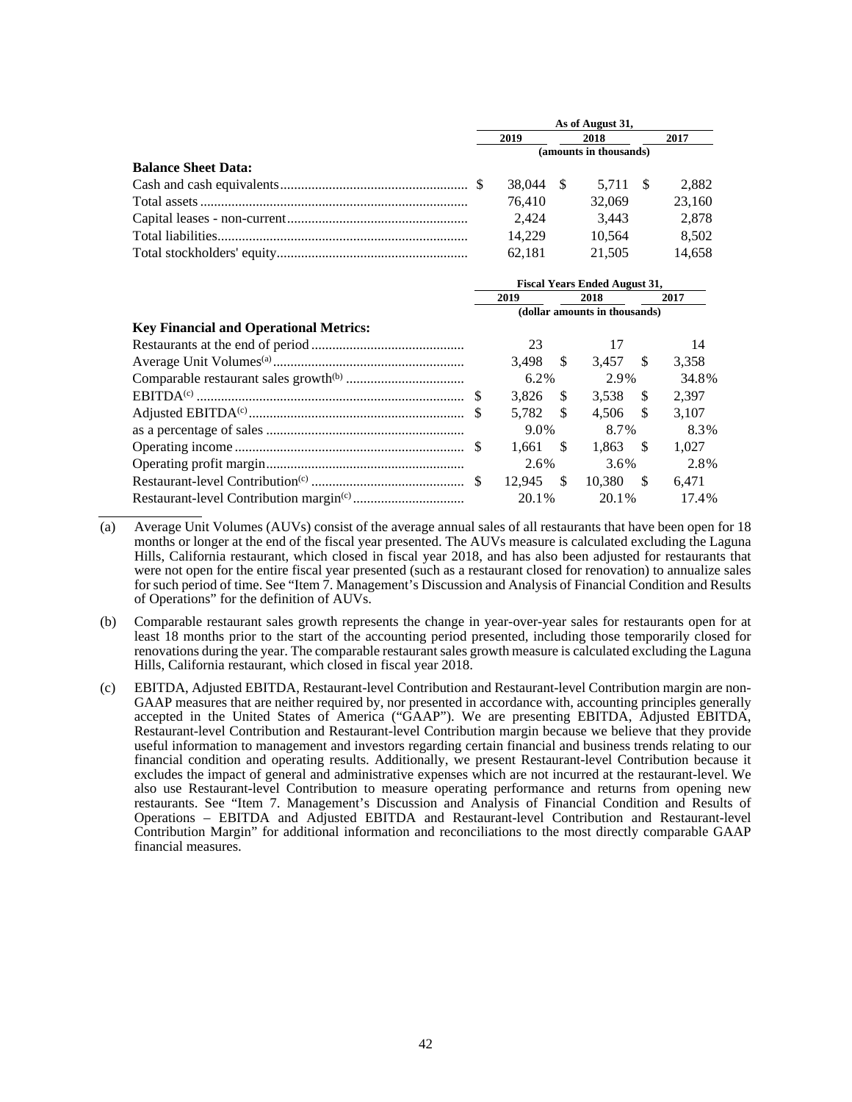|                            | As of August 31, |           |      |                        |  |        |
|----------------------------|------------------|-----------|------|------------------------|--|--------|
|                            |                  | 2019      | 2018 |                        |  | 2017   |
|                            |                  |           |      | (amounts in thousands) |  |        |
| <b>Balance Sheet Data:</b> |                  |           |      |                        |  |        |
|                            |                  | 38,044 \$ |      | 5.711 \$               |  | 2.882  |
|                            |                  | 76.410    |      | 32.069                 |  | 23,160 |
|                            |                  | 2.424     |      | 3.443                  |  | 2.878  |
|                            |                  | 14.229    |      | 10.564                 |  | 8.502  |
|                            |                  | 62.181    |      | 21.505                 |  | 14,658 |

|                                               | <b>Fiscal Years Ended August 31,</b> |          |               |                               |  |       |  |
|-----------------------------------------------|--------------------------------------|----------|---------------|-------------------------------|--|-------|--|
|                                               |                                      | 2019     |               | 2018                          |  | 2017  |  |
|                                               |                                      |          |               | (dollar amounts in thousands) |  |       |  |
| <b>Key Financial and Operational Metrics:</b> |                                      |          |               |                               |  |       |  |
|                                               |                                      | 23       |               | 17                            |  | 14    |  |
|                                               |                                      | 3.498    | - \$          | 3.457 S                       |  | 3.358 |  |
|                                               |                                      | $6.2\%$  |               | 2.9%                          |  | 34.8% |  |
|                                               |                                      | 3.826    | - \$          |                               |  | 2.397 |  |
|                                               |                                      | 5.782 \$ |               | $4.506$ \$                    |  | 3.107 |  |
|                                               |                                      | 9.0%     |               | 8.7%                          |  | 8.3%  |  |
|                                               |                                      | 1.661    | - \$          | $1.863 \quad$ \$              |  | 1.027 |  |
|                                               |                                      | 2.6%     |               | 3.6%                          |  | 2.8%  |  |
|                                               |                                      | 12.945   | <sup>\$</sup> | 10.380 S                      |  | 6.471 |  |
|                                               |                                      | 20.1%    |               | 20.1%                         |  | 17.4% |  |

(a) Average Unit Volumes (AUVs) consist of the average annual sales of all restaurants that have been open for 18 months or longer at the end of the fiscal year presented. The AUVs measure is calculated excluding the Laguna Hills, California restaurant, which closed in fiscal year 2018, and has also been adjusted for restaurants that were not open for the entire fiscal year presented (such as a restaurant closed for renovation) to annualize sales for such period of time. See "Item 7. Management's Discussion and Analysis of Financial Condition and Results of Operations" for the definition of AUVs.

- (b) Comparable restaurant sales growth represents the change in year-over-year sales for restaurants open for at least 18 months prior to the start of the accounting period presented, including those temporarily closed for renovations during the year. The comparable restaurant sales growth measure is calculated excluding the Laguna Hills, California restaurant, which closed in fiscal year 2018.
- (c) EBITDA, Adjusted EBITDA, Restaurant-level Contribution and Restaurant-level Contribution margin are non-GAAP measures that are neither required by, nor presented in accordance with, accounting principles generally accepted in the United States of America ("GAAP"). We are presenting EBITDA, Adjusted EBITDA, Restaurant-level Contribution and Restaurant-level Contribution margin because we believe that they provide useful information to management and investors regarding certain financial and business trends relating to our financial condition and operating results. Additionally, we present Restaurant-level Contribution because it excludes the impact of general and administrative expenses which are not incurred at the restaurant-level. We also use Restaurant-level Contribution to measure operating performance and returns from opening new restaurants. See "Item 7. Management's Discussion and Analysis of Financial Condition and Results of Operations – EBITDA and Adjusted EBITDA and Restaurant-level Contribution and Restaurant-level Contribution Margin" for additional information and reconciliations to the most directly comparable GAAP financial measures.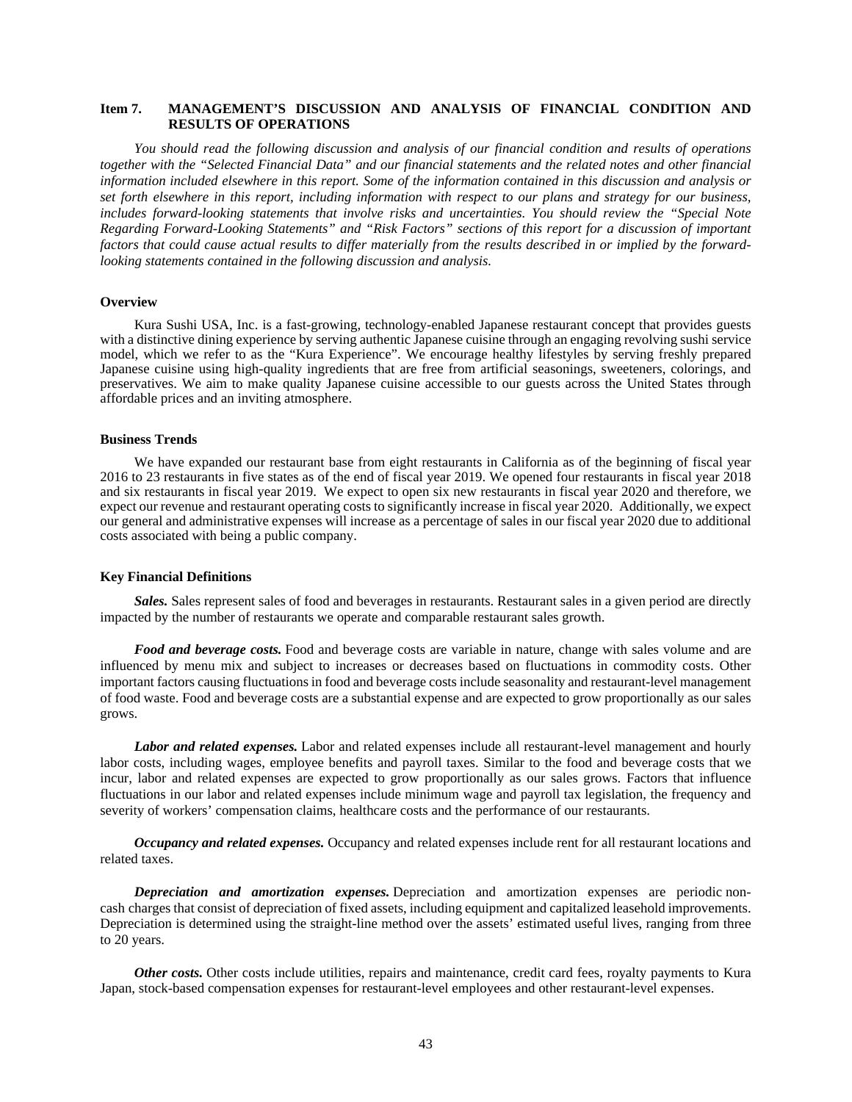# **Item 7. MANAGEMENT'S DISCUSSION AND ANALYSIS OF FINANCIAL CONDITION AND RESULTS OF OPERATIONS**

*You should read the following discussion and analysis of our financial condition and results of operations together with the "Selected Financial Data" and our financial statements and the related notes and other financial information included elsewhere in this report. Some of the information contained in this discussion and analysis or set forth elsewhere in this report, including information with respect to our plans and strategy for our business, includes forward-looking statements that involve risks and uncertainties. You should review the "Special Note Regarding Forward-Looking Statements" and "Risk Factors" sections of this report for a discussion of important factors that could cause actual results to differ materially from the results described in or implied by the forwardlooking statements contained in the following discussion and analysis.*

# **Overview**

Kura Sushi USA, Inc. is a fast-growing, technology-enabled Japanese restaurant concept that provides guests with a distinctive dining experience by serving authentic Japanese cuisine through an engaging revolving sushi service model, which we refer to as the "Kura Experience". We encourage healthy lifestyles by serving freshly prepared Japanese cuisine using high-quality ingredients that are free from artificial seasonings, sweeteners, colorings, and preservatives. We aim to make quality Japanese cuisine accessible to our guests across the United States through affordable prices and an inviting atmosphere.

# **Business Trends**

We have expanded our restaurant base from eight restaurants in California as of the beginning of fiscal year 2016 to 23 restaurants in five states as of the end of fiscal year 2019. We opened four restaurants in fiscal year 2018 and six restaurants in fiscal year 2019. We expect to open six new restaurants in fiscal year 2020 and therefore, we expect our revenue and restaurant operating costs to significantly increase in fiscal year 2020. Additionally, we expect our general and administrative expenses will increase as a percentage of sales in our fiscal year 2020 due to additional costs associated with being a public company.

#### **Key Financial Definitions**

*Sales.* Sales represent sales of food and beverages in restaurants. Restaurant sales in a given period are directly impacted by the number of restaurants we operate and comparable restaurant sales growth.

*Food and beverage costs.* Food and beverage costs are variable in nature, change with sales volume and are influenced by menu mix and subject to increases or decreases based on fluctuations in commodity costs. Other important factors causing fluctuations in food and beverage costs include seasonality and restaurant-level management of food waste. Food and beverage costs are a substantial expense and are expected to grow proportionally as our sales grows.

*Labor and related expenses.* Labor and related expenses include all restaurant-level management and hourly labor costs, including wages, employee benefits and payroll taxes. Similar to the food and beverage costs that we incur, labor and related expenses are expected to grow proportionally as our sales grows. Factors that influence fluctuations in our labor and related expenses include minimum wage and payroll tax legislation, the frequency and severity of workers' compensation claims, healthcare costs and the performance of our restaurants.

*Occupancy and related expenses.* Occupancy and related expenses include rent for all restaurant locations and related taxes.

*Depreciation and amortization expenses.* Depreciation and amortization expenses are periodic noncash charges that consist of depreciation of fixed assets, including equipment and capitalized leasehold improvements. Depreciation is determined using the straight-line method over the assets' estimated useful lives, ranging from three to 20 years.

*Other costs.* Other costs include utilities, repairs and maintenance, credit card fees, royalty payments to Kura Japan, stock-based compensation expenses for restaurant-level employees and other restaurant-level expenses.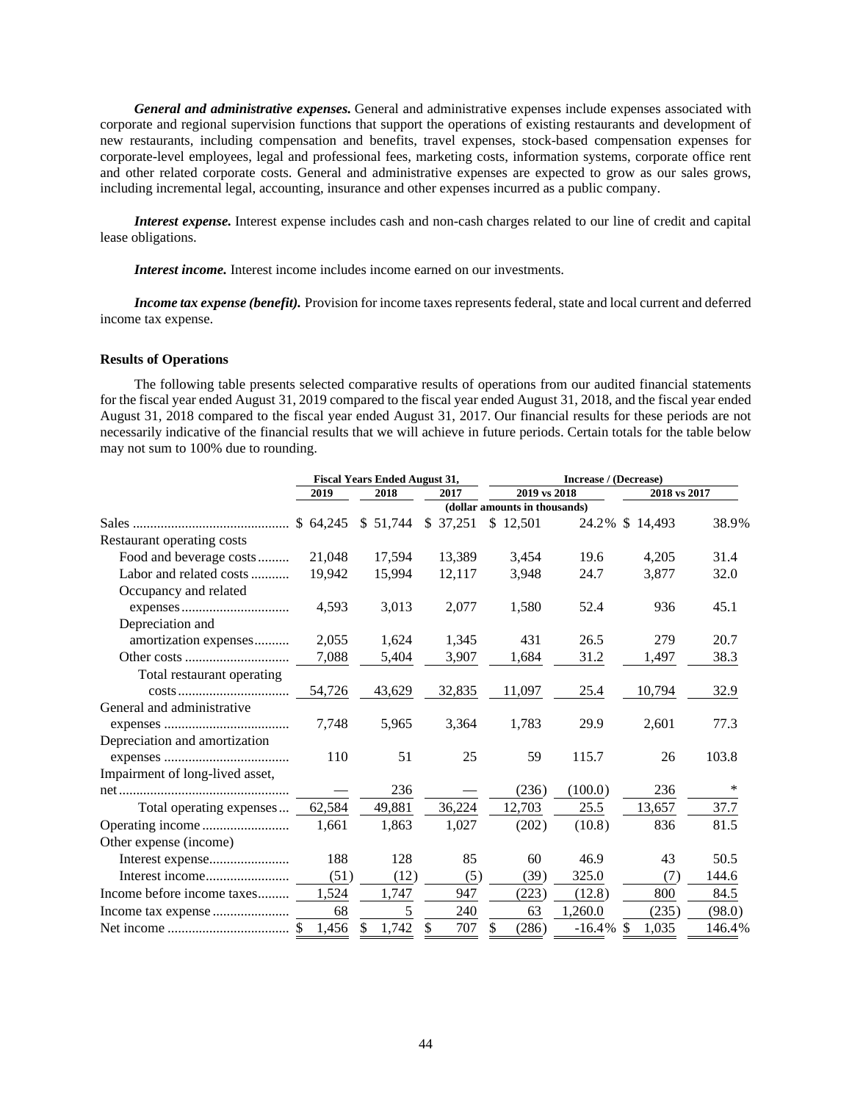*General and administrative expenses.* General and administrative expenses include expenses associated with corporate and regional supervision functions that support the operations of existing restaurants and development of new restaurants, including compensation and benefits, travel expenses, stock-based compensation expenses for corporate-level employees, legal and professional fees, marketing costs, information systems, corporate office rent and other related corporate costs. General and administrative expenses are expected to grow as our sales grows, including incremental legal, accounting, insurance and other expenses incurred as a public company.

*Interest expense*. Interest expense includes cash and non-cash charges related to our line of credit and capital lease obligations.

*Interest income.* Interest income includes income earned on our investments.

*Income tax expense (benefit).* Provision for income taxes represents federal, state and local current and deferred income tax expense.

# **Results of Operations**

The following table presents selected comparative results of operations from our audited financial statements for the fiscal year ended August 31, 2019 compared to the fiscal year ended August 31, 2018, and the fiscal year ended August 31, 2018 compared to the fiscal year ended August 31, 2017. Our financial results for these periods are not necessarily indicative of the financial results that we will achieve in future periods. Certain totals for the table below may not sum to 100% due to rounding.

|                                 |                       | <b>Fiscal Years Ended August 31,</b> |           | Increase / (Decrease)         |          |                |        |  |
|---------------------------------|-----------------------|--------------------------------------|-----------|-------------------------------|----------|----------------|--------|--|
|                                 | 2019                  | 2018                                 | 2017      | 2019 vs 2018                  |          | 2018 vs 2017   |        |  |
|                                 |                       |                                      |           | (dollar amounts in thousands) |          |                |        |  |
|                                 | \$64,245              | \$51,744                             | \$37,251  | \$12,501                      |          | 24.2% \$14,493 | 38.9%  |  |
| Restaurant operating costs      |                       |                                      |           |                               |          |                |        |  |
| Food and beverage costs         | 21,048                | 17,594                               | 13,389    | 3,454                         | 19.6     | 4,205          | 31.4   |  |
| Labor and related costs         | 19,942                | 15,994                               | 12,117    | 3,948                         | 24.7     | 3,877          | 32.0   |  |
| Occupancy and related           |                       |                                      |           |                               |          |                |        |  |
|                                 | 4,593                 | 3,013                                | 2,077     | 1,580                         | 52.4     | 936            | 45.1   |  |
| Depreciation and                |                       |                                      |           |                               |          |                |        |  |
| amortization expenses           | 2,055                 | 1,624                                | 1,345     | 431                           | 26.5     | 279            | 20.7   |  |
|                                 | 7,088                 | 5,404                                | 3,907     | 1,684                         | 31.2     | 1,497          | 38.3   |  |
| Total restaurant operating      |                       |                                      |           |                               |          |                |        |  |
|                                 | 54,726                | 43,629                               | 32,835    | 11,097                        | 25.4     | 10,794         | 32.9   |  |
| General and administrative      |                       |                                      |           |                               |          |                |        |  |
|                                 | 7,748                 | 5,965                                | 3,364     | 1,783                         | 29.9     | 2,601          | 77.3   |  |
| Depreciation and amortization   |                       |                                      |           |                               |          |                |        |  |
|                                 | 110                   | 51                                   | 25        | 59                            | 115.7    | 26             | 103.8  |  |
| Impairment of long-lived asset, |                       |                                      |           |                               |          |                |        |  |
|                                 |                       | 236                                  |           | (236)                         | (100.0)  | 236            | ∗      |  |
| Total operating expenses        | 62,584                | 49,881                               | 36,224    | 12,703                        | 25.5     | 13,657         | 37.7   |  |
|                                 | 1,661                 | 1,863                                | 1,027     | (202)                         | (10.8)   | 836            | 81.5   |  |
| Other expense (income)          |                       |                                      |           |                               |          |                |        |  |
|                                 | 188                   | 128                                  | 85        | 60                            | 46.9     | 43             | 50.5   |  |
|                                 | (51)                  | (12)                                 | (5)       | (39)                          | 325.0    | (7)            | 144.6  |  |
| Income before income taxes      | 1,524                 | 1,747                                | 947       | (223)                         | (12.8)   | 800            | 84.5   |  |
|                                 | 68                    | 5                                    | 240       | 63                            | 1,260.0  | (235)          | (98.0) |  |
|                                 | 1,456<br>$\mathbb{S}$ | 1,742<br>\$                          | 707<br>\$ | \$<br>(286)                   | $-16.4%$ | 1,035<br>\$    | 146.4% |  |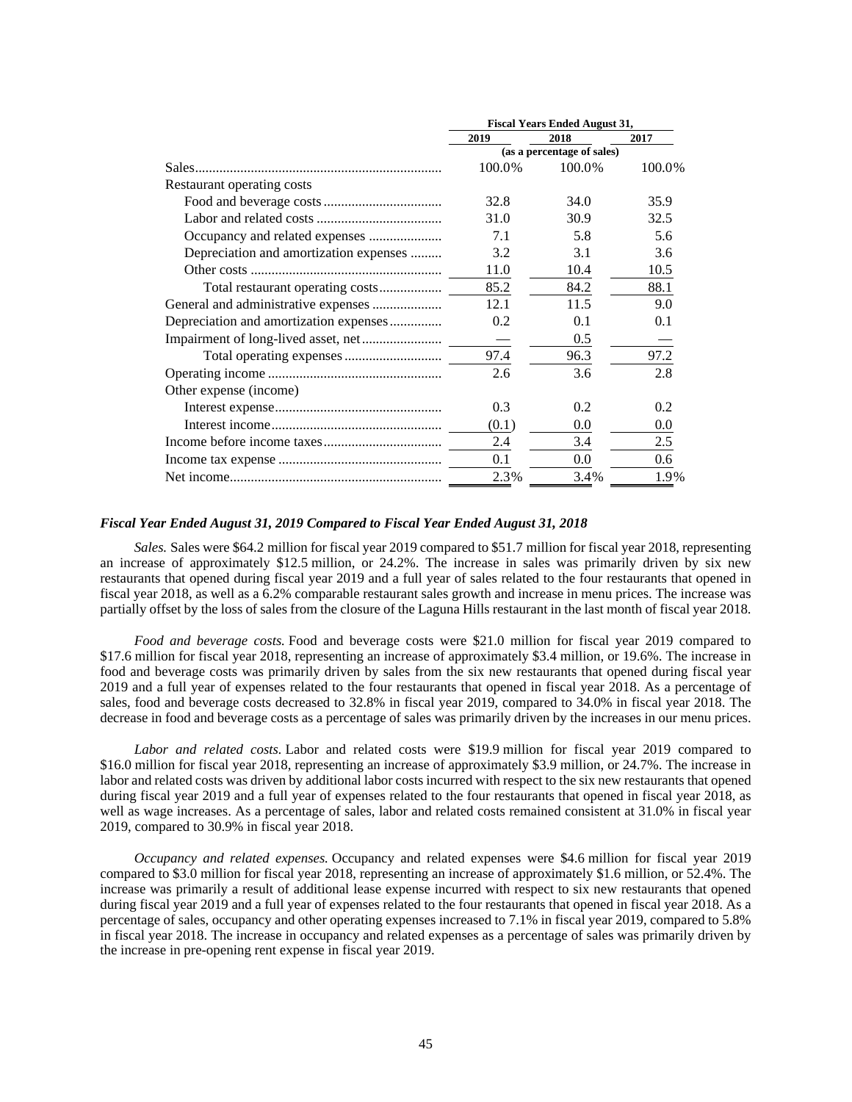|                                        | <b>Fiscal Years Ended August 31,</b> |                            |        |  |  |  |  |
|----------------------------------------|--------------------------------------|----------------------------|--------|--|--|--|--|
|                                        | 2019                                 | 2018                       | 2017   |  |  |  |  |
|                                        |                                      | (as a percentage of sales) |        |  |  |  |  |
| Sales.                                 | 100.0%                               | 100.0%                     | 100.0% |  |  |  |  |
| Restaurant operating costs             |                                      |                            |        |  |  |  |  |
|                                        | 32.8                                 | 34.0                       | 35.9   |  |  |  |  |
|                                        | 31.0                                 | 30.9                       | 32.5   |  |  |  |  |
| Occupancy and related expenses         | 7.1                                  | 5.8                        | 5.6    |  |  |  |  |
| Depreciation and amortization expenses | 3.2                                  | 3.1                        | 3.6    |  |  |  |  |
|                                        | 11.0                                 | 10.4                       | 10.5   |  |  |  |  |
|                                        | 85.2                                 | 84.2                       | 88.1   |  |  |  |  |
| General and administrative expenses    | 12.1                                 | 11.5                       | 9.0    |  |  |  |  |
| Depreciation and amortization expenses | 0.2                                  | 0.1                        | 0.1    |  |  |  |  |
|                                        |                                      | 0.5                        |        |  |  |  |  |
|                                        | 97.4                                 | 96.3                       | 97.2   |  |  |  |  |
|                                        | 2.6                                  | 3.6                        | 2.8    |  |  |  |  |
| Other expense (income)                 |                                      |                            |        |  |  |  |  |
|                                        | 0.3                                  | 0.2                        | 0.2    |  |  |  |  |
|                                        | (0.1)                                | 0.0                        | 0.0    |  |  |  |  |
|                                        | 2.4                                  | 3.4                        | 2.5    |  |  |  |  |
|                                        | 0.1                                  | 0.0                        | 0.6    |  |  |  |  |
|                                        | 2.3%                                 | 3.4%                       | 1.9%   |  |  |  |  |

# *Fiscal Year Ended August 31, 2019 Compared to Fiscal Year Ended August 31, 2018*

*Sales.* Sales were \$64.2 million for fiscal year 2019 compared to \$51.7 million for fiscal year 2018, representing an increase of approximately \$12.5 million, or 24.2%. The increase in sales was primarily driven by six new restaurants that opened during fiscal year 2019 and a full year of sales related to the four restaurants that opened in fiscal year 2018, as well as a 6.2% comparable restaurant sales growth and increase in menu prices. The increase was partially offset by the loss of sales from the closure of the Laguna Hills restaurant in the last month of fiscal year 2018.

*Food and beverage costs.* Food and beverage costs were \$21.0 million for fiscal year 2019 compared to \$17.6 million for fiscal year 2018, representing an increase of approximately \$3.4 million, or 19.6%. The increase in food and beverage costs was primarily driven by sales from the six new restaurants that opened during fiscal year 2019 and a full year of expenses related to the four restaurants that opened in fiscal year 2018. As a percentage of sales, food and beverage costs decreased to 32.8% in fiscal year 2019, compared to 34.0% in fiscal year 2018. The decrease in food and beverage costs as a percentage of sales was primarily driven by the increases in our menu prices.

*Labor and related costs.* Labor and related costs were \$19.9 million for fiscal year 2019 compared to \$16.0 million for fiscal year 2018, representing an increase of approximately \$3.9 million, or 24.7%. The increase in labor and related costs was driven by additional labor costs incurred with respect to the six new restaurants that opened during fiscal year 2019 and a full year of expenses related to the four restaurants that opened in fiscal year 2018, as well as wage increases. As a percentage of sales, labor and related costs remained consistent at 31.0% in fiscal year 2019, compared to 30.9% in fiscal year 2018.

*Occupancy and related expenses.* Occupancy and related expenses were \$4.6 million for fiscal year 2019 compared to \$3.0 million for fiscal year 2018, representing an increase of approximately \$1.6 million, or 52.4%. The increase was primarily a result of additional lease expense incurred with respect to six new restaurants that opened during fiscal year 2019 and a full year of expenses related to the four restaurants that opened in fiscal year 2018. As a percentage of sales, occupancy and other operating expenses increased to 7.1% in fiscal year 2019, compared to 5.8% in fiscal year 2018. The increase in occupancy and related expenses as a percentage of sales was primarily driven by the increase in pre-opening rent expense in fiscal year 2019.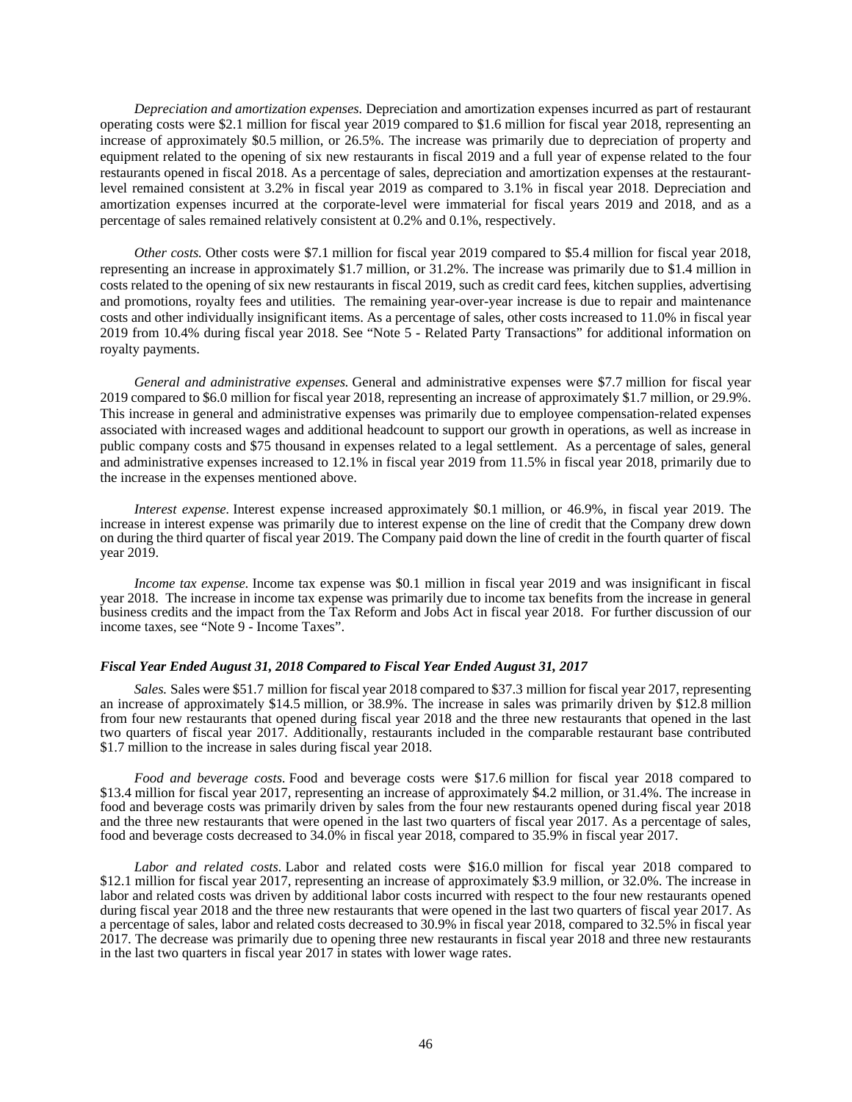*Depreciation and amortization expenses.* Depreciation and amortization expenses incurred as part of restaurant operating costs were \$2.1 million for fiscal year 2019 compared to \$1.6 million for fiscal year 2018, representing an increase of approximately \$0.5 million, or 26.5%. The increase was primarily due to depreciation of property and equipment related to the opening of six new restaurants in fiscal 2019 and a full year of expense related to the four restaurants opened in fiscal 2018. As a percentage of sales, depreciation and amortization expenses at the restaurantlevel remained consistent at 3.2% in fiscal year 2019 as compared to 3.1% in fiscal year 2018. Depreciation and amortization expenses incurred at the corporate-level were immaterial for fiscal years 2019 and 2018, and as a percentage of sales remained relatively consistent at 0.2% and 0.1%, respectively.

*Other costs.* Other costs were \$7.1 million for fiscal year 2019 compared to \$5.4 million for fiscal year 2018, representing an increase in approximately \$1.7 million, or 31.2%. The increase was primarily due to \$1.4 million in costs related to the opening of six new restaurants in fiscal 2019, such as credit card fees, kitchen supplies, advertising and promotions, royalty fees and utilities. The remaining year-over-year increase is due to repair and maintenance costs and other individually insignificant items. As a percentage of sales, other costs increased to 11.0% in fiscal year 2019 from 10.4% during fiscal year 2018. See "Note 5 - Related Party Transactions" for additional information on royalty payments.

*General and administrative expenses.* General and administrative expenses were \$7.7 million for fiscal year 2019 compared to \$6.0 million for fiscal year 2018, representing an increase of approximately \$1.7 million, or 29.9%. This increase in general and administrative expenses was primarily due to employee compensation-related expenses associated with increased wages and additional headcount to support our growth in operations, as well as increase in public company costs and \$75 thousand in expenses related to a legal settlement. As a percentage of sales, general and administrative expenses increased to 12.1% in fiscal year 2019 from 11.5% in fiscal year 2018, primarily due to the increase in the expenses mentioned above.

*Interest expense.* Interest expense increased approximately \$0.1 million, or 46.9%, in fiscal year 2019. The increase in interest expense was primarily due to interest expense on the line of credit that the Company drew down on during the third quarter of fiscal year 2019. The Company paid down the line of credit in the fourth quarter of fiscal year 2019.

*Income tax expense.* Income tax expense was \$0.1 million in fiscal year 2019 and was insignificant in fiscal year 2018. The increase in income tax expense was primarily due to income tax benefits from the increase in general business credits and the impact from the Tax Reform and Jobs Act in fiscal year 2018. For further discussion of our income taxes, see "Note 9 - Income Taxes".

# *Fiscal Year Ended August 31, 2018 Compared to Fiscal Year Ended August 31, 2017*

*Sales.* Sales were \$51.7 million for fiscal year 2018 compared to \$37.3 million for fiscal year 2017, representing an increase of approximately \$14.5 million, or 38.9%. The increase in sales was primarily driven by \$12.8 million from four new restaurants that opened during fiscal year 2018 and the three new restaurants that opened in the last two quarters of fiscal year 2017. Additionally, restaurants included in the comparable restaurant base contributed \$1.7 million to the increase in sales during fiscal year 2018.

*Food and beverage costs.* Food and beverage costs were \$17.6 million for fiscal year 2018 compared to \$13.4 million for fiscal year 2017, representing an increase of approximately \$4.2 million, or 31.4%. The increase in food and beverage costs was primarily driven by sales from the four new restaurants opened during fiscal year 2018 and the three new restaurants that were opened in the last two quarters of fiscal year 2017. As a percentage of sales, food and beverage costs decreased to 34.0% in fiscal year 2018, compared to 35.9% in fiscal year 2017.

*Labor and related costs.* Labor and related costs were \$16.0 million for fiscal year 2018 compared to \$12.1 million for fiscal year 2017, representing an increase of approximately \$3.9 million, or 32.0%. The increase in labor and related costs was driven by additional labor costs incurred with respect to the four new restaurants opened during fiscal year 2018 and the three new restaurants that were opened in the last two quarters of fiscal year 2017. As a percentage of sales, labor and related costs decreased to 30.9% in fiscal year 2018, compared to 32.5% in fiscal year 2017. The decrease was primarily due to opening three new restaurants in fiscal year 2018 and three new restaurants in the last two quarters in fiscal year 2017 in states with lower wage rates.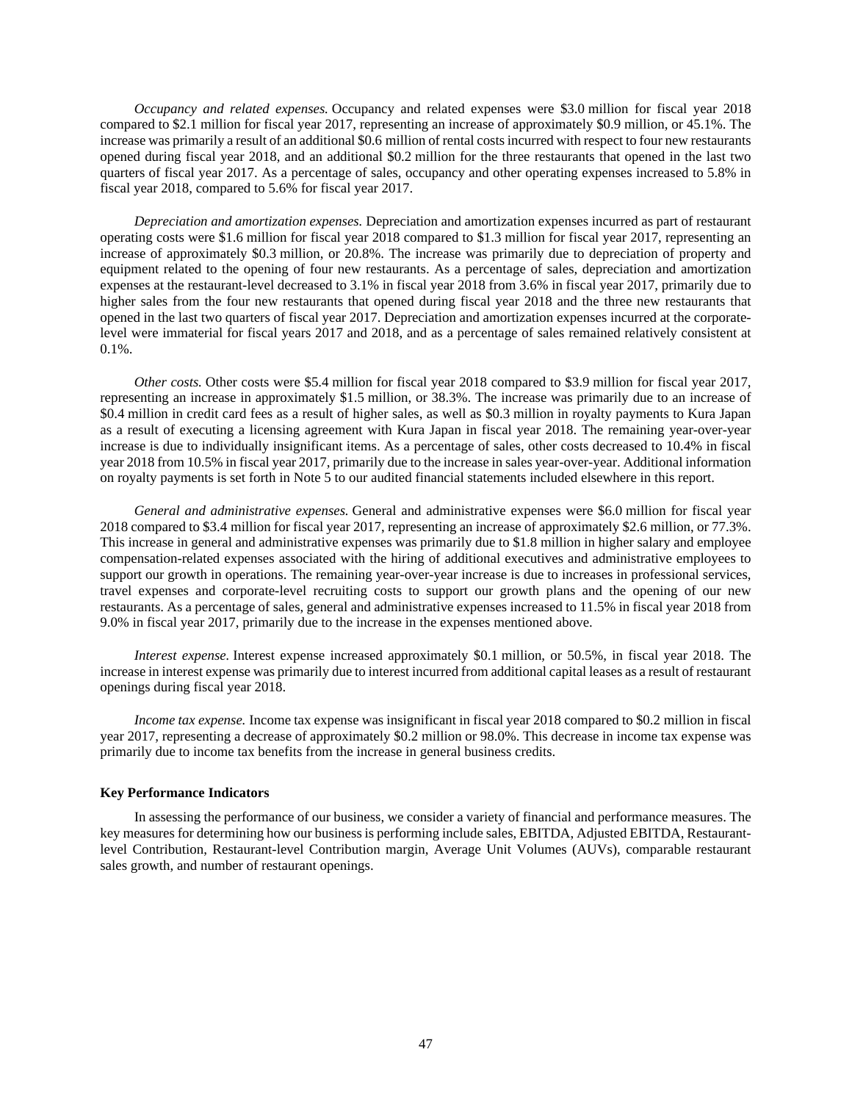*Occupancy and related expenses.* Occupancy and related expenses were \$3.0 million for fiscal year 2018 compared to \$2.1 million for fiscal year 2017, representing an increase of approximately \$0.9 million, or 45.1%. The increase was primarily a result of an additional \$0.6 million of rental costs incurred with respect to four new restaurants opened during fiscal year 2018, and an additional \$0.2 million for the three restaurants that opened in the last two quarters of fiscal year 2017. As a percentage of sales, occupancy and other operating expenses increased to 5.8% in fiscal year 2018, compared to 5.6% for fiscal year 2017.

*Depreciation and amortization expenses.* Depreciation and amortization expenses incurred as part of restaurant operating costs were \$1.6 million for fiscal year 2018 compared to \$1.3 million for fiscal year 2017, representing an increase of approximately \$0.3 million, or 20.8%. The increase was primarily due to depreciation of property and equipment related to the opening of four new restaurants. As a percentage of sales, depreciation and amortization expenses at the restaurant-level decreased to 3.1% in fiscal year 2018 from 3.6% in fiscal year 2017, primarily due to higher sales from the four new restaurants that opened during fiscal year 2018 and the three new restaurants that opened in the last two quarters of fiscal year 2017. Depreciation and amortization expenses incurred at the corporatelevel were immaterial for fiscal years 2017 and 2018, and as a percentage of sales remained relatively consistent at 0.1%.

*Other costs.* Other costs were \$5.4 million for fiscal year 2018 compared to \$3.9 million for fiscal year 2017, representing an increase in approximately \$1.5 million, or 38.3%. The increase was primarily due to an increase of \$0.4 million in credit card fees as a result of higher sales, as well as \$0.3 million in royalty payments to Kura Japan as a result of executing a licensing agreement with Kura Japan in fiscal year 2018. The remaining year-over-year increase is due to individually insignificant items. As a percentage of sales, other costs decreased to 10.4% in fiscal year 2018 from 10.5% in fiscal year 2017, primarily due to the increase in sales year-over-year. Additional information on royalty payments is set forth in Note 5 to our audited financial statements included elsewhere in this report.

*General and administrative expenses.* General and administrative expenses were \$6.0 million for fiscal year 2018 compared to \$3.4 million for fiscal year 2017, representing an increase of approximately \$2.6 million, or 77.3%. This increase in general and administrative expenses was primarily due to \$1.8 million in higher salary and employee compensation-related expenses associated with the hiring of additional executives and administrative employees to support our growth in operations. The remaining year-over-year increase is due to increases in professional services, travel expenses and corporate-level recruiting costs to support our growth plans and the opening of our new restaurants. As a percentage of sales, general and administrative expenses increased to 11.5% in fiscal year 2018 from 9.0% in fiscal year 2017, primarily due to the increase in the expenses mentioned above.

*Interest expense.* Interest expense increased approximately \$0.1 million, or 50.5%, in fiscal year 2018. The increase in interest expense was primarily due to interest incurred from additional capital leases as a result of restaurant openings during fiscal year 2018.

*Income tax expense.* Income tax expense was insignificant in fiscal year 2018 compared to \$0.2 million in fiscal year 2017, representing a decrease of approximately \$0.2 million or 98.0%. This decrease in income tax expense was primarily due to income tax benefits from the increase in general business credits.

## **Key Performance Indicators**

In assessing the performance of our business, we consider a variety of financial and performance measures. The key measures for determining how our business is performing include sales, EBITDA, Adjusted EBITDA, Restaurantlevel Contribution, Restaurant-level Contribution margin, Average Unit Volumes (AUVs), comparable restaurant sales growth, and number of restaurant openings.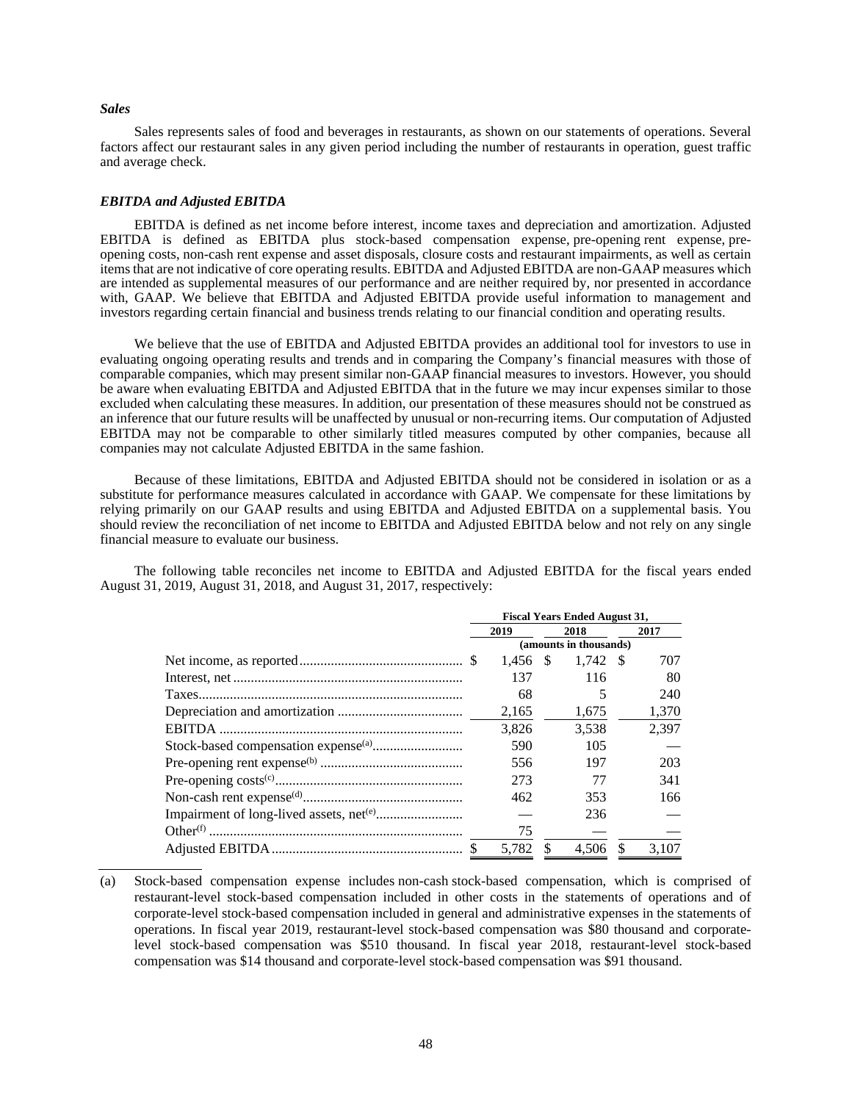## *Sales*

Sales represents sales of food and beverages in restaurants, as shown on our statements of operations. Several factors affect our restaurant sales in any given period including the number of restaurants in operation, guest traffic and average check.

## *EBITDA and Adjusted EBITDA*

EBITDA is defined as net income before interest, income taxes and depreciation and amortization. Adjusted EBITDA is defined as EBITDA plus stock-based compensation expense, pre-opening rent expense, preopening costs, non-cash rent expense and asset disposals, closure costs and restaurant impairments, as well as certain items that are not indicative of core operating results. EBITDA and Adjusted EBITDA are non-GAAP measures which are intended as supplemental measures of our performance and are neither required by, nor presented in accordance with, GAAP. We believe that EBITDA and Adjusted EBITDA provide useful information to management and investors regarding certain financial and business trends relating to our financial condition and operating results.

We believe that the use of EBITDA and Adjusted EBITDA provides an additional tool for investors to use in evaluating ongoing operating results and trends and in comparing the Company's financial measures with those of comparable companies, which may present similar non-GAAP financial measures to investors. However, you should be aware when evaluating EBITDA and Adjusted EBITDA that in the future we may incur expenses similar to those excluded when calculating these measures. In addition, our presentation of these measures should not be construed as an inference that our future results will be unaffected by unusual or non-recurring items. Our computation of Adjusted EBITDA may not be comparable to other similarly titled measures computed by other companies, because all companies may not calculate Adjusted EBITDA in the same fashion.

Because of these limitations, EBITDA and Adjusted EBITDA should not be considered in isolation or as a substitute for performance measures calculated in accordance with GAAP. We compensate for these limitations by relying primarily on our GAAP results and using EBITDA and Adjusted EBITDA on a supplemental basis. You should review the reconciliation of net income to EBITDA and Adjusted EBITDA below and not rely on any single financial measure to evaluate our business.

The following table reconciles net income to EBITDA and Adjusted EBITDA for the fiscal years ended August 31, 2019, August 31, 2018, and August 31, 2017, respectively:

| <b>Fiscal Years Ended August 31,</b> |          |  |                        |  |       |  |
|--------------------------------------|----------|--|------------------------|--|-------|--|
|                                      | 2019     |  | 2018                   |  | 2017  |  |
|                                      |          |  | (amounts in thousands) |  |       |  |
|                                      | 1.456 \$ |  | 1.742 \$               |  | 707   |  |
|                                      | 137      |  | 116                    |  | 80    |  |
|                                      | 68       |  |                        |  | 240   |  |
|                                      | 2.165    |  | 1.675                  |  | 1,370 |  |
|                                      | 3.826    |  | 3.538                  |  | 2.397 |  |
|                                      | 590      |  | 105                    |  |       |  |
|                                      | 556      |  | 197                    |  | 203   |  |
|                                      | 273      |  | 77                     |  | 341   |  |
|                                      | 462      |  | 353                    |  | 166   |  |
|                                      |          |  | 236                    |  |       |  |
|                                      | 75       |  |                        |  |       |  |
|                                      | 5.782    |  | 4.506                  |  | 3.107 |  |

<sup>(</sup>a) Stock-based compensation expense includes non-cash stock-based compensation, which is comprised of restaurant-level stock-based compensation included in other costs in the statements of operations and of corporate-level stock-based compensation included in general and administrative expenses in the statements of operations. In fiscal year 2019, restaurant-level stock-based compensation was \$80 thousand and corporatelevel stock-based compensation was \$510 thousand. In fiscal year 2018, restaurant-level stock-based compensation was \$14 thousand and corporate-level stock-based compensation was \$91 thousand.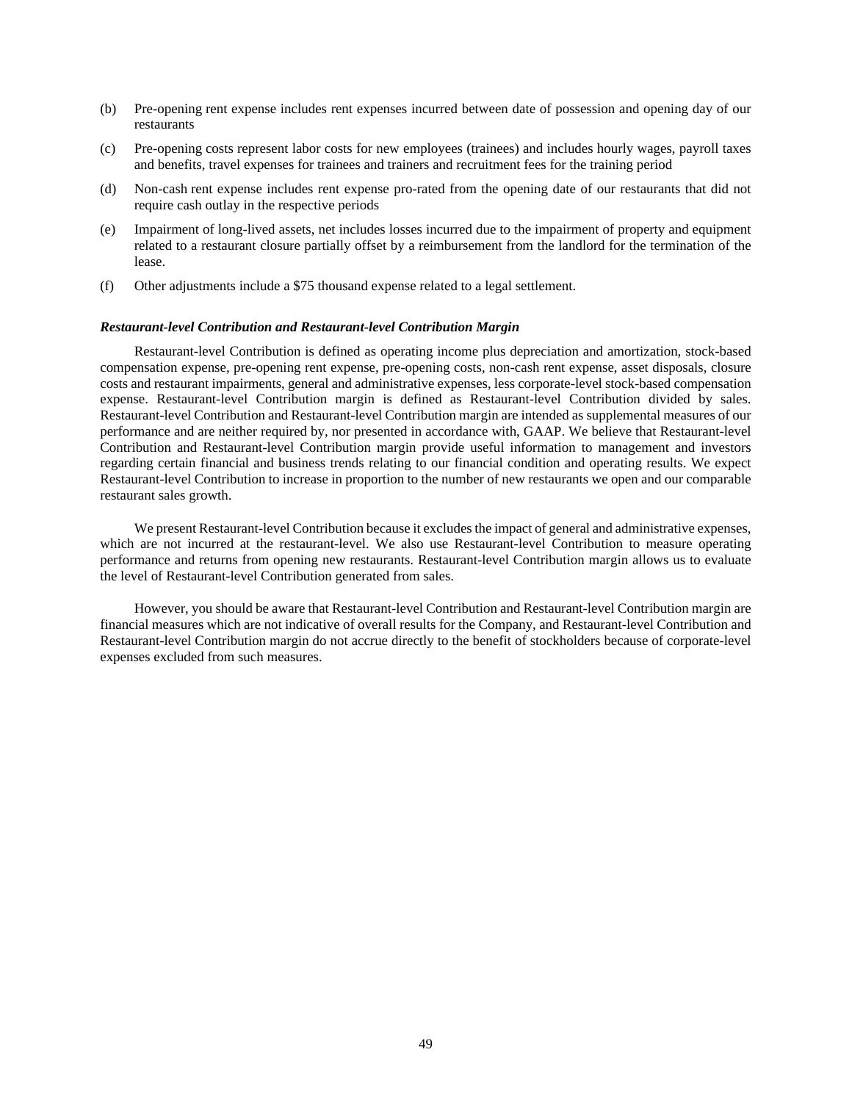- (b) Pre-opening rent expense includes rent expenses incurred between date of possession and opening day of our restaurants
- (c) Pre-opening costs represent labor costs for new employees (trainees) and includes hourly wages, payroll taxes and benefits, travel expenses for trainees and trainers and recruitment fees for the training period
- (d) Non-cash rent expense includes rent expense pro-rated from the opening date of our restaurants that did not require cash outlay in the respective periods
- (e) Impairment of long-lived assets, net includes losses incurred due to the impairment of property and equipment related to a restaurant closure partially offset by a reimbursement from the landlord for the termination of the lease.
- (f) Other adjustments include a \$75 thousand expense related to a legal settlement.

## *Restaurant-level Contribution and Restaurant-level Contribution Margin*

Restaurant-level Contribution is defined as operating income plus depreciation and amortization, stock-based compensation expense, pre-opening rent expense, pre-opening costs, non-cash rent expense, asset disposals, closure costs and restaurant impairments, general and administrative expenses, less corporate-level stock-based compensation expense. Restaurant-level Contribution margin is defined as Restaurant-level Contribution divided by sales. Restaurant-level Contribution and Restaurant-level Contribution margin are intended as supplemental measures of our performance and are neither required by, nor presented in accordance with, GAAP. We believe that Restaurant-level Contribution and Restaurant-level Contribution margin provide useful information to management and investors regarding certain financial and business trends relating to our financial condition and operating results. We expect Restaurant-level Contribution to increase in proportion to the number of new restaurants we open and our comparable restaurant sales growth.

We present Restaurant-level Contribution because it excludes the impact of general and administrative expenses, which are not incurred at the restaurant-level. We also use Restaurant-level Contribution to measure operating performance and returns from opening new restaurants. Restaurant-level Contribution margin allows us to evaluate the level of Restaurant-level Contribution generated from sales.

However, you should be aware that Restaurant-level Contribution and Restaurant-level Contribution margin are financial measures which are not indicative of overall results for the Company, and Restaurant-level Contribution and Restaurant-level Contribution margin do not accrue directly to the benefit of stockholders because of corporate-level expenses excluded from such measures.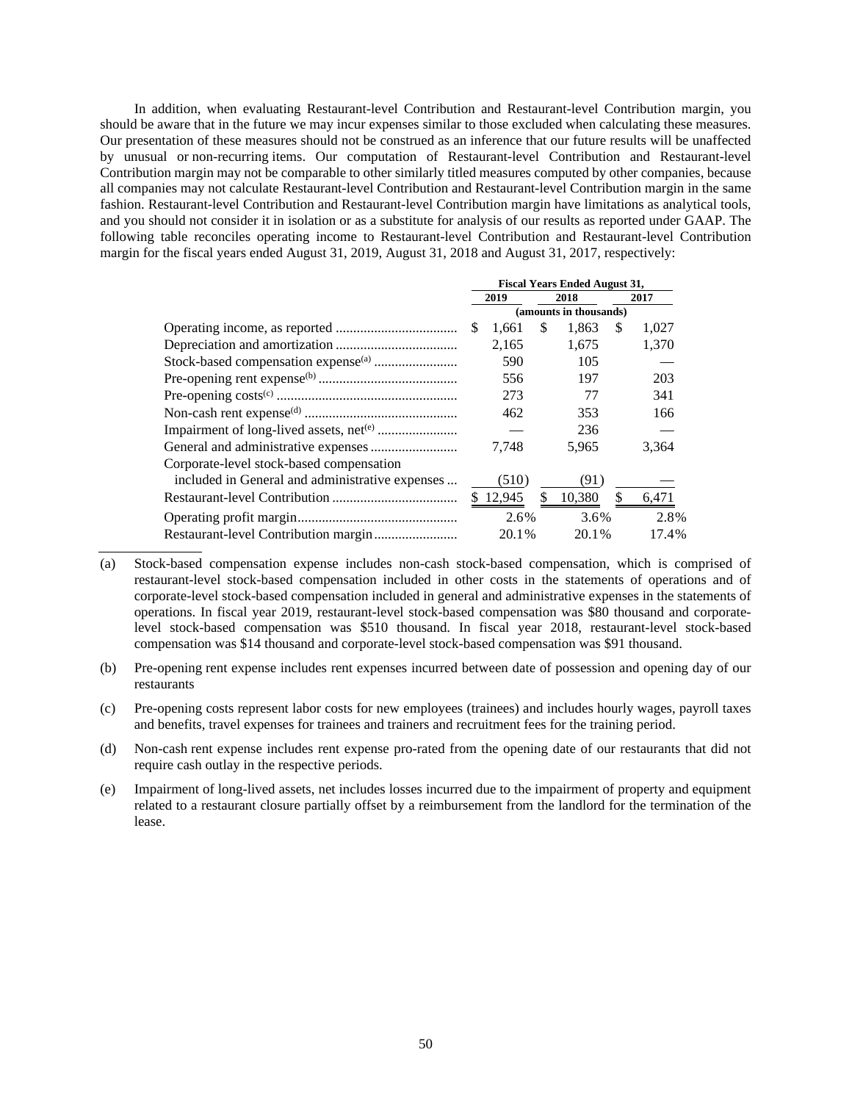In addition, when evaluating Restaurant-level Contribution and Restaurant-level Contribution margin, you should be aware that in the future we may incur expenses similar to those excluded when calculating these measures. Our presentation of these measures should not be construed as an inference that our future results will be unaffected by unusual or non-recurring items. Our computation of Restaurant-level Contribution and Restaurant-level Contribution margin may not be comparable to other similarly titled measures computed by other companies, because all companies may not calculate Restaurant-level Contribution and Restaurant-level Contribution margin in the same fashion. Restaurant-level Contribution and Restaurant-level Contribution margin have limitations as analytical tools, and you should not consider it in isolation or as a substitute for analysis of our results as reported under GAAP. The following table reconciles operating income to Restaurant-level Contribution and Restaurant-level Contribution margin for the fiscal years ended August 31, 2019, August 31, 2018 and August 31, 2017, respectively:

|                                                 | <b>Fiscal Years Ended August 31,</b> |          |      |                        |     |       |  |
|-------------------------------------------------|--------------------------------------|----------|------|------------------------|-----|-------|--|
|                                                 | 2019                                 |          | 2018 |                        |     | 2017  |  |
|                                                 |                                      |          |      | (amounts in thousands) |     |       |  |
|                                                 | S                                    | 1,661    | \$   | 1,863                  | \$. | 1,027 |  |
|                                                 |                                      | 2,165    |      | 1,675                  |     | 1,370 |  |
|                                                 |                                      | 590      |      | 105                    |     |       |  |
|                                                 |                                      | 556      |      | 197                    |     | 203   |  |
|                                                 |                                      | 273      |      | 77                     |     | 341   |  |
|                                                 |                                      | 462      |      | 353                    |     | 166   |  |
|                                                 |                                      |          |      | 236                    |     |       |  |
|                                                 |                                      | 7.748    |      | 5,965                  |     | 3,364 |  |
| Corporate-level stock-based compensation        |                                      |          |      |                        |     |       |  |
| included in General and administrative expenses |                                      | (510)    |      | (91)                   |     |       |  |
|                                                 |                                      | \$12,945 | \$   | 10,380                 | \$  | 6,471 |  |
|                                                 |                                      | 2.6%     |      | 3.6%                   |     | 2.8%  |  |
|                                                 |                                      | 20.1%    |      | 20.1%                  |     | 17.4% |  |

<sup>(</sup>a) Stock-based compensation expense includes non-cash stock-based compensation, which is comprised of restaurant-level stock-based compensation included in other costs in the statements of operations and of corporate-level stock-based compensation included in general and administrative expenses in the statements of operations. In fiscal year 2019, restaurant-level stock-based compensation was \$80 thousand and corporatelevel stock-based compensation was \$510 thousand. In fiscal year 2018, restaurant-level stock-based compensation was \$14 thousand and corporate-level stock-based compensation was \$91 thousand.

- (b) Pre-opening rent expense includes rent expenses incurred between date of possession and opening day of our restaurants
- (c) Pre-opening costs represent labor costs for new employees (trainees) and includes hourly wages, payroll taxes and benefits, travel expenses for trainees and trainers and recruitment fees for the training period.
- (d) Non-cash rent expense includes rent expense pro-rated from the opening date of our restaurants that did not require cash outlay in the respective periods.
- (e) Impairment of long-lived assets, net includes losses incurred due to the impairment of property and equipment related to a restaurant closure partially offset by a reimbursement from the landlord for the termination of the lease.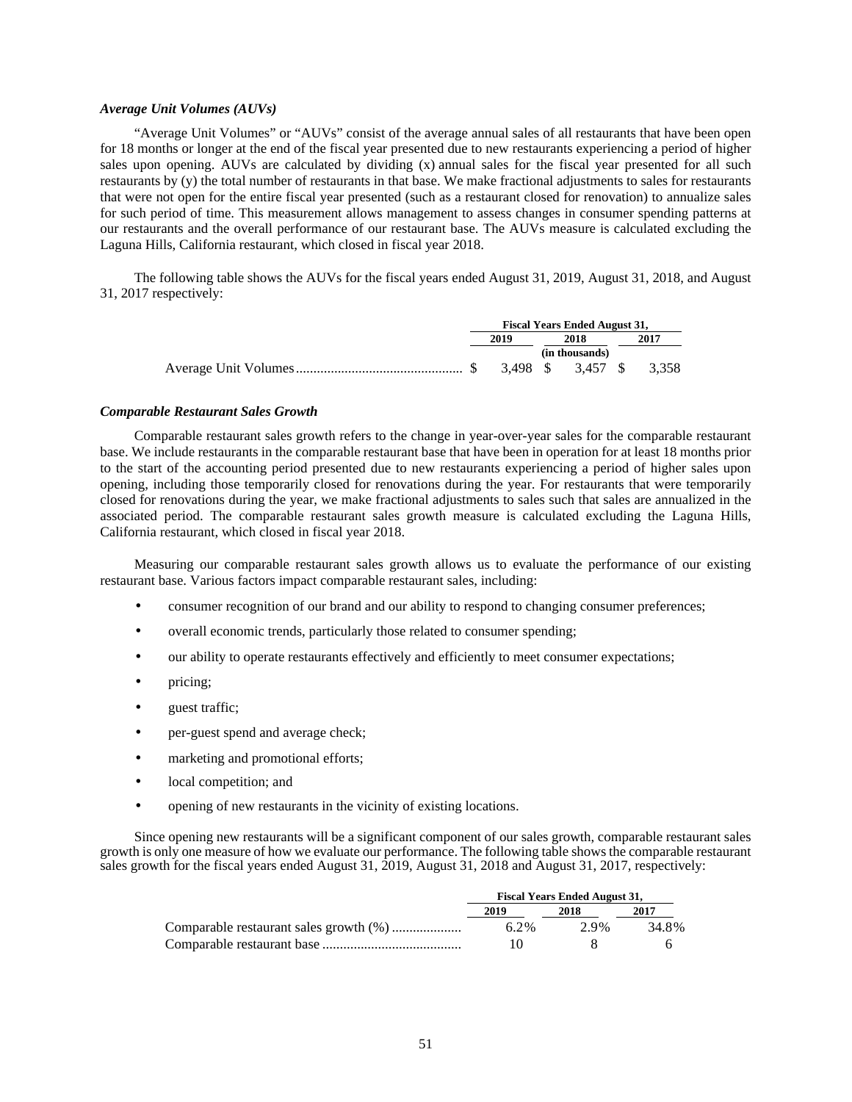# *Average Unit Volumes (AUVs)*

"Average Unit Volumes" or "AUVs" consist of the average annual sales of all restaurants that have been open for 18 months or longer at the end of the fiscal year presented due to new restaurants experiencing a period of higher sales upon opening. AUVs are calculated by dividing (x) annual sales for the fiscal year presented for all such restaurants by (y) the total number of restaurants in that base. We make fractional adjustments to sales for restaurants that were not open for the entire fiscal year presented (such as a restaurant closed for renovation) to annualize sales for such period of time. This measurement allows management to assess changes in consumer spending patterns at our restaurants and the overall performance of our restaurant base. The AUVs measure is calculated excluding the Laguna Hills, California restaurant, which closed in fiscal year 2018.

The following table shows the AUVs for the fiscal years ended August 31, 2019, August 31, 2018, and August 31, 2017 respectively:

| Fiscal Years Ended August 31, |  |      |                |  |       |  |
|-------------------------------|--|------|----------------|--|-------|--|
| 2019                          |  | 2018 |                |  | 2017  |  |
|                               |  |      | (in thousands) |  |       |  |
|                               |  |      |                |  | 3.358 |  |

# *Comparable Restaurant Sales Growth*

Comparable restaurant sales growth refers to the change in year-over-year sales for the comparable restaurant base. We include restaurants in the comparable restaurant base that have been in operation for at least 18 months prior to the start of the accounting period presented due to new restaurants experiencing a period of higher sales upon opening, including those temporarily closed for renovations during the year. For restaurants that were temporarily closed for renovations during the year, we make fractional adjustments to sales such that sales are annualized in the associated period. The comparable restaurant sales growth measure is calculated excluding the Laguna Hills, California restaurant, which closed in fiscal year 2018.

Measuring our comparable restaurant sales growth allows us to evaluate the performance of our existing restaurant base. Various factors impact comparable restaurant sales, including:

- consumer recognition of our brand and our ability to respond to changing consumer preferences;
- overall economic trends, particularly those related to consumer spending;
- our ability to operate restaurants effectively and efficiently to meet consumer expectations;
- pricing;
- guest traffic;
- per-guest spend and average check;
- marketing and promotional efforts;
- local competition; and
- opening of new restaurants in the vicinity of existing locations.

Since opening new restaurants will be a significant component of our sales growth, comparable restaurant sales growth is only one measure of how we evaluate our performance. The following table shows the comparable restaurant sales growth for the fiscal years ended August 31, 2019, August 31, 2018 and August 31, 2017, respectively:

| <b>Fiscal Years Ended August 31,</b> |      |       |  |  |  |  |
|--------------------------------------|------|-------|--|--|--|--|
| 2019                                 | 2018 | 2017  |  |  |  |  |
| 6.2%                                 | 2.9% | 34.8% |  |  |  |  |
|                                      |      |       |  |  |  |  |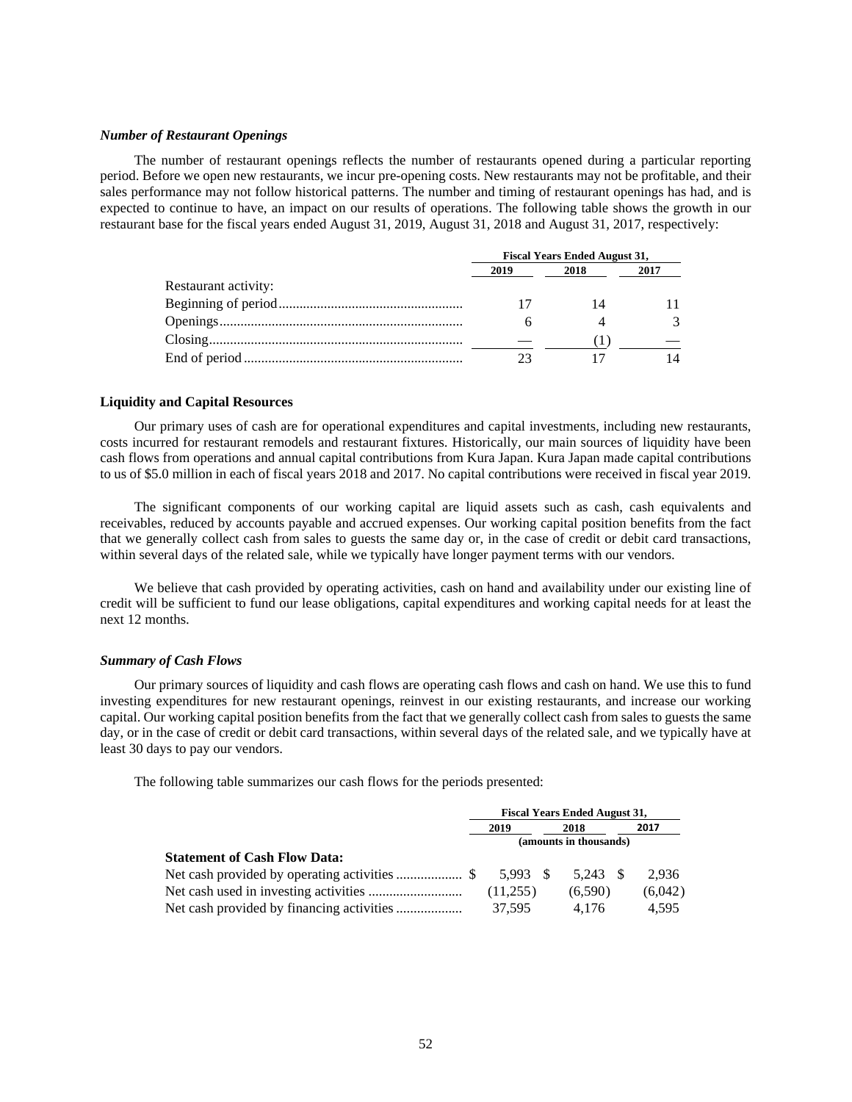## *Number of Restaurant Openings*

The number of restaurant openings reflects the number of restaurants opened during a particular reporting period. Before we open new restaurants, we incur pre-opening costs. New restaurants may not be profitable, and their sales performance may not follow historical patterns. The number and timing of restaurant openings has had, and is expected to continue to have, an impact on our results of operations. The following table shows the growth in our restaurant base for the fiscal years ended August 31, 2019, August 31, 2018 and August 31, 2017, respectively:

|                      | <b>Fiscal Years Ended August 31,</b> |      |      |  |  |  |  |
|----------------------|--------------------------------------|------|------|--|--|--|--|
|                      | 2019                                 | 2018 | 2017 |  |  |  |  |
| Restaurant activity: |                                      |      |      |  |  |  |  |
|                      |                                      |      |      |  |  |  |  |
|                      |                                      |      |      |  |  |  |  |
|                      |                                      |      |      |  |  |  |  |
|                      |                                      |      |      |  |  |  |  |

## **Liquidity and Capital Resources**

Our primary uses of cash are for operational expenditures and capital investments, including new restaurants, costs incurred for restaurant remodels and restaurant fixtures. Historically, our main sources of liquidity have been cash flows from operations and annual capital contributions from Kura Japan. Kura Japan made capital contributions to us of \$5.0 million in each of fiscal years 2018 and 2017. No capital contributions were received in fiscal year 2019.

The significant components of our working capital are liquid assets such as cash, cash equivalents and receivables, reduced by accounts payable and accrued expenses. Our working capital position benefits from the fact that we generally collect cash from sales to guests the same day or, in the case of credit or debit card transactions, within several days of the related sale, while we typically have longer payment terms with our vendors.

We believe that cash provided by operating activities, cash on hand and availability under our existing line of credit will be sufficient to fund our lease obligations, capital expenditures and working capital needs for at least the next 12 months.

#### *Summary of Cash Flows*

Our primary sources of liquidity and cash flows are operating cash flows and cash on hand. We use this to fund investing expenditures for new restaurant openings, reinvest in our existing restaurants, and increase our working capital. Our working capital position benefits from the fact that we generally collect cash from sales to guests the same day, or in the case of credit or debit card transactions, within several days of the related sale, and we typically have at least 30 days to pay our vendors.

The following table summarizes our cash flows for the periods presented:

|                                     | <b>Fiscal Years Ended August 31,</b> |          |         |  |  |  |  |  |
|-------------------------------------|--------------------------------------|----------|---------|--|--|--|--|--|
|                                     | 2019                                 | 2018     | 2017    |  |  |  |  |  |
|                                     | (amounts in thousands)               |          |         |  |  |  |  |  |
| <b>Statement of Cash Flow Data:</b> |                                      |          |         |  |  |  |  |  |
|                                     | 5.993 \$                             | 5.243 \$ | 2.936   |  |  |  |  |  |
|                                     | (11,255)                             | (6,590)  | (6,042) |  |  |  |  |  |
|                                     | 37.595                               | 4.176    | 4.595   |  |  |  |  |  |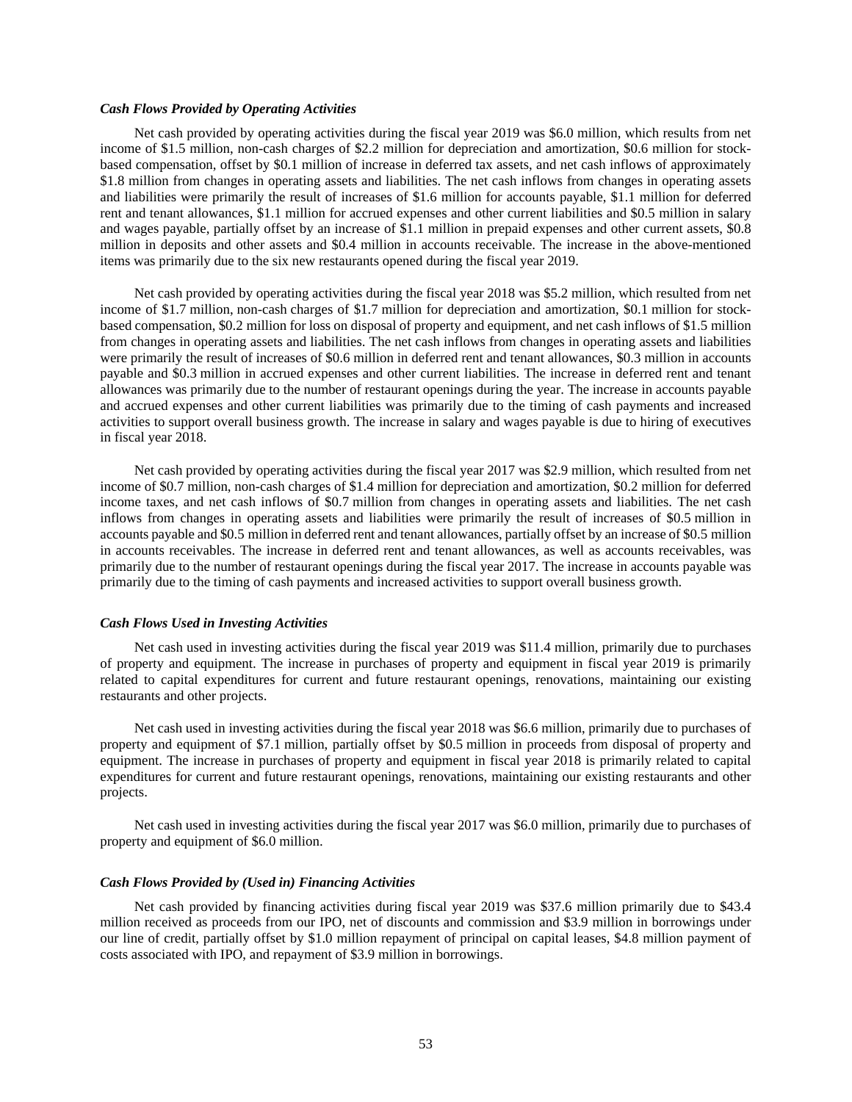## *Cash Flows Provided by Operating Activities*

Net cash provided by operating activities during the fiscal year 2019 was \$6.0 million, which results from net income of \$1.5 million, non-cash charges of \$2.2 million for depreciation and amortization, \$0.6 million for stockbased compensation, offset by \$0.1 million of increase in deferred tax assets, and net cash inflows of approximately \$1.8 million from changes in operating assets and liabilities. The net cash inflows from changes in operating assets and liabilities were primarily the result of increases of \$1.6 million for accounts payable, \$1.1 million for deferred rent and tenant allowances, \$1.1 million for accrued expenses and other current liabilities and \$0.5 million in salary and wages payable, partially offset by an increase of \$1.1 million in prepaid expenses and other current assets, \$0.8 million in deposits and other assets and \$0.4 million in accounts receivable. The increase in the above-mentioned items was primarily due to the six new restaurants opened during the fiscal year 2019.

Net cash provided by operating activities during the fiscal year 2018 was \$5.2 million, which resulted from net income of \$1.7 million, non-cash charges of \$1.7 million for depreciation and amortization, \$0.1 million for stockbased compensation, \$0.2 million for loss on disposal of property and equipment, and net cash inflows of \$1.5 million from changes in operating assets and liabilities. The net cash inflows from changes in operating assets and liabilities were primarily the result of increases of \$0.6 million in deferred rent and tenant allowances, \$0.3 million in accounts payable and \$0.3 million in accrued expenses and other current liabilities. The increase in deferred rent and tenant allowances was primarily due to the number of restaurant openings during the year. The increase in accounts payable and accrued expenses and other current liabilities was primarily due to the timing of cash payments and increased activities to support overall business growth. The increase in salary and wages payable is due to hiring of executives in fiscal year 2018.

Net cash provided by operating activities during the fiscal year 2017 was \$2.9 million, which resulted from net income of \$0.7 million, non-cash charges of \$1.4 million for depreciation and amortization, \$0.2 million for deferred income taxes, and net cash inflows of \$0.7 million from changes in operating assets and liabilities. The net cash inflows from changes in operating assets and liabilities were primarily the result of increases of \$0.5 million in accounts payable and \$0.5 million in deferred rent and tenant allowances, partially offset by an increase of \$0.5 million in accounts receivables. The increase in deferred rent and tenant allowances, as well as accounts receivables, was primarily due to the number of restaurant openings during the fiscal year 2017. The increase in accounts payable was primarily due to the timing of cash payments and increased activities to support overall business growth.

## *Cash Flows Used in Investing Activities*

Net cash used in investing activities during the fiscal year 2019 was \$11.4 million, primarily due to purchases of property and equipment. The increase in purchases of property and equipment in fiscal year 2019 is primarily related to capital expenditures for current and future restaurant openings, renovations, maintaining our existing restaurants and other projects.

Net cash used in investing activities during the fiscal year 2018 was \$6.6 million, primarily due to purchases of property and equipment of \$7.1 million, partially offset by \$0.5 million in proceeds from disposal of property and equipment. The increase in purchases of property and equipment in fiscal year 2018 is primarily related to capital expenditures for current and future restaurant openings, renovations, maintaining our existing restaurants and other projects.

Net cash used in investing activities during the fiscal year 2017 was \$6.0 million, primarily due to purchases of property and equipment of \$6.0 million.

## *Cash Flows Provided by (Used in) Financing Activities*

Net cash provided by financing activities during fiscal year 2019 was \$37.6 million primarily due to \$43.4 million received as proceeds from our IPO, net of discounts and commission and \$3.9 million in borrowings under our line of credit, partially offset by \$1.0 million repayment of principal on capital leases, \$4.8 million payment of costs associated with IPO, and repayment of \$3.9 million in borrowings.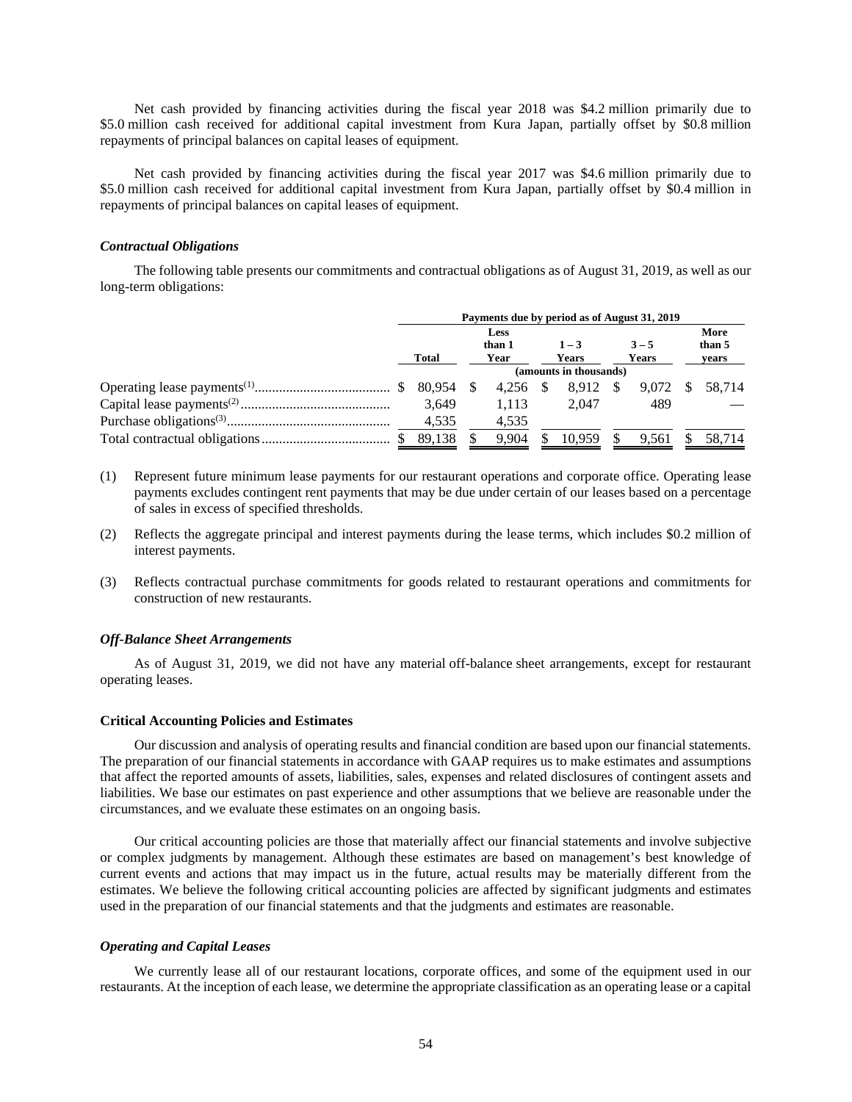Net cash provided by financing activities during the fiscal year 2018 was \$4.2 million primarily due to \$5.0 million cash received for additional capital investment from Kura Japan, partially offset by \$0.8 million repayments of principal balances on capital leases of equipment.

Net cash provided by financing activities during the fiscal year 2017 was \$4.6 million primarily due to \$5.0 million cash received for additional capital investment from Kura Japan, partially offset by \$0.4 million in repayments of principal balances on capital leases of equipment.

## *Contractual Obligations*

The following table presents our commitments and contractual obligations as of August 31, 2019, as well as our long-term obligations:

| Payments due by period as of August 31, 2019 |        |      |              |  |                        |  |                  |  |        |
|----------------------------------------------|--------|------|--------------|--|------------------------|--|------------------|--|--------|
|                                              |        |      | Less         |  |                        |  |                  |  | More   |
|                                              |        |      | than 1       |  | $1 - 3$                |  | $3 - 5$          |  | than 5 |
| Total                                        |        | Year | <b>Years</b> |  | <b>Years</b>           |  | years            |  |        |
|                                              |        |      |              |  | (amounts in thousands) |  |                  |  |        |
|                                              |        |      | 4.256        |  | 8.912                  |  | $9.072 \quad$ \$ |  | 58.714 |
|                                              | 3,649  |      | 1,113        |  | 2.047                  |  | 489              |  |        |
|                                              | 4,535  |      | 4,535        |  |                        |  |                  |  |        |
|                                              | 89,138 |      | 9,904        |  | 10.959                 |  | 9,561            |  | 58.714 |

- (1) Represent future minimum lease payments for our restaurant operations and corporate office. Operating lease payments excludes contingent rent payments that may be due under certain of our leases based on a percentage of sales in excess of specified thresholds.
- (2) Reflects the aggregate principal and interest payments during the lease terms, which includes \$0.2 million of interest payments.
- (3) Reflects contractual purchase commitments for goods related to restaurant operations and commitments for construction of new restaurants.

## *Off-Balance Sheet Arrangements*

As of August 31, 2019, we did not have any material off-balance sheet arrangements, except for restaurant operating leases.

# **Critical Accounting Policies and Estimates**

Our discussion and analysis of operating results and financial condition are based upon our financial statements. The preparation of our financial statements in accordance with GAAP requires us to make estimates and assumptions that affect the reported amounts of assets, liabilities, sales, expenses and related disclosures of contingent assets and liabilities. We base our estimates on past experience and other assumptions that we believe are reasonable under the circumstances, and we evaluate these estimates on an ongoing basis.

Our critical accounting policies are those that materially affect our financial statements and involve subjective or complex judgments by management. Although these estimates are based on management's best knowledge of current events and actions that may impact us in the future, actual results may be materially different from the estimates. We believe the following critical accounting policies are affected by significant judgments and estimates used in the preparation of our financial statements and that the judgments and estimates are reasonable.

## *Operating and Capital Leases*

We currently lease all of our restaurant locations, corporate offices, and some of the equipment used in our restaurants. At the inception of each lease, we determine the appropriate classification as an operating lease or a capital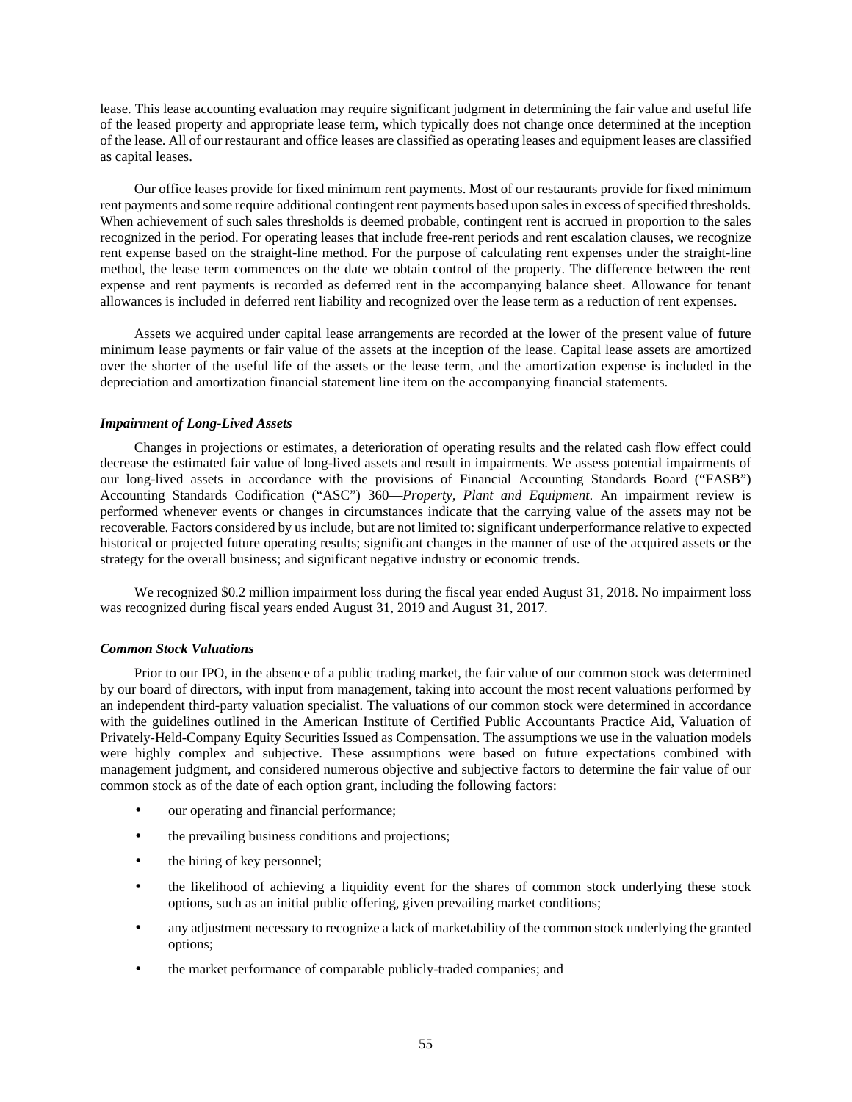lease. This lease accounting evaluation may require significant judgment in determining the fair value and useful life of the leased property and appropriate lease term, which typically does not change once determined at the inception of the lease. All of our restaurant and office leases are classified as operating leases and equipment leases are classified as capital leases.

Our office leases provide for fixed minimum rent payments. Most of our restaurants provide for fixed minimum rent payments and some require additional contingent rent payments based upon sales in excess of specified thresholds. When achievement of such sales thresholds is deemed probable, contingent rent is accrued in proportion to the sales recognized in the period. For operating leases that include free-rent periods and rent escalation clauses, we recognize rent expense based on the straight-line method. For the purpose of calculating rent expenses under the straight-line method, the lease term commences on the date we obtain control of the property. The difference between the rent expense and rent payments is recorded as deferred rent in the accompanying balance sheet. Allowance for tenant allowances is included in deferred rent liability and recognized over the lease term as a reduction of rent expenses.

Assets we acquired under capital lease arrangements are recorded at the lower of the present value of future minimum lease payments or fair value of the assets at the inception of the lease. Capital lease assets are amortized over the shorter of the useful life of the assets or the lease term, and the amortization expense is included in the depreciation and amortization financial statement line item on the accompanying financial statements.

# *Impairment of Long-Lived Assets*

Changes in projections or estimates, a deterioration of operating results and the related cash flow effect could decrease the estimated fair value of long-lived assets and result in impairments. We assess potential impairments of our long-lived assets in accordance with the provisions of Financial Accounting Standards Board ("FASB") Accounting Standards Codification ("ASC") 360—*Property, Plant and Equipment*. An impairment review is performed whenever events or changes in circumstances indicate that the carrying value of the assets may not be recoverable. Factors considered by us include, but are not limited to: significant underperformance relative to expected historical or projected future operating results; significant changes in the manner of use of the acquired assets or the strategy for the overall business; and significant negative industry or economic trends.

We recognized \$0.2 million impairment loss during the fiscal year ended August 31, 2018. No impairment loss was recognized during fiscal years ended August 31, 2019 and August 31, 2017.

## *Common Stock Valuations*

Prior to our IPO, in the absence of a public trading market, the fair value of our common stock was determined by our board of directors, with input from management, taking into account the most recent valuations performed by an independent third-party valuation specialist. The valuations of our common stock were determined in accordance with the guidelines outlined in the American Institute of Certified Public Accountants Practice Aid, Valuation of Privately-Held-Company Equity Securities Issued as Compensation. The assumptions we use in the valuation models were highly complex and subjective. These assumptions were based on future expectations combined with management judgment, and considered numerous objective and subjective factors to determine the fair value of our common stock as of the date of each option grant, including the following factors:

- our operating and financial performance;
- the prevailing business conditions and projections;
- the hiring of key personnel;
- the likelihood of achieving a liquidity event for the shares of common stock underlying these stock options, such as an initial public offering, given prevailing market conditions;
- any adjustment necessary to recognize a lack of marketability of the common stock underlying the granted options;
- the market performance of comparable publicly-traded companies; and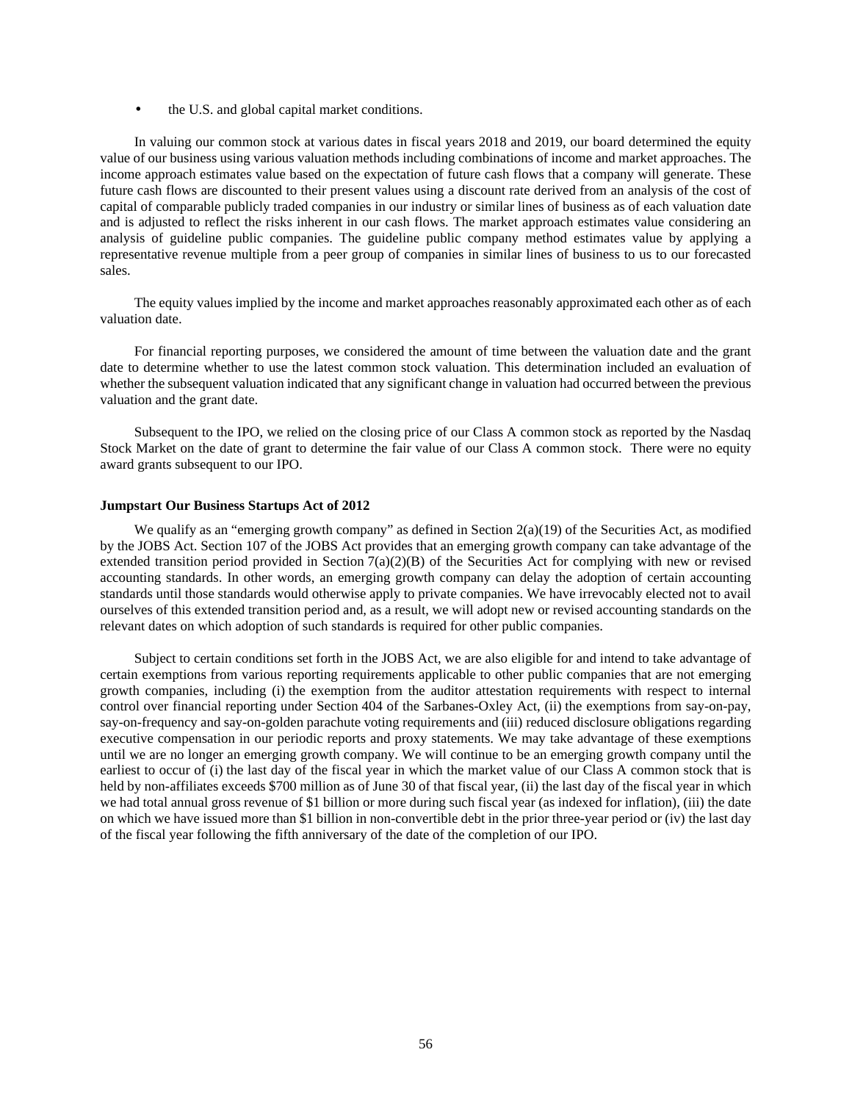• the U.S. and global capital market conditions.

In valuing our common stock at various dates in fiscal years 2018 and 2019, our board determined the equity value of our business using various valuation methods including combinations of income and market approaches. The income approach estimates value based on the expectation of future cash flows that a company will generate. These future cash flows are discounted to their present values using a discount rate derived from an analysis of the cost of capital of comparable publicly traded companies in our industry or similar lines of business as of each valuation date and is adjusted to reflect the risks inherent in our cash flows. The market approach estimates value considering an analysis of guideline public companies. The guideline public company method estimates value by applying a representative revenue multiple from a peer group of companies in similar lines of business to us to our forecasted sales.

The equity values implied by the income and market approaches reasonably approximated each other as of each valuation date.

For financial reporting purposes, we considered the amount of time between the valuation date and the grant date to determine whether to use the latest common stock valuation. This determination included an evaluation of whether the subsequent valuation indicated that any significant change in valuation had occurred between the previous valuation and the grant date.

Subsequent to the IPO, we relied on the closing price of our Class A common stock as reported by the Nasdaq Stock Market on the date of grant to determine the fair value of our Class A common stock. There were no equity award grants subsequent to our IPO.

## **Jumpstart Our Business Startups Act of 2012**

We qualify as an "emerging growth company" as defined in Section 2(a)(19) of the Securities Act, as modified by the JOBS Act. Section 107 of the JOBS Act provides that an emerging growth company can take advantage of the extended transition period provided in Section  $7(a)(2)(B)$  of the Securities Act for complying with new or revised accounting standards. In other words, an emerging growth company can delay the adoption of certain accounting standards until those standards would otherwise apply to private companies. We have irrevocably elected not to avail ourselves of this extended transition period and, as a result, we will adopt new or revised accounting standards on the relevant dates on which adoption of such standards is required for other public companies.

Subject to certain conditions set forth in the JOBS Act, we are also eligible for and intend to take advantage of certain exemptions from various reporting requirements applicable to other public companies that are not emerging growth companies, including (i) the exemption from the auditor attestation requirements with respect to internal control over financial reporting under Section 404 of the Sarbanes-Oxley Act, (ii) the exemptions from say-on-pay, say-on-frequency and say-on-golden parachute voting requirements and (iii) reduced disclosure obligations regarding executive compensation in our periodic reports and proxy statements. We may take advantage of these exemptions until we are no longer an emerging growth company. We will continue to be an emerging growth company until the earliest to occur of (i) the last day of the fiscal year in which the market value of our Class A common stock that is held by non-affiliates exceeds \$700 million as of June 30 of that fiscal year, (ii) the last day of the fiscal year in which we had total annual gross revenue of \$1 billion or more during such fiscal year (as indexed for inflation), (iii) the date on which we have issued more than \$1 billion in non-convertible debt in the prior three-year period or (iv) the last day of the fiscal year following the fifth anniversary of the date of the completion of our IPO.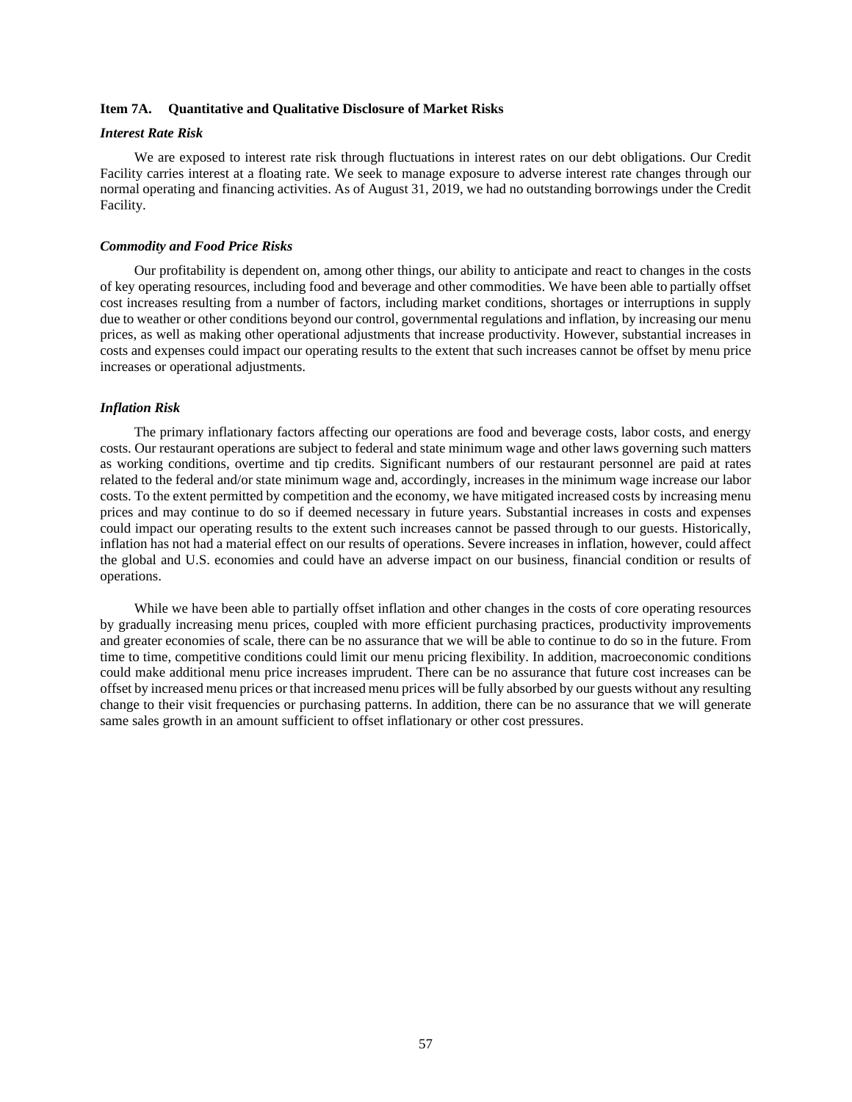# **Item 7A. Quantitative and Qualitative Disclosure of Market Risks**

# *Interest Rate Risk*

We are exposed to interest rate risk through fluctuations in interest rates on our debt obligations. Our Credit Facility carries interest at a floating rate. We seek to manage exposure to adverse interest rate changes through our normal operating and financing activities. As of August 31, 2019, we had no outstanding borrowings under the Credit Facility.

## *Commodity and Food Price Risks*

Our profitability is dependent on, among other things, our ability to anticipate and react to changes in the costs of key operating resources, including food and beverage and other commodities. We have been able to partially offset cost increases resulting from a number of factors, including market conditions, shortages or interruptions in supply due to weather or other conditions beyond our control, governmental regulations and inflation, by increasing our menu prices, as well as making other operational adjustments that increase productivity. However, substantial increases in costs and expenses could impact our operating results to the extent that such increases cannot be offset by menu price increases or operational adjustments.

## *Inflation Risk*

The primary inflationary factors affecting our operations are food and beverage costs, labor costs, and energy costs. Our restaurant operations are subject to federal and state minimum wage and other laws governing such matters as working conditions, overtime and tip credits. Significant numbers of our restaurant personnel are paid at rates related to the federal and/or state minimum wage and, accordingly, increases in the minimum wage increase our labor costs. To the extent permitted by competition and the economy, we have mitigated increased costs by increasing menu prices and may continue to do so if deemed necessary in future years. Substantial increases in costs and expenses could impact our operating results to the extent such increases cannot be passed through to our guests. Historically, inflation has not had a material effect on our results of operations. Severe increases in inflation, however, could affect the global and U.S. economies and could have an adverse impact on our business, financial condition or results of operations.

While we have been able to partially offset inflation and other changes in the costs of core operating resources by gradually increasing menu prices, coupled with more efficient purchasing practices, productivity improvements and greater economies of scale, there can be no assurance that we will be able to continue to do so in the future. From time to time, competitive conditions could limit our menu pricing flexibility. In addition, macroeconomic conditions could make additional menu price increases imprudent. There can be no assurance that future cost increases can be offset by increased menu prices or that increased menu prices will be fully absorbed by our guests without any resulting change to their visit frequencies or purchasing patterns. In addition, there can be no assurance that we will generate same sales growth in an amount sufficient to offset inflationary or other cost pressures.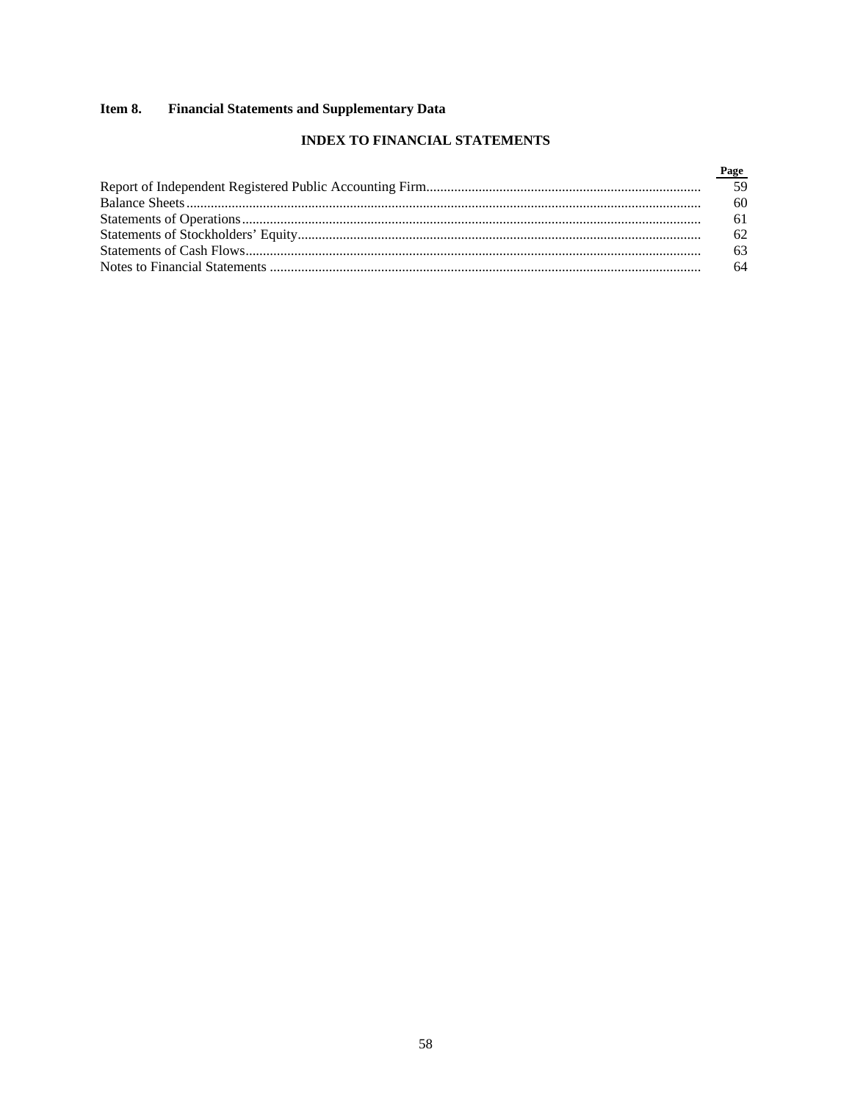#### **Financial Statements and Supplementary Data** Item 8.

# **INDEX TO FINANCIAL STATEMENTS**

| 59 |
|----|
| 60 |
| 61 |
| 62 |
|    |
| 64 |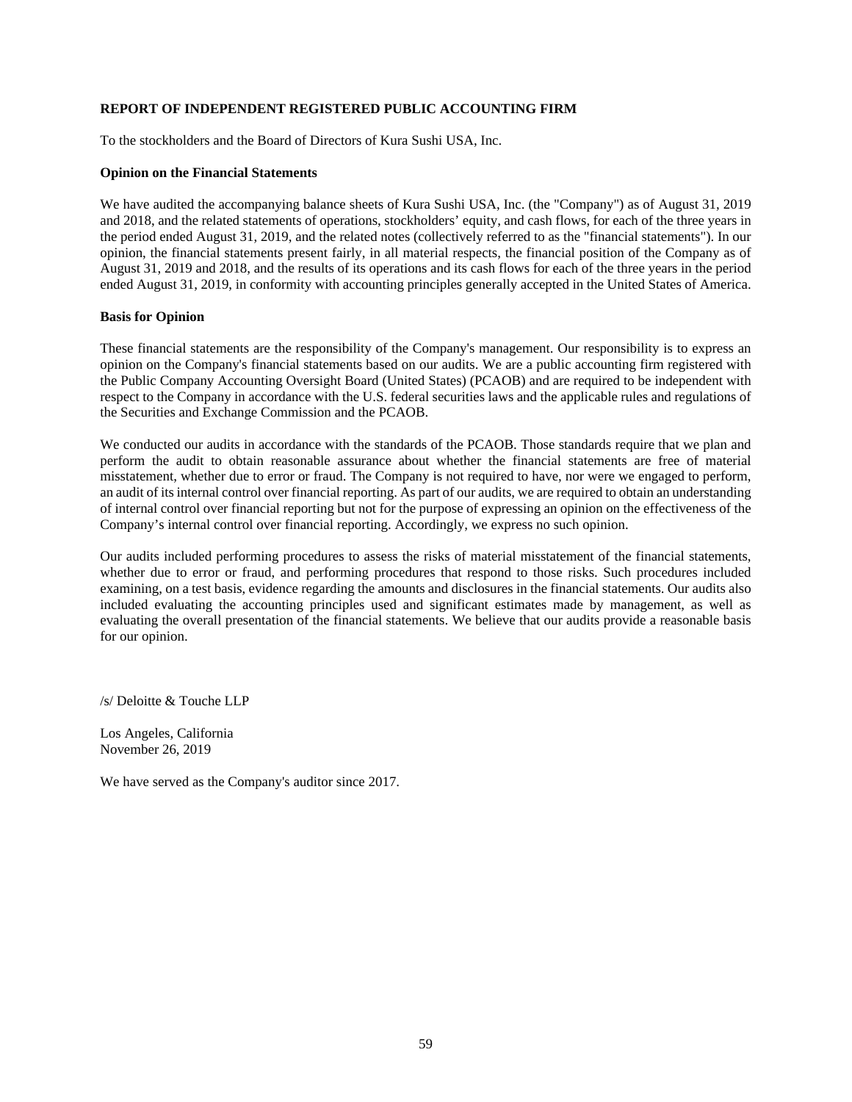# **REPORT OF INDEPENDENT REGISTERED PUBLIC ACCOUNTING FIRM**

To the stockholders and the Board of Directors of Kura Sushi USA, Inc.

# **Opinion on the Financial Statements**

We have audited the accompanying balance sheets of Kura Sushi USA, Inc. (the "Company") as of August 31, 2019 and 2018, and the related statements of operations, stockholders' equity, and cash flows, for each of the three years in the period ended August 31, 2019, and the related notes (collectively referred to as the "financial statements"). In our opinion, the financial statements present fairly, in all material respects, the financial position of the Company as of August 31, 2019 and 2018, and the results of its operations and its cash flows for each of the three years in the period ended August 31, 2019, in conformity with accounting principles generally accepted in the United States of America.

# **Basis for Opinion**

These financial statements are the responsibility of the Company's management. Our responsibility is to express an opinion on the Company's financial statements based on our audits. We are a public accounting firm registered with the Public Company Accounting Oversight Board (United States) (PCAOB) and are required to be independent with respect to the Company in accordance with the U.S. federal securities laws and the applicable rules and regulations of the Securities and Exchange Commission and the PCAOB.

We conducted our audits in accordance with the standards of the PCAOB. Those standards require that we plan and perform the audit to obtain reasonable assurance about whether the financial statements are free of material misstatement, whether due to error or fraud. The Company is not required to have, nor were we engaged to perform, an audit of its internal control over financial reporting. As part of our audits, we are required to obtain an understanding of internal control over financial reporting but not for the purpose of expressing an opinion on the effectiveness of the Company's internal control over financial reporting. Accordingly, we express no such opinion.

Our audits included performing procedures to assess the risks of material misstatement of the financial statements, whether due to error or fraud, and performing procedures that respond to those risks. Such procedures included examining, on a test basis, evidence regarding the amounts and disclosures in the financial statements. Our audits also included evaluating the accounting principles used and significant estimates made by management, as well as evaluating the overall presentation of the financial statements. We believe that our audits provide a reasonable basis for our opinion.

/s/ Deloitte & Touche LLP

Los Angeles, California November 26, 2019

We have served as the Company's auditor since 2017.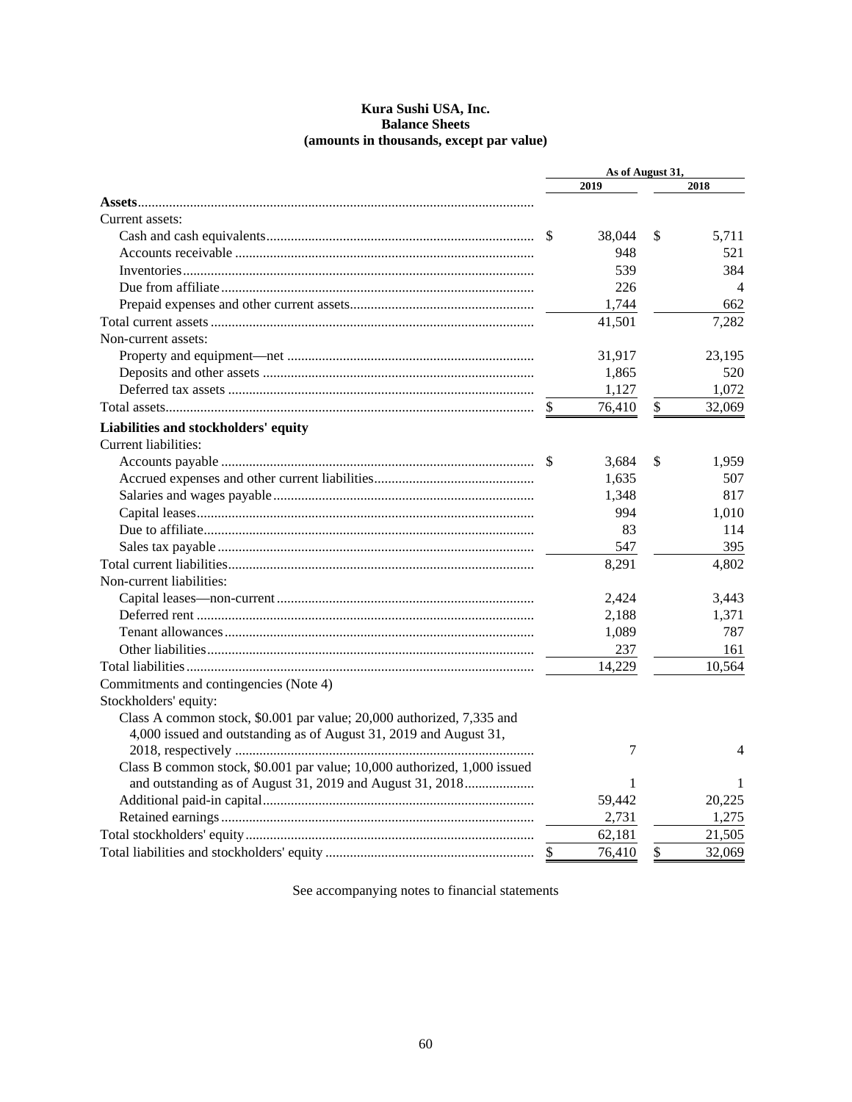# **Kura Sushi USA, Inc. Balance Sheets (amounts in thousands, except par value)**

|                                                                          | As of August 31, |              |    |        |
|--------------------------------------------------------------------------|------------------|--------------|----|--------|
|                                                                          |                  | 2019         |    | 2018   |
|                                                                          |                  |              |    |        |
| Current assets:                                                          |                  |              |    |        |
|                                                                          | \$               | 38,044       | \$ | 5,711  |
|                                                                          |                  | 948          |    | 521    |
|                                                                          |                  | 539          |    | 384    |
|                                                                          |                  | 226          |    | 4      |
|                                                                          |                  | 1,744        |    | 662    |
|                                                                          |                  | 41,501       |    | 7,282  |
| Non-current assets:                                                      |                  |              |    |        |
|                                                                          |                  | 31,917       |    | 23,195 |
|                                                                          |                  | 1,865        |    | 520    |
|                                                                          |                  | 1,127        |    | 1,072  |
|                                                                          | \$               | 76,410       | \$ | 32,069 |
| Liabilities and stockholders' equity                                     |                  |              |    |        |
| Current liabilities:                                                     |                  |              |    |        |
|                                                                          |                  | 3,684        | \$ | 1,959  |
|                                                                          |                  | 1,635        |    | 507    |
|                                                                          |                  | 1,348        |    | 817    |
|                                                                          |                  | 994          |    | 1,010  |
|                                                                          |                  | 83           |    | 114    |
|                                                                          |                  | 547          |    | 395    |
|                                                                          |                  | 8,291        |    | 4,802  |
| Non-current liabilities:                                                 |                  |              |    |        |
|                                                                          |                  | 2,424        |    | 3,443  |
|                                                                          |                  | 2,188        |    | 1,371  |
|                                                                          |                  |              |    | 787    |
|                                                                          |                  | 1,089<br>237 |    | 161    |
|                                                                          |                  | 14,229       |    | 10,564 |
|                                                                          |                  |              |    |        |
| Commitments and contingencies (Note 4)                                   |                  |              |    |        |
| Stockholders' equity:                                                    |                  |              |    |        |
| Class A common stock, \$0.001 par value; 20,000 authorized, 7,335 and    |                  |              |    |        |
| 4,000 issued and outstanding as of August 31, 2019 and August 31,        |                  | 7            |    |        |
| Class B common stock, \$0.001 par value; 10,000 authorized, 1,000 issued |                  |              |    |        |
| and outstanding as of August 31, 2019 and August 31, 2018                |                  | 1            |    |        |
|                                                                          |                  | 59,442       |    | 20,225 |
|                                                                          |                  | 2,731        |    | 1,275  |
|                                                                          |                  | 62,181       |    | 21,505 |
|                                                                          |                  |              |    |        |
|                                                                          |                  | 76,410       | \$ | 32,069 |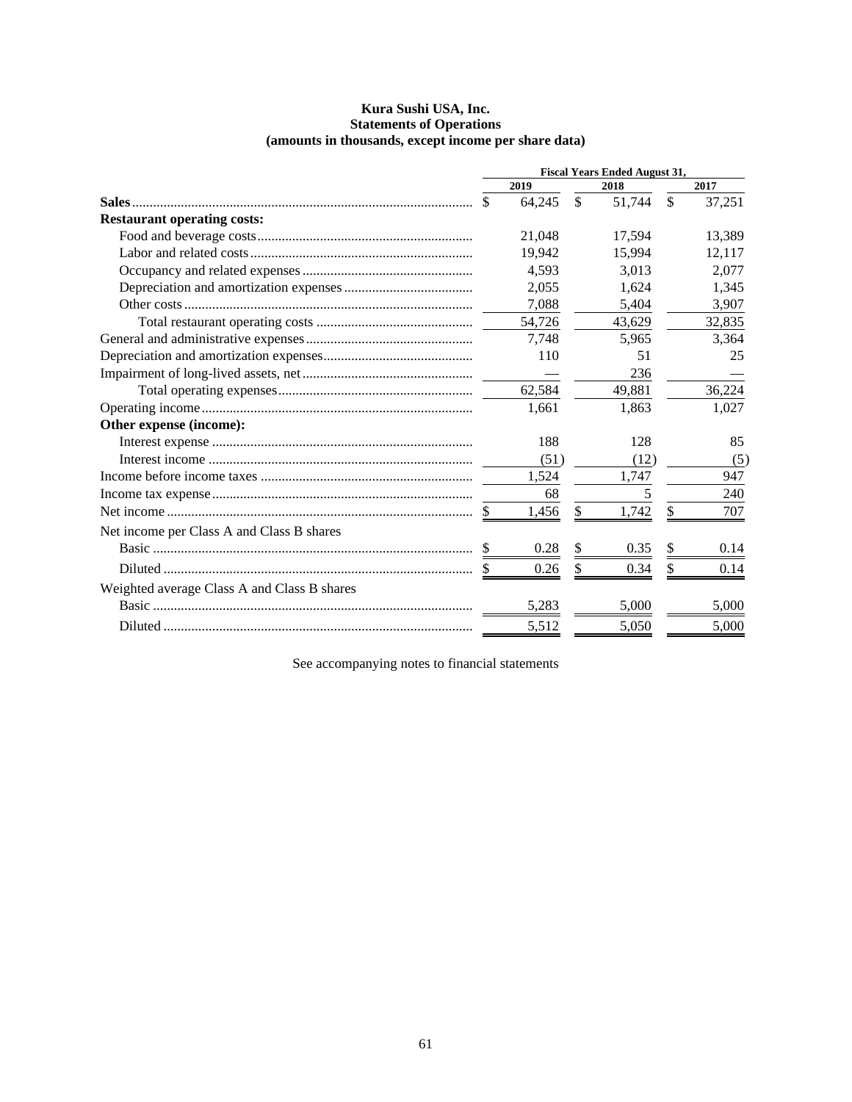# **Kura Sushi USA, Inc. Statements of Operations (amounts in thousands, except income per share data)**

|                                             | <b>Fiscal Years Ended August 31,</b> |        |               |        |               |        |
|---------------------------------------------|--------------------------------------|--------|---------------|--------|---------------|--------|
|                                             |                                      | 2019   |               | 2018   |               | 2017   |
| Sales                                       | \$                                   | 64,245 | <sup>\$</sup> | 51,744 | <sup>\$</sup> | 37,251 |
| <b>Restaurant operating costs:</b>          |                                      |        |               |        |               |        |
|                                             |                                      | 21,048 |               | 17,594 |               | 13,389 |
|                                             |                                      | 19,942 |               | 15,994 |               | 12,117 |
|                                             |                                      | 4.593  |               | 3.013  |               | 2.077  |
|                                             |                                      | 2,055  |               | 1,624  |               | 1,345  |
|                                             |                                      | 7,088  |               | 5,404  |               | 3,907  |
|                                             |                                      | 54,726 |               | 43,629 |               | 32,835 |
|                                             |                                      | 7,748  |               | 5,965  |               | 3,364  |
|                                             |                                      | 110    |               | 51     |               | 25     |
|                                             |                                      |        |               | 236    |               |        |
|                                             |                                      | 62,584 |               | 49,881 |               | 36,224 |
|                                             |                                      | 1,661  |               | 1,863  |               | 1,027  |
| Other expense (income):                     |                                      |        |               |        |               |        |
|                                             |                                      | 188    |               | 128    |               | 85     |
|                                             |                                      | (51)   |               | (12)   |               | (5)    |
|                                             |                                      | 1,524  |               | 1,747  |               | 947    |
|                                             |                                      | 68     |               | 5      |               | 240    |
|                                             | \$                                   | 1,456  | \$            | 1,742  | \$            | 707    |
| Net income per Class A and Class B shares   |                                      |        |               |        |               |        |
|                                             |                                      | 0.28   | \$            | 0.35   | \$            | 0.14   |
|                                             |                                      | 0.26   | \$            | 0.34   | \$            | 0.14   |
|                                             |                                      |        |               |        |               |        |
|                                             |                                      | 5,283  |               | 5,000  |               | 5,000  |
|                                             |                                      |        |               | 5,050  |               | 5,000  |
| Weighted average Class A and Class B shares |                                      | 5,512  |               |        |               |        |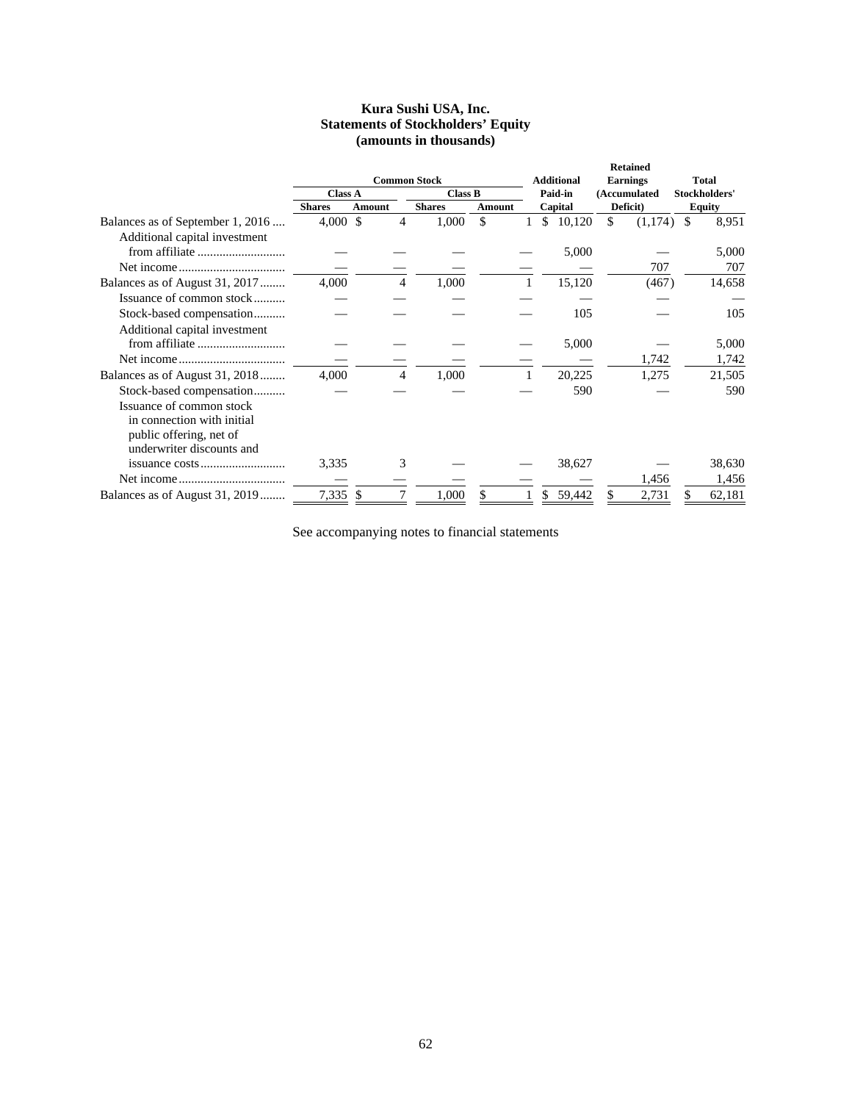# **Kura Sushi USA, Inc. Statements of Stockholders' Equity (amounts in thousands)**

|                                  |                     |        |   |                |        |    |                   |                 | <b>Retained</b> |              |               |
|----------------------------------|---------------------|--------|---|----------------|--------|----|-------------------|-----------------|-----------------|--------------|---------------|
|                                  | <b>Common Stock</b> |        |   |                |        |    | <b>Additional</b> | <b>Earnings</b> |                 | <b>Total</b> |               |
|                                  | <b>Class A</b>      |        |   | <b>Class B</b> |        |    | Paid-in           |                 | (Accumulated    |              | Stockholders' |
|                                  | <b>Shares</b>       | Amount |   | <b>Shares</b>  | Amount |    | Capital           |                 | Deficit)        |              | <b>Equity</b> |
| Balances as of September 1, 2016 | $4,000 \text{ }$ \$ |        | 4 | 1,000          | \$     |    | \$<br>10,120      | \$              | (1,174)         | \$           | 8,951         |
| Additional capital investment    |                     |        |   |                |        |    |                   |                 |                 |              |               |
|                                  |                     |        |   |                |        |    | 5,000             |                 |                 |              | 5,000         |
|                                  |                     |        |   |                |        |    |                   |                 | 707             |              | 707           |
| Balances as of August 31, 2017   | 4,000               |        | 4 | 1,000          |        | -1 | 15,120            |                 | (467)           |              | 14,658        |
| Issuance of common stock         |                     |        |   |                |        |    |                   |                 |                 |              |               |
| Stock-based compensation         |                     |        |   |                |        |    | 105               |                 |                 |              | 105           |
| Additional capital investment    |                     |        |   |                |        |    |                   |                 |                 |              |               |
|                                  |                     |        |   |                |        |    | 5,000             |                 |                 |              | 5,000         |
|                                  |                     |        |   |                |        |    |                   |                 | 1,742           |              | 1,742         |
| Balances as of August 31, 2018   | 4,000               |        | 4 | 1,000          |        |    | 20,225            |                 | 1,275           |              | 21,505        |
| Stock-based compensation         |                     |        |   |                |        |    | 590               |                 |                 |              | 590           |
| Issuance of common stock         |                     |        |   |                |        |    |                   |                 |                 |              |               |
| in connection with initial       |                     |        |   |                |        |    |                   |                 |                 |              |               |
| public offering, net of          |                     |        |   |                |        |    |                   |                 |                 |              |               |
| underwriter discounts and        |                     |        |   |                |        |    |                   |                 |                 |              |               |
|                                  | 3,335               |        | 3 |                |        |    | 38,627            |                 |                 |              | 38,630        |
|                                  |                     |        |   |                |        |    |                   |                 | 1,456           |              | 1,456         |
| Balances as of August 31, 2019   | 7,335               | \$     |   | 1,000          | \$     |    | \$<br>59,442      |                 | 2,731           |              | 62,181        |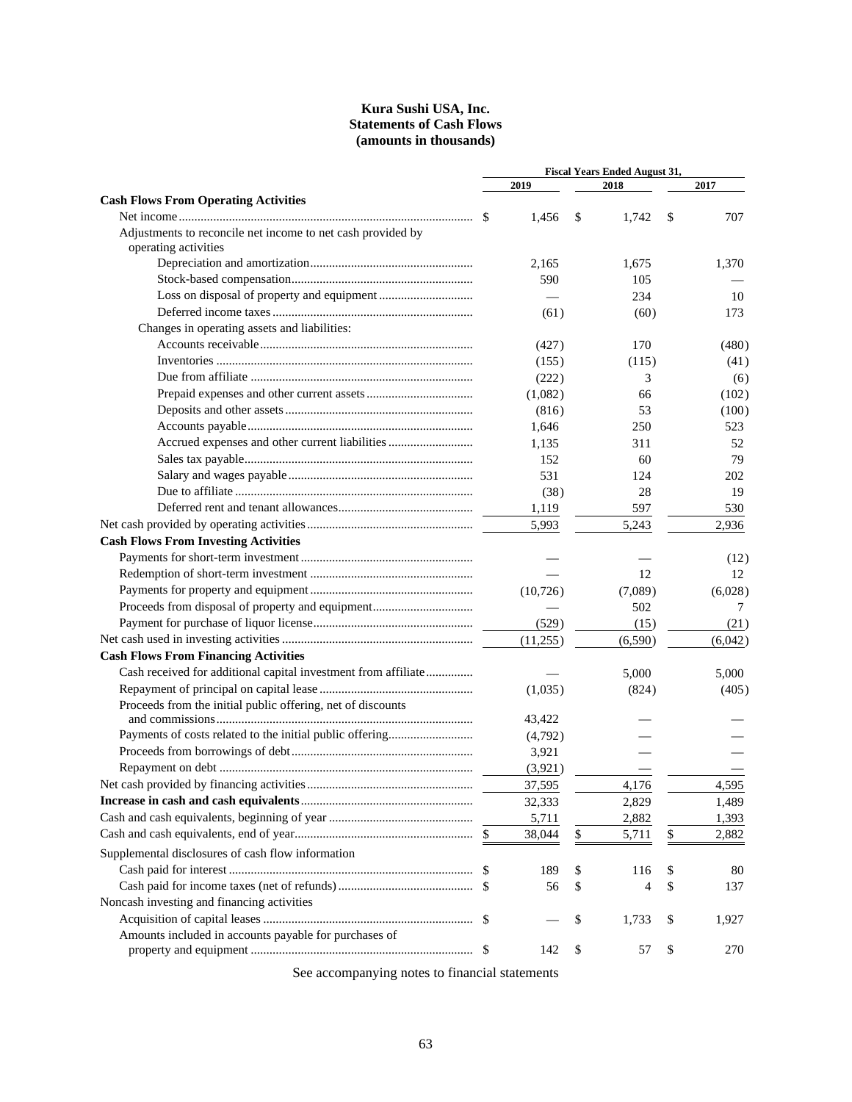# **Kura Sushi USA, Inc. Statements of Cash Flows (amounts in thousands)**

|                                                                                     |     |          | <b>Fiscal Years Ended August 31,</b> |         |    |         |
|-------------------------------------------------------------------------------------|-----|----------|--------------------------------------|---------|----|---------|
|                                                                                     |     | 2019     |                                      | 2018    |    | 2017    |
| <b>Cash Flows From Operating Activities</b>                                         |     |          |                                      |         |    |         |
|                                                                                     | \$. | 1.456    | \$                                   | 1,742   | \$ | 707     |
| Adjustments to reconcile net income to net cash provided by<br>operating activities |     |          |                                      |         |    |         |
|                                                                                     |     | 2,165    |                                      | 1.675   |    | 1,370   |
|                                                                                     |     | 590      |                                      | 105     |    |         |
|                                                                                     |     |          |                                      | 234     |    | 10      |
|                                                                                     |     | (61)     |                                      | (60)    |    | 173     |
| Changes in operating assets and liabilities:                                        |     |          |                                      |         |    |         |
|                                                                                     |     | (427)    |                                      | 170     |    | (480)   |
|                                                                                     |     | (155)    |                                      | (115)   |    | (41)    |
|                                                                                     |     | (222)    |                                      | 3       |    | (6)     |
|                                                                                     |     | (1,082)  |                                      | 66      |    | (102)   |
|                                                                                     |     | (816)    |                                      | 53      |    | (100)   |
|                                                                                     |     | 1,646    |                                      | 250     |    | 523     |
| Accrued expenses and other current liabilities                                      |     | 1,135    |                                      | 311     |    | 52      |
|                                                                                     |     | 152      |                                      | 60      |    | 79      |
|                                                                                     |     | 531      |                                      | 124     |    | 202     |
|                                                                                     |     | (38)     |                                      | 28      |    | 19      |
|                                                                                     |     | 1,119    |                                      | 597     |    | 530     |
|                                                                                     |     | 5,993    |                                      | 5,243   |    | 2,936   |
| <b>Cash Flows From Investing Activities</b>                                         |     |          |                                      |         |    |         |
|                                                                                     |     |          |                                      |         |    | (12)    |
|                                                                                     |     |          |                                      | 12      |    | 12      |
|                                                                                     |     | (10,726) |                                      | (7,089) |    | (6,028) |
| Proceeds from disposal of property and equipment                                    |     |          |                                      | 502     |    | 7       |
|                                                                                     |     | (529)    |                                      | (15)    |    | (21)    |
|                                                                                     |     | (11,255) |                                      | (6,590) |    | (6,042) |
| <b>Cash Flows From Financing Activities</b>                                         |     |          |                                      |         |    |         |
| Cash received for additional capital investment from affiliate                      |     |          |                                      | 5,000   |    | 5,000   |
|                                                                                     |     | (1,035)  |                                      | (824)   |    | (405)   |
| Proceeds from the initial public offering, net of discounts                         |     |          |                                      |         |    |         |
|                                                                                     |     | 43,422   |                                      |         |    |         |
|                                                                                     |     | (4,792)  |                                      |         |    |         |
|                                                                                     |     | 3,921    |                                      |         |    |         |
|                                                                                     |     | (3,921)  |                                      |         |    |         |
|                                                                                     |     | 37,595   |                                      | 4.176   |    | 4.595   |
|                                                                                     |     | 32,333   |                                      | 2,829   |    | 1,489   |
|                                                                                     |     | 5,711    |                                      | 2,882   |    | 1,393   |
|                                                                                     |     | 38,044   | \$                                   | 5,711   | \$ | 2,882   |
| Supplemental disclosures of cash flow information                                   |     |          |                                      |         |    |         |
|                                                                                     |     | 189      | \$                                   | 116     | \$ | 80      |
|                                                                                     |     | 56       | \$                                   | 4       | \$ | 137     |
| Noncash investing and financing activities                                          |     |          |                                      |         |    |         |
|                                                                                     |     |          | \$                                   | 1,733   | \$ | 1,927   |
| Amounts included in accounts payable for purchases of                               |     |          |                                      |         |    |         |
|                                                                                     | \$  | 142      | \$                                   | 57      | \$ | 270     |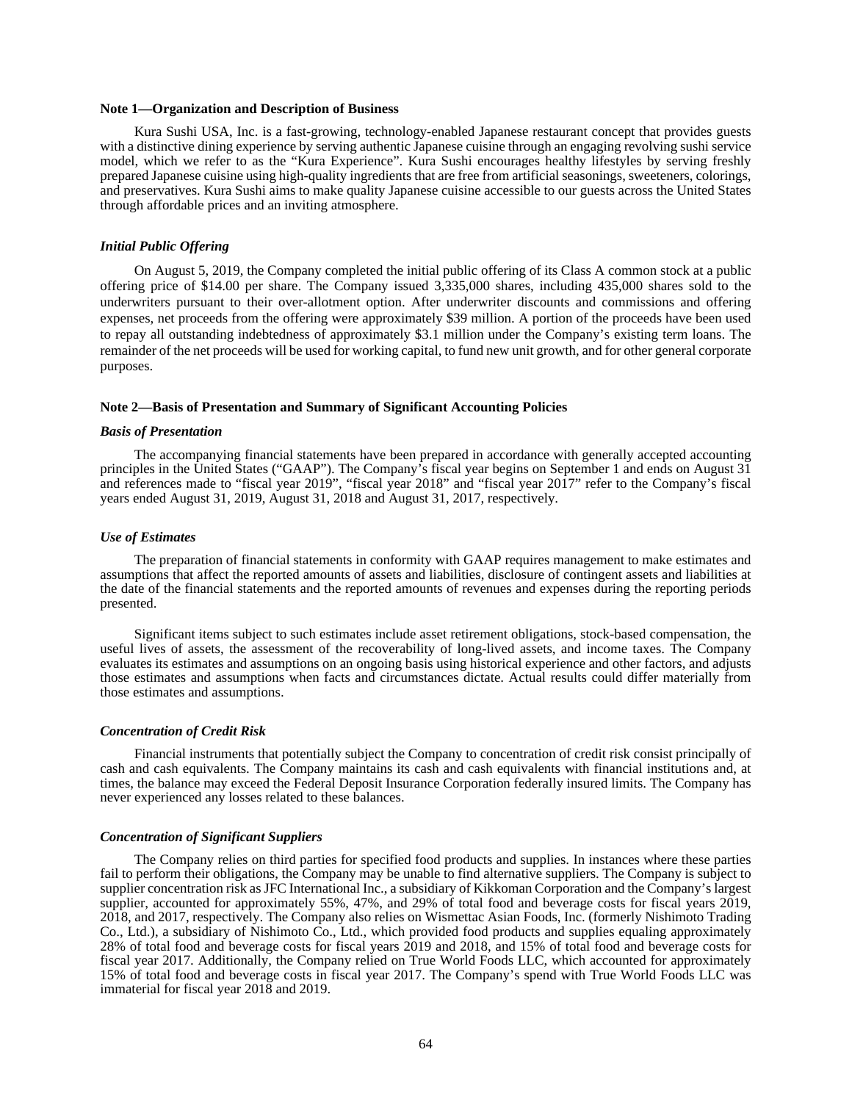## **Note 1—Organization and Description of Business**

Kura Sushi USA, Inc. is a fast-growing, technology-enabled Japanese restaurant concept that provides guests with a distinctive dining experience by serving authentic Japanese cuisine through an engaging revolving sushi service model, which we refer to as the "Kura Experience". Kura Sushi encourages healthy lifestyles by serving freshly prepared Japanese cuisine using high-quality ingredients that are free from artificial seasonings, sweeteners, colorings, and preservatives. Kura Sushi aims to make quality Japanese cuisine accessible to our guests across the United States through affordable prices and an inviting atmosphere.

## *Initial Public Offering*

On August 5, 2019, the Company completed the initial public offering of its Class A common stock at a public offering price of \$14.00 per share. The Company issued 3,335,000 shares, including 435,000 shares sold to the underwriters pursuant to their over-allotment option. After underwriter discounts and commissions and offering expenses, net proceeds from the offering were approximately \$39 million. A portion of the proceeds have been used to repay all outstanding indebtedness of approximately \$3.1 million under the Company's existing term loans. The remainder of the net proceeds will be used for working capital, to fund new unit growth, and for other general corporate purposes.

## **Note 2—Basis of Presentation and Summary of Significant Accounting Policies**

#### *Basis of Presentation*

The accompanying financial statements have been prepared in accordance with generally accepted accounting principles in the United States ("GAAP"). The Company's fiscal year begins on September 1 and ends on August 31 and references made to "fiscal year 2019", "fiscal year 2018" and "fiscal year 2017" refer to the Company's fiscal years ended August 31, 2019, August 31, 2018 and August 31, 2017, respectively.

## *Use of Estimates*

The preparation of financial statements in conformity with GAAP requires management to make estimates and assumptions that affect the reported amounts of assets and liabilities, disclosure of contingent assets and liabilities at the date of the financial statements and the reported amounts of revenues and expenses during the reporting periods presented.

Significant items subject to such estimates include asset retirement obligations, stock-based compensation, the useful lives of assets, the assessment of the recoverability of long-lived assets, and income taxes. The Company evaluates its estimates and assumptions on an ongoing basis using historical experience and other factors, and adjusts those estimates and assumptions when facts and circumstances dictate. Actual results could differ materially from those estimates and assumptions.

## *Concentration of Credit Risk*

Financial instruments that potentially subject the Company to concentration of credit risk consist principally of cash and cash equivalents. The Company maintains its cash and cash equivalents with financial institutions and, at times, the balance may exceed the Federal Deposit Insurance Corporation federally insured limits. The Company has never experienced any losses related to these balances.

## *Concentration of Significant Suppliers*

The Company relies on third parties for specified food products and supplies. In instances where these parties fail to perform their obligations, the Company may be unable to find alternative suppliers. The Company is subject to supplier concentration risk as JFC International Inc., a subsidiary of Kikkoman Corporation and the Company's largest supplier, accounted for approximately 55%, 47%, and 29% of total food and beverage costs for fiscal years 2019, 2018, and 2017, respectively. The Company also relies on Wismettac Asian Foods, Inc. (formerly Nishimoto Trading Co., Ltd.), a subsidiary of Nishimoto Co., Ltd., which provided food products and supplies equaling approximately 28% of total food and beverage costs for fiscal years 2019 and 2018, and 15% of total food and beverage costs for fiscal year 2017. Additionally, the Company relied on True World Foods LLC, which accounted for approximately 15% of total food and beverage costs in fiscal year 2017. The Company's spend with True World Foods LLC was immaterial for fiscal year 2018 and 2019.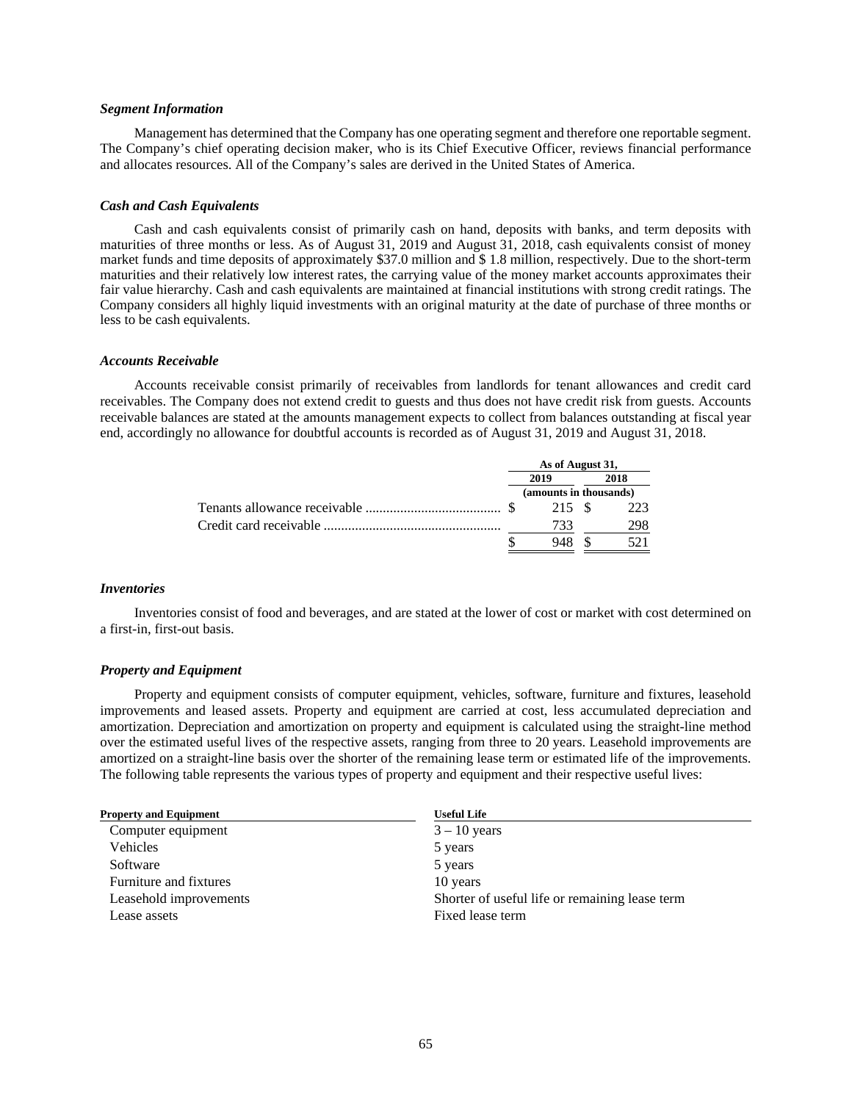# *Segment Information*

Management has determined that the Company has one operating segment and therefore one reportable segment. The Company's chief operating decision maker, who is its Chief Executive Officer, reviews financial performance and allocates resources. All of the Company's sales are derived in the United States of America.

# *Cash and Cash Equivalents*

Cash and cash equivalents consist of primarily cash on hand, deposits with banks, and term deposits with maturities of three months or less. As of August 31, 2019 and August 31, 2018, cash equivalents consist of money market funds and time deposits of approximately \$37.0 million and \$ 1.8 million, respectively. Due to the short-term maturities and their relatively low interest rates, the carrying value of the money market accounts approximates their fair value hierarchy. Cash and cash equivalents are maintained at financial institutions with strong credit ratings. The Company considers all highly liquid investments with an original maturity at the date of purchase of three months or less to be cash equivalents.

# *Accounts Receivable*

Accounts receivable consist primarily of receivables from landlords for tenant allowances and credit card receivables. The Company does not extend credit to guests and thus does not have credit risk from guests. Accounts receivable balances are stated at the amounts management expects to collect from balances outstanding at fiscal year end, accordingly no allowance for doubtful accounts is recorded as of August 31, 2019 and August 31, 2018.

|  | As of August 31,       |  |      |  |  |
|--|------------------------|--|------|--|--|
|  | 2019                   |  | 2018 |  |  |
|  | (amounts in thousands) |  |      |  |  |
|  | 215 S                  |  | 223  |  |  |
|  | 733                    |  | 298  |  |  |
|  | 948                    |  | 521. |  |  |

# *Inventories*

Inventories consist of food and beverages, and are stated at the lower of cost or market with cost determined on a first-in, first-out basis.

# *Property and Equipment*

Property and equipment consists of computer equipment, vehicles, software, furniture and fixtures, leasehold improvements and leased assets. Property and equipment are carried at cost, less accumulated depreciation and amortization. Depreciation and amortization on property and equipment is calculated using the straight-line method over the estimated useful lives of the respective assets, ranging from three to 20 years. Leasehold improvements are amortized on a straight-line basis over the shorter of the remaining lease term or estimated life of the improvements. The following table represents the various types of property and equipment and their respective useful lives:

| <b>Property and Equipment</b> | <b>Useful Life</b>                             |
|-------------------------------|------------------------------------------------|
| Computer equipment            | $3 - 10$ years                                 |
| Vehicles                      | 5 years                                        |
| Software                      | 5 years                                        |
| Furniture and fixtures        | 10 years                                       |
| Leasehold improvements        | Shorter of useful life or remaining lease term |
| Lease assets                  | Fixed lease term                               |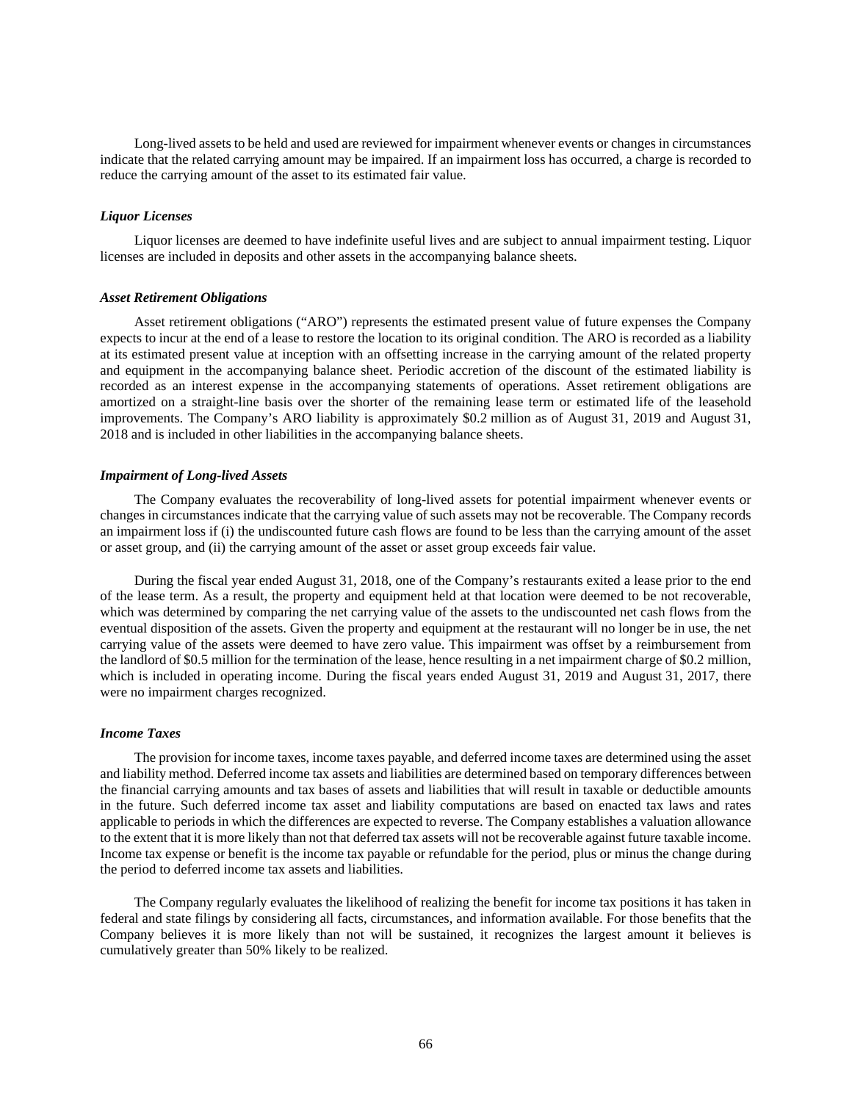Long-lived assets to be held and used are reviewed for impairment whenever events or changes in circumstances indicate that the related carrying amount may be impaired. If an impairment loss has occurred, a charge is recorded to reduce the carrying amount of the asset to its estimated fair value.

## *Liquor Licenses*

Liquor licenses are deemed to have indefinite useful lives and are subject to annual impairment testing. Liquor licenses are included in deposits and other assets in the accompanying balance sheets.

## *Asset Retirement Obligations*

Asset retirement obligations ("ARO") represents the estimated present value of future expenses the Company expects to incur at the end of a lease to restore the location to its original condition. The ARO is recorded as a liability at its estimated present value at inception with an offsetting increase in the carrying amount of the related property and equipment in the accompanying balance sheet. Periodic accretion of the discount of the estimated liability is recorded as an interest expense in the accompanying statements of operations. Asset retirement obligations are amortized on a straight-line basis over the shorter of the remaining lease term or estimated life of the leasehold improvements. The Company's ARO liability is approximately \$0.2 million as of August 31, 2019 and August 31, 2018 and is included in other liabilities in the accompanying balance sheets.

## *Impairment of Long-lived Assets*

The Company evaluates the recoverability of long-lived assets for potential impairment whenever events or changes in circumstances indicate that the carrying value of such assets may not be recoverable. The Company records an impairment loss if (i) the undiscounted future cash flows are found to be less than the carrying amount of the asset or asset group, and (ii) the carrying amount of the asset or asset group exceeds fair value.

During the fiscal year ended August 31, 2018, one of the Company's restaurants exited a lease prior to the end of the lease term. As a result, the property and equipment held at that location were deemed to be not recoverable, which was determined by comparing the net carrying value of the assets to the undiscounted net cash flows from the eventual disposition of the assets. Given the property and equipment at the restaurant will no longer be in use, the net carrying value of the assets were deemed to have zero value. This impairment was offset by a reimbursement from the landlord of \$0.5 million for the termination of the lease, hence resulting in a net impairment charge of \$0.2 million, which is included in operating income. During the fiscal years ended August 31, 2019 and August 31, 2017, there were no impairment charges recognized.

# *Income Taxes*

The provision for income taxes, income taxes payable, and deferred income taxes are determined using the asset and liability method. Deferred income tax assets and liabilities are determined based on temporary differences between the financial carrying amounts and tax bases of assets and liabilities that will result in taxable or deductible amounts in the future. Such deferred income tax asset and liability computations are based on enacted tax laws and rates applicable to periods in which the differences are expected to reverse. The Company establishes a valuation allowance to the extent that it is more likely than not that deferred tax assets will not be recoverable against future taxable income. Income tax expense or benefit is the income tax payable or refundable for the period, plus or minus the change during the period to deferred income tax assets and liabilities.

The Company regularly evaluates the likelihood of realizing the benefit for income tax positions it has taken in federal and state filings by considering all facts, circumstances, and information available. For those benefits that the Company believes it is more likely than not will be sustained, it recognizes the largest amount it believes is cumulatively greater than 50% likely to be realized.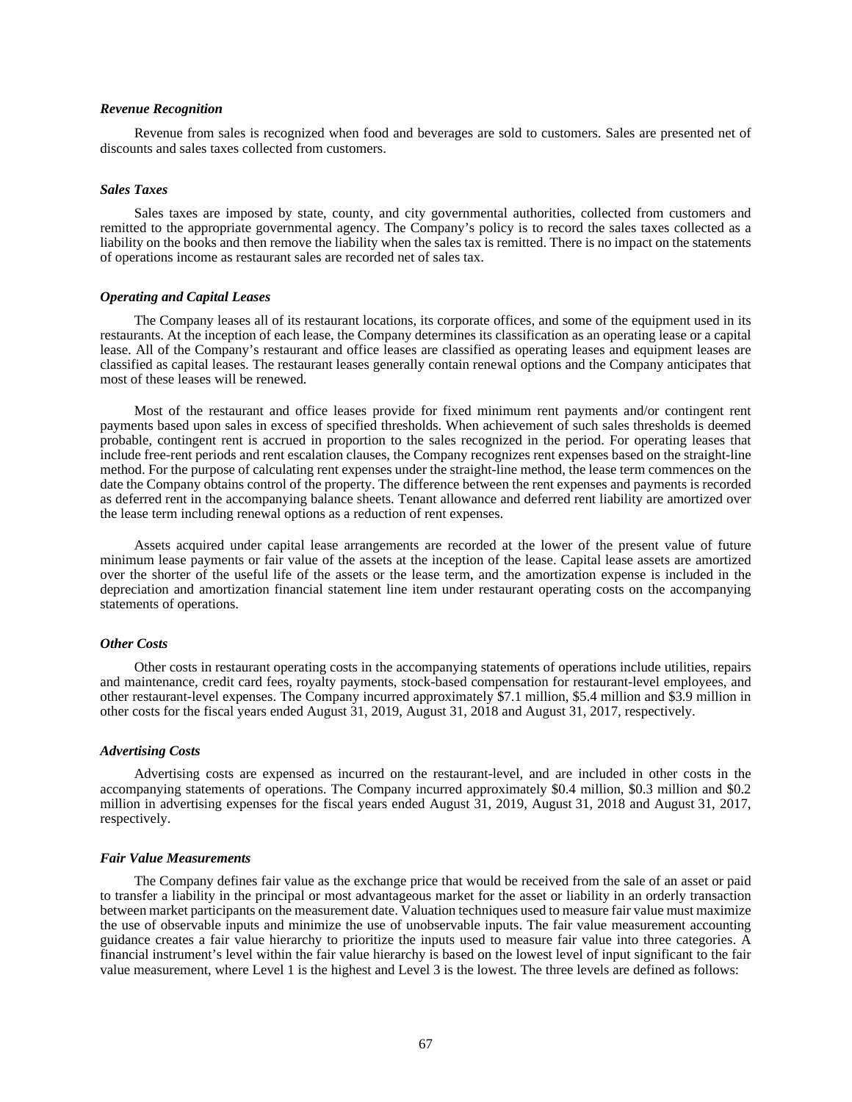## *Revenue Recognition*

Revenue from sales is recognized when food and beverages are sold to customers. Sales are presented net of discounts and sales taxes collected from customers.

## *Sales Taxes*

Sales taxes are imposed by state, county, and city governmental authorities, collected from customers and remitted to the appropriate governmental agency. The Company's policy is to record the sales taxes collected as a liability on the books and then remove the liability when the sales tax is remitted. There is no impact on the statements of operations income as restaurant sales are recorded net of sales tax.

## *Operating and Capital Leases*

The Company leases all of its restaurant locations, its corporate offices, and some of the equipment used in its restaurants. At the inception of each lease, the Company determines its classification as an operating lease or a capital lease. All of the Company's restaurant and office leases are classified as operating leases and equipment leases are classified as capital leases. The restaurant leases generally contain renewal options and the Company anticipates that most of these leases will be renewed.

Most of the restaurant and office leases provide for fixed minimum rent payments and/or contingent rent payments based upon sales in excess of specified thresholds. When achievement of such sales thresholds is deemed probable, contingent rent is accrued in proportion to the sales recognized in the period. For operating leases that include free-rent periods and rent escalation clauses, the Company recognizes rent expenses based on the straight-line method. For the purpose of calculating rent expenses under the straight-line method, the lease term commences on the date the Company obtains control of the property. The difference between the rent expenses and payments is recorded as deferred rent in the accompanying balance sheets. Tenant allowance and deferred rent liability are amortized over the lease term including renewal options as a reduction of rent expenses.

Assets acquired under capital lease arrangements are recorded at the lower of the present value of future minimum lease payments or fair value of the assets at the inception of the lease. Capital lease assets are amortized over the shorter of the useful life of the assets or the lease term, and the amortization expense is included in the depreciation and amortization financial statement line item under restaurant operating costs on the accompanying statements of operations.

# *Other Costs*

Other costs in restaurant operating costs in the accompanying statements of operations include utilities, repairs and maintenance, credit card fees, royalty payments, stock-based compensation for restaurant-level employees, and other restaurant-level expenses. The Company incurred approximately \$7.1 million, \$5.4 million and \$3.9 million in other costs for the fiscal years ended August 31, 2019, August 31, 2018 and August 31, 2017, respectively.

## *Advertising Costs*

Advertising costs are expensed as incurred on the restaurant-level, and are included in other costs in the accompanying statements of operations. The Company incurred approximately \$0.4 million, \$0.3 million and \$0.2 million in advertising expenses for the fiscal years ended August 31, 2019, August 31, 2018 and August 31, 2017, respectively.

## *Fair Value Measurements*

The Company defines fair value as the exchange price that would be received from the sale of an asset or paid to transfer a liability in the principal or most advantageous market for the asset or liability in an orderly transaction between market participants on the measurement date. Valuation techniques used to measure fair value must maximize the use of observable inputs and minimize the use of unobservable inputs. The fair value measurement accounting guidance creates a fair value hierarchy to prioritize the inputs used to measure fair value into three categories. A financial instrument's level within the fair value hierarchy is based on the lowest level of input significant to the fair value measurement, where Level 1 is the highest and Level 3 is the lowest. The three levels are defined as follows: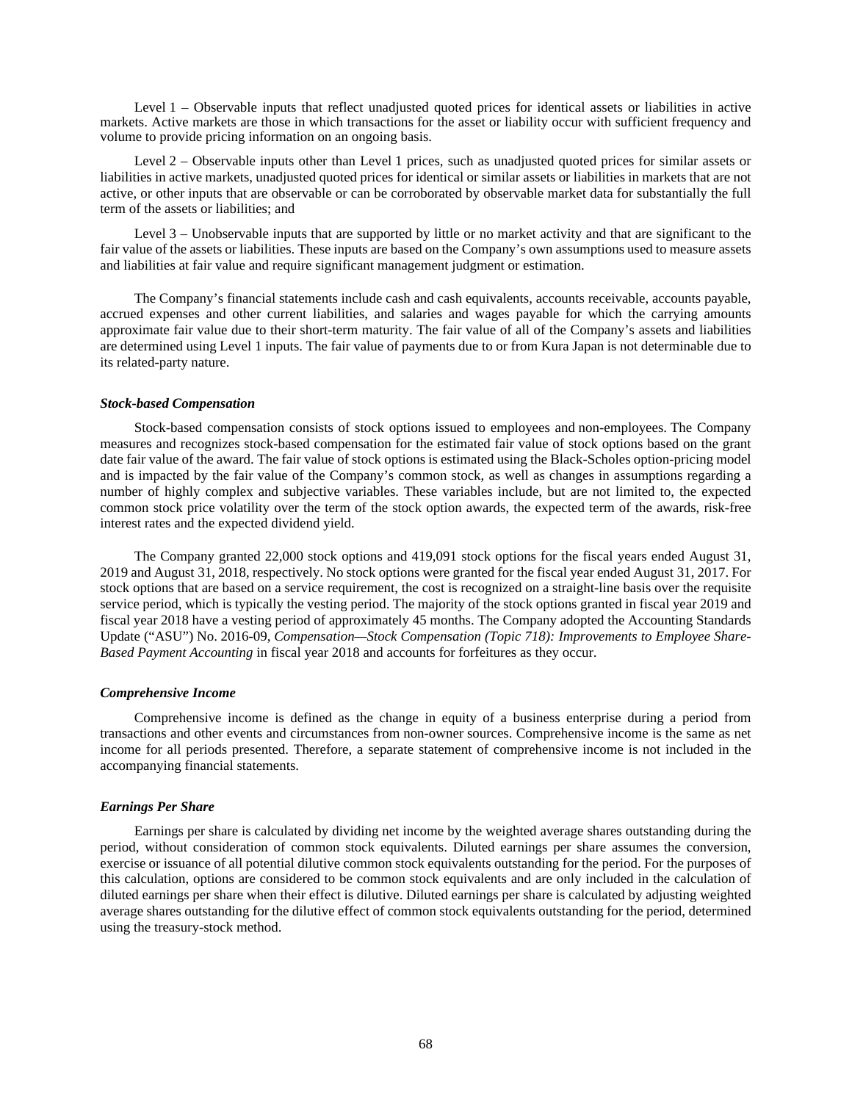Level 1 – Observable inputs that reflect unadjusted quoted prices for identical assets or liabilities in active markets. Active markets are those in which transactions for the asset or liability occur with sufficient frequency and volume to provide pricing information on an ongoing basis.

Level 2 – Observable inputs other than Level 1 prices, such as unadjusted quoted prices for similar assets or liabilities in active markets, unadjusted quoted prices for identical or similar assets or liabilities in markets that are not active, or other inputs that are observable or can be corroborated by observable market data for substantially the full term of the assets or liabilities; and

Level 3 – Unobservable inputs that are supported by little or no market activity and that are significant to the fair value of the assets or liabilities. These inputs are based on the Company's own assumptions used to measure assets and liabilities at fair value and require significant management judgment or estimation.

The Company's financial statements include cash and cash equivalents, accounts receivable, accounts payable, accrued expenses and other current liabilities, and salaries and wages payable for which the carrying amounts approximate fair value due to their short-term maturity. The fair value of all of the Company's assets and liabilities are determined using Level 1 inputs. The fair value of payments due to or from Kura Japan is not determinable due to its related-party nature.

## *Stock-based Compensation*

Stock-based compensation consists of stock options issued to employees and non-employees. The Company measures and recognizes stock-based compensation for the estimated fair value of stock options based on the grant date fair value of the award. The fair value of stock options is estimated using the Black-Scholes option-pricing model and is impacted by the fair value of the Company's common stock, as well as changes in assumptions regarding a number of highly complex and subjective variables. These variables include, but are not limited to, the expected common stock price volatility over the term of the stock option awards, the expected term of the awards, risk-free interest rates and the expected dividend yield.

The Company granted 22,000 stock options and 419,091 stock options for the fiscal years ended August 31, 2019 and August 31, 2018, respectively. No stock options were granted for the fiscal year ended August 31, 2017. For stock options that are based on a service requirement, the cost is recognized on a straight-line basis over the requisite service period, which is typically the vesting period. The majority of the stock options granted in fiscal year 2019 and fiscal year 2018 have a vesting period of approximately 45 months. The Company adopted the Accounting Standards Update ("ASU") No. 2016-09, *Compensation—Stock Compensation (Topic 718): Improvements to Employee Share-Based Payment Accounting* in fiscal year 2018 and accounts for forfeitures as they occur.

## *Comprehensive Income*

Comprehensive income is defined as the change in equity of a business enterprise during a period from transactions and other events and circumstances from non-owner sources. Comprehensive income is the same as net income for all periods presented. Therefore, a separate statement of comprehensive income is not included in the accompanying financial statements.

## *Earnings Per Share*

Earnings per share is calculated by dividing net income by the weighted average shares outstanding during the period, without consideration of common stock equivalents. Diluted earnings per share assumes the conversion, exercise or issuance of all potential dilutive common stock equivalents outstanding for the period. For the purposes of this calculation, options are considered to be common stock equivalents and are only included in the calculation of diluted earnings per share when their effect is dilutive. Diluted earnings per share is calculated by adjusting weighted average shares outstanding for the dilutive effect of common stock equivalents outstanding for the period, determined using the treasury-stock method.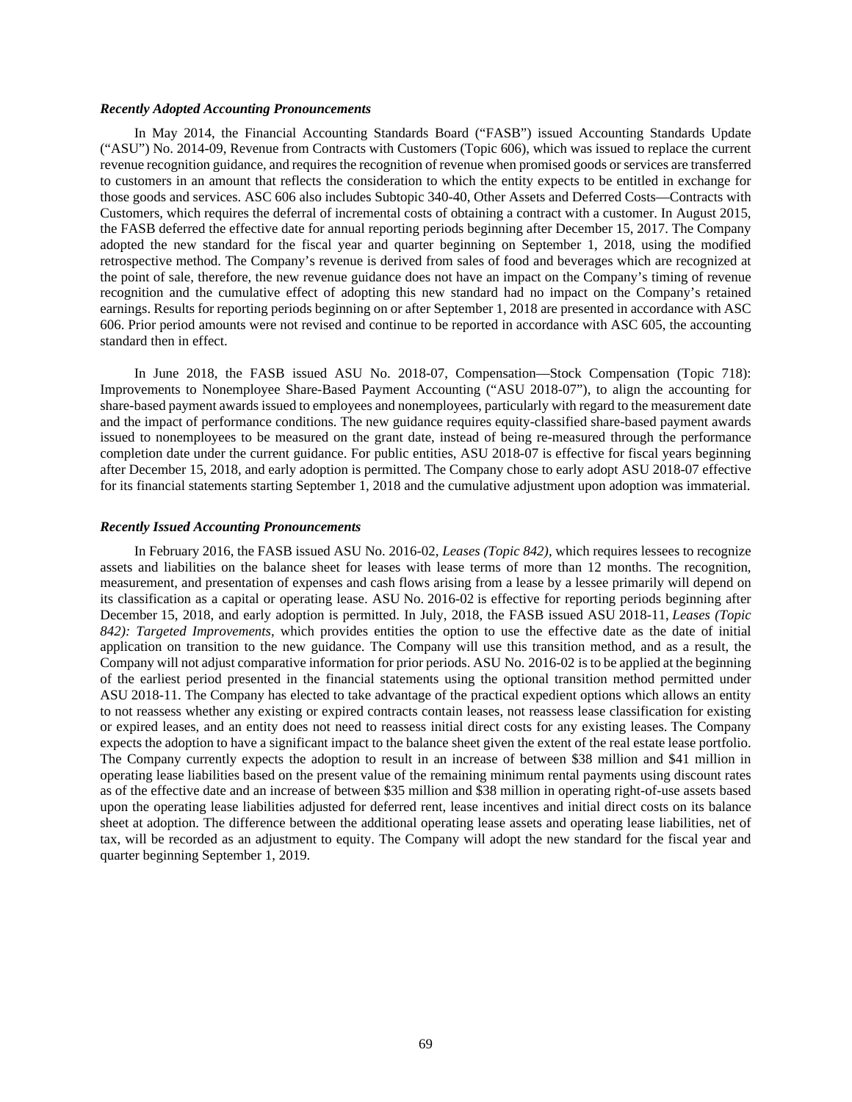## *Recently Adopted Accounting Pronouncements*

In May 2014, the Financial Accounting Standards Board ("FASB") issued Accounting Standards Update ("ASU") No. 2014-09, Revenue from Contracts with Customers (Topic 606), which was issued to replace the current revenue recognition guidance, and requires the recognition of revenue when promised goods or services are transferred to customers in an amount that reflects the consideration to which the entity expects to be entitled in exchange for those goods and services. ASC 606 also includes Subtopic 340-40, Other Assets and Deferred Costs—Contracts with Customers, which requires the deferral of incremental costs of obtaining a contract with a customer. In August 2015, the FASB deferred the effective date for annual reporting periods beginning after December 15, 2017. The Company adopted the new standard for the fiscal year and quarter beginning on September 1, 2018, using the modified retrospective method. The Company's revenue is derived from sales of food and beverages which are recognized at the point of sale, therefore, the new revenue guidance does not have an impact on the Company's timing of revenue recognition and the cumulative effect of adopting this new standard had no impact on the Company's retained earnings. Results for reporting periods beginning on or after September 1, 2018 are presented in accordance with ASC 606. Prior period amounts were not revised and continue to be reported in accordance with ASC 605, the accounting standard then in effect.

In June 2018, the FASB issued ASU No. 2018-07, Compensation—Stock Compensation (Topic 718): Improvements to Nonemployee Share-Based Payment Accounting ("ASU 2018-07"), to align the accounting for share-based payment awards issued to employees and nonemployees, particularly with regard to the measurement date and the impact of performance conditions. The new guidance requires equity-classified share-based payment awards issued to nonemployees to be measured on the grant date, instead of being re-measured through the performance completion date under the current guidance. For public entities, ASU 2018-07 is effective for fiscal years beginning after December 15, 2018, and early adoption is permitted. The Company chose to early adopt ASU 2018-07 effective for its financial statements starting September 1, 2018 and the cumulative adjustment upon adoption was immaterial.

# *Recently Issued Accounting Pronouncements*

In February 2016, the FASB issued ASU No. 2016-02, *Leases (Topic 842),* which requires lessees to recognize assets and liabilities on the balance sheet for leases with lease terms of more than 12 months. The recognition, measurement, and presentation of expenses and cash flows arising from a lease by a lessee primarily will depend on its classification as a capital or operating lease. ASU No. 2016-02 is effective for reporting periods beginning after December 15, 2018, and early adoption is permitted. In July, 2018, the FASB issued ASU 2018-11, *Leases (Topic 842): Targeted Improvements*, which provides entities the option to use the effective date as the date of initial application on transition to the new guidance. The Company will use this transition method, and as a result, the Company will not adjust comparative information for prior periods. ASU No. 2016-02 is to be applied at the beginning of the earliest period presented in the financial statements using the optional transition method permitted under ASU 2018-11. The Company has elected to take advantage of the practical expedient options which allows an entity to not reassess whether any existing or expired contracts contain leases, not reassess lease classification for existing or expired leases, and an entity does not need to reassess initial direct costs for any existing leases. The Company expects the adoption to have a significant impact to the balance sheet given the extent of the real estate lease portfolio. The Company currently expects the adoption to result in an increase of between \$38 million and \$41 million in operating lease liabilities based on the present value of the remaining minimum rental payments using discount rates as of the effective date and an increase of between \$35 million and \$38 million in operating right-of-use assets based upon the operating lease liabilities adjusted for deferred rent, lease incentives and initial direct costs on its balance sheet at adoption. The difference between the additional operating lease assets and operating lease liabilities, net of tax, will be recorded as an adjustment to equity. The Company will adopt the new standard for the fiscal year and quarter beginning September 1, 2019.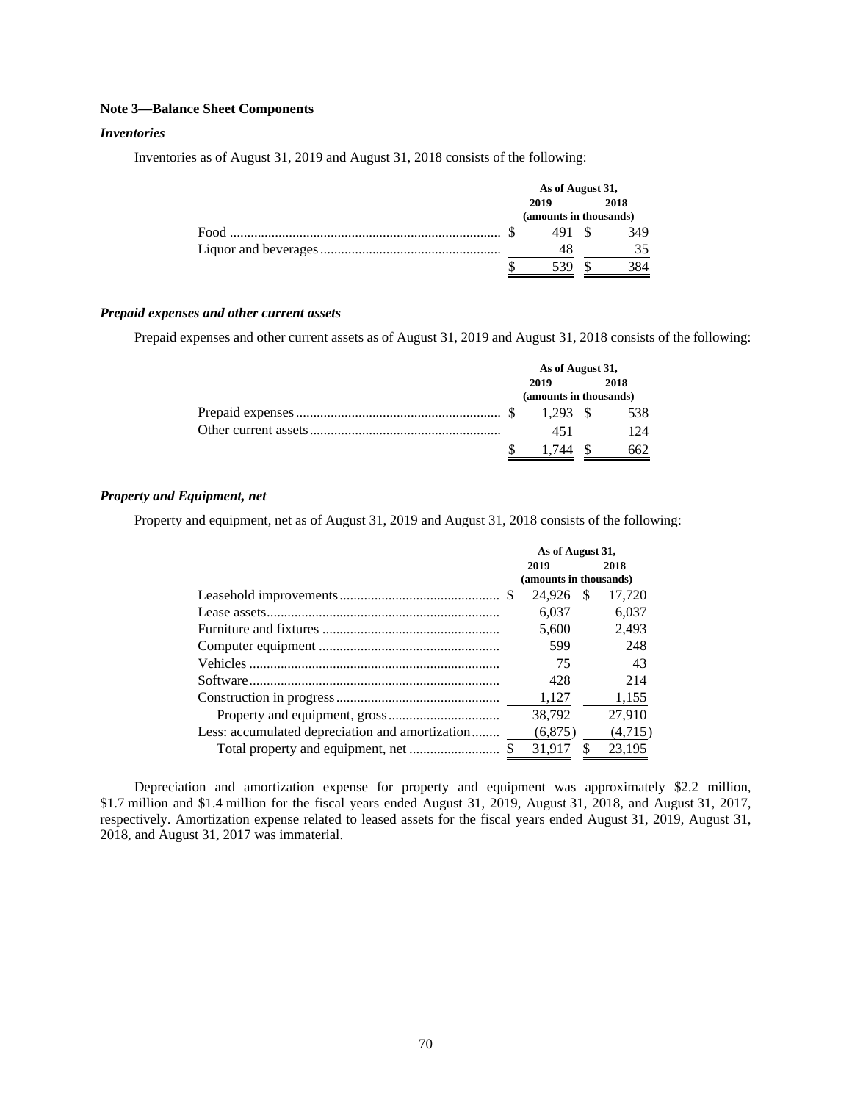# **Note 3—Balance Sheet Components**

# *Inventories*

Inventories as of August 31, 2019 and August 31, 2018 consists of the following:

|  | As of August 31,       |  |      |  |
|--|------------------------|--|------|--|
|  | 2019                   |  | 2018 |  |
|  | (amounts in thousands) |  |      |  |
|  | 491 S                  |  | 349  |  |
|  |                        |  |      |  |
|  |                        |  | 384  |  |

# *Prepaid expenses and other current assets*

Prepaid expenses and other current assets as of August 31, 2019 and August 31, 2018 consists of the following:

|                        | As of August 31, |      |     |  |  |
|------------------------|------------------|------|-----|--|--|
| 2019                   |                  | 2018 |     |  |  |
| (amounts in thousands) |                  |      |     |  |  |
|                        | 1.293 S          |      | 538 |  |  |
|                        | 451              |      | 124 |  |  |
|                        | .744 \$          |      | 662 |  |  |

# *Property and Equipment, net*

Property and equipment, net as of August 31, 2019 and August 31, 2018 consists of the following:

|                                                 |  | As of August 31,       |   |         |  |  |
|-------------------------------------------------|--|------------------------|---|---------|--|--|
|                                                 |  | 2019                   |   | 2018    |  |  |
|                                                 |  | (amounts in thousands) |   |         |  |  |
|                                                 |  | 24.926 \$              |   | 17,720  |  |  |
|                                                 |  | 6,037                  |   | 6,037   |  |  |
|                                                 |  | 5.600                  |   | 2.493   |  |  |
|                                                 |  | 599                    |   | 248     |  |  |
|                                                 |  | 75                     |   | 43      |  |  |
|                                                 |  | 428                    |   | 214     |  |  |
|                                                 |  | 1,127                  |   | 1,155   |  |  |
|                                                 |  | 38.792                 |   | 27.910  |  |  |
| Less: accumulated depreciation and amortization |  | (6,875)                |   | (4,715) |  |  |
|                                                 |  | 31,917                 | S | 23,195  |  |  |

Depreciation and amortization expense for property and equipment was approximately \$2.2 million, \$1.7 million and \$1.4 million for the fiscal years ended August 31, 2019, August 31, 2018, and August 31, 2017, respectively. Amortization expense related to leased assets for the fiscal years ended August 31, 2019, August 31, 2018, and August 31, 2017 was immaterial.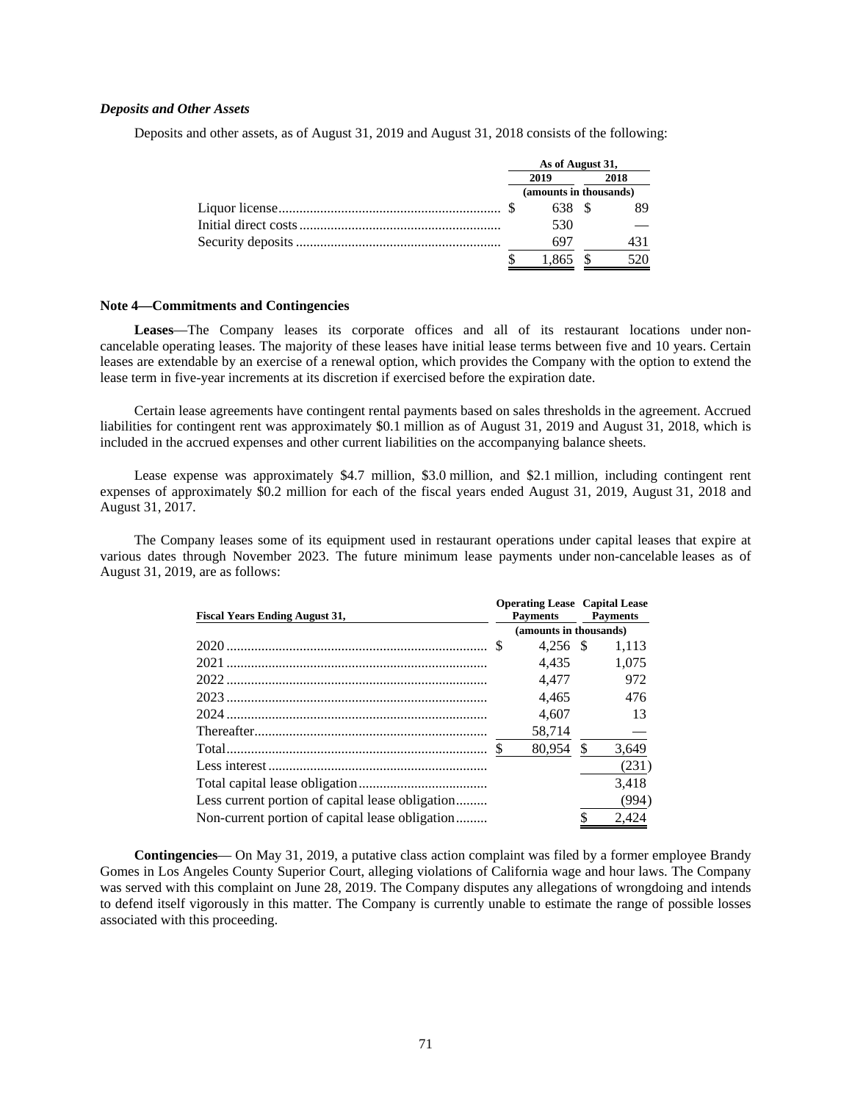# *Deposits and Other Assets*

Deposits and other assets, as of August 31, 2019 and August 31, 2018 consists of the following:

|  | As of August 31,       |  |      |  |
|--|------------------------|--|------|--|
|  | 2019                   |  | 2018 |  |
|  | (amounts in thousands) |  |      |  |
|  | 638 S                  |  | 89   |  |
|  | 530                    |  |      |  |
|  | 697                    |  | 431  |  |
|  | 1.865                  |  | 520  |  |

# **Note 4—Commitments and Contingencies**

**Leases**—The Company leases its corporate offices and all of its restaurant locations under noncancelable operating leases. The majority of these leases have initial lease terms between five and 10 years. Certain leases are extendable by an exercise of a renewal option, which provides the Company with the option to extend the lease term in five-year increments at its discretion if exercised before the expiration date.

Certain lease agreements have contingent rental payments based on sales thresholds in the agreement. Accrued liabilities for contingent rent was approximately \$0.1 million as of August 31, 2019 and August 31, 2018, which is included in the accrued expenses and other current liabilities on the accompanying balance sheets.

Lease expense was approximately \$4.7 million, \$3.0 million, and \$2.1 million, including contingent rent expenses of approximately \$0.2 million for each of the fiscal years ended August 31, 2019, August 31, 2018 and August 31, 2017.

The Company leases some of its equipment used in restaurant operations under capital leases that expire at various dates through November 2023. The future minimum lease payments under non-cancelable leases as of August 31, 2019, are as follows:

| <b>Fiscal Years Ending August 31,</b>            | <b>Operating Lease Capital Lease</b><br><b>Payments</b> Payments |     |       |
|--------------------------------------------------|------------------------------------------------------------------|-----|-------|
|                                                  | (amounts in thousands)                                           |     |       |
|                                                  | $4,256$ \$                                                       |     | 1,113 |
|                                                  | 4.435                                                            |     | 1.075 |
|                                                  | 4,477                                                            |     | 972   |
|                                                  | 4.465                                                            |     | 476   |
|                                                  | 4.607                                                            |     | 13    |
|                                                  | 58,714                                                           |     |       |
|                                                  | 80.954                                                           | \$. | 3,649 |
|                                                  |                                                                  |     | (231) |
|                                                  |                                                                  |     | 3.418 |
| Less current portion of capital lease obligation |                                                                  |     | (994) |
| Non-current portion of capital lease obligation  |                                                                  | \$  | 2.424 |

**Contingencies**— On May 31, 2019, a putative class action complaint was filed by a former employee Brandy Gomes in Los Angeles County Superior Court, alleging violations of California wage and hour laws. The Company was served with this complaint on June 28, 2019. The Company disputes any allegations of wrongdoing and intends to defend itself vigorously in this matter. The Company is currently unable to estimate the range of possible losses associated with this proceeding.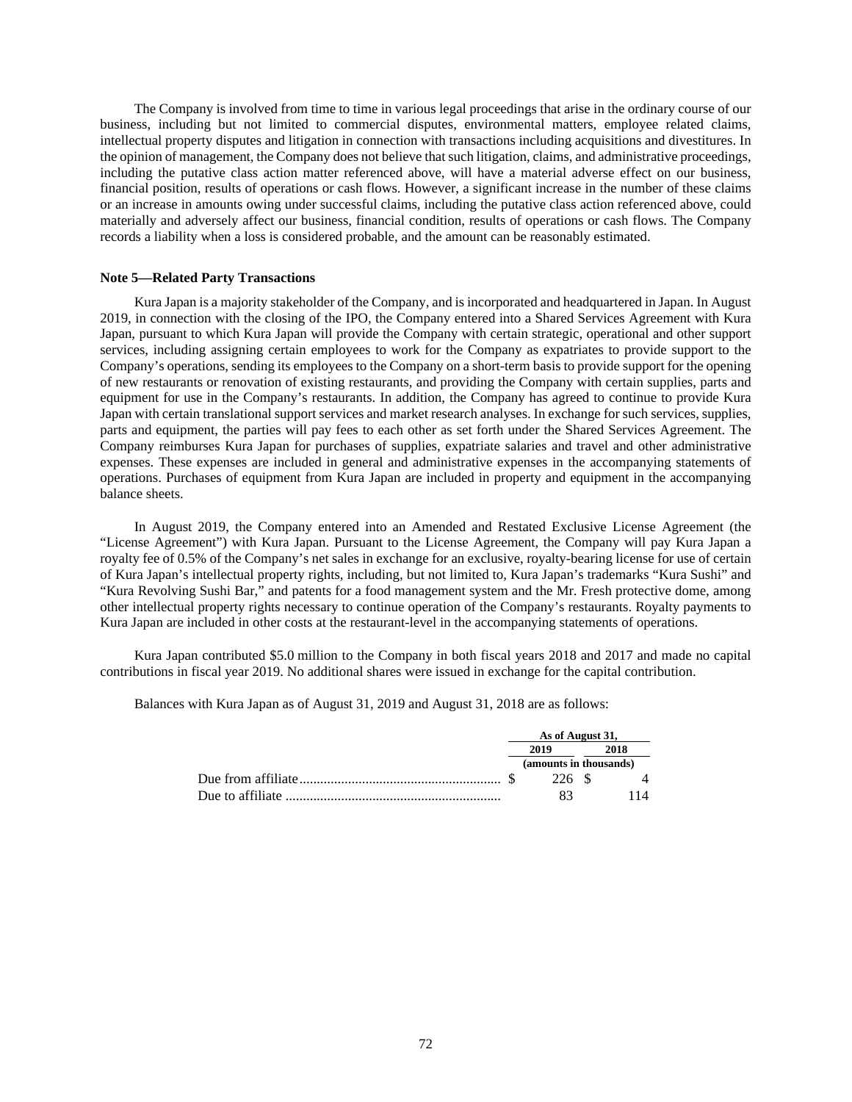The Company is involved from time to time in various legal proceedings that arise in the ordinary course of our business, including but not limited to commercial disputes, environmental matters, employee related claims, intellectual property disputes and litigation in connection with transactions including acquisitions and divestitures. In the opinion of management, the Company does not believe that such litigation, claims, and administrative proceedings, including the putative class action matter referenced above, will have a material adverse effect on our business, financial position, results of operations or cash flows. However, a significant increase in the number of these claims or an increase in amounts owing under successful claims, including the putative class action referenced above, could materially and adversely affect our business, financial condition, results of operations or cash flows. The Company records a liability when a loss is considered probable, and the amount can be reasonably estimated.

# **Note 5—Related Party Transactions**

Kura Japan is a majority stakeholder of the Company, and is incorporated and headquartered in Japan. In August 2019, in connection with the closing of the IPO, the Company entered into a Shared Services Agreement with Kura Japan, pursuant to which Kura Japan will provide the Company with certain strategic, operational and other support services, including assigning certain employees to work for the Company as expatriates to provide support to the Company's operations, sending its employees to the Company on a short-term basis to provide support for the opening of new restaurants or renovation of existing restaurants, and providing the Company with certain supplies, parts and equipment for use in the Company's restaurants. In addition, the Company has agreed to continue to provide Kura Japan with certain translational support services and market research analyses. In exchange for such services, supplies, parts and equipment, the parties will pay fees to each other as set forth under the Shared Services Agreement. The Company reimburses Kura Japan for purchases of supplies, expatriate salaries and travel and other administrative expenses. These expenses are included in general and administrative expenses in the accompanying statements of operations. Purchases of equipment from Kura Japan are included in property and equipment in the accompanying balance sheets.

In August 2019, the Company entered into an Amended and Restated Exclusive License Agreement (the "License Agreement") with Kura Japan. Pursuant to the License Agreement, the Company will pay Kura Japan a royalty fee of 0.5% of the Company's net sales in exchange for an exclusive, royalty-bearing license for use of certain of Kura Japan's intellectual property rights, including, but not limited to, Kura Japan's trademarks "Kura Sushi" and "Kura Revolving Sushi Bar," and patents for a food management system and the Mr. Fresh protective dome, among other intellectual property rights necessary to continue operation of the Company's restaurants. Royalty payments to Kura Japan are included in other costs at the restaurant-level in the accompanying statements of operations.

Kura Japan contributed \$5.0 million to the Company in both fiscal years 2018 and 2017 and made no capital contributions in fiscal year 2019. No additional shares were issued in exchange for the capital contribution.

Balances with Kura Japan as of August 31, 2019 and August 31, 2018 are as follows:

|      | As of August 31,       |      |  |  |
|------|------------------------|------|--|--|
| 2019 |                        | 2018 |  |  |
|      | (amounts in thousands) |      |  |  |
|      | 226 S                  |      |  |  |
|      |                        |      |  |  |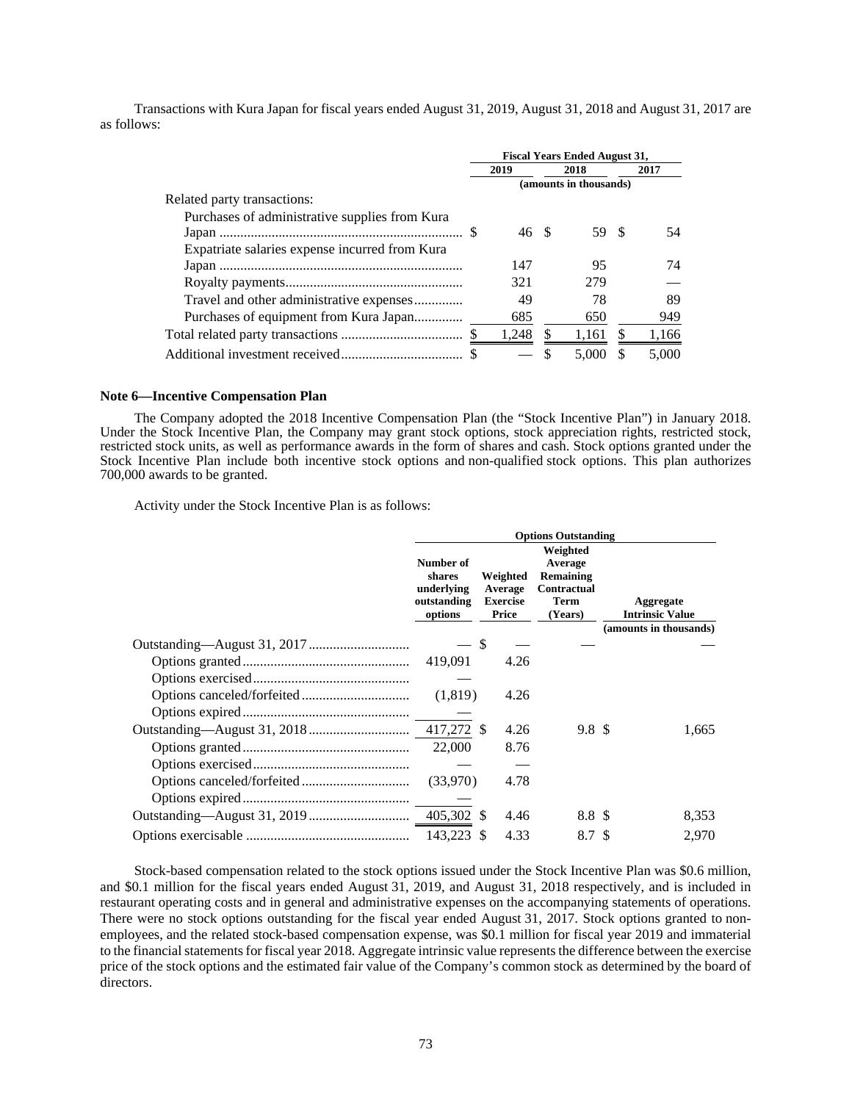Transactions with Kura Japan for fiscal years ended August 31, 2019, August 31, 2018 and August 31, 2017 are as follows:

|                                                | <b>Fiscal Years Ended August 31,</b> |       |  |       |    |       |  |  |  |  |  |
|------------------------------------------------|--------------------------------------|-------|--|-------|----|-------|--|--|--|--|--|
|                                                |                                      | 2019  |  | 2018  |    | 2017  |  |  |  |  |  |
|                                                | (amounts in thousands)               |       |  |       |    |       |  |  |  |  |  |
| Related party transactions:                    |                                      |       |  |       |    |       |  |  |  |  |  |
| Purchases of administrative supplies from Kura |                                      |       |  |       |    |       |  |  |  |  |  |
|                                                |                                      | 46 \$ |  | 59 S  |    | 54.   |  |  |  |  |  |
| Expatriate salaries expense incurred from Kura |                                      |       |  |       |    |       |  |  |  |  |  |
|                                                |                                      | 147   |  | 95    |    | 74    |  |  |  |  |  |
|                                                |                                      | 321   |  | 279   |    |       |  |  |  |  |  |
|                                                |                                      | 49    |  | 78    |    | 89    |  |  |  |  |  |
| Purchases of equipment from Kura Japan         |                                      | 685   |  | 650   |    | 949   |  |  |  |  |  |
|                                                |                                      | 1,248 |  | 1,161 |    | 1,166 |  |  |  |  |  |
|                                                |                                      |       |  | 5.000 | £. | 5.000 |  |  |  |  |  |

#### **Note 6—Incentive Compensation Plan**

The Company adopted the 2018 Incentive Compensation Plan (the "Stock Incentive Plan") in January 2018. Under the Stock Incentive Plan, the Company may grant stock options, stock appreciation rights, restricted stock, restricted stock units, as well as performance awards in the form of shares and cash. Stock options granted under the Stock Incentive Plan include both incentive stock options and non-qualified stock options. This plan authorizes 700,000 awards to be granted.

Activity under the Stock Incentive Plan is as follows:

| <b>Options Outstanding</b>                                  |                                                 |                                                                                  |                                     |  |  |  |  |  |  |
|-------------------------------------------------------------|-------------------------------------------------|----------------------------------------------------------------------------------|-------------------------------------|--|--|--|--|--|--|
| Number of<br>shares<br>underlying<br>outstanding<br>options | Weighted<br>Average<br><b>Exercise</b><br>Price | Weighted<br>Average<br>Remaining<br><b>Contractual</b><br><b>Term</b><br>(Years) | Aggregate<br><b>Intrinsic Value</b> |  |  |  |  |  |  |
|                                                             |                                                 |                                                                                  | (amounts in thousands)              |  |  |  |  |  |  |
| $-$ \$                                                      |                                                 |                                                                                  |                                     |  |  |  |  |  |  |
| 419,091                                                     | 4.26                                            |                                                                                  |                                     |  |  |  |  |  |  |
|                                                             |                                                 |                                                                                  |                                     |  |  |  |  |  |  |
| (1,819)                                                     | 4.26                                            |                                                                                  |                                     |  |  |  |  |  |  |
|                                                             |                                                 |                                                                                  |                                     |  |  |  |  |  |  |
| 417,272 \$                                                  | 4.26                                            | 9.8 \$                                                                           | 1,665                               |  |  |  |  |  |  |
| 22,000                                                      | 8.76                                            |                                                                                  |                                     |  |  |  |  |  |  |
|                                                             |                                                 |                                                                                  |                                     |  |  |  |  |  |  |
| (33,970)                                                    | 4.78                                            |                                                                                  |                                     |  |  |  |  |  |  |
|                                                             |                                                 |                                                                                  |                                     |  |  |  |  |  |  |
|                                                             | 4.46                                            | 8.8 \$                                                                           | 8,353                               |  |  |  |  |  |  |
| 143.223                                                     | 4.33<br>-S                                      | 8.7 \$                                                                           | 2.970                               |  |  |  |  |  |  |

Stock-based compensation related to the stock options issued under the Stock Incentive Plan was \$0.6 million, and \$0.1 million for the fiscal years ended August 31, 2019, and August 31, 2018 respectively, and is included in restaurant operating costs and in general and administrative expenses on the accompanying statements of operations. There were no stock options outstanding for the fiscal year ended August 31, 2017. Stock options granted to nonemployees, and the related stock-based compensation expense, was \$0.1 million for fiscal year 2019 and immaterial to the financial statements for fiscal year 2018. Aggregate intrinsic value represents the difference between the exercise price of the stock options and the estimated fair value of the Company's common stock as determined by the board of directors.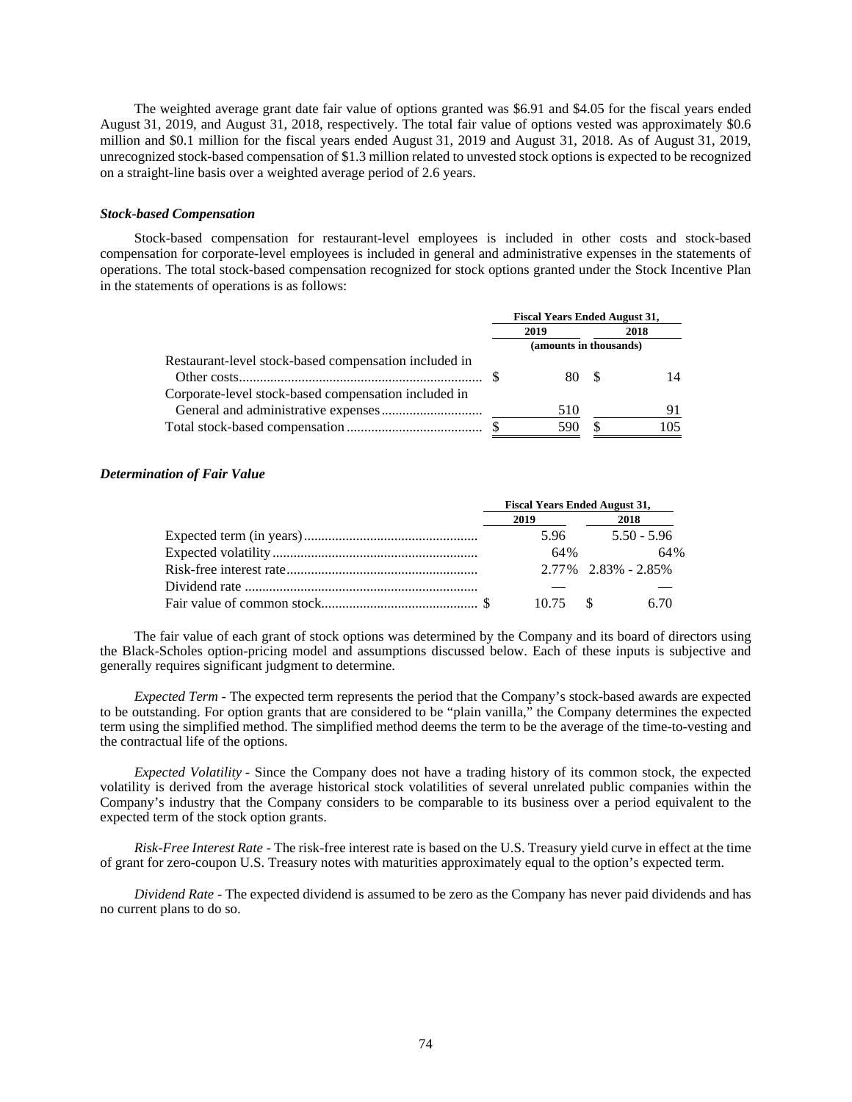The weighted average grant date fair value of options granted was \$6.91 and \$4.05 for the fiscal years ended August 31, 2019, and August 31, 2018, respectively. The total fair value of options vested was approximately \$0.6 million and \$0.1 million for the fiscal years ended August 31, 2019 and August 31, 2018. As of August 31, 2019, unrecognized stock-based compensation of \$1.3 million related to unvested stock options is expected to be recognized on a straight-line basis over a weighted average period of 2.6 years.

### *Stock-based Compensation*

Stock-based compensation for restaurant-level employees is included in other costs and stock-based compensation for corporate-level employees is included in general and administrative expenses in the statements of operations. The total stock-based compensation recognized for stock options granted under the Stock Incentive Plan in the statements of operations is as follows:

|                                                       | <b>Fiscal Years Ended August 31,</b> |      |  |      |  |  |  |
|-------------------------------------------------------|--------------------------------------|------|--|------|--|--|--|
|                                                       |                                      | 2019 |  | 2018 |  |  |  |
|                                                       | (amounts in thousands)               |      |  |      |  |  |  |
| Restaurant-level stock-based compensation included in |                                      |      |  |      |  |  |  |
|                                                       |                                      | 80 S |  | 14   |  |  |  |
| Corporate-level stock-based compensation included in  |                                      |      |  |      |  |  |  |
|                                                       |                                      | 510  |  | 91   |  |  |  |
|                                                       |                                      | 590  |  | 105  |  |  |  |

## *Determination of Fair Value*

| <b>Fiscal Years Ended August 31,</b> |                        |  |  |  |  |
|--------------------------------------|------------------------|--|--|--|--|
| 2019                                 | 2018                   |  |  |  |  |
| 5.96                                 | $5.50 - 5.96$          |  |  |  |  |
| 64%                                  | 64%                    |  |  |  |  |
|                                      | $2.77\%$ 2.83% - 2.85% |  |  |  |  |
|                                      |                        |  |  |  |  |
| 10.75 \$                             | 6.70                   |  |  |  |  |

The fair value of each grant of stock options was determined by the Company and its board of directors using the Black-Scholes option-pricing model and assumptions discussed below. Each of these inputs is subjective and generally requires significant judgment to determine.

*Expected Term* - The expected term represents the period that the Company's stock-based awards are expected to be outstanding. For option grants that are considered to be "plain vanilla," the Company determines the expected term using the simplified method. The simplified method deems the term to be the average of the time-to-vesting and the contractual life of the options.

*Expected Volatility* - Since the Company does not have a trading history of its common stock, the expected volatility is derived from the average historical stock volatilities of several unrelated public companies within the Company's industry that the Company considers to be comparable to its business over a period equivalent to the expected term of the stock option grants.

*Risk-Free Interest Rate* - The risk-free interest rate is based on the U.S. Treasury yield curve in effect at the time of grant for zero-coupon U.S. Treasury notes with maturities approximately equal to the option's expected term.

*Dividend Rate* - The expected dividend is assumed to be zero as the Company has never paid dividends and has no current plans to do so.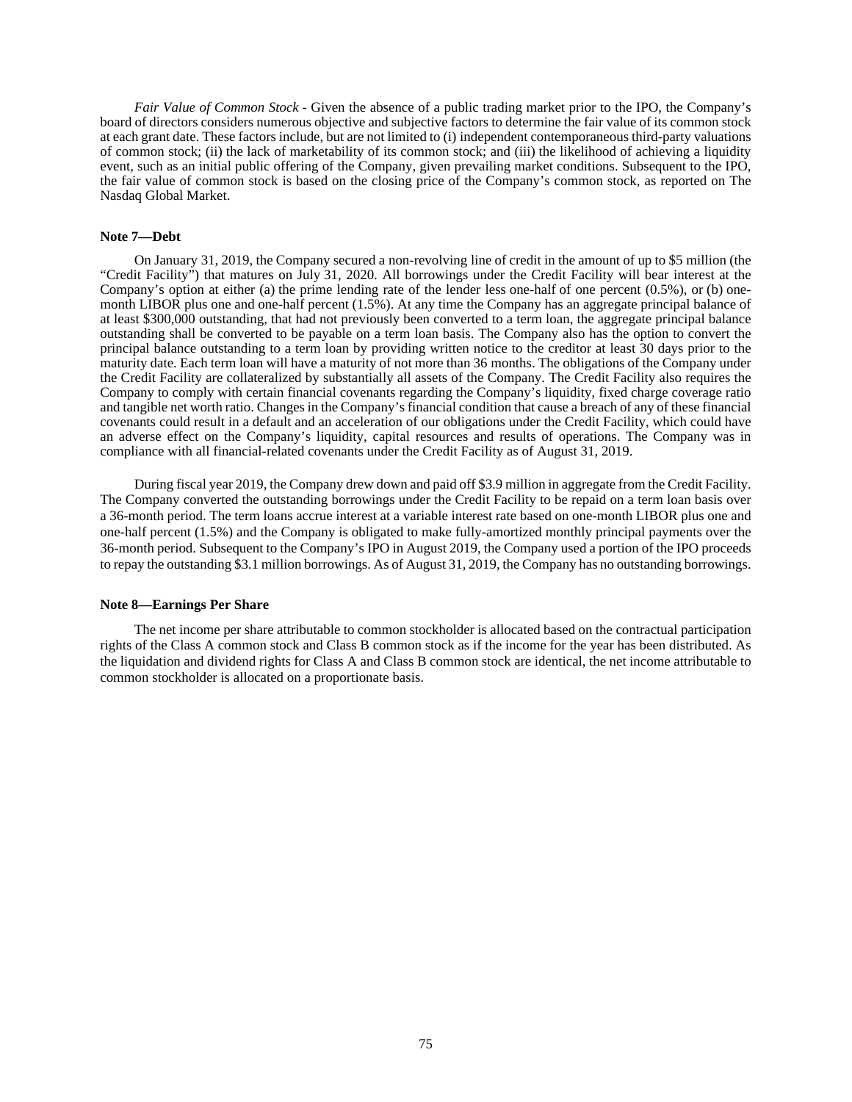*Fair Value of Common Stock* - Given the absence of a public trading market prior to the IPO, the Company's board of directors considers numerous objective and subjective factors to determine the fair value of its common stock at each grant date. These factors include, but are not limited to (i) independent contemporaneous third-party valuations of common stock; (ii) the lack of marketability of its common stock; and (iii) the likelihood of achieving a liquidity event, such as an initial public offering of the Company, given prevailing market conditions. Subsequent to the IPO, the fair value of common stock is based on the closing price of the Company's common stock, as reported on The Nasdaq Global Market.

### **Note 7—Debt**

On January 31, 2019, the Company secured a non-revolving line of credit in the amount of up to \$5 million (the "Credit Facility") that matures on July 31, 2020. All borrowings under the Credit Facility will bear interest at the Company's option at either (a) the prime lending rate of the lender less one-half of one percent (0.5%), or (b) onemonth LIBOR plus one and one-half percent (1.5%). At any time the Company has an aggregate principal balance of at least \$300,000 outstanding, that had not previously been converted to a term loan, the aggregate principal balance outstanding shall be converted to be payable on a term loan basis. The Company also has the option to convert the principal balance outstanding to a term loan by providing written notice to the creditor at least 30 days prior to the maturity date. Each term loan will have a maturity of not more than 36 months. The obligations of the Company under the Credit Facility are collateralized by substantially all assets of the Company. The Credit Facility also requires the Company to comply with certain financial covenants regarding the Company's liquidity, fixed charge coverage ratio and tangible net worth ratio. Changes in the Company's financial condition that cause a breach of any of these financial covenants could result in a default and an acceleration of our obligations under the Credit Facility, which could have an adverse effect on the Company's liquidity, capital resources and results of operations. The Company was in compliance with all financial-related covenants under the Credit Facility as of August 31, 2019.

During fiscal year 2019, the Company drew down and paid off \$3.9 million in aggregate from the Credit Facility. The Company converted the outstanding borrowings under the Credit Facility to be repaid on a term loan basis over a 36-month period. The term loans accrue interest at a variable interest rate based on one-month LIBOR plus one and one-half percent (1.5%) and the Company is obligated to make fully-amortized monthly principal payments over the 36-month period. Subsequent to the Company's IPO in August 2019, the Company used a portion of the IPO proceeds to repay the outstanding \$3.1 million borrowings. As of August 31, 2019, the Company has no outstanding borrowings.

#### **Note 8—Earnings Per Share**

The net income per share attributable to common stockholder is allocated based on the contractual participation rights of the Class A common stock and Class B common stock as if the income for the year has been distributed. As the liquidation and dividend rights for Class A and Class B common stock are identical, the net income attributable to common stockholder is allocated on a proportionate basis.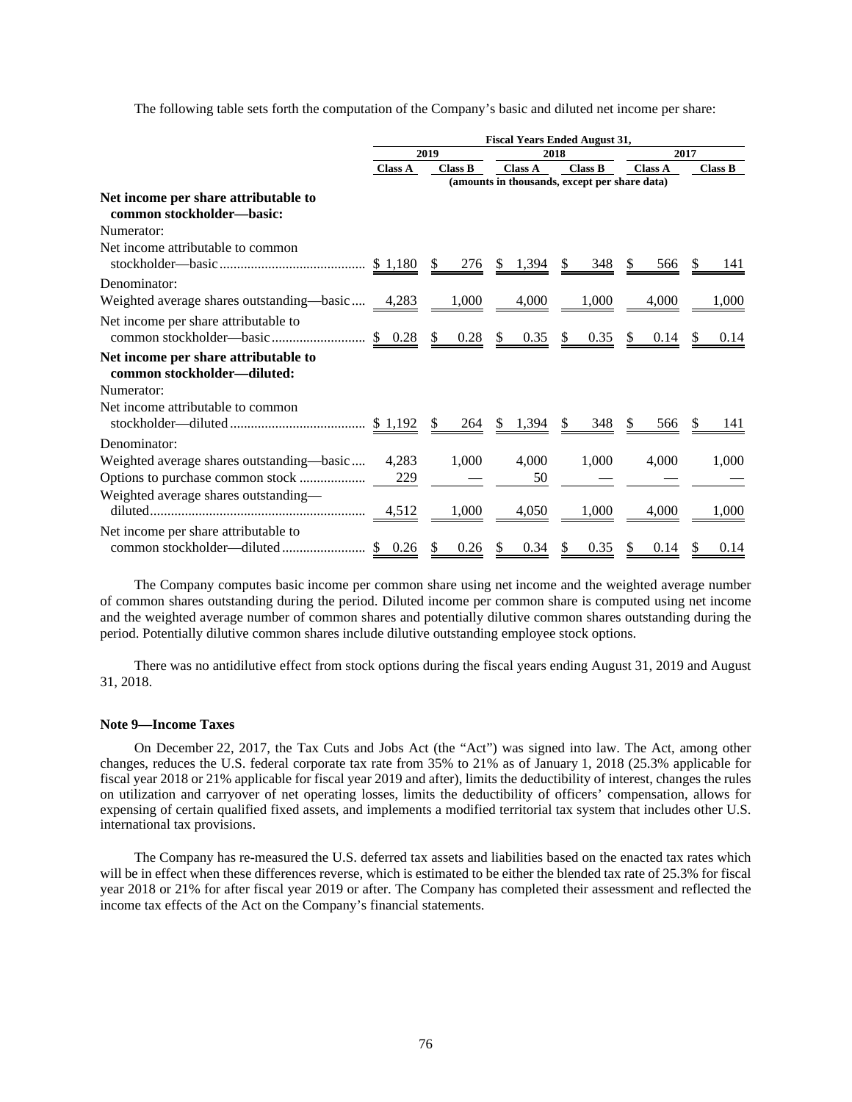The following table sets forth the computation of the Company's basic and diluted net income per share:

|                                                                     | <b>Fiscal Years Ended August 31,</b> |    |                |      |                                               |    |                |              |                |      |                |
|---------------------------------------------------------------------|--------------------------------------|----|----------------|------|-----------------------------------------------|----|----------------|--------------|----------------|------|----------------|
|                                                                     | 2019                                 |    |                | 2018 |                                               |    |                |              |                | 2017 |                |
|                                                                     | <b>Class A</b>                       |    | <b>Class B</b> |      | <b>Class A</b>                                |    | <b>Class B</b> |              | <b>Class A</b> |      | <b>Class B</b> |
|                                                                     |                                      |    |                |      | (amounts in thousands, except per share data) |    |                |              |                |      |                |
| Net income per share attributable to<br>common stockholder-basic:   |                                      |    |                |      |                                               |    |                |              |                |      |                |
| Numerator:                                                          |                                      |    |                |      |                                               |    |                |              |                |      |                |
| Net income attributable to common                                   | \$1,180                              | S. | 276            | S.   | 1,394                                         | \$ | 348            |              | 566            |      | 141            |
| Denominator:                                                        |                                      |    |                |      |                                               |    |                |              |                |      |                |
| Weighted average shares outstanding—basic                           | 4,283                                |    | 1,000          |      | 4,000                                         |    | 1,000          |              | 4,000          |      | 1,000          |
| Net income per share attributable to                                | \$0.28                               | \$ | 0.28           | \$   | 0.35                                          | \$ | 0.35           | \$           | 0.14           |      | 0.14           |
| Net income per share attributable to<br>common stockholder—diluted: |                                      |    |                |      |                                               |    |                |              |                |      |                |
| Numerator:                                                          |                                      |    |                |      |                                               |    |                |              |                |      |                |
| Net income attributable to common                                   |                                      |    | 264            | \$   | 1,394                                         |    | 348            |              | 566            |      | 141            |
| Denominator:                                                        |                                      |    |                |      |                                               |    |                |              |                |      |                |
| Weighted average shares outstanding-basic                           | 4.283<br>229                         |    | 1,000          |      | 4,000<br>50                                   |    | 1,000          |              | 4,000          |      | 1,000          |
| Weighted average shares outstanding-                                |                                      |    | 1,000          |      | 4,050                                         |    | 1,000          |              | 4,000          |      | 1,000          |
| Net income per share attributable to                                |                                      | S  | 0.26           | S    | 0.34                                          | \$ | 0.35           | <sup>S</sup> | 0.14           |      | 0.14           |

The Company computes basic income per common share using net income and the weighted average number of common shares outstanding during the period. Diluted income per common share is computed using net income and the weighted average number of common shares and potentially dilutive common shares outstanding during the period. Potentially dilutive common shares include dilutive outstanding employee stock options.

There was no antidilutive effect from stock options during the fiscal years ending August 31, 2019 and August 31, 2018.

#### **Note 9—Income Taxes**

On December 22, 2017, the Tax Cuts and Jobs Act (the "Act") was signed into law. The Act, among other changes, reduces the U.S. federal corporate tax rate from 35% to 21% as of January 1, 2018 (25.3% applicable for fiscal year 2018 or 21% applicable for fiscal year 2019 and after), limits the deductibility of interest, changes the rules on utilization and carryover of net operating losses, limits the deductibility of officers' compensation, allows for expensing of certain qualified fixed assets, and implements a modified territorial tax system that includes other U.S. international tax provisions.

The Company has re-measured the U.S. deferred tax assets and liabilities based on the enacted tax rates which will be in effect when these differences reverse, which is estimated to be either the blended tax rate of 25.3% for fiscal year 2018 or 21% for after fiscal year 2019 or after. The Company has completed their assessment and reflected the income tax effects of the Act on the Company's financial statements.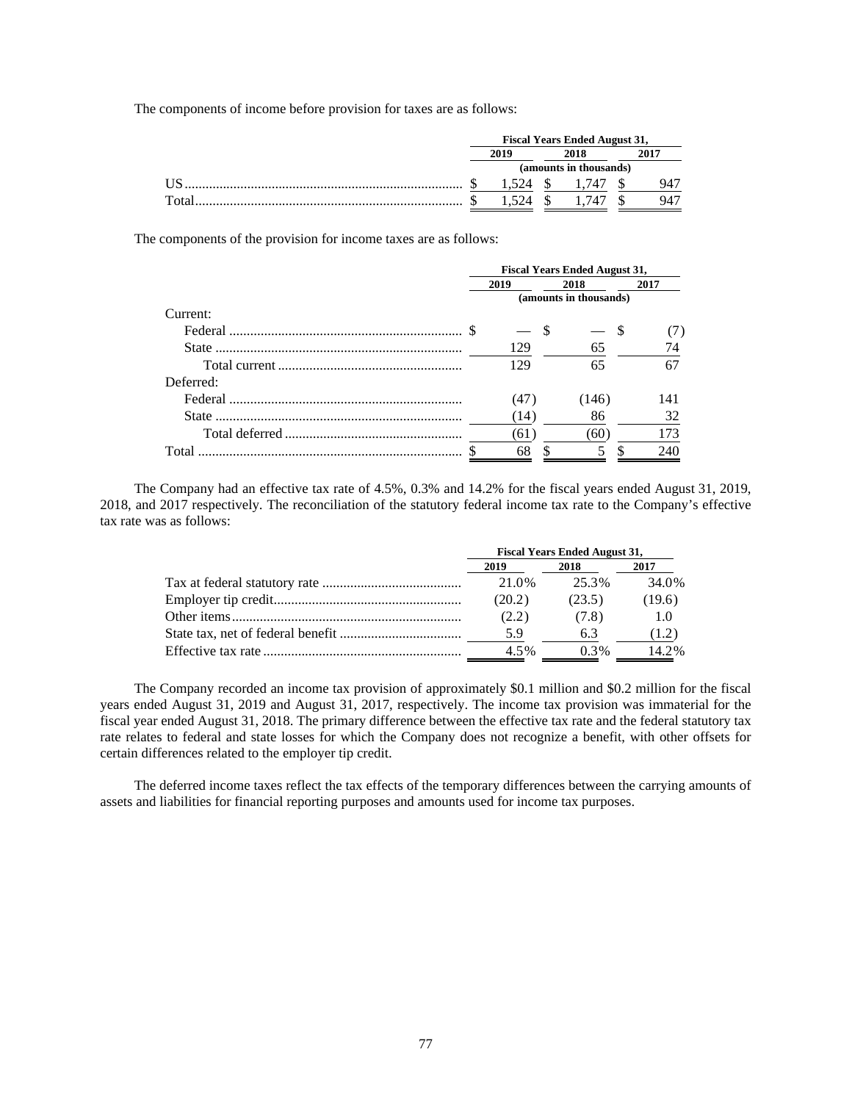The components of income before provision for taxes are as follows:

|             | <b>Fiscal Years Ended August 31,</b> |      |  |       |  |  |  |  |  |
|-------------|--------------------------------------|------|--|-------|--|--|--|--|--|
|             |                                      | 2019 |  | 2018  |  |  |  |  |  |
|             | (amounts in thousands)               |      |  |       |  |  |  |  |  |
|             |                                      | 524  |  | 1.747 |  |  |  |  |  |
| $\rm Total$ |                                      |      |  |       |  |  |  |  |  |

The components of the provision for income taxes are as follows:

|           |                        | <b>Fiscal Years Ended August 31,</b> |  |       |      |  |  |  |  |
|-----------|------------------------|--------------------------------------|--|-------|------|--|--|--|--|
|           | 2019                   |                                      |  | 2018  | 2017 |  |  |  |  |
|           | (amounts in thousands) |                                      |  |       |      |  |  |  |  |
| Current:  |                        |                                      |  |       |      |  |  |  |  |
|           |                        |                                      |  |       |      |  |  |  |  |
|           |                        | 129                                  |  | 65    | 74   |  |  |  |  |
|           |                        | 129                                  |  | 65    | 67   |  |  |  |  |
| Deferred: |                        |                                      |  |       |      |  |  |  |  |
|           |                        | (47)                                 |  | (146) | 141  |  |  |  |  |
|           |                        | (14)                                 |  | 86    | 32   |  |  |  |  |
|           |                        | (61)                                 |  | (60)  | 173  |  |  |  |  |
| Total     |                        | 68                                   |  |       | 240  |  |  |  |  |

The Company had an effective tax rate of 4.5%, 0.3% and 14.2% for the fiscal years ended August 31, 2019, 2018, and 2017 respectively. The reconciliation of the statutory federal income tax rate to the Company's effective tax rate was as follows:

| <b>Fiscal Years Ended August 31,</b> |         |        |  |  |  |
|--------------------------------------|---------|--------|--|--|--|
| 2019                                 | 2018    | 2017   |  |  |  |
| 21.0%                                | 25.3%   | 34.0%  |  |  |  |
| (20.2)                               | (23.5)  | (19.6) |  |  |  |
| (2.2)                                | (7.8)   | 1.0    |  |  |  |
| 5.9                                  | 6.3     | (1.2)  |  |  |  |
| 4.5%                                 | $0.3\%$ | 14.2%  |  |  |  |

The Company recorded an income tax provision of approximately \$0.1 million and \$0.2 million for the fiscal years ended August 31, 2019 and August 31, 2017, respectively. The income tax provision was immaterial for the fiscal year ended August 31, 2018. The primary difference between the effective tax rate and the federal statutory tax rate relates to federal and state losses for which the Company does not recognize a benefit, with other offsets for certain differences related to the employer tip credit.

The deferred income taxes reflect the tax effects of the temporary differences between the carrying amounts of assets and liabilities for financial reporting purposes and amounts used for income tax purposes.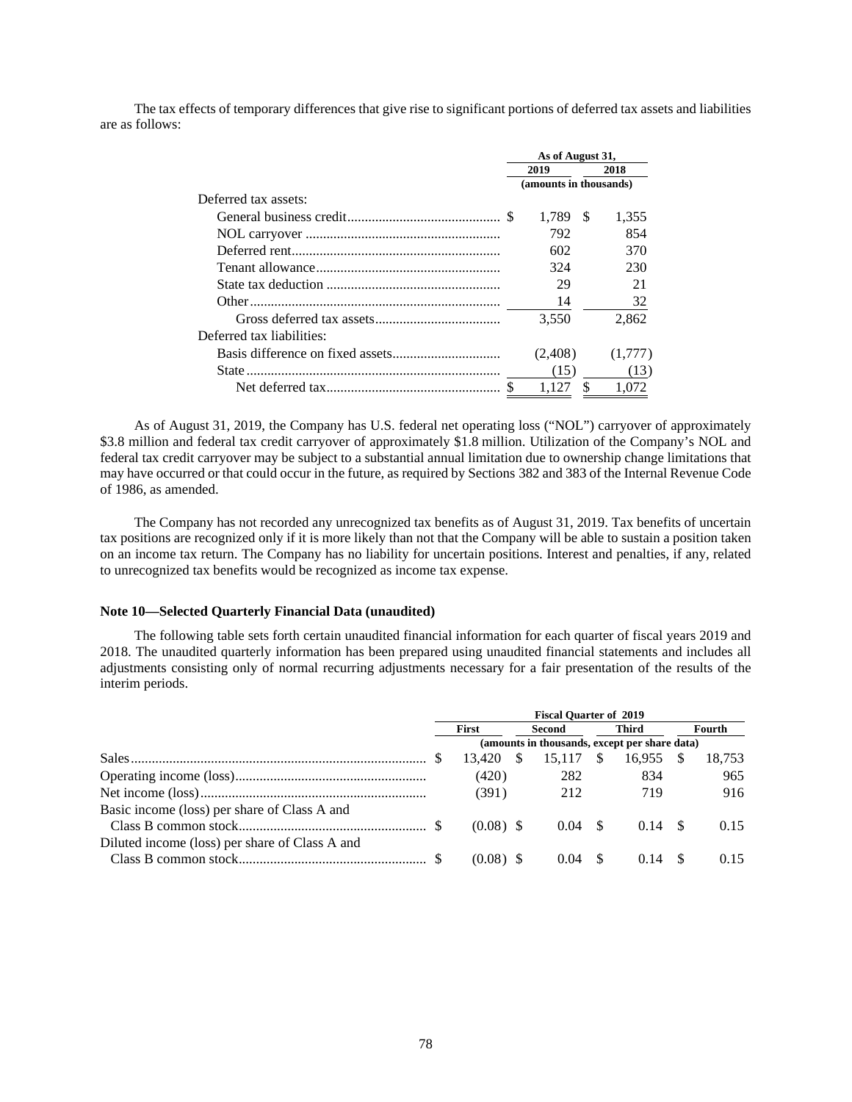The tax effects of temporary differences that give rise to significant portions of deferred tax assets and liabilities are as follows:

|                           | As of August 31,       |      |         |  |  |
|---------------------------|------------------------|------|---------|--|--|
|                           | 2019                   | 2018 |         |  |  |
|                           | (amounts in thousands) |      |         |  |  |
| Deferred tax assets:      |                        |      |         |  |  |
|                           | 1.789                  | -S   | 1,355   |  |  |
|                           | 792                    |      | 854     |  |  |
|                           | 602                    |      | 370     |  |  |
|                           | 324                    |      | 230     |  |  |
|                           | 29                     |      | 21      |  |  |
|                           | 14                     |      | 32      |  |  |
|                           | 3,550                  |      | 2,862   |  |  |
| Deferred tax liabilities: |                        |      |         |  |  |
|                           | (2,408)                |      | (1,777) |  |  |
|                           | (15)                   |      | (13)    |  |  |
|                           | 1.127                  |      | 1.072   |  |  |

As of August 31, 2019, the Company has U.S. federal net operating loss ("NOL") carryover of approximately \$3.8 million and federal tax credit carryover of approximately \$1.8 million. Utilization of the Company's NOL and federal tax credit carryover may be subject to a substantial annual limitation due to ownership change limitations that may have occurred or that could occur in the future, as required by Sections 382 and 383 of the Internal Revenue Code of 1986, as amended.

The Company has not recorded any unrecognized tax benefits as of August 31, 2019. Tax benefits of uncertain tax positions are recognized only if it is more likely than not that the Company will be able to sustain a position taken on an income tax return. The Company has no liability for uncertain positions. Interest and penalties, if any, related to unrecognized tax benefits would be recognized as income tax expense.

## **Note 10—Selected Quarterly Financial Data (unaudited)**

The following table sets forth certain unaudited financial information for each quarter of fiscal years 2019 and 2018. The unaudited quarterly information has been prepared using unaudited financial statements and includes all adjustments consisting only of normal recurring adjustments necessary for a fair presentation of the results of the interim periods.

|                                                | <b>Fiscal Quarter of 2019</b> |             |      |                 |              |                                               |  |        |  |
|------------------------------------------------|-------------------------------|-------------|------|-----------------|--------------|-----------------------------------------------|--|--------|--|
|                                                | First                         |             |      | Second          | <b>Third</b> |                                               |  | Fourth |  |
|                                                |                               |             |      |                 |              | (amounts in thousands, except per share data) |  |        |  |
|                                                |                               | 13.420      | - \$ | 15.117 \$       |              | 16.955 \$                                     |  | 18.753 |  |
|                                                |                               | (420)       |      | 282             |              | 834                                           |  | 965    |  |
|                                                |                               | (391)       |      | 212             |              | 719                                           |  | 916    |  |
| Basic income (loss) per share of Class A and   |                               |             |      |                 |              |                                               |  |        |  |
|                                                |                               | $(0.08)$ \$ |      | $0.04 \quad$ \$ |              |                                               |  | 0.15   |  |
| Diluted income (loss) per share of Class A and |                               |             |      |                 |              |                                               |  |        |  |
|                                                |                               | $(0.08)$ \$ |      | $0.04 \quad S$  |              | $0.14 \, \text{S}$                            |  | 0.15   |  |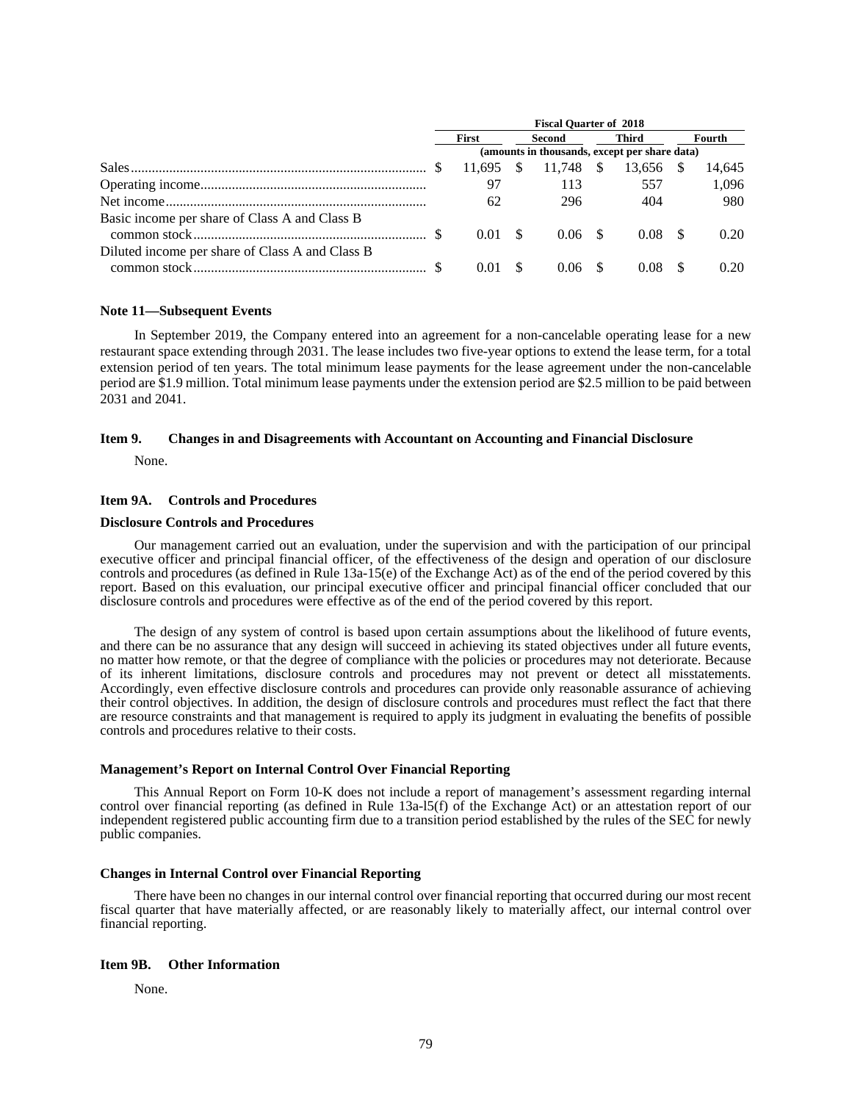|                                                 |               | <b>Fiscal Quarter of 2018</b>                 |  |           |  |           |  |        |  |  |
|-------------------------------------------------|---------------|-----------------------------------------------|--|-----------|--|-----------|--|--------|--|--|
|                                                 |               | First                                         |  | Second    |  | Third     |  | Fourth |  |  |
|                                                 |               | (amounts in thousands, except per share data) |  |           |  |           |  |        |  |  |
|                                                 | <sup>\$</sup> | $11.695$ \$                                   |  | 11,748 \$ |  | 13.656 \$ |  | 14,645 |  |  |
|                                                 |               | 97                                            |  | 113       |  | 557       |  | 1.096  |  |  |
|                                                 |               | 62                                            |  | 296       |  | 404       |  | 980    |  |  |
| Basic income per share of Class A and Class B   |               | $0.01 \, \text{S}$                            |  | $0.06-8$  |  | $0.08-5$  |  | 0.20   |  |  |
| Diluted income per share of Class A and Class B |               |                                               |  |           |  |           |  |        |  |  |
|                                                 |               | 0.01                                          |  | 0.06 S    |  | 0.08      |  | 0.20   |  |  |

#### **Note 11—Subsequent Events**

In September 2019, the Company entered into an agreement for a non-cancelable operating lease for a new restaurant space extending through 2031. The lease includes two five-year options to extend the lease term, for a total extension period of ten years. The total minimum lease payments for the lease agreement under the non-cancelable period are \$1.9 million. Total minimum lease payments under the extension period are \$2.5 million to be paid between 2031 and 2041.

## **Item 9. Changes in and Disagreements with Accountant on Accounting and Financial Disclosure**

None.

### **Item 9A. Controls and Procedures**

### **Disclosure Controls and Procedures**

Our management carried out an evaluation, under the supervision and with the participation of our principal executive officer and principal financial officer, of the effectiveness of the design and operation of our disclosure controls and procedures (as defined in Rule 13a-15(e) of the Exchange Act) as of the end of the period covered by this report. Based on this evaluation, our principal executive officer and principal financial officer concluded that our disclosure controls and procedures were effective as of the end of the period covered by this report.

The design of any system of control is based upon certain assumptions about the likelihood of future events, and there can be no assurance that any design will succeed in achieving its stated objectives under all future events, no matter how remote, or that the degree of compliance with the policies or procedures may not deteriorate. Because of its inherent limitations, disclosure controls and procedures may not prevent or detect all misstatements. Accordingly, even effective disclosure controls and procedures can provide only reasonable assurance of achieving their control objectives. In addition, the design of disclosure controls and procedures must reflect the fact that there are resource constraints and that management is required to apply its judgment in evaluating the benefits of possible controls and procedures relative to their costs.

#### **Management's Report on Internal Control Over Financial Reporting**

This Annual Report on Form 10-K does not include a report of management's assessment regarding internal control over financial reporting (as defined in Rule 13a-l5(f) of the Exchange Act) or an attestation report of our independent registered public accounting firm due to a transition period established by the rules of the SEC for newly public companies.

#### **Changes in Internal Control over Financial Reporting**

There have been no changes in our internal control over financial reporting that occurred during our most recent fiscal quarter that have materially affected, or are reasonably likely to materially affect, our internal control over financial reporting.

### **Item 9B. Other Information**

None.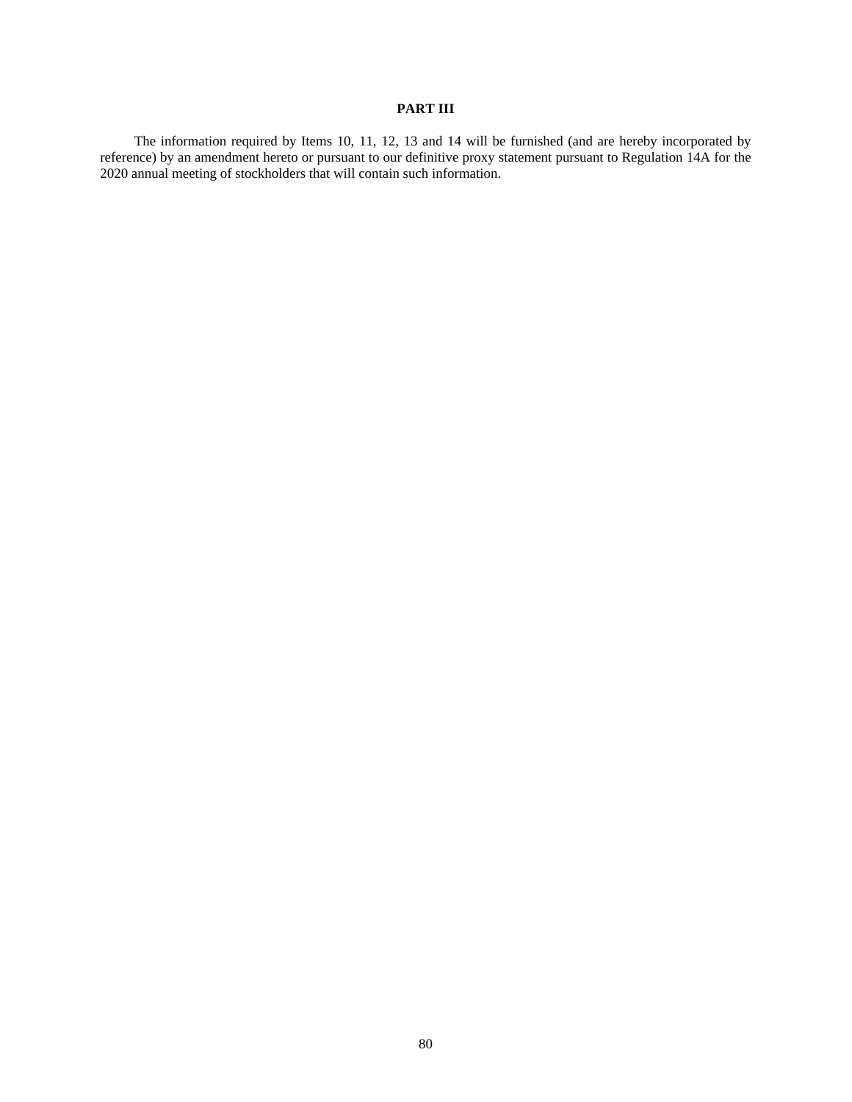# **PART III**

The information required by Items 10, 11, 12, 13 and 14 will be furnished (and are hereby incorporated by reference) by an amendment hereto or pursuant to our definitive proxy statement pursuant to Regulation 14A for the 2020 annual meeting of stockholders that will contain such information.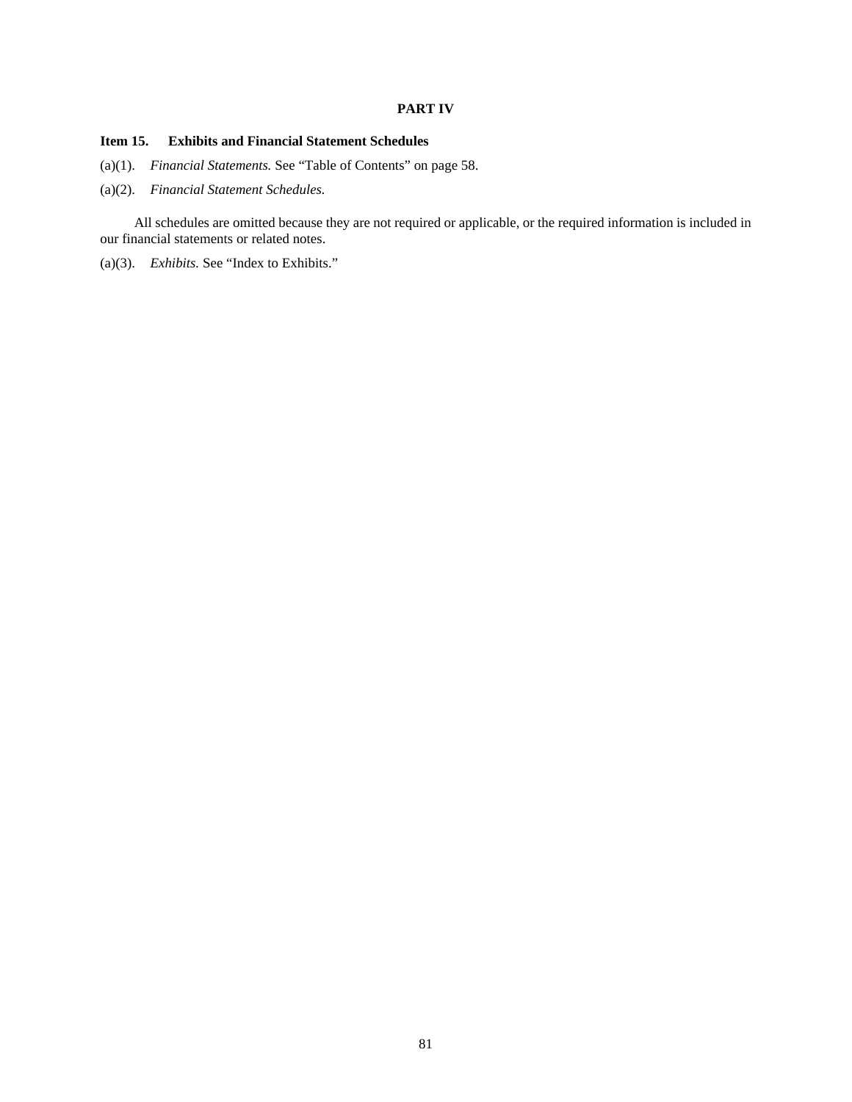## **PART IV**

## **Item 15. Exhibits and Financial Statement Schedules**

(a)(1). *Financial Statements.* See "Table of Contents" on page 58.

(a)(2). *Financial Statement Schedules.*

All schedules are omitted because they are not required or applicable, or the required information is included in our financial statements or related notes.

(a)(3). *Exhibits.* See "Index to Exhibits."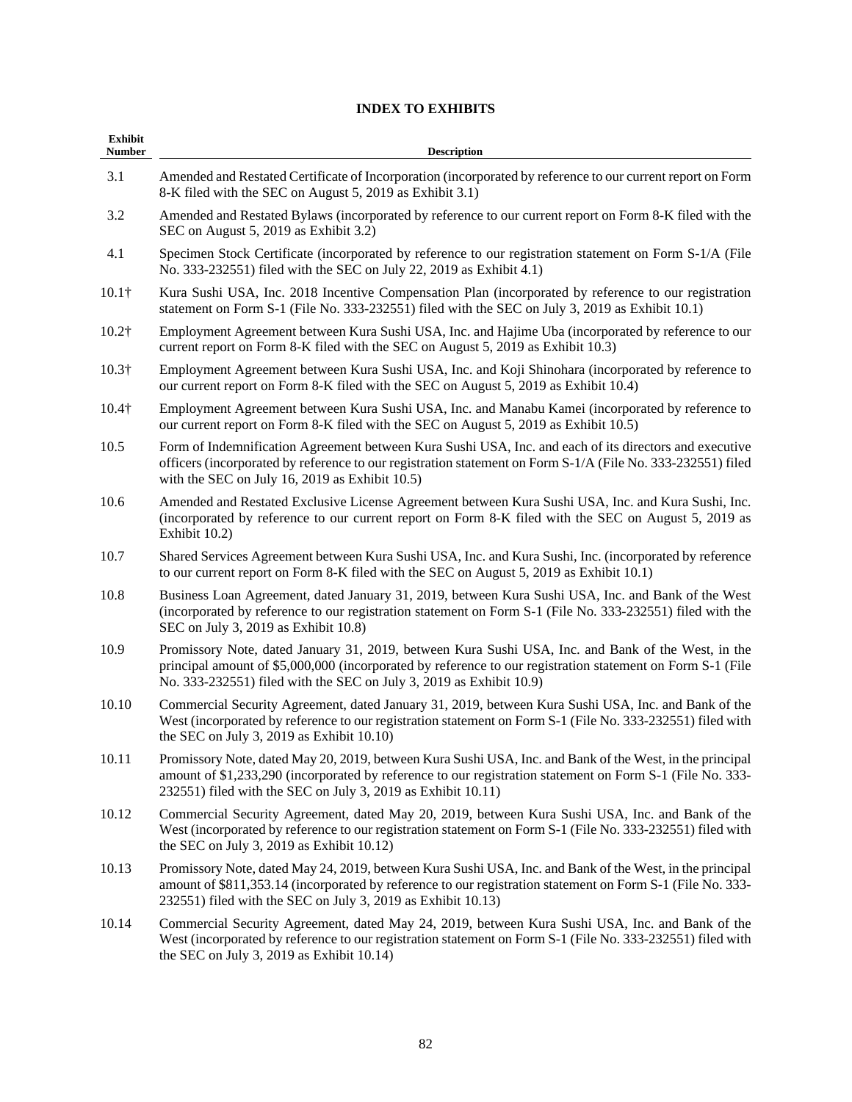#### **Exhibit Description**  3.1 Amended and Restated Certificate of Incorporation (incorporated by reference to our current report on Form 8-K filed with the SEC on August 5, 2019 as Exhibit 3.1) 3.2 Amended and Restated Bylaws (incorporated by reference to our current report on Form 8-K filed with the SEC on August 5, 2019 as Exhibit 3.2) 4.1 Specimen Stock Certificate (incorporated by reference to our registration statement on Form S-1/A (File No. 333-232551) filed with the SEC on July 22, 2019 as Exhibit 4.1) 10.1† Kura Sushi USA, Inc. 2018 Incentive Compensation Plan (incorporated by reference to our registration statement on Form S-1 (File No. 333-232551) filed with the SEC on July 3, 2019 as Exhibit 10.1) 10.2† Employment Agreement between Kura Sushi USA, Inc. and Hajime Uba (incorporated by reference to our current report on Form 8-K filed with the SEC on August 5, 2019 as Exhibit 10.3) 10.3† Employment Agreement between Kura Sushi USA, Inc. and Koji Shinohara (incorporated by reference to our current report on Form 8-K filed with the SEC on August 5, 2019 as Exhibit 10.4) 10.4† Employment Agreement between Kura Sushi USA, Inc. and Manabu Kamei (incorporated by reference to our current report on Form 8-K filed with the SEC on August 5, 2019 as Exhibit 10.5) 10.5 Form of Indemnification Agreement between Kura Sushi USA, Inc. and each of its directors and executive officers (incorporated by reference to our registration statement on Form S-1/A (File No. 333-232551) filed with the SEC on July 16, 2019 as Exhibit 10.5) 10.6 Amended and Restated Exclusive License Agreement between Kura Sushi USA, Inc. and Kura Sushi, Inc. (incorporated by reference to our current report on Form 8-K filed with the SEC on August 5, 2019 as Exhibit 10.2) 10.7 Shared Services Agreement between Kura Sushi USA, Inc. and Kura Sushi, Inc. (incorporated by reference to our current report on Form 8-K filed with the SEC on August 5, 2019 as Exhibit 10.1) 10.8 Business Loan Agreement, dated January 31, 2019, between Kura Sushi USA, Inc. and Bank of the West (incorporated by reference to our registration statement on Form S-1 (File No. 333-232551) filed with the SEC on July 3, 2019 as Exhibit 10.8) 10.9 Promissory Note, dated January 31, 2019, between Kura Sushi USA, Inc. and Bank of the West, in the principal amount of \$5,000,000 (incorporated by reference to our registration statement on Form S-1 (File No. 333-232551) filed with the SEC on July 3, 2019 as Exhibit 10.9) 10.10 Commercial Security Agreement, dated January 31, 2019, between Kura Sushi USA, Inc. and Bank of the West (incorporated by reference to our registration statement on Form S-1 (File No. 333-232551) filed with the SEC on July 3, 2019 as Exhibit 10.10) 10.11 Promissory Note, dated May 20, 2019, between Kura Sushi USA, Inc. and Bank of the West, in the principal amount of \$1,233,290 (incorporated by reference to our registration statement on Form S-1 (File No. 333- 232551) filed with the SEC on July 3, 2019 as Exhibit 10.11) 10.12 Commercial Security Agreement, dated May 20, 2019, between Kura Sushi USA, Inc. and Bank of the West (incorporated by reference to our registration statement on Form S-1 (File No. 333-232551) filed with the SEC on July 3, 2019 as Exhibit 10.12) 10.13 Promissory Note, dated May 24, 2019, between Kura Sushi USA, Inc. and Bank of the West, in the principal amount of \$811,353.14 (incorporated by reference to our registration statement on Form S-1 (File No. 333- 232551) filed with the SEC on July 3, 2019 as Exhibit 10.13) 10.14 Commercial Security Agreement, dated May 24, 2019, between Kura Sushi USA, Inc. and Bank of the West (incorporated by reference to our registration statement on Form S-1 (File No. 333-232551) filed with the SEC on July 3, 2019 as Exhibit 10.14)

## **INDEX TO EXHIBITS**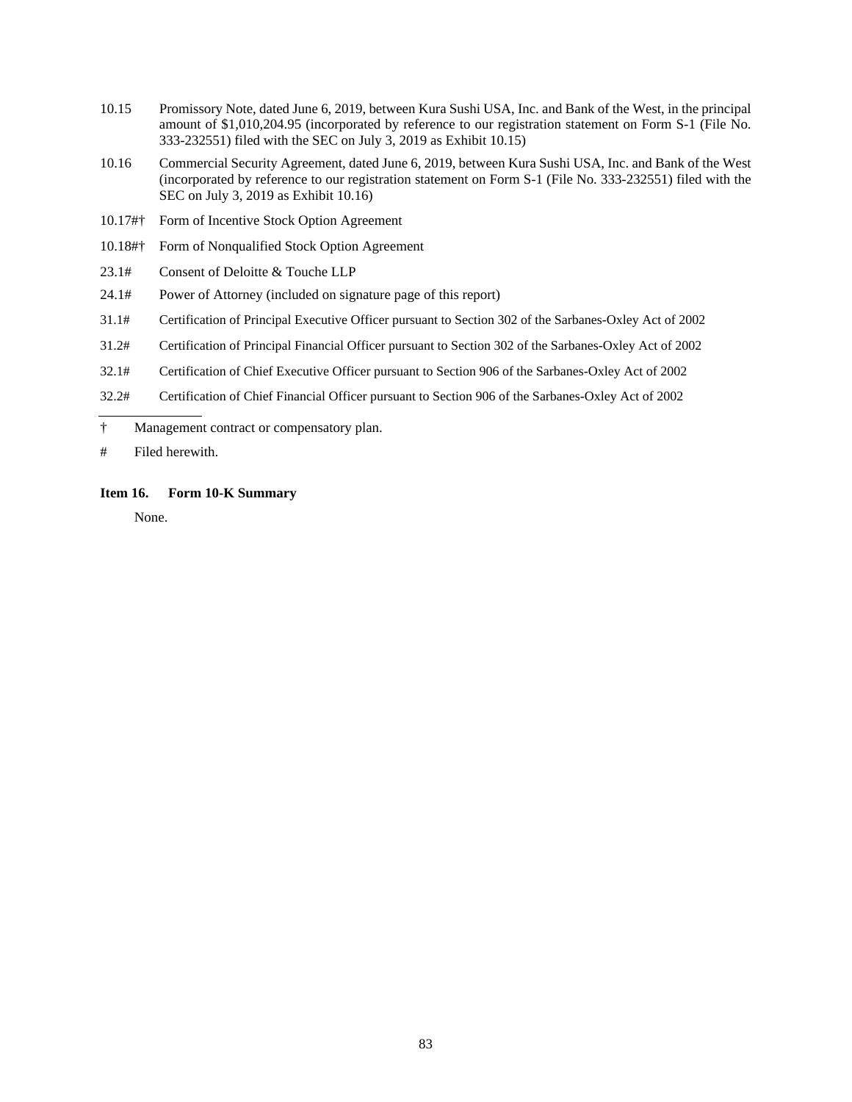- 10.15 Promissory Note, dated June 6, 2019, between Kura Sushi USA, Inc. and Bank of the West, in the principal amount of \$1,010,204.95 (incorporated by reference to our registration statement on Form S-1 (File No. 333-232551) filed with the SEC on July 3, 2019 as Exhibit 10.15)
- 10.16 Commercial Security Agreement, dated June 6, 2019, between Kura Sushi USA, Inc. and Bank of the West (incorporated by reference to our registration statement on Form S-1 (File No. 333-232551) filed with the SEC on July 3, 2019 as Exhibit 10.16)
- 10.17#† Form of Incentive Stock Option Agreement
- 10.18#† Form of Nonqualified Stock Option Agreement
- 23.1# Consent of Deloitte & Touche LLP
- 24.1# Power of Attorney (included on signature page of this report)
- 31.1# Certification of Principal Executive Officer pursuant to Section 302 of the Sarbanes-Oxley Act of 2002
- 31.2# Certification of Principal Financial Officer pursuant to Section 302 of the Sarbanes-Oxley Act of 2002
- 32.1# Certification of Chief Executive Officer pursuant to Section 906 of the Sarbanes-Oxley Act of 2002
- 32.2# Certification of Chief Financial Officer pursuant to Section 906 of the Sarbanes-Oxley Act of 2002

# Filed herewith.

## **Item 16. Form 10-K Summary**

None.

<sup>†</sup> Management contract or compensatory plan.